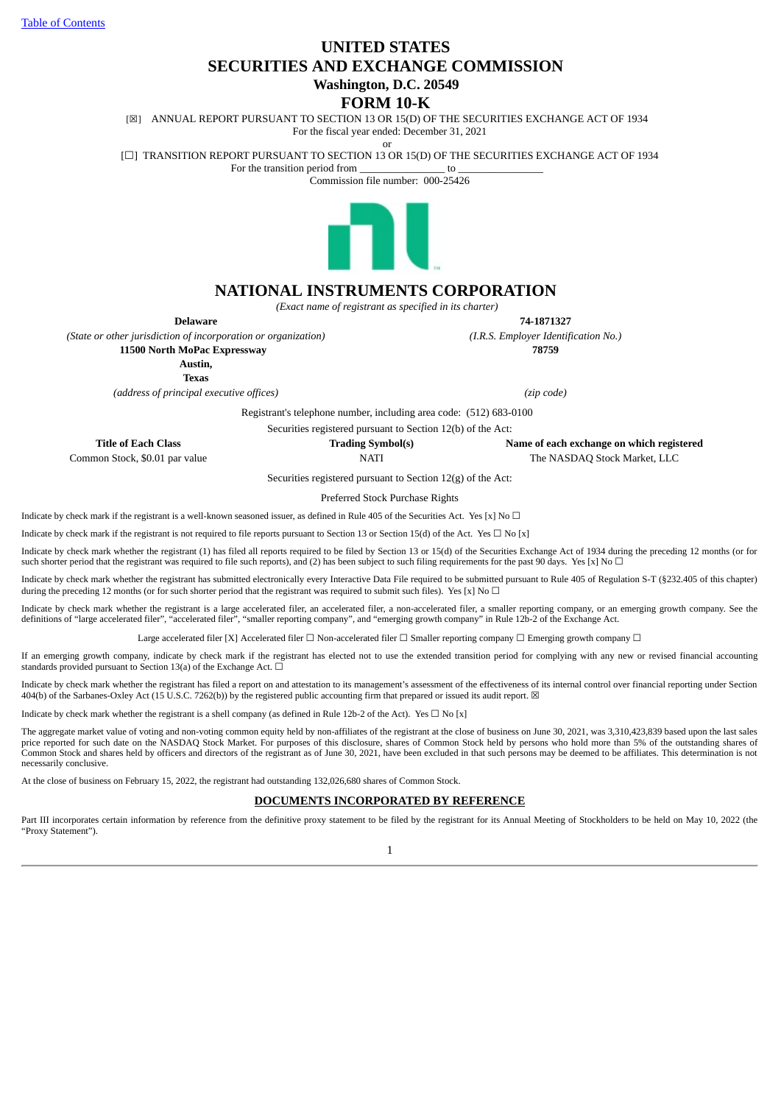# **UNITED STATES**

**SECURITIES AND EXCHANGE COMMISSION**

**Washington, D.C. 20549**

# **FORM 10-K**

[ $\boxtimes$ ] ANNUAL REPORT PURSUANT TO SECTION 13 OR 15(D) OF THE SECURITIES EXCHANGE ACT OF 1934 For the fiscal year ended: December 31, 2021

or

[☐] TRANSITION REPORT PURSUANT TO SECTION 13 OR 15(D) OF THE SECURITIES EXCHANGE ACT OF 1934

For the transition period from  $\qquad \qquad$  to  $\qquad \qquad$ 

Commission file number: 000-25426



# **NATIONAL INSTRUMENTS CORPORATION**

*(Exact name of registrant as specified in its charter)*

*(State or other jurisdiction of incorporation or organization) (I.R.S. Employer Identification No.)*

**11500 North MoPac Expressway 78759**

**Austin, Texas**

*(address of principal executive offices) (zip code)*

Registrant's telephone number, including area code: (512) 683-0100 Securities registered pursuant to Section 12(b) of the Act:

**Title of Each Class Trading Symbol(s) Name of each exchange on which registered**

Common Stock, \$0.01 par value NATI The NASDAQ Stock Market, LLC

Securities registered pursuant to Section 12(g) of the Act:

Preferred Stock Purchase Rights

Indicate by check mark if the registrant is a well-known seasoned issuer, as defined in Rule 405 of the Securities Act. Yes [x] No  $\Box$ 

Indicate by check mark if the registrant is not required to file reports pursuant to Section 13 or Section 15(d) of the Act. Yes  $\Box$  No [x]

Indicate by check mark whether the registrant (1) has filed all reports required to be filed by Section 13 or 15(d) of the Securities Exchange Act of 1934 during the preceding 12 months (or for such shorter period that the registrant was required to file such reports), and (2) has been subject to such filing requirements for the past 90 days. Yes [x] No  $\Box$ 

Indicate by check mark whether the registrant has submitted electronically every Interactive Data File required to be submitted pursuant to Rule 405 of Regulation S-T (§232.405 of this chapter) during the preceding 12 months (or for such shorter period that the registrant was required to submit such files). Yes [x] No  $\Box$ 

Indicate by check mark whether the registrant is a large accelerated filer, an accelerated filer, a non-accelerated filer, a smaller reporting company, or an emerging growth company. See the definitions of "large accelerated filer", "accelerated filer", "smaller reporting company", and "emerging growth company" in Rule 12b-2 of the Exchange Act.

Large accelerated filer [X] Accelerated filer  $□$  Non-accelerated filer  $□$  Smaller reporting company  $□$  Emerging growth company  $□$ 

If an emerging growth company, indicate by check mark if the registrant has elected not to use the extended transition period for complying with any new or revised financial accounting standards provided pursuant to Section 13(a) of the Exchange Act.  $\Box$ 

Indicate by check mark whether the registrant has filed a report on and attestation to its management's assessment of the effectiveness of its internal control over financial reporting under Section 404(b) of the Sarbanes-Oxley Act (15 U.S.C. 7262(b)) by the registered public accounting firm that prepared or issued its audit report.  $\boxtimes$ 

Indicate by check mark whether the registrant is a shell company (as defined in Rule 12b-2 of the Act). Yes  $\Box$  No [x]

The aggregate market value of voting and non-voting common equity held by non-affiliates of the registrant at the close of business on June 30, 2021, was 3,310,423,839 based upon the last sales price reported for such date on the NASDAQ Stock Market. For purposes of this disclosure, shares of Common Stock held by persons who hold more than 5% of the outstanding shares of Common Stock and shares held by officers and directors of the registrant as of June 30, 2021, have been excluded in that such persons may be deemed to be affiliates. This determination is not necessarily conclusive.

At the close of business on February 15, 2022, the registrant had outstanding 132,026,680 shares of Common Stock.

#### **DOCUMENTS INCORPORATED BY REFERENCE**

<span id="page-0-0"></span>Part III incorporates certain information by reference from the definitive proxy statement to be filed by the registrant for its Annual Meeting of Stockholders to be held on May 10, 2022 (the "Proxy Statement").

1

**Delaware 74-1871327**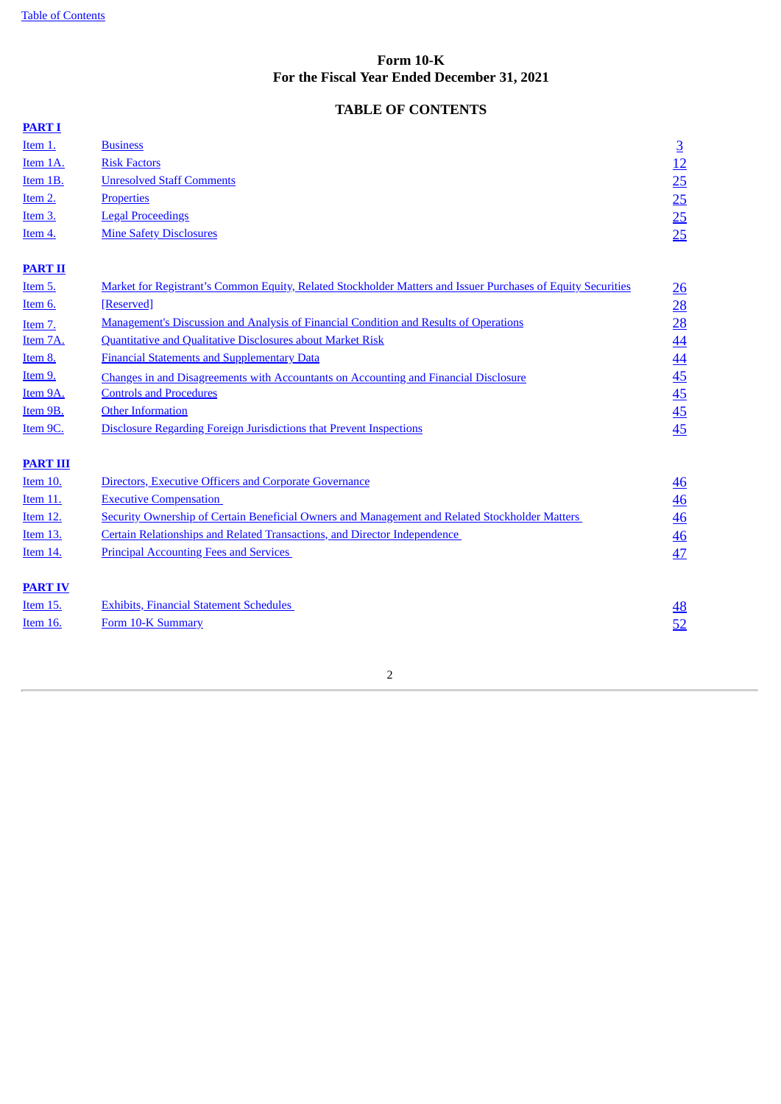# **Form 10-K For the Fiscal Year Ended December 31, 2021**

# **TABLE OF CONTENTS**

<span id="page-1-0"></span>

| <b>PART I</b>   |                                                                                                              |                  |
|-----------------|--------------------------------------------------------------------------------------------------------------|------------------|
| Item 1.         | <b>Business</b>                                                                                              | $\overline{3}$   |
| Item 1A.        | <b>Risk Factors</b>                                                                                          | 12               |
| Item 1B.        | <b>Unresolved Staff Comments</b>                                                                             | 25               |
| Item 2.         | <b>Properties</b>                                                                                            | 25               |
| Item 3.         | <b>Legal Proceedings</b>                                                                                     |                  |
| Item 4.         | <b>Mine Safety Disclosures</b>                                                                               | $\frac{25}{25}$  |
| <b>PART II</b>  |                                                                                                              |                  |
| Item 5.         | Market for Registrant's Common Equity, Related Stockholder Matters and Issuer Purchases of Equity Securities | $\overline{26}$  |
| Item 6.         | [Reserved]                                                                                                   | 28               |
| Item 7.         | Management's Discussion and Analysis of Financial Condition and Results of Operations                        |                  |
| Item 7A.        | <b>Quantitative and Qualitative Disclosures about Market Risk</b>                                            | $\frac{28}{44}$  |
| Item 8.         | <b>Financial Statements and Supplementary Data</b>                                                           |                  |
| Item 9.         | <b>Changes in and Disagreements with Accountants on Accounting and Financial Disclosure</b>                  | $\frac{44}{45}$  |
| Item 9A.        | <b>Controls and Procedures</b>                                                                               |                  |
| Item 9B.        | <b>Other Information</b>                                                                                     | $\frac{45}{45}$  |
| Item 9C.        | <b>Disclosure Regarding Foreign Jurisdictions that Prevent Inspections</b>                                   | 45               |
| <b>PART III</b> |                                                                                                              |                  |
| Item 10.        | <b>Directors, Executive Officers and Corporate Governance</b>                                                | $\frac{46}{5}$   |
| Item 11.        | <b>Executive Compensation</b>                                                                                | $\frac{46}{5}$   |
| Item 12.        | <b>Security Ownership of Certain Beneficial Owners and Management and Related Stockholder Matters</b>        | $\frac{46}{5}$   |
| Item 13.        | Certain Relationships and Related Transactions, and Director Independence                                    | $\frac{46}{5}$   |
| Item 14.        | <b>Principal Accounting Fees and Services</b>                                                                | $\frac{47}{1}$   |
| <b>PART IV</b>  |                                                                                                              |                  |
| <b>Item 15.</b> | <b>Exhibits, Financial Statement Schedules</b>                                                               | $\underline{48}$ |
| <b>Item 16.</b> | Form 10-K Summary                                                                                            | 52               |
|                 |                                                                                                              |                  |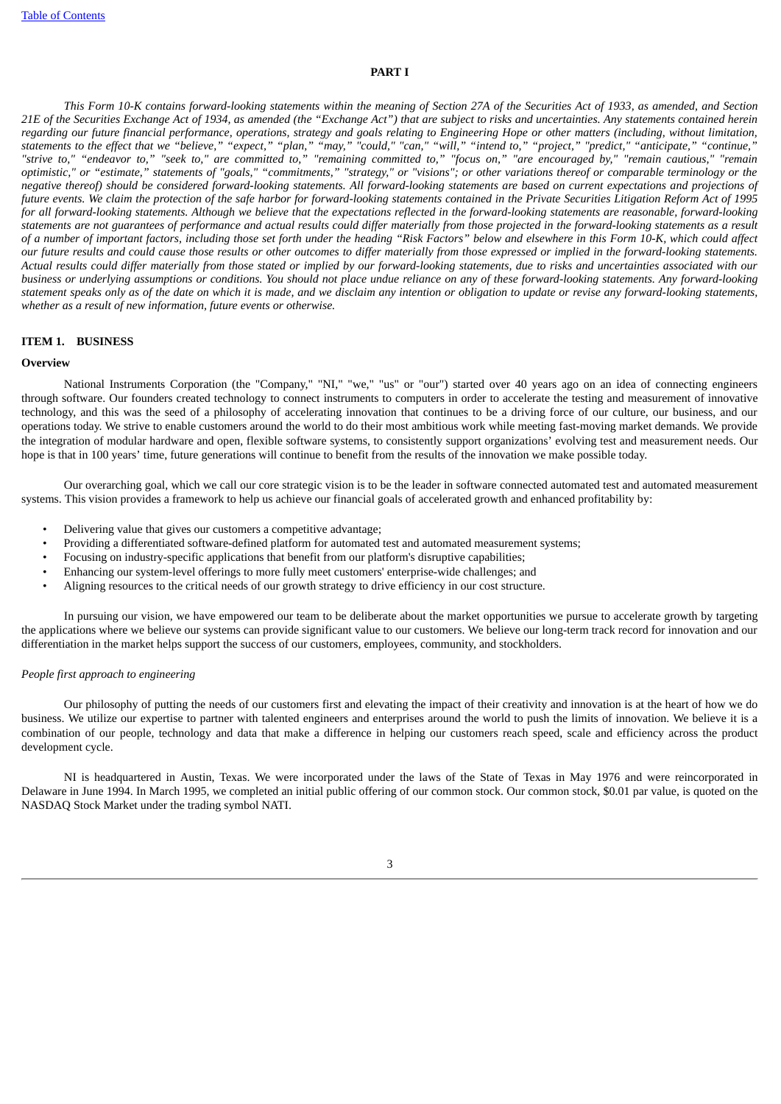#### **PART I**

This Form 10-K contains forward-looking statements within the meaning of Section 27A of the Securities Act of 1933, as amended, and Section 21E of the Securities Exchange Act of 1934, as amended (the "Exchange Act") that are subject to risks and uncertainties. Any statements contained herein regarding our future financial performance, operations, strategy and goals relating to Engineering Hope or other matters (including, without limitation, statements to the effect that we "believe," "expect," "plan," "may," "could," "can," "will," "intend to," "project," "predict," "anticipate," "continue," "strive to," "endeavor to," "seek to," are committed to," "remaining committed to," "focus on," "are encouraged by," "remain cautious," "remain optimistic," or "estimate," statements of "goals," "commitments," "strategy," or "visions"; or other variations thereof or comparable terminology or the negative thereof) should be considered forward-looking statements. All forward-looking statements are based on current expectations and projections of future events. We claim the protection of the safe harbor for forward-looking statements contained in the Private Securities Litigation Reform Act of 1995 for all forward-looking statements. Although we believe that the expectations reflected in the forward-looking statements are reasonable, forward-looking statements are not guarantees of performance and actual results could differ materially from those projected in the forward-looking statements as a result of a number of important factors, including those set forth under the heading "Risk Factors" below and elsewhere in this Form 10-K, which could affect our future results and could cause those results or other outcomes to differ materially from those expressed or implied in the forward-looking statements. Actual results could differ materially from those stated or implied by our forward-looking statements, due to risks and uncertainties associated with our business or underlying assumptions or conditions. You should not place undue reliance on any of these forward-looking statements. Any forward-looking statement speaks only as of the date on which it is made, and we disclaim any intention or obligation to update or revise any forward-looking statements, *whether as a result of new information, future events or otherwise.*

### <span id="page-2-0"></span>**ITEM 1. BUSINESS**

#### **Overview**

National Instruments Corporation (the "Company," "NI," "we," "us" or "our") started over 40 years ago on an idea of connecting engineers through software. Our founders created technology to connect instruments to computers in order to accelerate the testing and measurement of innovative technology, and this was the seed of a philosophy of accelerating innovation that continues to be a driving force of our culture, our business, and our operations today. We strive to enable customers around the world to do their most ambitious work while meeting fast-moving market demands. We provide the integration of modular hardware and open, flexible software systems, to consistently support organizations' evolving test and measurement needs. Our hope is that in 100 years' time, future generations will continue to benefit from the results of the innovation we make possible today.

Our overarching goal, which we call our core strategic vision is to be the leader in software connected automated test and automated measurement systems. This vision provides a framework to help us achieve our financial goals of accelerated growth and enhanced profitability by:

- Delivering value that gives our customers a competitive advantage;
- Providing a differentiated software-defined platform for automated test and automated measurement systems;
- Focusing on industry-specific applications that benefit from our platform's disruptive capabilities;
- Enhancing our system-level offerings to more fully meet customers' enterprise-wide challenges; and
- Aligning resources to the critical needs of our growth strategy to drive efficiency in our cost structure.

In pursuing our vision, we have empowered our team to be deliberate about the market opportunities we pursue to accelerate growth by targeting the applications where we believe our systems can provide significant value to our customers. We believe our long-term track record for innovation and our differentiation in the market helps support the success of our customers, employees, community, and stockholders.

## *People first approach to engineering*

Our philosophy of putting the needs of our customers first and elevating the impact of their creativity and innovation is at the heart of how we do business. We utilize our expertise to partner with talented engineers and enterprises around the world to push the limits of innovation. We believe it is a combination of our people, technology and data that make a difference in helping our customers reach speed, scale and efficiency across the product development cycle.

NI is headquartered in Austin, Texas. We were incorporated under the laws of the State of Texas in May 1976 and were reincorporated in Delaware in June 1994. In March 1995, we completed an initial public offering of our common stock. Our common stock, \$0.01 par value, is quoted on the NASDAQ Stock Market under the trading symbol NATI.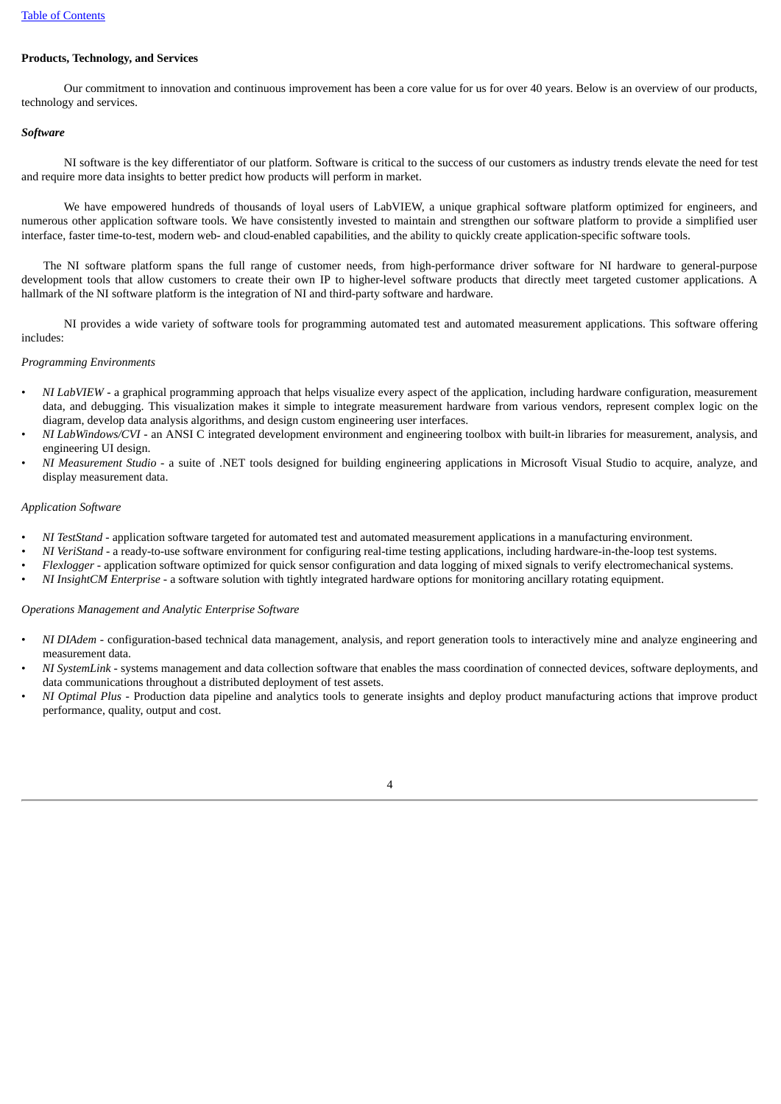### **Products, Technology, and Services**

Our commitment to innovation and continuous improvement has been a core value for us for over 40 years. Below is an overview of our products, technology and services.

## *Software*

NI software is the key differentiator of our platform. Software is critical to the success of our customers as industry trends elevate the need for test and require more data insights to better predict how products will perform in market.

We have empowered hundreds of thousands of loyal users of LabVIEW, a unique graphical software platform optimized for engineers, and numerous other application software tools. We have consistently invested to maintain and strengthen our software platform to provide a simplified user interface, faster time-to-test, modern web- and cloud-enabled capabilities, and the ability to quickly create application-specific software tools.

The NI software platform spans the full range of customer needs, from high-performance driver software for NI hardware to general-purpose development tools that allow customers to create their own IP to higher-level software products that directly meet targeted customer applications. A hallmark of the NI software platform is the integration of NI and third-party software and hardware.

NI provides a wide variety of software tools for programming automated test and automated measurement applications. This software offering includes:

## *Programming Environments*

- *NI LabVIEW* a graphical programming approach that helps visualize every aspect of the application, including hardware configuration, measurement data, and debugging. This visualization makes it simple to integrate measurement hardware from various vendors, represent complex logic on the diagram, develop data analysis algorithms, and design custom engineering user interfaces.
- *NI LabWindows/CVI* an ANSI C integrated development environment and engineering toolbox with built-in libraries for measurement, analysis, and engineering UI design.
- *NI Measurement Studio* a suite of .NET tools designed for building engineering applications in Microsoft Visual Studio to acquire, analyze, and display measurement data.

## *Application Software*

- *NI TestStand* application software targeted for automated test and automated measurement applications in a manufacturing environment.
- *• NI VeriStand* a ready-to-use software environment for configuring real-time testing applications, including hardware-in-the-loop test systems.
- *Flexlogger* application software optimized for quick sensor configuration and data logging of mixed signals to verify electromechanical systems.
- *NI InsightCM Enterprise* a software solution with tightly integrated hardware options for monitoring ancillary rotating equipment.

# *Operations Management and Analytic Enterprise Software*

- *NI DIAdem* configuration-based technical data management, analysis, and report generation tools to interactively mine and analyze engineering and measurement data.
- *NI SystemLink* systems management and data collection software that enables the mass coordination of connected devices, software deployments, and data communications throughout a distributed deployment of test assets.
- *NI Optimal Plus* Production data pipeline and analytics tools to generate insights and deploy product manufacturing actions that improve product performance, quality, output and cost.

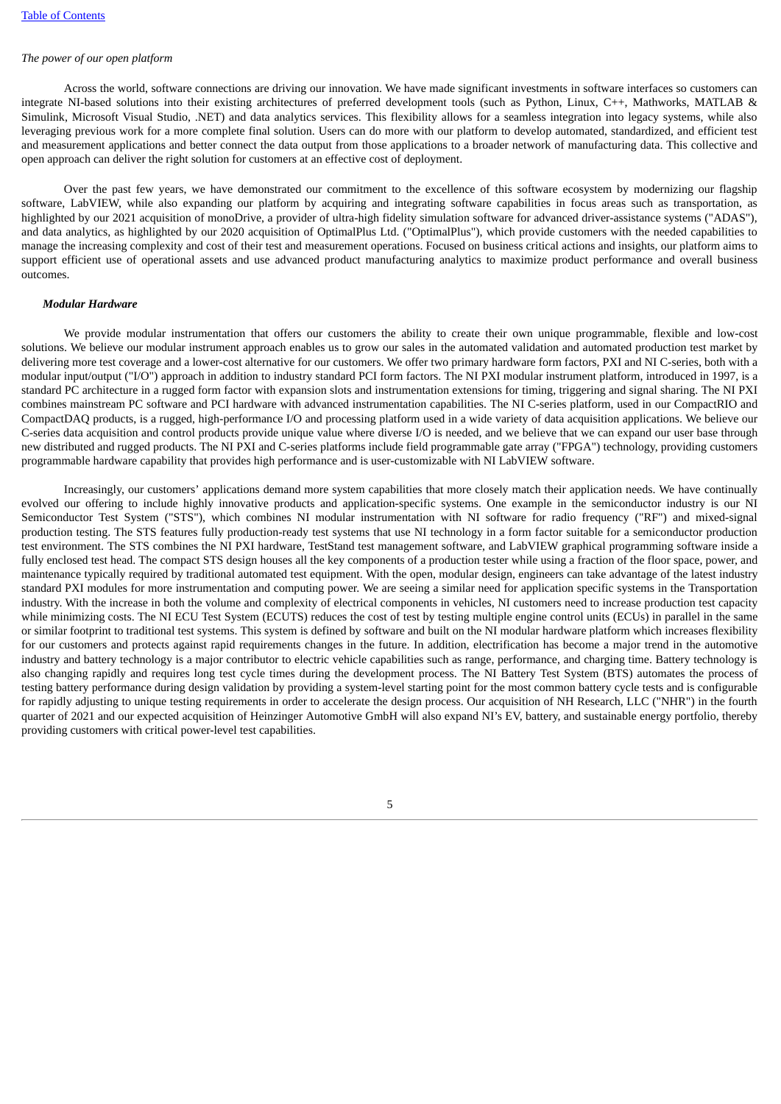# *The power of our open platform*

Across the world, software connections are driving our innovation. We have made significant investments in software interfaces so customers can integrate NI-based solutions into their existing architectures of preferred development tools (such as Python, Linux, C++, Mathworks, MATLAB & Simulink, Microsoft Visual Studio, .NET) and data analytics services. This flexibility allows for a seamless integration into legacy systems, while also leveraging previous work for a more complete final solution. Users can do more with our platform to develop automated, standardized, and efficient test and measurement applications and better connect the data output from those applications to a broader network of manufacturing data. This collective and open approach can deliver the right solution for customers at an effective cost of deployment.

Over the past few years, we have demonstrated our commitment to the excellence of this software ecosystem by modernizing our flagship software, LabVIEW, while also expanding our platform by acquiring and integrating software capabilities in focus areas such as transportation, as highlighted by our 2021 acquisition of monoDrive, a provider of ultra-high fidelity simulation software for advanced driver-assistance systems ("ADAS"), and data analytics, as highlighted by our 2020 acquisition of OptimalPlus Ltd. ("OptimalPlus"), which provide customers with the needed capabilities to manage the increasing complexity and cost of their test and measurement operations. Focused on business critical actions and insights, our platform aims to support efficient use of operational assets and use advanced product manufacturing analytics to maximize product performance and overall business outcomes.

#### *Modular Hardware*

We provide modular instrumentation that offers our customers the ability to create their own unique programmable, flexible and low-cost solutions. We believe our modular instrument approach enables us to grow our sales in the automated validation and automated production test market by delivering more test coverage and a lower-cost alternative for our customers. We offer two primary hardware form factors, PXI and NI C-series, both with a modular input/output ("I/O") approach in addition to industry standard PCI form factors. The NI PXI modular instrument platform, introduced in 1997, is a standard PC architecture in a rugged form factor with expansion slots and instrumentation extensions for timing, triggering and signal sharing. The NI PXI combines mainstream PC software and PCI hardware with advanced instrumentation capabilities. The NI C-series platform, used in our CompactRIO and CompactDAQ products, is a rugged, high-performance I/O and processing platform used in a wide variety of data acquisition applications. We believe our C-series data acquisition and control products provide unique value where diverse I/O is needed, and we believe that we can expand our user base through new distributed and rugged products. The NI PXI and C-series platforms include field programmable gate array ("FPGA") technology, providing customers programmable hardware capability that provides high performance and is user-customizable with NI LabVIEW software.

Increasingly, our customers' applications demand more system capabilities that more closely match their application needs. We have continually evolved our offering to include highly innovative products and application-specific systems. One example in the semiconductor industry is our NI Semiconductor Test System ("STS"), which combines NI modular instrumentation with NI software for radio frequency ("RF") and mixed-signal production testing. The STS features fully production-ready test systems that use NI technology in a form factor suitable for a semiconductor production test environment. The STS combines the NI PXI hardware, TestStand test management software, and LabVIEW graphical programming software inside a fully enclosed test head. The compact STS design houses all the key components of a production tester while using a fraction of the floor space, power, and maintenance typically required by traditional automated test equipment. With the open, modular design, engineers can take advantage of the latest industry standard PXI modules for more instrumentation and computing power. We are seeing a similar need for application specific systems in the Transportation industry. With the increase in both the volume and complexity of electrical components in vehicles, NI customers need to increase production test capacity while minimizing costs. The NI ECU Test System (ECUTS) reduces the cost of test by testing multiple engine control units (ECUs) in parallel in the same or similar footprint to traditional test systems. This system is defined by software and built on the NI modular hardware platform which increases flexibility for our customers and protects against rapid requirements changes in the future. In addition, electrification has become a major trend in the automotive industry and battery technology is a major contributor to electric vehicle capabilities such as range, performance, and charging time. Battery technology is also changing rapidly and requires long test cycle times during the development process. The NI Battery Test System (BTS) automates the process of testing battery performance during design validation by providing a system-level starting point for the most common battery cycle tests and is configurable for rapidly adjusting to unique testing requirements in order to accelerate the design process. Our acquisition of NH Research, LLC ("NHR") in the fourth quarter of 2021 and our expected acquisition of Heinzinger Automotive GmbH will also expand NI's EV, battery, and sustainable energy portfolio, thereby providing customers with critical power-level test capabilities.

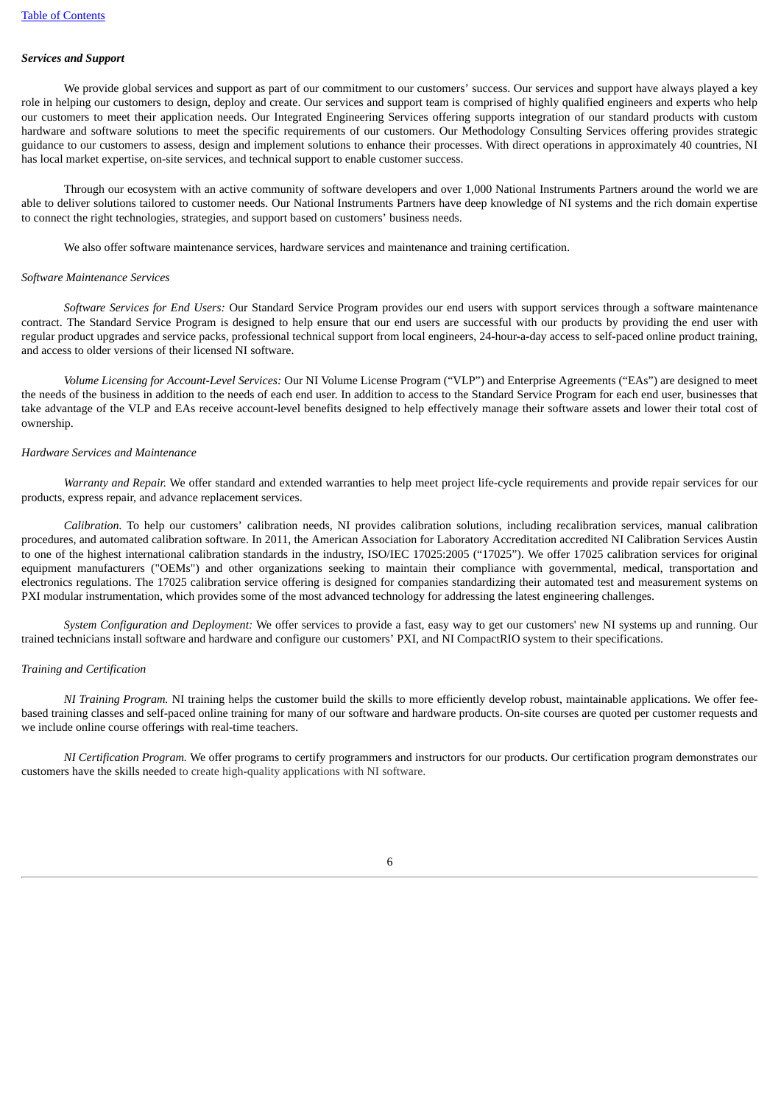#### *Services and Support*

We provide global services and support as part of our commitment to our customers' success. Our services and support have always played a key role in helping our customers to design, deploy and create. Our services and support team is comprised of highly qualified engineers and experts who help our customers to meet their application needs. Our Integrated Engineering Services offering supports integration of our standard products with custom hardware and software solutions to meet the specific requirements of our customers. Our Methodology Consulting Services offering provides strategic guidance to our customers to assess, design and implement solutions to enhance their processes. With direct operations in approximately 40 countries, NI has local market expertise, on-site services, and technical support to enable customer success.

Through our ecosystem with an active community of software developers and over 1,000 National Instruments Partners around the world we are able to deliver solutions tailored to customer needs. Our National Instruments Partners have deep knowledge of NI systems and the rich domain expertise to connect the right technologies, strategies, and support based on customers' business needs.

We also offer software maintenance services, hardware services and maintenance and training certification.

#### *Software Maintenance Services*

*Software Services for End Users:* Our Standard Service Program provides our end users with support services through a software maintenance contract. The Standard Service Program is designed to help ensure that our end users are successful with our products by providing the end user with regular product upgrades and service packs, professional technical support from local engineers, 24-hour-a-day access to self-paced online product training, and access to older versions of their licensed NI software.

*Volume Licensing for Account-Level Services:* Our NI Volume License Program ("VLP") and Enterprise Agreements ("EAs") are designed to meet the needs of the business in addition to the needs of each end user. In addition to access to the Standard Service Program for each end user, businesses that take advantage of the VLP and EAs receive account-level benefits designed to help effectively manage their software assets and lower their total cost of ownership.

#### *Hardware Services and Maintenance*

*Warranty and Repair.* We offer standard and extended warranties to help meet project life-cycle requirements and provide repair services for our products, express repair, and advance replacement services.

*Calibration.* To help our customers' calibration needs, NI provides calibration solutions, including recalibration services, manual calibration procedures, and automated calibration software. In 2011, the American Association for Laboratory Accreditation accredited NI Calibration Services Austin to one of the highest international calibration standards in the industry, ISO/IEC 17025:2005 ("17025"). We offer 17025 calibration services for original equipment manufacturers ("OEMs") and other organizations seeking to maintain their compliance with governmental, medical, transportation and electronics regulations. The 17025 calibration service offering is designed for companies standardizing their automated test and measurement systems on PXI modular instrumentation, which provides some of the most advanced technology for addressing the latest engineering challenges.

*System Configuration and Deployment:* We offer services to provide a fast, easy way to get our customers' new NI systems up and running. Our trained technicians install software and hardware and configure our customers' PXI, and NI CompactRIO system to their specifications.

## *Training and Certification*

*NI Training Program.* NI training helps the customer build the skills to more efficiently develop robust, maintainable applications. We offer feebased training classes and self-paced online training for many of our software and hardware products. On-site courses are quoted per customer requests and we include online course offerings with real-time teachers.

*NI Certification Program.* We offer programs to certify programmers and instructors for our products. Our certification program demonstrates our customers have the skills needed to create high-quality applications with NI software.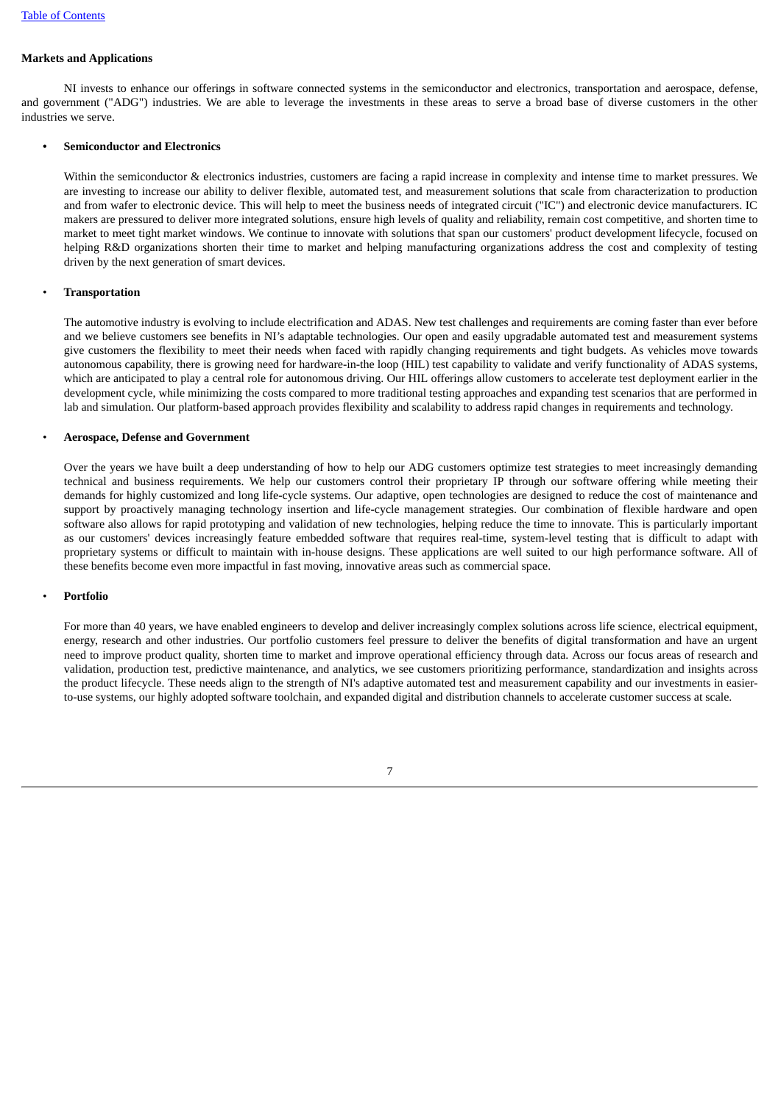## **Markets and Applications**

NI invests to enhance our offerings in software connected systems in the semiconductor and electronics, transportation and aerospace, defense, and government ("ADG") industries. We are able to leverage the investments in these areas to serve a broad base of diverse customers in the other industries we serve.

#### **• Semiconductor and Electronics**

Within the semiconductor & electronics industries, customers are facing a rapid increase in complexity and intense time to market pressures. We are investing to increase our ability to deliver flexible, automated test, and measurement solutions that scale from characterization to production and from wafer to electronic device. This will help to meet the business needs of integrated circuit ("IC") and electronic device manufacturers. IC makers are pressured to deliver more integrated solutions, ensure high levels of quality and reliability, remain cost competitive, and shorten time to market to meet tight market windows. We continue to innovate with solutions that span our customers' product development lifecycle, focused on helping R&D organizations shorten their time to market and helping manufacturing organizations address the cost and complexity of testing driven by the next generation of smart devices.

#### • **Transportation**

The automotive industry is evolving to include electrification and ADAS. New test challenges and requirements are coming faster than ever before and we believe customers see benefits in NI's adaptable technologies. Our open and easily upgradable automated test and measurement systems give customers the flexibility to meet their needs when faced with rapidly changing requirements and tight budgets. As vehicles move towards autonomous capability, there is growing need for hardware-in-the loop (HIL) test capability to validate and verify functionality of ADAS systems, which are anticipated to play a central role for autonomous driving. Our HIL offerings allow customers to accelerate test deployment earlier in the development cycle, while minimizing the costs compared to more traditional testing approaches and expanding test scenarios that are performed in lab and simulation. Our platform-based approach provides flexibility and scalability to address rapid changes in requirements and technology.

## • **Aerospace, Defense and Government**

Over the years we have built a deep understanding of how to help our ADG customers optimize test strategies to meet increasingly demanding technical and business requirements. We help our customers control their proprietary IP through our software offering while meeting their demands for highly customized and long life-cycle systems. Our adaptive, open technologies are designed to reduce the cost of maintenance and support by proactively managing technology insertion and life-cycle management strategies. Our combination of flexible hardware and open software also allows for rapid prototyping and validation of new technologies, helping reduce the time to innovate. This is particularly important as our customers' devices increasingly feature embedded software that requires real-time, system-level testing that is difficult to adapt with proprietary systems or difficult to maintain with in-house designs. These applications are well suited to our high performance software. All of these benefits become even more impactful in fast moving, innovative areas such as commercial space.

## • **Portfolio**

For more than 40 years, we have enabled engineers to develop and deliver increasingly complex solutions across life science, electrical equipment, energy, research and other industries. Our portfolio customers feel pressure to deliver the benefits of digital transformation and have an urgent need to improve product quality, shorten time to market and improve operational efficiency through data. Across our focus areas of research and validation, production test, predictive maintenance, and analytics, we see customers prioritizing performance, standardization and insights across the product lifecycle. These needs align to the strength of NI's adaptive automated test and measurement capability and our investments in easierto-use systems, our highly adopted software toolchain, and expanded digital and distribution channels to accelerate customer success at scale.

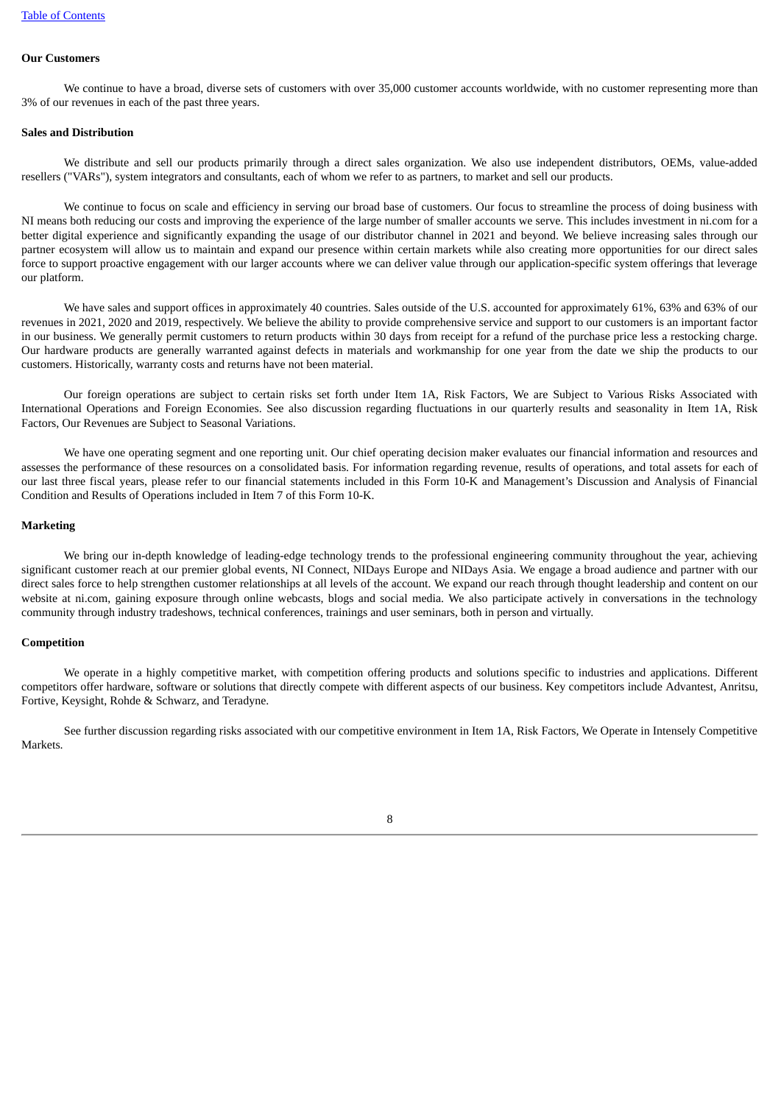#### **Our Customers**

We continue to have a broad, diverse sets of customers with over 35,000 customer accounts worldwide, with no customer representing more than 3% of our revenues in each of the past three years.

## **Sales and Distribution**

We distribute and sell our products primarily through a direct sales organization. We also use independent distributors, OEMs, value-added resellers ("VARs"), system integrators and consultants, each of whom we refer to as partners, to market and sell our products.

We continue to focus on scale and efficiency in serving our broad base of customers. Our focus to streamline the process of doing business with NI means both reducing our costs and improving the experience of the large number of smaller accounts we serve. This includes investment in ni.com for a better digital experience and significantly expanding the usage of our distributor channel in 2021 and beyond. We believe increasing sales through our partner ecosystem will allow us to maintain and expand our presence within certain markets while also creating more opportunities for our direct sales force to support proactive engagement with our larger accounts where we can deliver value through our application-specific system offerings that leverage our platform.

We have sales and support offices in approximately 40 countries. Sales outside of the U.S. accounted for approximately 61%, 63% and 63% of our revenues in 2021, 2020 and 2019, respectively. We believe the ability to provide comprehensive service and support to our customers is an important factor in our business. We generally permit customers to return products within 30 days from receipt for a refund of the purchase price less a restocking charge. Our hardware products are generally warranted against defects in materials and workmanship for one year from the date we ship the products to our customers. Historically, warranty costs and returns have not been material.

Our foreign operations are subject to certain risks set forth under Item 1A, Risk Factors, We are Subject to Various Risks Associated with International Operations and Foreign Economies. See also discussion regarding fluctuations in our quarterly results and seasonality in Item 1A, Risk Factors, Our Revenues are Subject to Seasonal Variations.

We have one operating segment and one reporting unit. Our chief operating decision maker evaluates our financial information and resources and assesses the performance of these resources on a consolidated basis. For information regarding revenue, results of operations, and total assets for each of our last three fiscal years, please refer to our financial statements included in this Form 10-K and Management's Discussion and Analysis of Financial Condition and Results of Operations included in Item 7 of this Form 10-K.

## **Marketing**

We bring our in-depth knowledge of leading-edge technology trends to the professional engineering community throughout the year, achieving significant customer reach at our premier global events, NI Connect, NIDays Europe and NIDays Asia. We engage a broad audience and partner with our direct sales force to help strengthen customer relationships at all levels of the account. We expand our reach through thought leadership and content on our website at ni.com, gaining exposure through online webcasts, blogs and social media. We also participate actively in conversations in the technology community through industry tradeshows, technical conferences, trainings and user seminars, both in person and virtually.

#### **Competition**

We operate in a highly competitive market, with competition offering products and solutions specific to industries and applications. Different competitors offer hardware, software or solutions that directly compete with different aspects of our business. Key competitors include Advantest, Anritsu, Fortive, Keysight, Rohde & Schwarz, and Teradyne.

See further discussion regarding risks associated with our competitive environment in Item 1A, Risk Factors, We Operate in Intensely Competitive **Markets**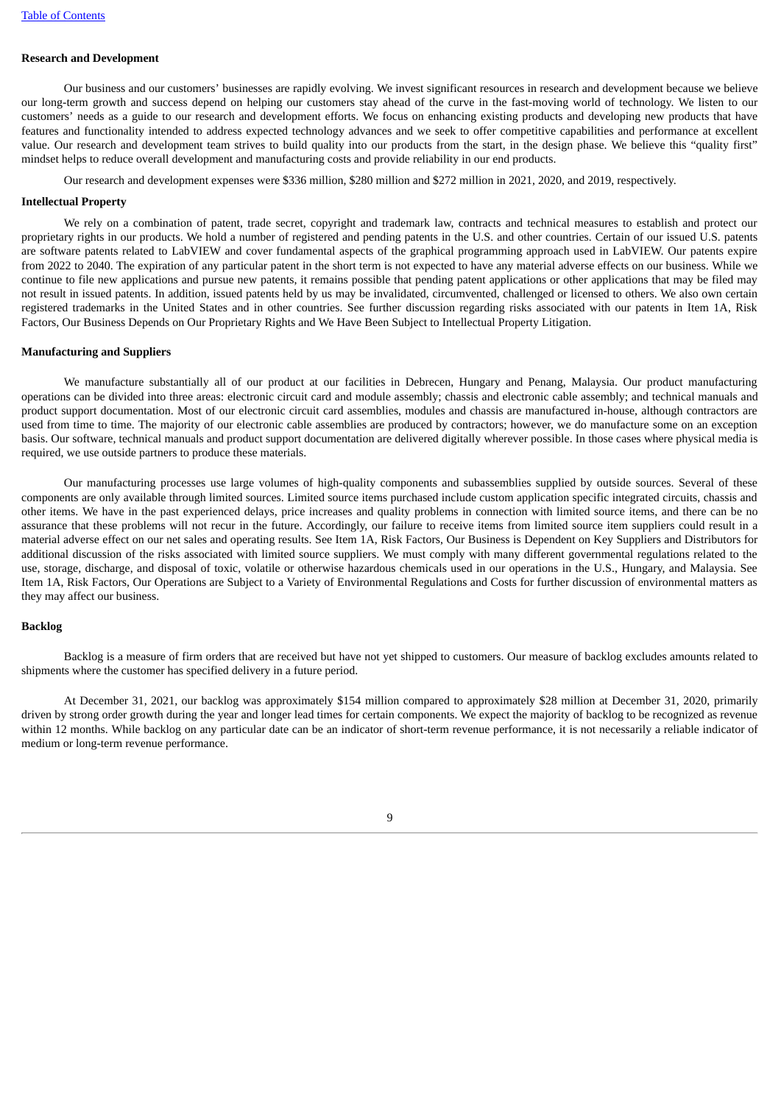# **Research and Development**

Our business and our customers' businesses are rapidly evolving. We invest significant resources in research and development because we believe our long-term growth and success depend on helping our customers stay ahead of the curve in the fast-moving world of technology. We listen to our customers' needs as a guide to our research and development efforts. We focus on enhancing existing products and developing new products that have features and functionality intended to address expected technology advances and we seek to offer competitive capabilities and performance at excellent value. Our research and development team strives to build quality into our products from the start, in the design phase. We believe this "quality first" mindset helps to reduce overall development and manufacturing costs and provide reliability in our end products.

Our research and development expenses were \$336 million, \$280 million and \$272 million in 2021, 2020, and 2019, respectively.

#### **Intellectual Property**

We rely on a combination of patent, trade secret, copyright and trademark law, contracts and technical measures to establish and protect our proprietary rights in our products. We hold a number of registered and pending patents in the U.S. and other countries. Certain of our issued U.S. patents are software patents related to LabVIEW and cover fundamental aspects of the graphical programming approach used in LabVIEW. Our patents expire from 2022 to 2040. The expiration of any particular patent in the short term is not expected to have any material adverse effects on our business. While we continue to file new applications and pursue new patents, it remains possible that pending patent applications or other applications that may be filed may not result in issued patents. In addition, issued patents held by us may be invalidated, circumvented, challenged or licensed to others. We also own certain registered trademarks in the United States and in other countries. See further discussion regarding risks associated with our patents in Item 1A, Risk Factors, Our Business Depends on Our Proprietary Rights and We Have Been Subject to Intellectual Property Litigation.

## **Manufacturing and Suppliers**

We manufacture substantially all of our product at our facilities in Debrecen, Hungary and Penang, Malaysia. Our product manufacturing operations can be divided into three areas: electronic circuit card and module assembly; chassis and electronic cable assembly; and technical manuals and product support documentation. Most of our electronic circuit card assemblies, modules and chassis are manufactured in-house, although contractors are used from time to time. The majority of our electronic cable assemblies are produced by contractors; however, we do manufacture some on an exception basis. Our software, technical manuals and product support documentation are delivered digitally wherever possible. In those cases where physical media is required, we use outside partners to produce these materials.

Our manufacturing processes use large volumes of high-quality components and subassemblies supplied by outside sources. Several of these components are only available through limited sources. Limited source items purchased include custom application specific integrated circuits, chassis and other items. We have in the past experienced delays, price increases and quality problems in connection with limited source items, and there can be no assurance that these problems will not recur in the future. Accordingly, our failure to receive items from limited source item suppliers could result in a material adverse effect on our net sales and operating results. See Item 1A, Risk Factors, Our Business is Dependent on Key Suppliers and Distributors for additional discussion of the risks associated with limited source suppliers. We must comply with many different governmental regulations related to the use, storage, discharge, and disposal of toxic, volatile or otherwise hazardous chemicals used in our operations in the U.S., Hungary, and Malaysia. See Item 1A, Risk Factors, Our Operations are Subject to a Variety of Environmental Regulations and Costs for further discussion of environmental matters as they may affect our business.

## **Backlog**

Backlog is a measure of firm orders that are received but have not yet shipped to customers. Our measure of backlog excludes amounts related to shipments where the customer has specified delivery in a future period.

At December 31, 2021, our backlog was approximately \$154 million compared to approximately \$28 million at December 31, 2020, primarily driven by strong order growth during the year and longer lead times for certain components. We expect the majority of backlog to be recognized as revenue within 12 months. While backlog on any particular date can be an indicator of short-term revenue performance, it is not necessarily a reliable indicator of medium or long-term revenue performance.

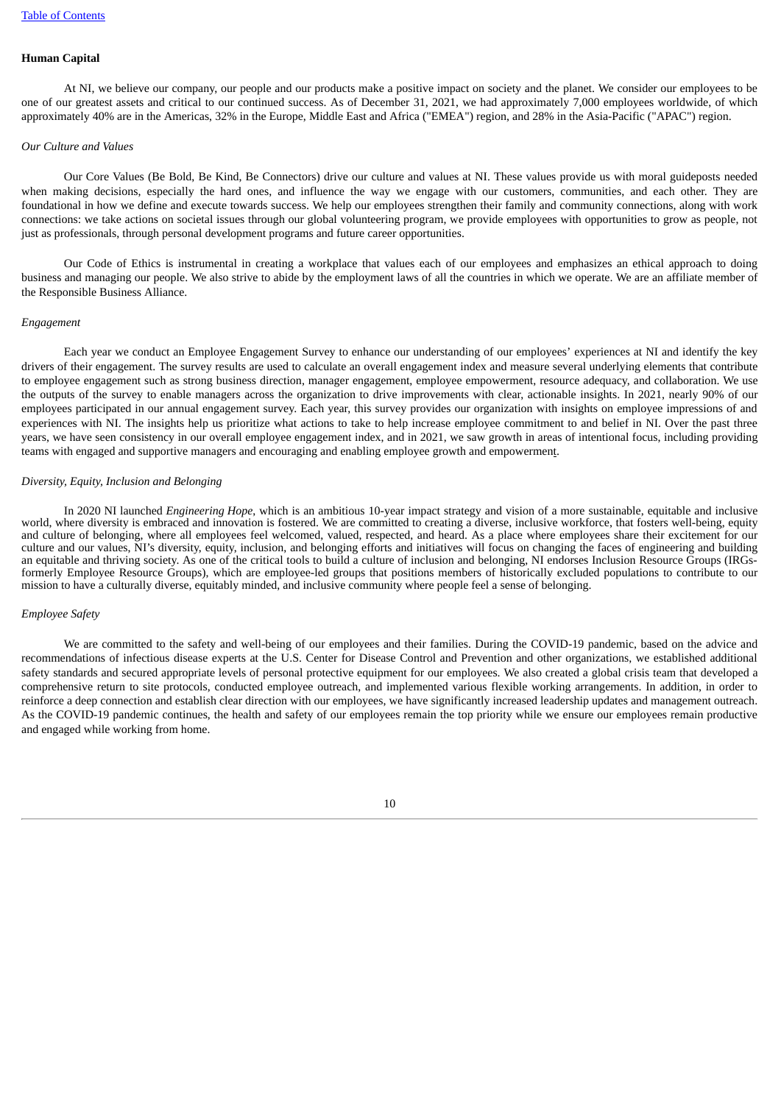#### **Human Capital**

At NI, we believe our company, our people and our products make a positive impact on society and the planet. We consider our employees to be one of our greatest assets and critical to our continued success. As of December 31, 2021, we had approximately 7,000 employees worldwide, of which approximately 40% are in the Americas, 32% in the Europe, Middle East and Africa ("EMEA") region, and 28% in the Asia-Pacific ("APAC") region.

#### *Our Culture and Values*

Our Core Values (Be Bold, Be Kind, Be Connectors) drive our culture and values at NI. These values provide us with moral guideposts needed when making decisions, especially the hard ones, and influence the way we engage with our customers, communities, and each other. They are foundational in how we define and execute towards success. We help our employees strengthen their family and community connections, along with work connections: we take actions on societal issues through our global volunteering program, we provide employees with opportunities to grow as people, not just as professionals, through personal development programs and future career opportunities.

Our Code of Ethics is instrumental in creating a workplace that values each of our employees and emphasizes an ethical approach to doing business and managing our people. We also strive to abide by the employment laws of all the countries in which we operate. We are an affiliate member of the Responsible Business Alliance.

#### *Engagement*

Each year we conduct an Employee Engagement Survey to enhance our understanding of our employees' experiences at NI and identify the key drivers of their engagement. The survey results are used to calculate an overall engagement index and measure several underlying elements that contribute to employee engagement such as strong business direction, manager engagement, employee empowerment, resource adequacy, and collaboration. We use the outputs of the survey to enable managers across the organization to drive improvements with clear, actionable insights. In 2021, nearly 90% of our employees participated in our annual engagement survey. Each year, this survey provides our organization with insights on employee impressions of and experiences with NI. The insights help us prioritize what actions to take to help increase employee commitment to and belief in NI. Over the past three years, we have seen consistency in our overall employee engagement index, and in 2021, we saw growth in areas of intentional focus, including providing teams with engaged and supportive managers and encouraging and enabling employee growth and empowerment.

### *Diversity, Equity, Inclusion and Belonging*

In 2020 NI launched *Engineering Hope*, which is an ambitious 10-year impact strategy and vision of a more sustainable, equitable and inclusive world, where diversity is embraced and innovation is fostered. We are committed to creating a diverse, inclusive workforce, that fosters well-being, equity and culture of belonging, where all employees feel welcomed, valued, respected, and heard. As a place where employees share their excitement for our culture and our values, NI's diversity, equity, inclusion, and belonging efforts and initiatives will focus on changing the faces of engineering and building an equitable and thriving society. As one of the critical tools to build a culture of inclusion and belonging, NI endorses Inclusion Resource Groups (IRGsformerly Employee Resource Groups), which are employee-led groups that positions members of historically excluded populations to contribute to our mission to have a culturally diverse, equitably minded, and inclusive community where people feel a sense of belonging.

## *Employee Safety*

We are committed to the safety and well-being of our employees and their families. During the COVID-19 pandemic, based on the advice and recommendations of infectious disease experts at the U.S. Center for Disease Control and Prevention and other organizations, we established additional safety standards and secured appropriate levels of personal protective equipment for our employees. We also created a global crisis team that developed a comprehensive return to site protocols, conducted employee outreach, and implemented various flexible working arrangements. In addition, in order to reinforce a deep connection and establish clear direction with our employees, we have significantly increased leadership updates and management outreach. As the COVID-19 pandemic continues, the health and safety of our employees remain the top priority while we ensure our employees remain productive and engaged while working from home.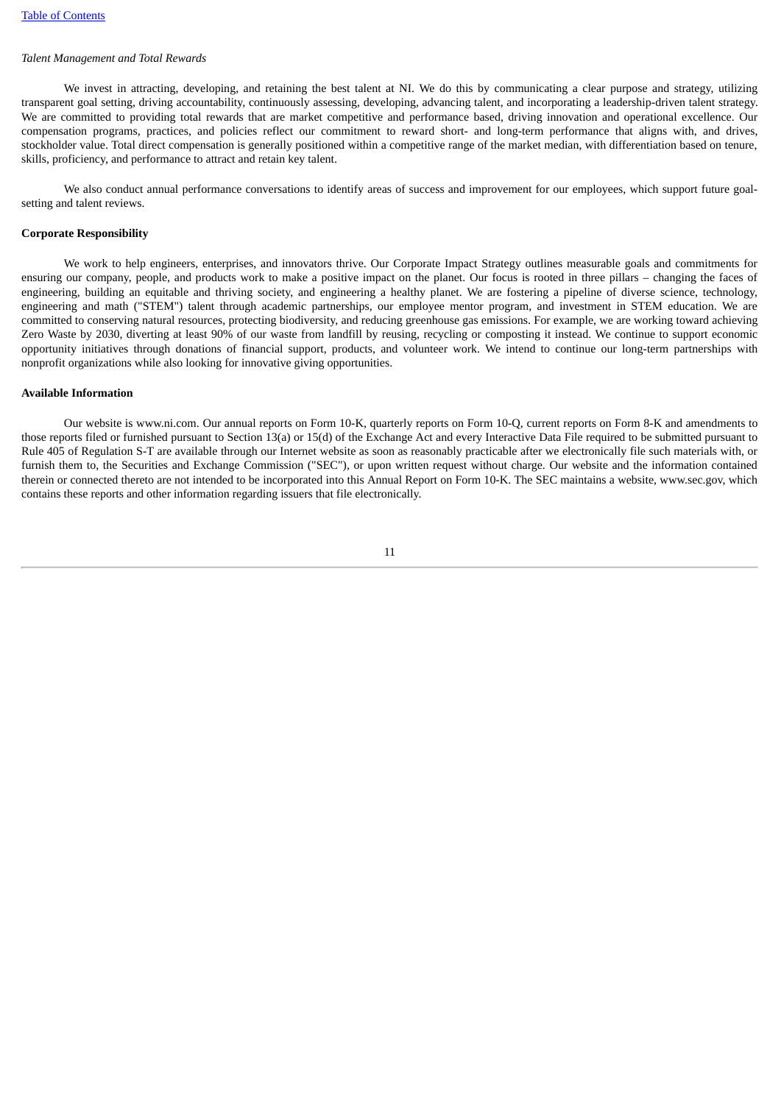#### *Talent Management and Total Rewards*

We invest in attracting, developing, and retaining the best talent at NI. We do this by communicating a clear purpose and strategy, utilizing transparent goal setting, driving accountability, continuously assessing, developing, advancing talent, and incorporating a leadership-driven talent strategy. We are committed to providing total rewards that are market competitive and performance based, driving innovation and operational excellence. Our compensation programs, practices, and policies reflect our commitment to reward short- and long-term performance that aligns with, and drives, stockholder value. Total direct compensation is generally positioned within a competitive range of the market median, with differentiation based on tenure, skills, proficiency, and performance to attract and retain key talent.

We also conduct annual performance conversations to identify areas of success and improvement for our employees, which support future goalsetting and talent reviews.

#### **Corporate Responsibility**

We work to help engineers, enterprises, and innovators thrive. Our Corporate Impact Strategy outlines measurable goals and commitments for ensuring our company, people, and products work to make a positive impact on the planet. Our focus is rooted in three pillars – changing the faces of engineering, building an equitable and thriving society, and engineering a healthy planet. We are fostering a pipeline of diverse science, technology, engineering and math ("STEM") talent through academic partnerships, our employee mentor program, and investment in STEM education. We are committed to conserving natural resources, protecting biodiversity, and reducing greenhouse gas emissions. For example, we are working toward achieving Zero Waste by 2030, diverting at least 90% of our waste from landfill by reusing, recycling or composting it instead. We continue to support economic opportunity initiatives through donations of financial support, products, and volunteer work. We intend to continue our long-term partnerships with nonprofit organizations while also looking for innovative giving opportunities.

#### **Available Information**

<span id="page-10-0"></span>Our website is www.ni.com. Our annual reports on Form 10-K, quarterly reports on Form 10-Q, current reports on Form 8-K and amendments to those reports filed or furnished pursuant to Section 13(a) or 15(d) of the Exchange Act and every Interactive Data File required to be submitted pursuant to Rule 405 of Regulation S-T are available through our Internet website as soon as reasonably practicable after we electronically file such materials with, or furnish them to, the Securities and Exchange Commission ("SEC"), or upon written request without charge. Our website and the information contained therein or connected thereto are not intended to be incorporated into this Annual Report on Form 10-K. The SEC maintains a website, www.sec.gov, which contains these reports and other information regarding issuers that file electronically.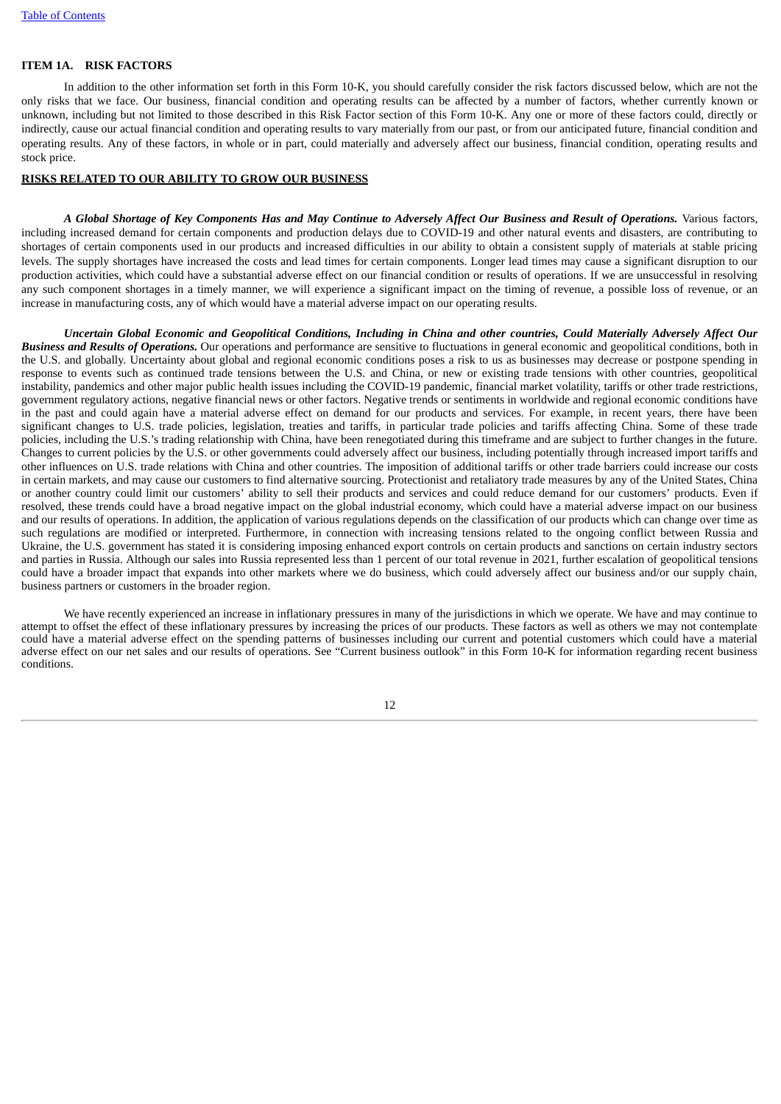# **ITEM 1A. RISK FACTORS**

In addition to the other information set forth in this Form 10-K, you should carefully consider the risk factors discussed below, which are not the only risks that we face. Our business, financial condition and operating results can be affected by a number of factors, whether currently known or unknown, including but not limited to those described in this Risk Factor section of this Form 10-K. Any one or more of these factors could, directly or indirectly, cause our actual financial condition and operating results to vary materially from our past, or from our anticipated future, financial condition and operating results. Any of these factors, in whole or in part, could materially and adversely affect our business, financial condition, operating results and stock price.

## **RISKS RELATED TO OUR ABILITY TO GROW OUR BUSINESS**

A Global Shortage of Key Components Has and May Continue to Adversely Affect Our Business and Result of Operations. Various factors, including increased demand for certain components and production delays due to COVID-19 and other natural events and disasters, are contributing to shortages of certain components used in our products and increased difficulties in our ability to obtain a consistent supply of materials at stable pricing levels. The supply shortages have increased the costs and lead times for certain components. Longer lead times may cause a significant disruption to our production activities, which could have a substantial adverse effect on our financial condition or results of operations. If we are unsuccessful in resolving any such component shortages in a timely manner, we will experience a significant impact on the timing of revenue, a possible loss of revenue, or an increase in manufacturing costs, any of which would have a material adverse impact on our operating results.

Uncertain Global Economic and Geopolitical Conditions, Including in China and other countries, Could Materially Adversely Affect Our *Business and Results of Operations.* Our operations and performance are sensitive to fluctuations in general economic and geopolitical conditions, both in the U.S. and globally. Uncertainty about global and regional economic conditions poses a risk to us as businesses may decrease or postpone spending in response to events such as continued trade tensions between the U.S. and China, or new or existing trade tensions with other countries, geopolitical instability, pandemics and other major public health issues including the COVID-19 pandemic, financial market volatility, tariffs or other trade restrictions, government regulatory actions, negative financial news or other factors. Negative trends or sentiments in worldwide and regional economic conditions have in the past and could again have a material adverse effect on demand for our products and services. For example, in recent years, there have been significant changes to U.S. trade policies, legislation, treaties and tariffs, in particular trade policies and tariffs affecting China. Some of these trade policies, including the U.S.'s trading relationship with China, have been renegotiated during this timeframe and are subject to further changes in the future. Changes to current policies by the U.S. or other governments could adversely affect our business, including potentially through increased import tariffs and other influences on U.S. trade relations with China and other countries. The imposition of additional tariffs or other trade barriers could increase our costs in certain markets, and may cause our customers to find alternative sourcing. Protectionist and retaliatory trade measures by any of the United States, China or another country could limit our customers' ability to sell their products and services and could reduce demand for our customers' products. Even if resolved, these trends could have a broad negative impact on the global industrial economy, which could have a material adverse impact on our business and our results of operations. In addition, the application of various regulations depends on the classification of our products which can change over time as such regulations are modified or interpreted. Furthermore, in connection with increasing tensions related to the ongoing conflict between Russia and Ukraine, the U.S. government has stated it is considering imposing enhanced export controls on certain products and sanctions on certain industry sectors and parties in Russia. Although our sales into Russia represented less than 1 percent of our total revenue in 2021, further escalation of geopolitical tensions could have a broader impact that expands into other markets where we do business, which could adversely affect our business and/or our supply chain, business partners or customers in the broader region.

We have recently experienced an increase in inflationary pressures in many of the jurisdictions in which we operate. We have and may continue to attempt to offset the effect of these inflationary pressures by increasing the prices of our products. These factors as well as others we may not contemplate could have a material adverse effect on the spending patterns of businesses including our current and potential customers which could have a material adverse effect on our net sales and our results of operations. See "Current business outlook" in this Form 10-K for information regarding recent business conditions.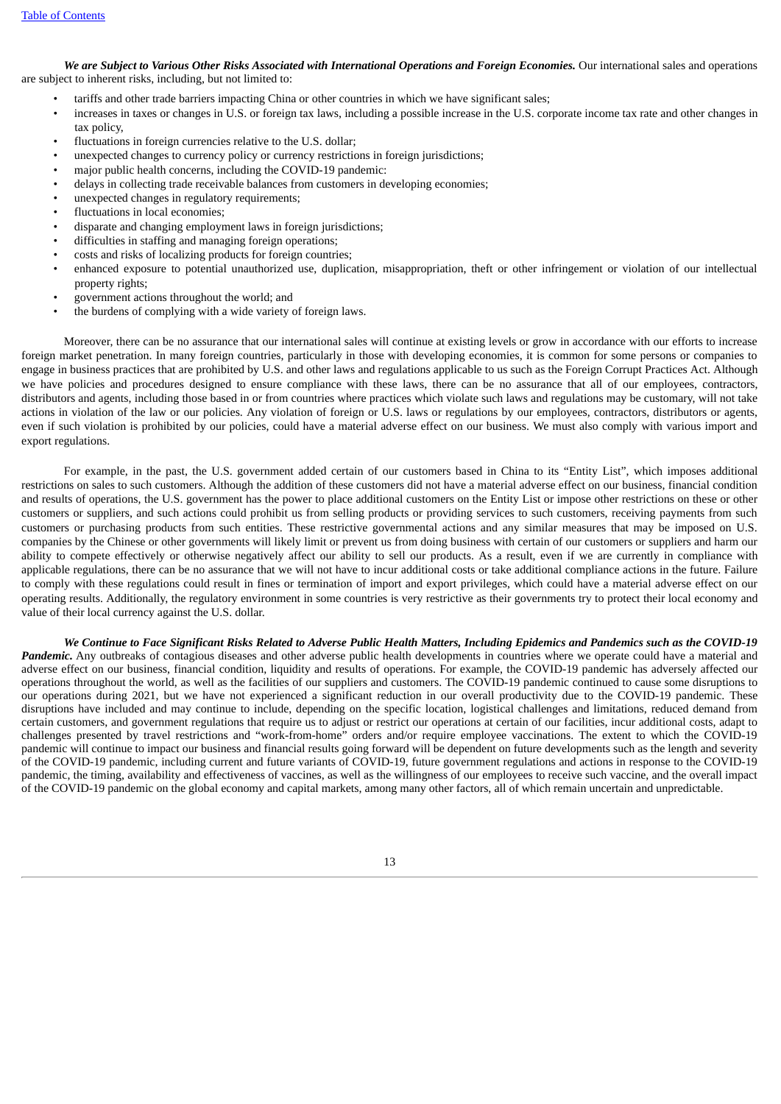We are Subject to Various Other Risks Associated with International Operations and Foreign Economies. Our international sales and operations are subject to inherent risks, including, but not limited to:

- tariffs and other trade barriers impacting China or other countries in which we have significant sales;
- increases in taxes or changes in U.S. or foreign tax laws, including a possible increase in the U.S. corporate income tax rate and other changes in tax policy,
- fluctuations in foreign currencies relative to the U.S. dollar;
- unexpected changes to currency policy or currency restrictions in foreign jurisdictions;
- major public health concerns, including the COVID-19 pandemic:
- delays in collecting trade receivable balances from customers in developing economies;
- unexpected changes in regulatory requirements;
- fluctuations in local economies;
- disparate and changing employment laws in foreign jurisdictions;
- difficulties in staffing and managing foreign operations;
- costs and risks of localizing products for foreign countries;
- enhanced exposure to potential unauthorized use, duplication, misappropriation, theft or other infringement or violation of our intellectual property rights;
- government actions throughout the world; and
- the burdens of complying with a wide variety of foreign laws.

Moreover, there can be no assurance that our international sales will continue at existing levels or grow in accordance with our efforts to increase foreign market penetration. In many foreign countries, particularly in those with developing economies, it is common for some persons or companies to engage in business practices that are prohibited by U.S. and other laws and regulations applicable to us such as the Foreign Corrupt Practices Act. Although we have policies and procedures designed to ensure compliance with these laws, there can be no assurance that all of our employees, contractors, distributors and agents, including those based in or from countries where practices which violate such laws and regulations may be customary, will not take actions in violation of the law or our policies. Any violation of foreign or U.S. laws or regulations by our employees, contractors, distributors or agents, even if such violation is prohibited by our policies, could have a material adverse effect on our business. We must also comply with various import and export regulations.

For example, in the past, the U.S. government added certain of our customers based in China to its "Entity List", which imposes additional restrictions on sales to such customers. Although the addition of these customers did not have a material adverse effect on our business, financial condition and results of operations, the U.S. government has the power to place additional customers on the Entity List or impose other restrictions on these or other customers or suppliers, and such actions could prohibit us from selling products or providing services to such customers, receiving payments from such customers or purchasing products from such entities. These restrictive governmental actions and any similar measures that may be imposed on U.S. companies by the Chinese or other governments will likely limit or prevent us from doing business with certain of our customers or suppliers and harm our ability to compete effectively or otherwise negatively affect our ability to sell our products. As a result, even if we are currently in compliance with applicable regulations, there can be no assurance that we will not have to incur additional costs or take additional compliance actions in the future. Failure to comply with these regulations could result in fines or termination of import and export privileges, which could have a material adverse effect on our operating results. Additionally, the regulatory environment in some countries is very restrictive as their governments try to protect their local economy and value of their local currency against the U.S. dollar.

We Continue to Face Significant Risks Related to Adverse Public Health Matters, Including Epidemics and Pandemics such as the COVID-19 Pandemic. Any outbreaks of contagious diseases and other adverse public health developments in countries where we operate could have a material and adverse effect on our business, financial condition, liquidity and results of operations. For example, the COVID-19 pandemic has adversely affected our operations throughout the world, as well as the facilities of our suppliers and customers. The COVID-19 pandemic continued to cause some disruptions to our operations during 2021, but we have not experienced a significant reduction in our overall productivity due to the COVID-19 pandemic. These disruptions have included and may continue to include, depending on the specific location, logistical challenges and limitations, reduced demand from certain customers, and government regulations that require us to adjust or restrict our operations at certain of our facilities, incur additional costs, adapt to challenges presented by travel restrictions and "work-from-home" orders and/or require employee vaccinations. The extent to which the COVID-19 pandemic will continue to impact our business and financial results going forward will be dependent on future developments such as the length and severity of the COVID-19 pandemic, including current and future variants of COVID-19, future government regulations and actions in response to the COVID-19 pandemic, the timing, availability and effectiveness of vaccines, as well as the willingness of our employees to receive such vaccine, and the overall impact of the COVID-19 pandemic on the global economy and capital markets, among many other factors, all of which remain uncertain and unpredictable.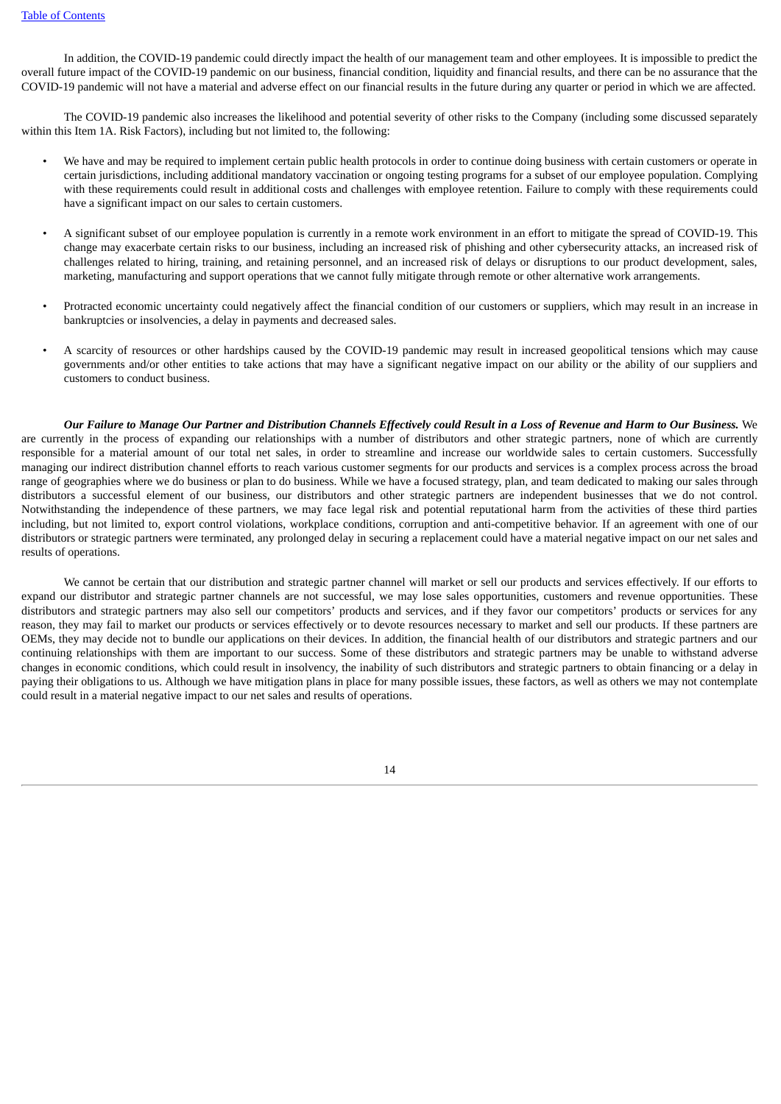In addition, the COVID-19 pandemic could directly impact the health of our management team and other employees. It is impossible to predict the overall future impact of the COVID-19 pandemic on our business, financial condition, liquidity and financial results, and there can be no assurance that the COVID-19 pandemic will not have a material and adverse effect on our financial results in the future during any quarter or period in which we are affected.

The COVID-19 pandemic also increases the likelihood and potential severity of other risks to the Company (including some discussed separately within this Item 1A. Risk Factors), including but not limited to, the following:

- We have and may be required to implement certain public health protocols in order to continue doing business with certain customers or operate in certain jurisdictions, including additional mandatory vaccination or ongoing testing programs for a subset of our employee population. Complying with these requirements could result in additional costs and challenges with employee retention. Failure to comply with these requirements could have a significant impact on our sales to certain customers.
- A significant subset of our employee population is currently in a remote work environment in an effort to mitigate the spread of COVID-19. This change may exacerbate certain risks to our business, including an increased risk of phishing and other cybersecurity attacks, an increased risk of challenges related to hiring, training, and retaining personnel, and an increased risk of delays or disruptions to our product development, sales, marketing, manufacturing and support operations that we cannot fully mitigate through remote or other alternative work arrangements.
- Protracted economic uncertainty could negatively affect the financial condition of our customers or suppliers, which may result in an increase in bankruptcies or insolvencies, a delay in payments and decreased sales.
- A scarcity of resources or other hardships caused by the COVID-19 pandemic may result in increased geopolitical tensions which may cause governments and/or other entities to take actions that may have a significant negative impact on our ability or the ability of our suppliers and customers to conduct business.

Our Failure to Manage Our Partner and Distribution Channels Effectively could Result in a Loss of Revenue and Harm to Our Business. We are currently in the process of expanding our relationships with a number of distributors and other strategic partners, none of which are currently responsible for a material amount of our total net sales, in order to streamline and increase our worldwide sales to certain customers. Successfully managing our indirect distribution channel efforts to reach various customer segments for our products and services is a complex process across the broad range of geographies where we do business or plan to do business. While we have a focused strategy, plan, and team dedicated to making our sales through distributors a successful element of our business, our distributors and other strategic partners are independent businesses that we do not control. Notwithstanding the independence of these partners, we may face legal risk and potential reputational harm from the activities of these third parties including, but not limited to, export control violations, workplace conditions, corruption and anti-competitive behavior. If an agreement with one of our distributors or strategic partners were terminated, any prolonged delay in securing a replacement could have a material negative impact on our net sales and results of operations.

We cannot be certain that our distribution and strategic partner channel will market or sell our products and services effectively. If our efforts to expand our distributor and strategic partner channels are not successful, we may lose sales opportunities, customers and revenue opportunities. These distributors and strategic partners may also sell our competitors' products and services, and if they favor our competitors' products or services for any reason, they may fail to market our products or services effectively or to devote resources necessary to market and sell our products. If these partners are OEMs, they may decide not to bundle our applications on their devices. In addition, the financial health of our distributors and strategic partners and our continuing relationships with them are important to our success. Some of these distributors and strategic partners may be unable to withstand adverse changes in economic conditions, which could result in insolvency, the inability of such distributors and strategic partners to obtain financing or a delay in paying their obligations to us. Although we have mitigation plans in place for many possible issues, these factors, as well as others we may not contemplate could result in a material negative impact to our net sales and results of operations.

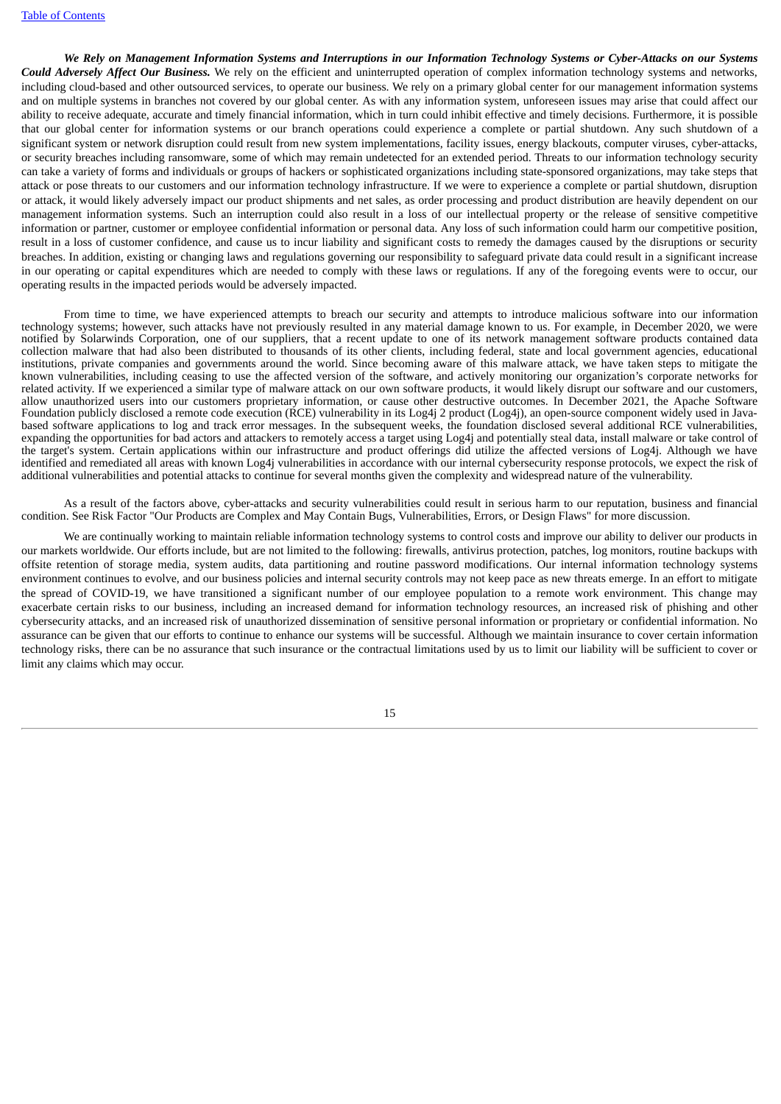We Rely on Management Information Systems and Interruptions in our Information Technology Systems or Cyber-Attacks on our Systems *Could Adversely Affect Our Business.* We rely on the efficient and uninterrupted operation of complex information technology systems and networks, including cloud-based and other outsourced services, to operate our business. We rely on a primary global center for our management information systems and on multiple systems in branches not covered by our global center. As with any information system, unforeseen issues may arise that could affect our ability to receive adequate, accurate and timely financial information, which in turn could inhibit effective and timely decisions. Furthermore, it is possible that our global center for information systems or our branch operations could experience a complete or partial shutdown. Any such shutdown of a significant system or network disruption could result from new system implementations, facility issues, energy blackouts, computer viruses, cyber-attacks, or security breaches including ransomware, some of which may remain undetected for an extended period. Threats to our information technology security can take a variety of forms and individuals or groups of hackers or sophisticated organizations including state-sponsored organizations, may take steps that attack or pose threats to our customers and our information technology infrastructure. If we were to experience a complete or partial shutdown, disruption or attack, it would likely adversely impact our product shipments and net sales, as order processing and product distribution are heavily dependent on our management information systems. Such an interruption could also result in a loss of our intellectual property or the release of sensitive competitive information or partner, customer or employee confidential information or personal data. Any loss of such information could harm our competitive position, result in a loss of customer confidence, and cause us to incur liability and significant costs to remedy the damages caused by the disruptions or security breaches. In addition, existing or changing laws and regulations governing our responsibility to safeguard private data could result in a significant increase in our operating or capital expenditures which are needed to comply with these laws or regulations. If any of the foregoing events were to occur, our operating results in the impacted periods would be adversely impacted.

From time to time, we have experienced attempts to breach our security and attempts to introduce malicious software into our information technology systems; however, such attacks have not previously resulted in any material damage known to us. For example, in December 2020, we were notified by Solarwinds Corporation, one of our suppliers, that a recent update to one of its network management software products contained data collection malware that had also been distributed to thousands of its other clients, including federal, state and local government agencies, educational institutions, private companies and governments around the world. Since becoming aware of this malware attack, we have taken steps to mitigate the known vulnerabilities, including ceasing to use the affected version of the software, and actively monitoring our organization's corporate networks for related activity. If we experienced a similar type of malware attack on our own software products, it would likely disrupt our software and our customers, allow unauthorized users into our customers proprietary information, or cause other destructive outcomes. In December 2021, the Apache Software Foundation publicly disclosed a remote code execution (RCE) vulnerability in its Log4j 2 product (Log4j), an open-source component widely used in Javabased software applications to log and track error messages. In the subsequent weeks, the foundation disclosed several additional RCE vulnerabilities, expanding the opportunities for bad actors and attackers to remotely access a target using Log4j and potentially steal data, install malware or take control of the target's system. Certain applications within our infrastructure and product offerings did utilize the affected versions of Log4j. Although we have identified and remediated all areas with known Log4j vulnerabilities in accordance with our internal cybersecurity response protocols, we expect the risk of additional vulnerabilities and potential attacks to continue for several months given the complexity and widespread nature of the vulnerability.

As a result of the factors above, cyber-attacks and security vulnerabilities could result in serious harm to our reputation, business and financial condition. See Risk Factor "Our Products are Complex and May Contain Bugs, Vulnerabilities, Errors, or Design Flaws" for more discussion.

We are continually working to maintain reliable information technology systems to control costs and improve our ability to deliver our products in our markets worldwide. Our efforts include, but are not limited to the following: firewalls, antivirus protection, patches, log monitors, routine backups with offsite retention of storage media, system audits, data partitioning and routine password modifications. Our internal information technology systems environment continues to evolve, and our business policies and internal security controls may not keep pace as new threats emerge. In an effort to mitigate the spread of COVID-19, we have transitioned a significant number of our employee population to a remote work environment. This change may exacerbate certain risks to our business, including an increased demand for information technology resources, an increased risk of phishing and other cybersecurity attacks, and an increased risk of unauthorized dissemination of sensitive personal information or proprietary or confidential information. No assurance can be given that our efforts to continue to enhance our systems will be successful. Although we maintain insurance to cover certain information technology risks, there can be no assurance that such insurance or the contractual limitations used by us to limit our liability will be sufficient to cover or limit any claims which may occur.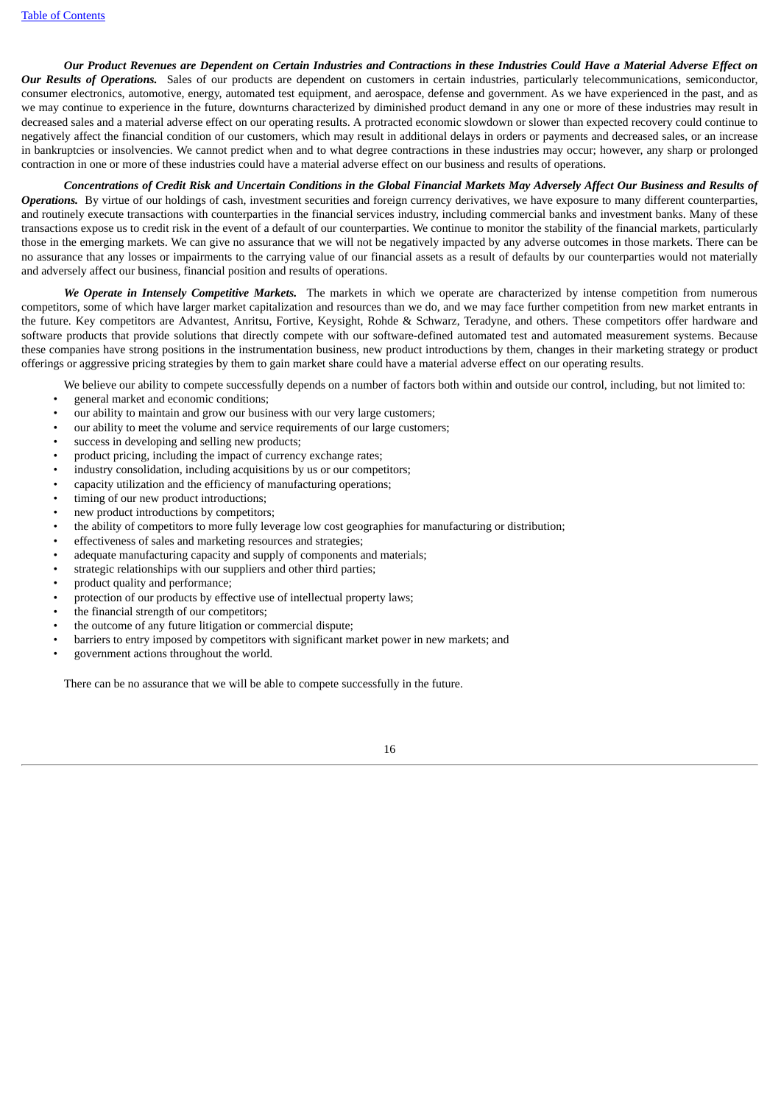Our Product Revenues are Dependent on Certain Industries and Contractions in these Industries Could Have a Material Adverse Effect on *Our Results of Operations.* Sales of our products are dependent on customers in certain industries, particularly telecommunications, semiconductor, consumer electronics, automotive, energy, automated test equipment, and aerospace, defense and government. As we have experienced in the past, and as we may continue to experience in the future, downturns characterized by diminished product demand in any one or more of these industries may result in decreased sales and a material adverse effect on our operating results. A protracted economic slowdown or slower than expected recovery could continue to negatively affect the financial condition of our customers, which may result in additional delays in orders or payments and decreased sales, or an increase in bankruptcies or insolvencies. We cannot predict when and to what degree contractions in these industries may occur; however, any sharp or prolonged contraction in one or more of these industries could have a material adverse effect on our business and results of operations.

Concentrations of Credit Risk and Uncertain Conditions in the Global Financial Markets May Adversely Affect Our Business and Results of *Operations.* By virtue of our holdings of cash, investment securities and foreign currency derivatives, we have exposure to many different counterparties, and routinely execute transactions with counterparties in the financial services industry, including commercial banks and investment banks. Many of these transactions expose us to credit risk in the event of a default of our counterparties. We continue to monitor the stability of the financial markets, particularly those in the emerging markets. We can give no assurance that we will not be negatively impacted by any adverse outcomes in those markets. There can be no assurance that any losses or impairments to the carrying value of our financial assets as a result of defaults by our counterparties would not materially and adversely affect our business, financial position and results of operations.

*We Operate in Intensely Competitive Markets.* The markets in which we operate are characterized by intense competition from numerous competitors, some of which have larger market capitalization and resources than we do, and we may face further competition from new market entrants in the future. Key competitors are Advantest, Anritsu, Fortive, Keysight, Rohde & Schwarz, Teradyne, and others. These competitors offer hardware and software products that provide solutions that directly compete with our software-defined automated test and automated measurement systems. Because these companies have strong positions in the instrumentation business, new product introductions by them, changes in their marketing strategy or product offerings or aggressive pricing strategies by them to gain market share could have a material adverse effect on our operating results.

We believe our ability to compete successfully depends on a number of factors both within and outside our control, including, but not limited to:

- general market and economic conditions;
- our ability to maintain and grow our business with our very large customers;
- our ability to meet the volume and service requirements of our large customers;
- success in developing and selling new products;
- product pricing, including the impact of currency exchange rates;
- industry consolidation, including acquisitions by us or our competitors;
- capacity utilization and the efficiency of manufacturing operations;
- timing of our new product introductions;
- new product introductions by competitors;
- the ability of competitors to more fully leverage low cost geographies for manufacturing or distribution;
- effectiveness of sales and marketing resources and strategies;
- adequate manufacturing capacity and supply of components and materials;
- strategic relationships with our suppliers and other third parties;
- product quality and performance;
- protection of our products by effective use of intellectual property laws;
- the financial strength of our competitors;
- the outcome of any future litigation or commercial dispute;
- barriers to entry imposed by competitors with significant market power in new markets; and
- government actions throughout the world.

There can be no assurance that we will be able to compete successfully in the future.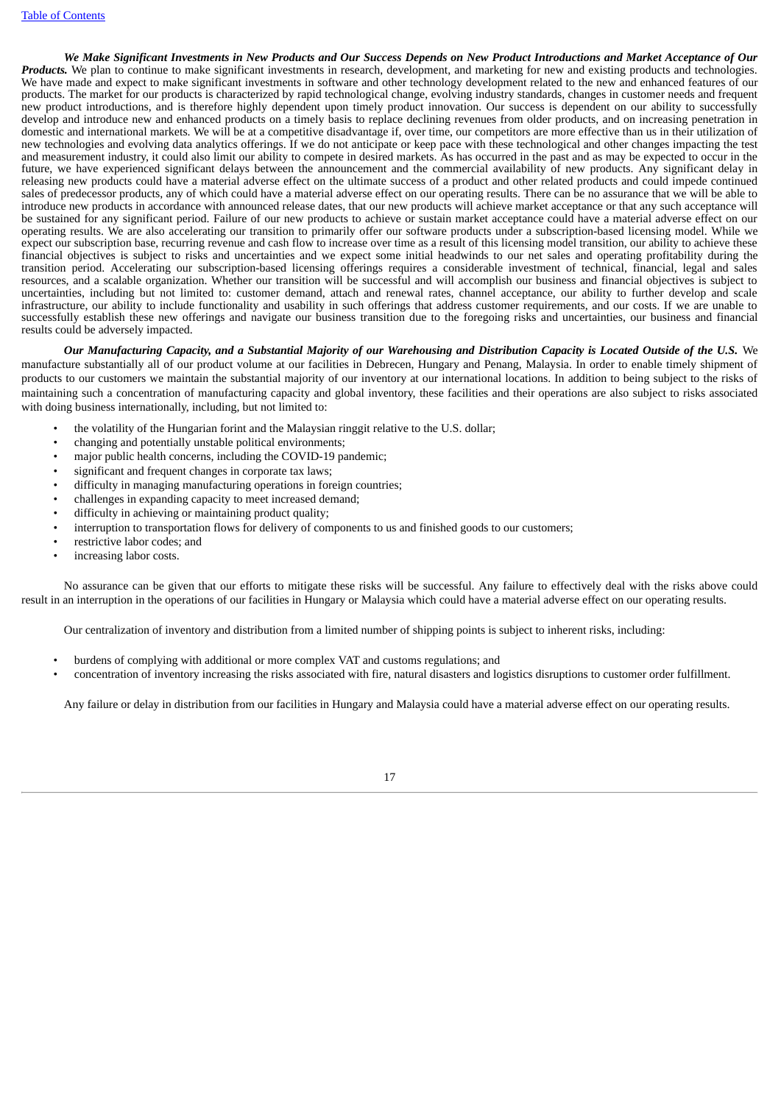We Make Significant Investments in New Products and Our Success Depends on New Product Introductions and Market Acceptance of Our *Products.* We plan to continue to make significant investments in research, development, and marketing for new and existing products and technologies. We have made and expect to make significant investments in software and other technology development related to the new and enhanced features of our products. The market for our products is characterized by rapid technological change, evolving industry standards, changes in customer needs and frequent new product introductions, and is therefore highly dependent upon timely product innovation. Our success is dependent on our ability to successfully develop and introduce new and enhanced products on a timely basis to replace declining revenues from older products, and on increasing penetration in domestic and international markets. We will be at a competitive disadvantage if, over time, our competitors are more effective than us in their utilization of new technologies and evolving data analytics offerings. If we do not anticipate or keep pace with these technological and other changes impacting the test and measurement industry, it could also limit our ability to compete in desired markets. As has occurred in the past and as may be expected to occur in the future, we have experienced significant delays between the announcement and the commercial availability of new products. Any significant delay in releasing new products could have a material adverse effect on the ultimate success of a product and other related products and could impede continued sales of predecessor products, any of which could have a material adverse effect on our operating results. There can be no assurance that we will be able to introduce new products in accordance with announced release dates, that our new products will achieve market acceptance or that any such acceptance will be sustained for any significant period. Failure of our new products to achieve or sustain market acceptance could have a material adverse effect on our operating results. We are also accelerating our transition to primarily offer our software products under a subscription-based licensing model. While we expect our subscription base, recurring revenue and cash flow to increase over time as a result of this licensing model transition, our ability to achieve these financial objectives is subject to risks and uncertainties and we expect some initial headwinds to our net sales and operating profitability during the transition period. Accelerating our subscription-based licensing offerings requires a considerable investment of technical, financial, legal and sales resources, and a scalable organization. Whether our transition will be successful and will accomplish our business and financial objectives is subject to uncertainties, including but not limited to: customer demand, attach and renewal rates, channel acceptance, our ability to further develop and scale infrastructure, our ability to include functionality and usability in such offerings that address customer requirements, and our costs. If we are unable to successfully establish these new offerings and navigate our business transition due to the foregoing risks and uncertainties, our business and financial results could be adversely impacted.

Our Manufacturing Capacity, and a Substantial Majority of our Warehousing and Distribution Capacity is Located Outside of the U.S. We manufacture substantially all of our product volume at our facilities in Debrecen, Hungary and Penang, Malaysia. In order to enable timely shipment of products to our customers we maintain the substantial majority of our inventory at our international locations. In addition to being subject to the risks of maintaining such a concentration of manufacturing capacity and global inventory, these facilities and their operations are also subject to risks associated with doing business internationally, including, but not limited to:

- the volatility of the Hungarian forint and the Malaysian ringgit relative to the U.S. dollar;
- changing and potentially unstable political environments;
- major public health concerns, including the COVID-19 pandemic;
- significant and frequent changes in corporate tax laws;
- difficulty in managing manufacturing operations in foreign countries;
- challenges in expanding capacity to meet increased demand;
- difficulty in achieving or maintaining product quality;
- interruption to transportation flows for delivery of components to us and finished goods to our customers;
- restrictive labor codes; and
- increasing labor costs.

No assurance can be given that our efforts to mitigate these risks will be successful. Any failure to effectively deal with the risks above could result in an interruption in the operations of our facilities in Hungary or Malaysia which could have a material adverse effect on our operating results.

Our centralization of inventory and distribution from a limited number of shipping points is subject to inherent risks, including:

- burdens of complying with additional or more complex VAT and customs regulations; and
- concentration of inventory increasing the risks associated with fire, natural disasters and logistics disruptions to customer order fulfillment.

Any failure or delay in distribution from our facilities in Hungary and Malaysia could have a material adverse effect on our operating results.

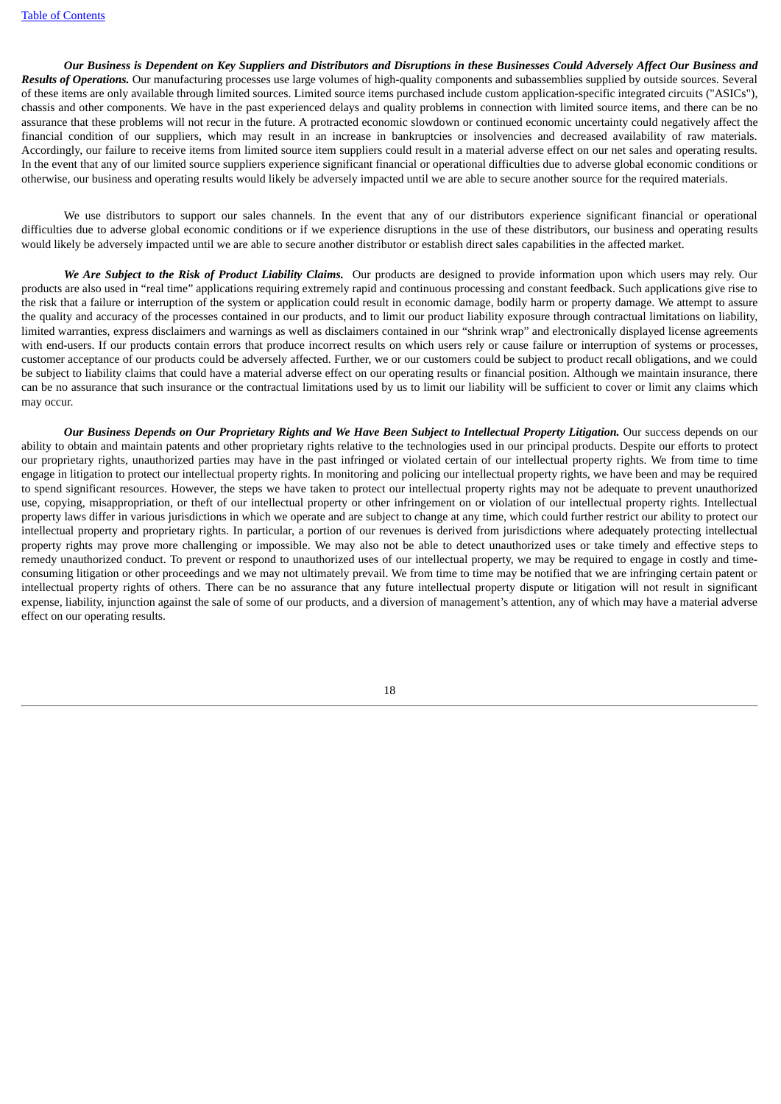Our Business is Dependent on Key Suppliers and Distributors and Disruptions in these Businesses Could Adversely Affect Our Business and *Results of Operations.* Our manufacturing processes use large volumes of high-quality components and subassemblies supplied by outside sources. Several of these items are only available through limited sources. Limited source items purchased include custom application-specific integrated circuits ("ASICs"), chassis and other components. We have in the past experienced delays and quality problems in connection with limited source items, and there can be no assurance that these problems will not recur in the future. A protracted economic slowdown or continued economic uncertainty could negatively affect the financial condition of our suppliers, which may result in an increase in bankruptcies or insolvencies and decreased availability of raw materials. Accordingly, our failure to receive items from limited source item suppliers could result in a material adverse effect on our net sales and operating results. In the event that any of our limited source suppliers experience significant financial or operational difficulties due to adverse global economic conditions or otherwise, our business and operating results would likely be adversely impacted until we are able to secure another source for the required materials.

We use distributors to support our sales channels. In the event that any of our distributors experience significant financial or operational difficulties due to adverse global economic conditions or if we experience disruptions in the use of these distributors, our business and operating results would likely be adversely impacted until we are able to secure another distributor or establish direct sales capabilities in the affected market.

*We Are Subject to the Risk of Product Liability Claims.* Our products are designed to provide information upon which users may rely. Our products are also used in "real time" applications requiring extremely rapid and continuous processing and constant feedback. Such applications give rise to the risk that a failure or interruption of the system or application could result in economic damage, bodily harm or property damage. We attempt to assure the quality and accuracy of the processes contained in our products, and to limit our product liability exposure through contractual limitations on liability, limited warranties, express disclaimers and warnings as well as disclaimers contained in our "shrink wrap" and electronically displayed license agreements with end-users. If our products contain errors that produce incorrect results on which users rely or cause failure or interruption of systems or processes, customer acceptance of our products could be adversely affected. Further, we or our customers could be subject to product recall obligations, and we could be subject to liability claims that could have a material adverse effect on our operating results or financial position. Although we maintain insurance, there can be no assurance that such insurance or the contractual limitations used by us to limit our liability will be sufficient to cover or limit any claims which may occur.

Our Business Depends on Our Proprietary Riahts and We Have Been Subiect to Intellectual Property Litiaation. Our success depends on our ability to obtain and maintain patents and other proprietary rights relative to the technologies used in our principal products. Despite our efforts to protect our proprietary rights, unauthorized parties may have in the past infringed or violated certain of our intellectual property rights. We from time to time engage in litigation to protect our intellectual property rights. In monitoring and policing our intellectual property rights, we have been and may be required to spend significant resources. However, the steps we have taken to protect our intellectual property rights may not be adequate to prevent unauthorized use, copying, misappropriation, or theft of our intellectual property or other infringement on or violation of our intellectual property rights. Intellectual property laws differ in various jurisdictions in which we operate and are subject to change at any time, which could further restrict our ability to protect our intellectual property and proprietary rights. In particular, a portion of our revenues is derived from jurisdictions where adequately protecting intellectual property rights may prove more challenging or impossible. We may also not be able to detect unauthorized uses or take timely and effective steps to remedy unauthorized conduct. To prevent or respond to unauthorized uses of our intellectual property, we may be required to engage in costly and timeconsuming litigation or other proceedings and we may not ultimately prevail. We from time to time may be notified that we are infringing certain patent or intellectual property rights of others. There can be no assurance that any future intellectual property dispute or litigation will not result in significant expense, liability, injunction against the sale of some of our products, and a diversion of management's attention, any of which may have a material adverse effect on our operating results.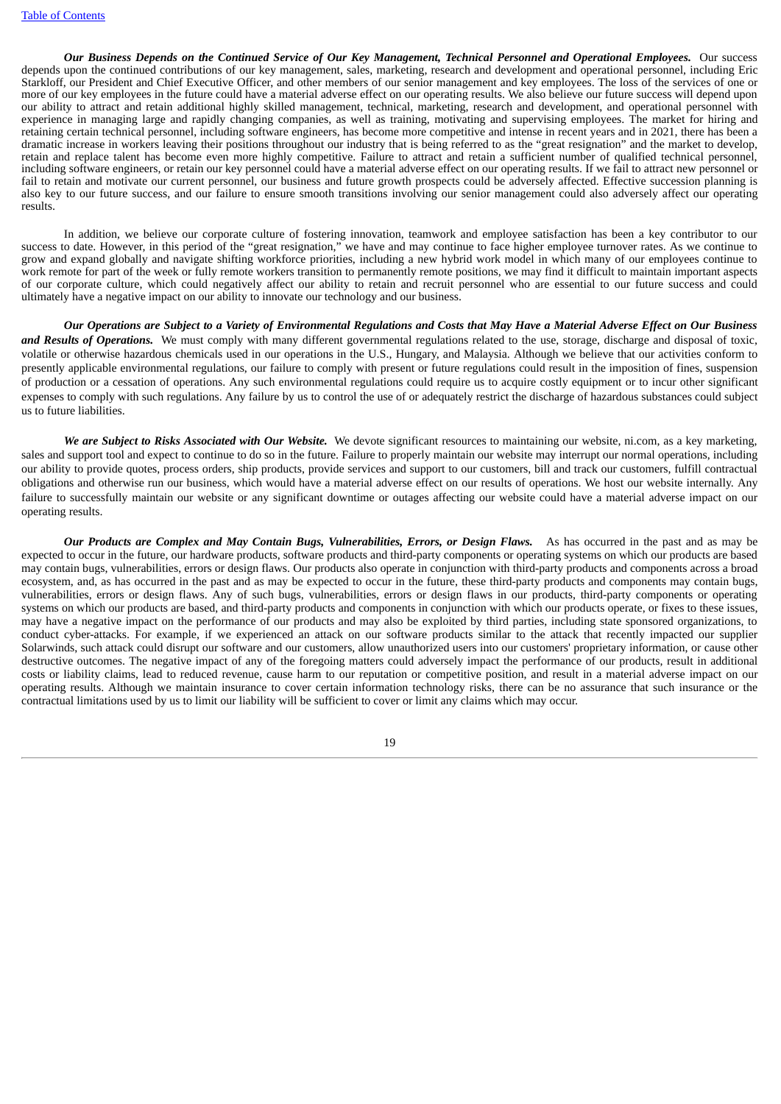Our Business Depends on the Continued Service of Our Key Management, Technical Personnel and Operational Employees. Our success depends upon the continued contributions of our key management, sales, marketing, research and development and operational personnel, including Eric Starkloff, our President and Chief Executive Officer, and other members of our senior management and key employees. The loss of the services of one or more of our key employees in the future could have a material adverse effect on our operating results. We also believe our future success will depend upon our ability to attract and retain additional highly skilled management, technical, marketing, research and development, and operational personnel with experience in managing large and rapidly changing companies, as well as training, motivating and supervising employees. The market for hiring and retaining certain technical personnel, including software engineers, has become more competitive and intense in recent years and in 2021, there has been a dramatic increase in workers leaving their positions throughout our industry that is being referred to as the "great resignation" and the market to develop, retain and replace talent has become even more highly competitive. Failure to attract and retain a sufficient number of qualified technical personnel, including software engineers, or retain our key personnel could have a material adverse effect on our operating results. If we fail to attract new personnel or fail to retain and motivate our current personnel, our business and future growth prospects could be adversely affected. Effective succession planning is also key to our future success, and our failure to ensure smooth transitions involving our senior management could also adversely affect our operating results.

In addition, we believe our corporate culture of fostering innovation, teamwork and employee satisfaction has been a key contributor to our success to date. However, in this period of the "great resignation," we have and may continue to face higher employee turnover rates. As we continue to grow and expand globally and navigate shifting workforce priorities, including a new hybrid work model in which many of our employees continue to work remote for part of the week or fully remote workers transition to permanently remote positions, we may find it difficult to maintain important aspects of our corporate culture, which could negatively affect our ability to retain and recruit personnel who are essential to our future success and could ultimately have a negative impact on our ability to innovate our technology and our business.

Our Operations are Subject to a Variety of Environmental Regulations and Costs that May Have a Material Adverse Effect on Our Business *and Results of Operations.* We must comply with many different governmental regulations related to the use, storage, discharge and disposal of toxic, volatile or otherwise hazardous chemicals used in our operations in the U.S., Hungary, and Malaysia. Although we believe that our activities conform to presently applicable environmental regulations, our failure to comply with present or future regulations could result in the imposition of fines, suspension of production or a cessation of operations. Any such environmental regulations could require us to acquire costly equipment or to incur other significant expenses to comply with such regulations. Any failure by us to control the use of or adequately restrict the discharge of hazardous substances could subject us to future liabilities.

*We are Subject to Risks Associated with Our Website.* We devote significant resources to maintaining our website, ni.com, as a key marketing, sales and support tool and expect to continue to do so in the future. Failure to properly maintain our website may interrupt our normal operations, including our ability to provide quotes, process orders, ship products, provide services and support to our customers, bill and track our customers, fulfill contractual obligations and otherwise run our business, which would have a material adverse effect on our results of operations. We host our website internally. Any failure to successfully maintain our website or any significant downtime or outages affecting our website could have a material adverse impact on our operating results.

*Our Products are Complex and May Contain Bugs, Vulnerabilities, Errors, or Design Flaws.* As has occurred in the past and as may be expected to occur in the future, our hardware products, software products and third-party components or operating systems on which our products are based may contain bugs, vulnerabilities, errors or design flaws. Our products also operate in conjunction with third-party products and components across a broad ecosystem, and, as has occurred in the past and as may be expected to occur in the future, these third-party products and components may contain bugs, vulnerabilities, errors or design flaws. Any of such bugs, vulnerabilities, errors or design flaws in our products, third-party components or operating systems on which our products are based, and third-party products and components in conjunction with which our products operate, or fixes to these issues, may have a negative impact on the performance of our products and may also be exploited by third parties, including state sponsored organizations, to conduct cyber-attacks. For example, if we experienced an attack on our software products similar to the attack that recently impacted our supplier Solarwinds, such attack could disrupt our software and our customers, allow unauthorized users into our customers' proprietary information, or cause other destructive outcomes. The negative impact of any of the foregoing matters could adversely impact the performance of our products, result in additional costs or liability claims, lead to reduced revenue, cause harm to our reputation or competitive position, and result in a material adverse impact on our operating results. Although we maintain insurance to cover certain information technology risks, there can be no assurance that such insurance or the contractual limitations used by us to limit our liability will be sufficient to cover or limit any claims which may occur.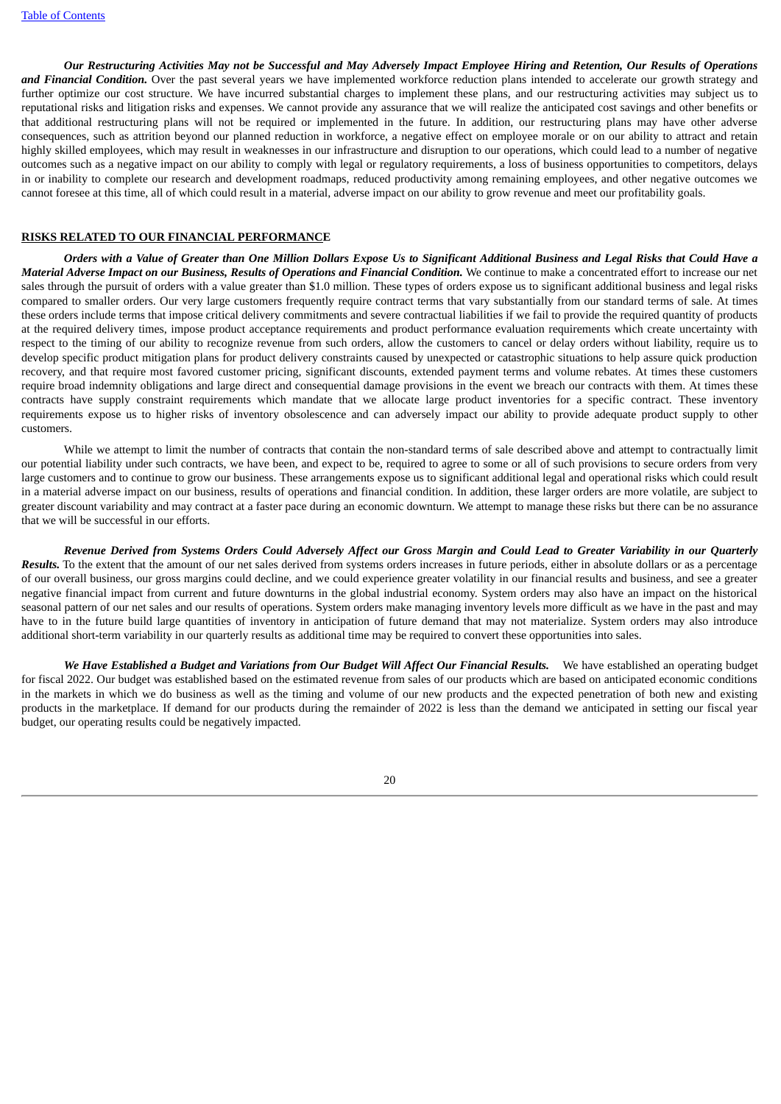Our Restructuring Activities May not be Successful and May Adversely Impact Employee Hiring and Retention, Our Results of Operations *and Financial Condition.* Over the past several years we have implemented workforce reduction plans intended to accelerate our growth strategy and further optimize our cost structure. We have incurred substantial charges to implement these plans, and our restructuring activities may subject us to reputational risks and litigation risks and expenses. We cannot provide any assurance that we will realize the anticipated cost savings and other benefits or that additional restructuring plans will not be required or implemented in the future. In addition, our restructuring plans may have other adverse consequences, such as attrition beyond our planned reduction in workforce, a negative effect on employee morale or on our ability to attract and retain highly skilled employees, which may result in weaknesses in our infrastructure and disruption to our operations, which could lead to a number of negative outcomes such as a negative impact on our ability to comply with legal or regulatory requirements, a loss of business opportunities to competitors, delays in or inability to complete our research and development roadmaps, reduced productivity among remaining employees, and other negative outcomes we cannot foresee at this time, all of which could result in a material, adverse impact on our ability to grow revenue and meet our profitability goals.

## **RISKS RELATED TO OUR FINANCIAL PERFORMANCE**

Orders with a Value of Greater than One Million Dollars Expose Us to Significant Additional Business and Legal Risks that Could Have a Material Adverse Impact on our Business, Results of Operations and Financial Condition. We continue to make a concentrated effort to increase our net sales through the pursuit of orders with a value greater than \$1.0 million. These types of orders expose us to significant additional business and legal risks compared to smaller orders. Our very large customers frequently require contract terms that vary substantially from our standard terms of sale. At times these orders include terms that impose critical delivery commitments and severe contractual liabilities if we fail to provide the required quantity of products at the required delivery times, impose product acceptance requirements and product performance evaluation requirements which create uncertainty with respect to the timing of our ability to recognize revenue from such orders, allow the customers to cancel or delay orders without liability, require us to develop specific product mitigation plans for product delivery constraints caused by unexpected or catastrophic situations to help assure quick production recovery, and that require most favored customer pricing, significant discounts, extended payment terms and volume rebates. At times these customers require broad indemnity obligations and large direct and consequential damage provisions in the event we breach our contracts with them. At times these contracts have supply constraint requirements which mandate that we allocate large product inventories for a specific contract. These inventory requirements expose us to higher risks of inventory obsolescence and can adversely impact our ability to provide adequate product supply to other customers.

While we attempt to limit the number of contracts that contain the non-standard terms of sale described above and attempt to contractually limit our potential liability under such contracts, we have been, and expect to be, required to agree to some or all of such provisions to secure orders from very large customers and to continue to grow our business. These arrangements expose us to significant additional legal and operational risks which could result in a material adverse impact on our business, results of operations and financial condition. In addition, these larger orders are more volatile, are subject to greater discount variability and may contract at a faster pace during an economic downturn. We attempt to manage these risks but there can be no assurance that we will be successful in our efforts.

Revenue Derived from Systems Orders Could Adversely Affect our Gross Margin and Could Lead to Greater Variability in our Quarterly *Results.* To the extent that the amount of our net sales derived from systems orders increases in future periods, either in absolute dollars or as a percentage of our overall business, our gross margins could decline, and we could experience greater volatility in our financial results and business, and see a greater negative financial impact from current and future downturns in the global industrial economy. System orders may also have an impact on the historical seasonal pattern of our net sales and our results of operations. System orders make managing inventory levels more difficult as we have in the past and may have to in the future build large quantities of inventory in anticipation of future demand that may not materialize. System orders may also introduce additional short-term variability in our quarterly results as additional time may be required to convert these opportunities into sales.

We Have Established a Budget and Variations from Our Budget Will Affect Our Financial Results. We have established an operating budget for fiscal 2022. Our budget was established based on the estimated revenue from sales of our products which are based on anticipated economic conditions in the markets in which we do business as well as the timing and volume of our new products and the expected penetration of both new and existing products in the marketplace. If demand for our products during the remainder of 2022 is less than the demand we anticipated in setting our fiscal year budget, our operating results could be negatively impacted.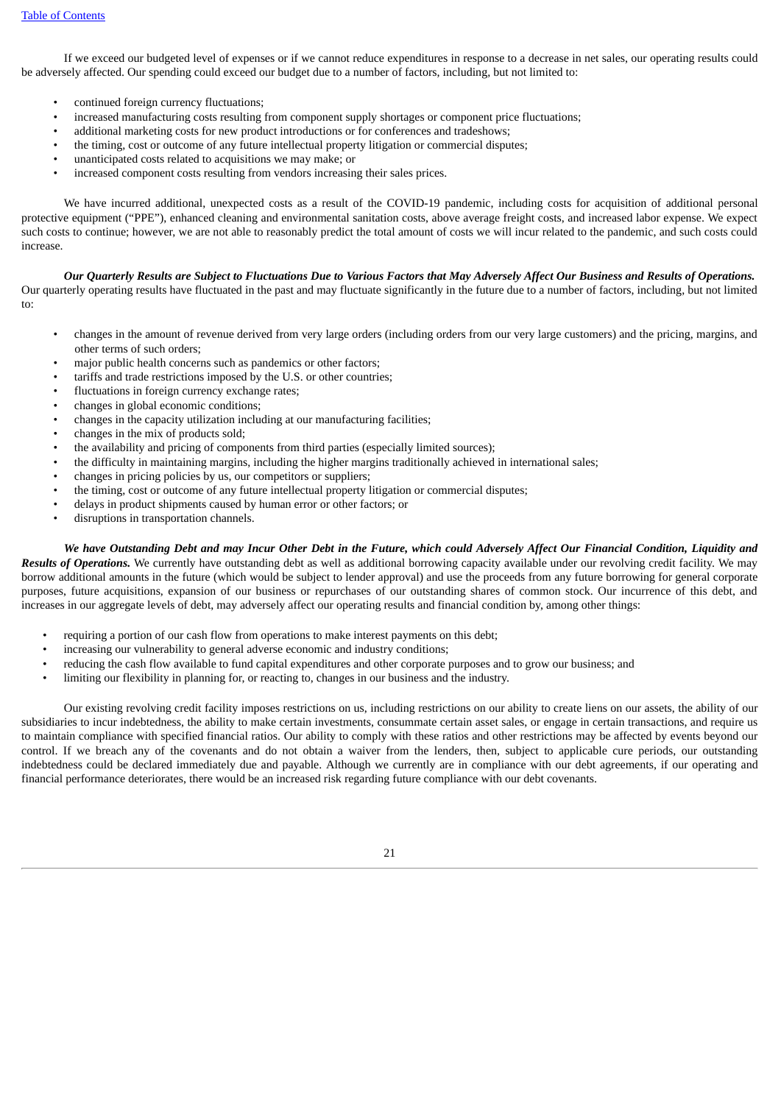If we exceed our budgeted level of expenses or if we cannot reduce expenditures in response to a decrease in net sales, our operating results could be adversely affected. Our spending could exceed our budget due to a number of factors, including, but not limited to:

- continued foreign currency fluctuations;
- increased manufacturing costs resulting from component supply shortages or component price fluctuations;
- additional marketing costs for new product introductions or for conferences and tradeshows;
- the timing, cost or outcome of any future intellectual property litigation or commercial disputes;
- unanticipated costs related to acquisitions we may make; or
- increased component costs resulting from vendors increasing their sales prices.

We have incurred additional, unexpected costs as a result of the COVID-19 pandemic, including costs for acquisition of additional personal protective equipment ("PPE"), enhanced cleaning and environmental sanitation costs, above average freight costs, and increased labor expense. We expect such costs to continue; however, we are not able to reasonably predict the total amount of costs we will incur related to the pandemic, and such costs could increase.

Our Quarterly Results are Subject to Fluctuations Due to Various Factors that May Adversely Affect Our Business and Results of Operations. Our quarterly operating results have fluctuated in the past and may fluctuate significantly in the future due to a number of factors, including, but not limited to:

- changes in the amount of revenue derived from very large orders (including orders from our very large customers) and the pricing, margins, and other terms of such orders;
- major public health concerns such as pandemics or other factors;
- tariffs and trade restrictions imposed by the U.S. or other countries;
- fluctuations in foreign currency exchange rates;
- changes in global economic conditions;
- changes in the capacity utilization including at our manufacturing facilities;
- changes in the mix of products sold;
- the availability and pricing of components from third parties (especially limited sources);
- the difficulty in maintaining margins, including the higher margins traditionally achieved in international sales;
- changes in pricing policies by us, our competitors or suppliers;
- the timing, cost or outcome of any future intellectual property litigation or commercial disputes;
- delays in product shipments caused by human error or other factors; or
- disruptions in transportation channels.

We have Outstanding Debt and may Incur Other Debt in the Future, which could Adversely Affect Our Financial Condition, Liquidity and

*Results of Operations.* We currently have outstanding debt as well as additional borrowing capacity available under our revolving credit facility. We may borrow additional amounts in the future (which would be subject to lender approval) and use the proceeds from any future borrowing for general corporate purposes, future acquisitions, expansion of our business or repurchases of our outstanding shares of common stock. Our incurrence of this debt, and increases in our aggregate levels of debt, may adversely affect our operating results and financial condition by, among other things:

- requiring a portion of our cash flow from operations to make interest payments on this debt;
- increasing our vulnerability to general adverse economic and industry conditions;
- reducing the cash flow available to fund capital expenditures and other corporate purposes and to grow our business; and
- limiting our flexibility in planning for, or reacting to, changes in our business and the industry.

Our existing revolving credit facility imposes restrictions on us, including restrictions on our ability to create liens on our assets, the ability of our subsidiaries to incur indebtedness, the ability to make certain investments, consummate certain asset sales, or engage in certain transactions, and require us to maintain compliance with specified financial ratios. Our ability to comply with these ratios and other restrictions may be affected by events beyond our control. If we breach any of the covenants and do not obtain a waiver from the lenders, then, subject to applicable cure periods, our outstanding indebtedness could be declared immediately due and payable. Although we currently are in compliance with our debt agreements, if our operating and financial performance deteriorates, there would be an increased risk regarding future compliance with our debt covenants.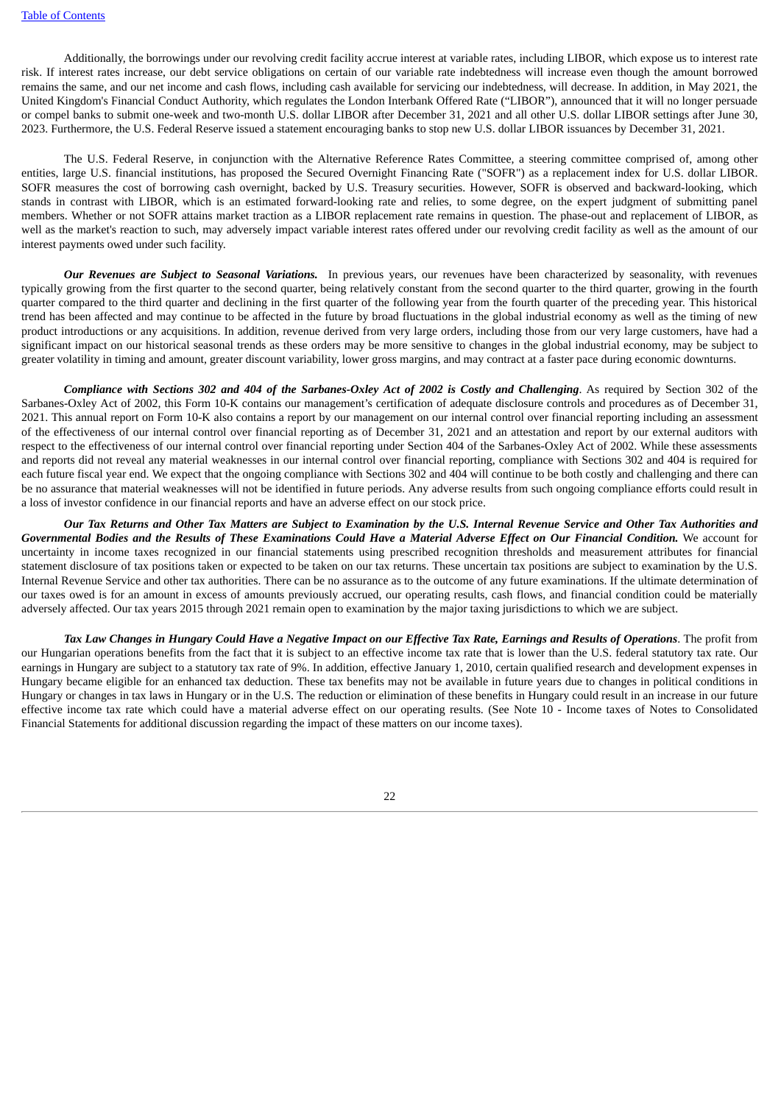Additionally, the borrowings under our revolving credit facility accrue interest at variable rates, including LIBOR, which expose us to interest rate risk. If interest rates increase, our debt service obligations on certain of our variable rate indebtedness will increase even though the amount borrowed remains the same, and our net income and cash flows, including cash available for servicing our indebtedness, will decrease. In addition, in May 2021, the United Kingdom's Financial Conduct Authority, which regulates the London Interbank Offered Rate ("LIBOR"), announced that it will no longer persuade or compel banks to submit one-week and two-month U.S. dollar LIBOR after December 31, 2021 and all other U.S. dollar LIBOR settings after June 30, 2023. Furthermore, the U.S. Federal Reserve issued a statement encouraging banks to stop new U.S. dollar LIBOR issuances by December 31, 2021.

The U.S. Federal Reserve, in conjunction with the Alternative Reference Rates Committee, a steering committee comprised of, among other entities, large U.S. financial institutions, has proposed the Secured Overnight Financing Rate ("SOFR") as a replacement index for U.S. dollar LIBOR. SOFR measures the cost of borrowing cash overnight, backed by U.S. Treasury securities. However, SOFR is observed and backward-looking, which stands in contrast with LIBOR, which is an estimated forward-looking rate and relies, to some degree, on the expert judgment of submitting panel members. Whether or not SOFR attains market traction as a LIBOR replacement rate remains in question. The phase-out and replacement of LIBOR, as well as the market's reaction to such, may adversely impact variable interest rates offered under our revolving credit facility as well as the amount of our interest payments owed under such facility.

*Our Revenues are Subject to Seasonal Variations.* In previous years, our revenues have been characterized by seasonality, with revenues typically growing from the first quarter to the second quarter, being relatively constant from the second quarter to the third quarter, growing in the fourth quarter compared to the third quarter and declining in the first quarter of the following year from the fourth quarter of the preceding year. This historical trend has been affected and may continue to be affected in the future by broad fluctuations in the global industrial economy as well as the timing of new product introductions or any acquisitions. In addition, revenue derived from very large orders, including those from our very large customers, have had a significant impact on our historical seasonal trends as these orders may be more sensitive to changes in the global industrial economy, may be subject to greater volatility in timing and amount, greater discount variability, lower gross margins, and may contract at a faster pace during economic downturns.

Compliance with Sections 302 and 404 of the Sarbanes-Oxley Act of 2002 is Costly and Challenging. As required by Section 302 of the Sarbanes-Oxley Act of 2002, this Form 10-K contains our management's certification of adequate disclosure controls and procedures as of December 31, 2021. This annual report on Form 10-K also contains a report by our management on our internal control over financial reporting including an assessment of the effectiveness of our internal control over financial reporting as of December 31, 2021 and an attestation and report by our external auditors with respect to the effectiveness of our internal control over financial reporting under Section 404 of the Sarbanes-Oxley Act of 2002. While these assessments and reports did not reveal any material weaknesses in our internal control over financial reporting, compliance with Sections 302 and 404 is required for each future fiscal year end. We expect that the ongoing compliance with Sections 302 and 404 will continue to be both costly and challenging and there can be no assurance that material weaknesses will not be identified in future periods. Any adverse results from such ongoing compliance efforts could result in a loss of investor confidence in our financial reports and have an adverse effect on our stock price.

Our Tax Returns and Other Tax Matters are Subject to Examination by the U.S. Internal Revenue Service and Other Tax Authorities and Governmental Bodies and the Results of These Examinations Could Have a Material Adverse Effect on Our Financial Condition. We account for uncertainty in income taxes recognized in our financial statements using prescribed recognition thresholds and measurement attributes for financial statement disclosure of tax positions taken or expected to be taken on our tax returns. These uncertain tax positions are subject to examination by the U.S. Internal Revenue Service and other tax authorities. There can be no assurance as to the outcome of any future examinations. If the ultimate determination of our taxes owed is for an amount in excess of amounts previously accrued, our operating results, cash flows, and financial condition could be materially adversely affected. Our tax years 2015 through 2021 remain open to examination by the major taxing jurisdictions to which we are subject.

Tax Law Changes in Hungary Could Have a Negative Impact on our Effective Tax Rate, Earnings and Results of Operations. The profit from our Hungarian operations benefits from the fact that it is subject to an effective income tax rate that is lower than the U.S. federal statutory tax rate. Our earnings in Hungary are subject to a statutory tax rate of 9%. In addition, effective January 1, 2010, certain qualified research and development expenses in Hungary became eligible for an enhanced tax deduction. These tax benefits may not be available in future years due to changes in political conditions in Hungary or changes in tax laws in Hungary or in the U.S. The reduction or elimination of these benefits in Hungary could result in an increase in our future effective income tax rate which could have a material adverse effect on our operating results. (See Note 10 - Income taxes of Notes to Consolidated Financial Statements for additional discussion regarding the impact of these matters on our income taxes).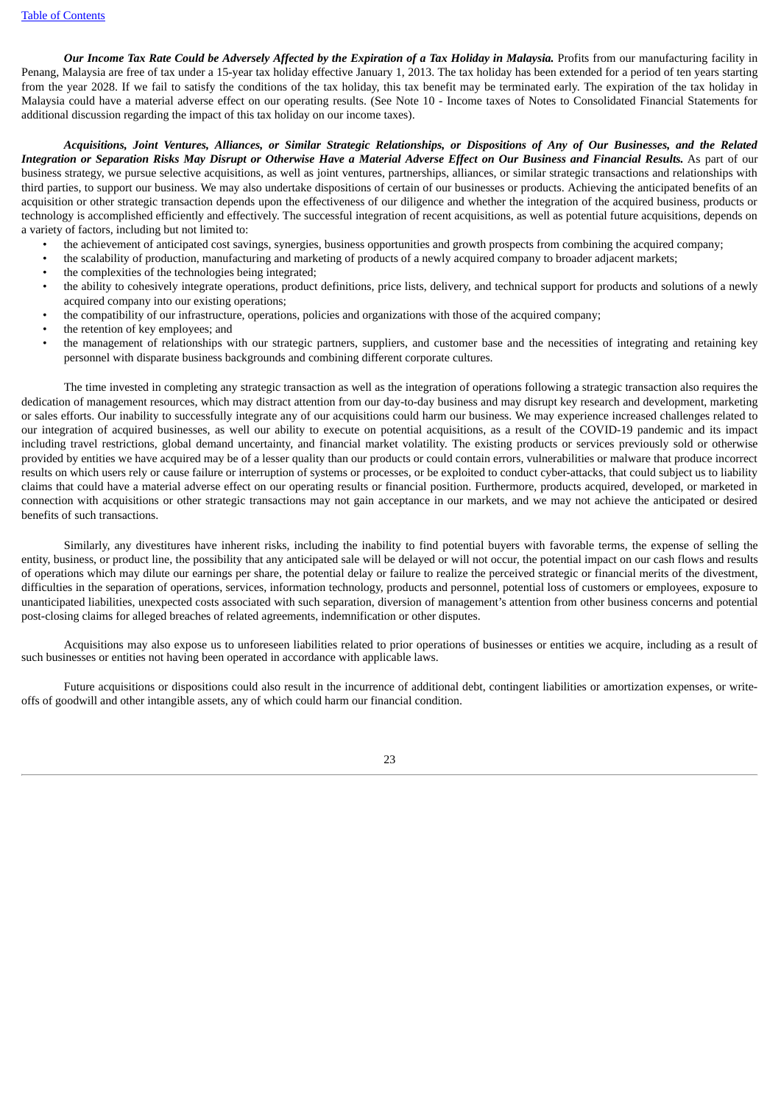Our Income Tax Rate Could be Adversely Affected by the Expiration of a Tax Holiday in Malaysia. Profits from our manufacturing facility in Penang, Malaysia are free of tax under a 15-year tax holiday effective January 1, 2013. The tax holiday has been extended for a period of ten years starting from the year 2028. If we fail to satisfy the conditions of the tax holiday, this tax benefit may be terminated early. The expiration of the tax holiday in Malaysia could have a material adverse effect on our operating results. (See Note 10 - Income taxes of Notes to Consolidated Financial Statements for additional discussion regarding the impact of this tax holiday on our income taxes).

Acquisitions, Joint Ventures, Alliances, or Similar Strategic Relationships, or Dispositions of Any of Our Businesses, and the Related Integration or Separation Risks May Disrupt or Otherwise Have a Material Adverse Effect on Our Business and Financial Results. As part of our business strategy, we pursue selective acquisitions, as well as joint ventures, partnerships, alliances, or similar strategic transactions and relationships with third parties, to support our business. We may also undertake dispositions of certain of our businesses or products. Achieving the anticipated benefits of an acquisition or other strategic transaction depends upon the effectiveness of our diligence and whether the integration of the acquired business, products or technology is accomplished efficiently and effectively. The successful integration of recent acquisitions, as well as potential future acquisitions, depends on a variety of factors, including but not limited to:

- the achievement of anticipated cost savings, synergies, business opportunities and growth prospects from combining the acquired company;
- the scalability of production, manufacturing and marketing of products of a newly acquired company to broader adjacent markets;
- the complexities of the technologies being integrated;
- the ability to cohesively integrate operations, product definitions, price lists, delivery, and technical support for products and solutions of a newly acquired company into our existing operations;
- the compatibility of our infrastructure, operations, policies and organizations with those of the acquired company;
- the retention of key employees; and
- the management of relationships with our strategic partners, suppliers, and customer base and the necessities of integrating and retaining key personnel with disparate business backgrounds and combining different corporate cultures.

The time invested in completing any strategic transaction as well as the integration of operations following a strategic transaction also requires the dedication of management resources, which may distract attention from our day-to-day business and may disrupt key research and development, marketing or sales efforts. Our inability to successfully integrate any of our acquisitions could harm our business. We may experience increased challenges related to our integration of acquired businesses, as well our ability to execute on potential acquisitions, as a result of the COVID-19 pandemic and its impact including travel restrictions, global demand uncertainty, and financial market volatility. The existing products or services previously sold or otherwise provided by entities we have acquired may be of a lesser quality than our products or could contain errors, vulnerabilities or malware that produce incorrect results on which users rely or cause failure or interruption of systems or processes, or be exploited to conduct cyber-attacks, that could subject us to liability claims that could have a material adverse effect on our operating results or financial position. Furthermore, products acquired, developed, or marketed in connection with acquisitions or other strategic transactions may not gain acceptance in our markets, and we may not achieve the anticipated or desired benefits of such transactions.

Similarly, any divestitures have inherent risks, including the inability to find potential buyers with favorable terms, the expense of selling the entity, business, or product line, the possibility that any anticipated sale will be delayed or will not occur, the potential impact on our cash flows and results of operations which may dilute our earnings per share, the potential delay or failure to realize the perceived strategic or financial merits of the divestment, difficulties in the separation of operations, services, information technology, products and personnel, potential loss of customers or employees, exposure to unanticipated liabilities, unexpected costs associated with such separation, diversion of management's attention from other business concerns and potential post-closing claims for alleged breaches of related agreements, indemnification or other disputes.

Acquisitions may also expose us to unforeseen liabilities related to prior operations of businesses or entities we acquire, including as a result of such businesses or entities not having been operated in accordance with applicable laws.

Future acquisitions or dispositions could also result in the incurrence of additional debt, contingent liabilities or amortization expenses, or writeoffs of goodwill and other intangible assets, any of which could harm our financial condition.

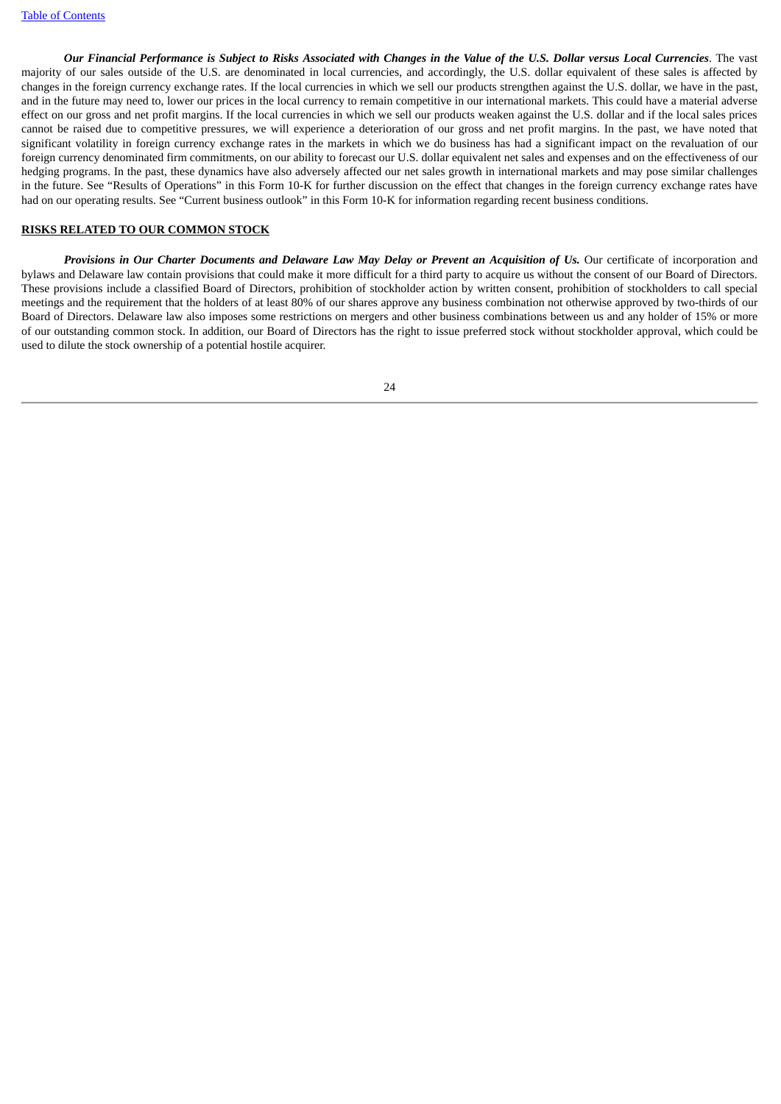Our Financial Performance is Subject to Risks Associated with Changes in the Value of the U.S. Dollar versus Local Currencies. The vast majority of our sales outside of the U.S. are denominated in local currencies, and accordingly, the U.S. dollar equivalent of these sales is affected by changes in the foreign currency exchange rates. If the local currencies in which we sell our products strengthen against the U.S. dollar, we have in the past, and in the future may need to, lower our prices in the local currency to remain competitive in our international markets. This could have a material adverse effect on our gross and net profit margins. If the local currencies in which we sell our products weaken against the U.S. dollar and if the local sales prices cannot be raised due to competitive pressures, we will experience a deterioration of our gross and net profit margins. In the past, we have noted that significant volatility in foreign currency exchange rates in the markets in which we do business has had a significant impact on the revaluation of our foreign currency denominated firm commitments, on our ability to forecast our U.S. dollar equivalent net sales and expenses and on the effectiveness of our hedging programs. In the past, these dynamics have also adversely affected our net sales growth in international markets and may pose similar challenges in the future. See "Results of Operations" in this Form 10-K for further discussion on the effect that changes in the foreign currency exchange rates have had on our operating results. See "Current business outlook" in this Form 10-K for information regarding recent business conditions.

# **RISKS RELATED TO OUR COMMON STOCK**

<span id="page-23-0"></span>Provisions in Our Charter Documents and Delaware Law May Delay or Prevent an Acquisition of Us. Our certificate of incorporation and bylaws and Delaware law contain provisions that could make it more difficult for a third party to acquire us without the consent of our Board of Directors. These provisions include a classified Board of Directors, prohibition of stockholder action by written consent, prohibition of stockholders to call special meetings and the requirement that the holders of at least 80% of our shares approve any business combination not otherwise approved by two-thirds of our Board of Directors. Delaware law also imposes some restrictions on mergers and other business combinations between us and any holder of 15% or more of our outstanding common stock. In addition, our Board of Directors has the right to issue preferred stock without stockholder approval, which could be used to dilute the stock ownership of a potential hostile acquirer.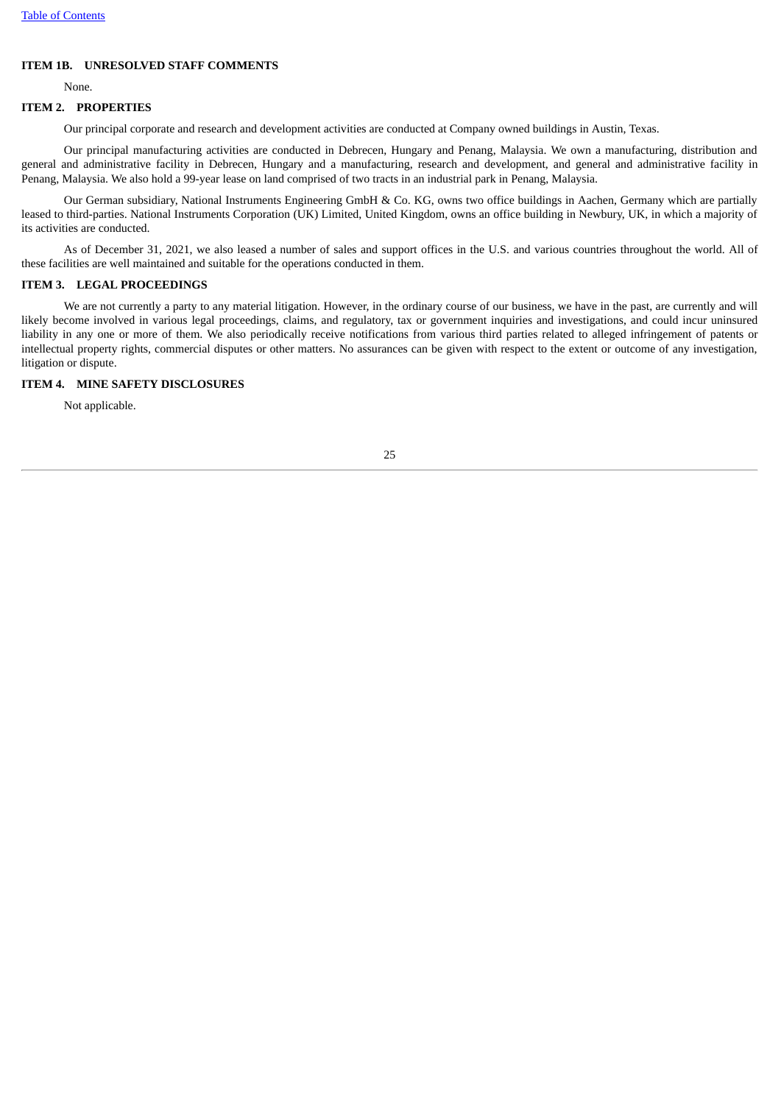# **ITEM 1B. UNRESOLVED STAFF COMMENTS**

None.

# <span id="page-24-0"></span>**ITEM 2. PROPERTIES**

Our principal corporate and research and development activities are conducted at Company owned buildings in Austin, Texas.

Our principal manufacturing activities are conducted in Debrecen, Hungary and Penang, Malaysia. We own a manufacturing, distribution and general and administrative facility in Debrecen, Hungary and a manufacturing, research and development, and general and administrative facility in Penang, Malaysia. We also hold a 99-year lease on land comprised of two tracts in an industrial park in Penang, Malaysia.

Our German subsidiary, National Instruments Engineering GmbH & Co. KG, owns two office buildings in Aachen, Germany which are partially leased to third-parties. National Instruments Corporation (UK) Limited, United Kingdom, owns an office building in Newbury, UK, in which a majority of its activities are conducted.

As of December 31, 2021, we also leased a number of sales and support offices in the U.S. and various countries throughout the world. All of these facilities are well maintained and suitable for the operations conducted in them.

# <span id="page-24-1"></span>**ITEM 3. LEGAL PROCEEDINGS**

We are not currently a party to any material litigation. However, in the ordinary course of our business, we have in the past, are currently and will likely become involved in various legal proceedings, claims, and regulatory, tax or government inquiries and investigations, and could incur uninsured liability in any one or more of them. We also periodically receive notifications from various third parties related to alleged infringement of patents or intellectual property rights, commercial disputes or other matters. No assurances can be given with respect to the extent or outcome of any investigation, litigation or dispute.

# <span id="page-24-2"></span>**ITEM 4. MINE SAFETY DISCLOSURES**

<span id="page-24-3"></span>Not applicable.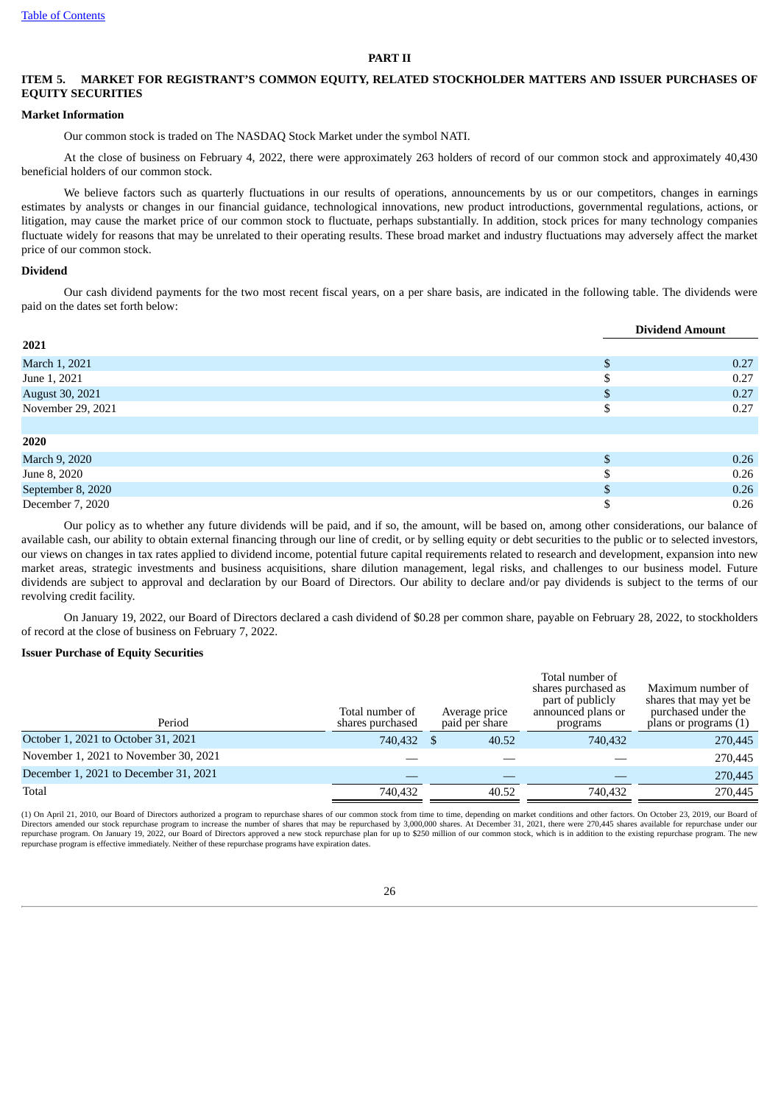**PART II**

# <span id="page-25-0"></span>**ITEM 5. MARKET FOR REGISTRANT'S COMMON EQUITY, RELATED STOCKHOLDER MATTERS AND ISSUER PURCHASES OF EQUITY SECURITIES**

#### **Market Information**

Our common stock is traded on The NASDAQ Stock Market under the symbol NATI.

At the close of business on February 4, 2022, there were approximately 263 holders of record of our common stock and approximately 40,430 beneficial holders of our common stock.

We believe factors such as quarterly fluctuations in our results of operations, announcements by us or our competitors, changes in earnings estimates by analysts or changes in our financial guidance, technological innovations, new product introductions, governmental regulations, actions, or litigation, may cause the market price of our common stock to fluctuate, perhaps substantially. In addition, stock prices for many technology companies fluctuate widely for reasons that may be unrelated to their operating results. These broad market and industry fluctuations may adversely affect the market price of our common stock.

#### **Dividend**

Our cash dividend payments for the two most recent fiscal years, on a per share basis, are indicated in the following table. The dividends were paid on the dates set forth below:

|                   |        | <b>Dividend Amount</b> |  |
|-------------------|--------|------------------------|--|
| 2021              |        |                        |  |
| March 1, 2021     | \$     | 0.27                   |  |
| June 1, 2021      |        | 0.27                   |  |
| August 30, 2021   | æ      | 0.27                   |  |
| November 29, 2021 | S      | 0.27                   |  |
|                   |        |                        |  |
| 2020              |        |                        |  |
| March 9, 2020     | \$     | 0.26                   |  |
| June 8, 2020      | c      | 0.26                   |  |
| September 8, 2020 | \$.    | 0.26                   |  |
| December 7, 2020  | ¢<br>D | 0.26                   |  |

Our policy as to whether any future dividends will be paid, and if so, the amount, will be based on, among other considerations, our balance of available cash, our ability to obtain external financing through our line of credit, or by selling equity or debt securities to the public or to selected investors, our views on changes in tax rates applied to dividend income, potential future capital requirements related to research and development, expansion into new market areas, strategic investments and business acquisitions, share dilution management, legal risks, and challenges to our business model. Future dividends are subject to approval and declaration by our Board of Directors. Our ability to declare and/or pay dividends is subject to the terms of our revolving credit facility.

On January 19, 2022, our Board of Directors declared a cash dividend of \$0.28 per common share, payable on February 28, 2022, to stockholders of record at the close of business on February 7, 2022.

### **Issuer Purchase of Equity Securities**

| Period                                | Total number of<br>shares purchased | Average price<br>paid per share | Total number of<br>shares purchased as<br>part of publicly<br>announced plans or<br>programs | Maximum number of<br>shares that may yet be<br>purchased under the<br>plans or programs (1) |
|---------------------------------------|-------------------------------------|---------------------------------|----------------------------------------------------------------------------------------------|---------------------------------------------------------------------------------------------|
| October 1, 2021 to October 31, 2021   | 740.432                             | 40.52                           | 740,432                                                                                      | 270,445                                                                                     |
| November 1, 2021 to November 30, 2021 |                                     |                                 |                                                                                              | 270,445                                                                                     |
| December 1, 2021 to December 31, 2021 |                                     |                                 |                                                                                              | 270,445                                                                                     |
| Total                                 | 740.432                             | 40.52                           | 740,432                                                                                      | 270,445                                                                                     |

(1) On April 21, 2010, our Board of Directors authorized a program to repurchase shares of our common stock from time to time, depending on market conditions and other factors. On October 23, 2019, our Board of Directors amended our stock repurchase program to increase the number of shares that may be repurchased by 3,000,000 shares. At December 31, 2021, there were 270,445 shares available for repurchase under our repurchase program. On January 19, 2022, our Board of Directors approved a new stock repurchase plan for up to \$250 million of our common stock, which is in addition to the existing repurchase program. The new repurchase program is effective immediately. Neither of these repurchase programs have expiration dates.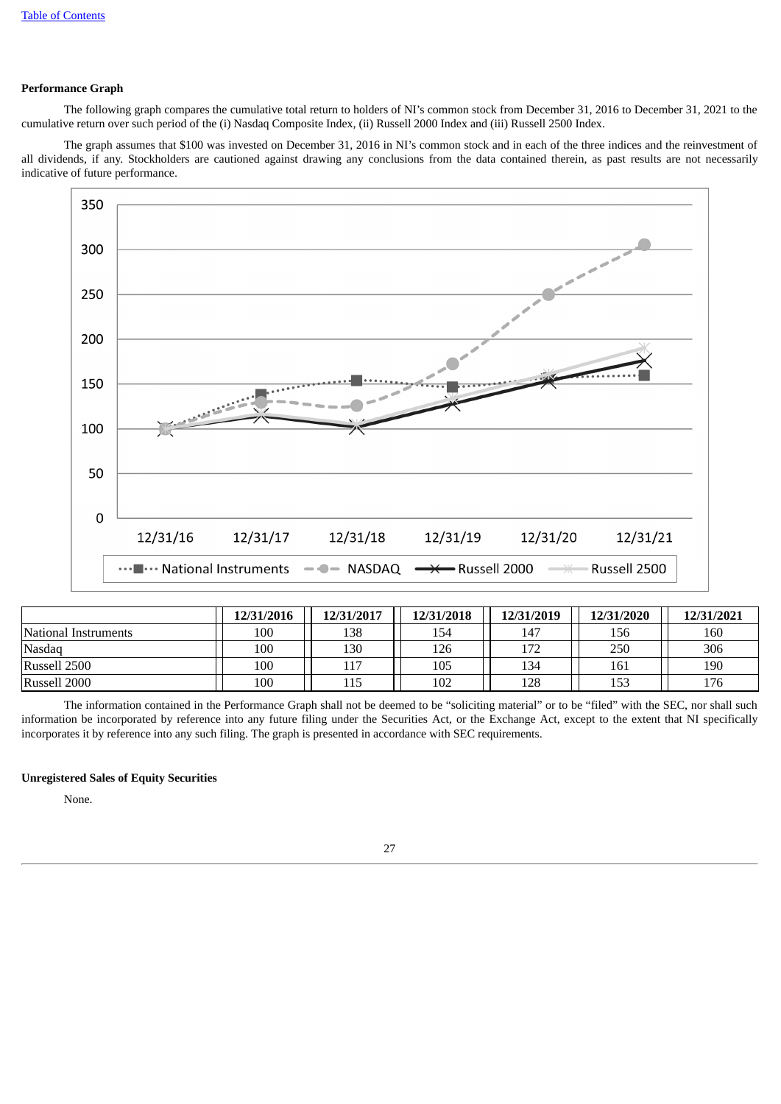## **Performance Graph**

The following graph compares the cumulative total return to holders of NI's common stock from December 31, 2016 to December 31, 2021 to the cumulative return over such period of the (i) Nasdaq Composite Index, (ii) Russell 2000 Index and (iii) Russell 2500 Index.

The graph assumes that \$100 was invested on December 31, 2016 in NI's common stock and in each of the three indices and the reinvestment of all dividends, if any. Stockholders are cautioned against drawing any conclusions from the data contained therein, as past results are not necessarily indicative of future performance.



|                      | 12/31/2016 | 12/31/2017 | 12/31/2018 | 12/31/2019 | 12/31/2020 | 12/31/2021 |
|----------------------|------------|------------|------------|------------|------------|------------|
| National Instruments | 100        | 138        | 154        | 147        | 156        | 160        |
| Nasdaq               | 100        | 130        | 126        | 172        | 250        | 306        |
| Russell 2500         | 100        | 117        | 105        | 134        | 161        | 190        |
| Russell 2000         | 100        | 115        | 102        | 128        | 153        | 176        |

The information contained in the Performance Graph shall not be deemed to be "soliciting material" or to be "filed" with the SEC, nor shall such information be incorporated by reference into any future filing under the Securities Act, or the Exchange Act, except to the extent that NI specifically incorporates it by reference into any such filing. The graph is presented in accordance with SEC requirements.

# **Unregistered Sales of Equity Securities**

None.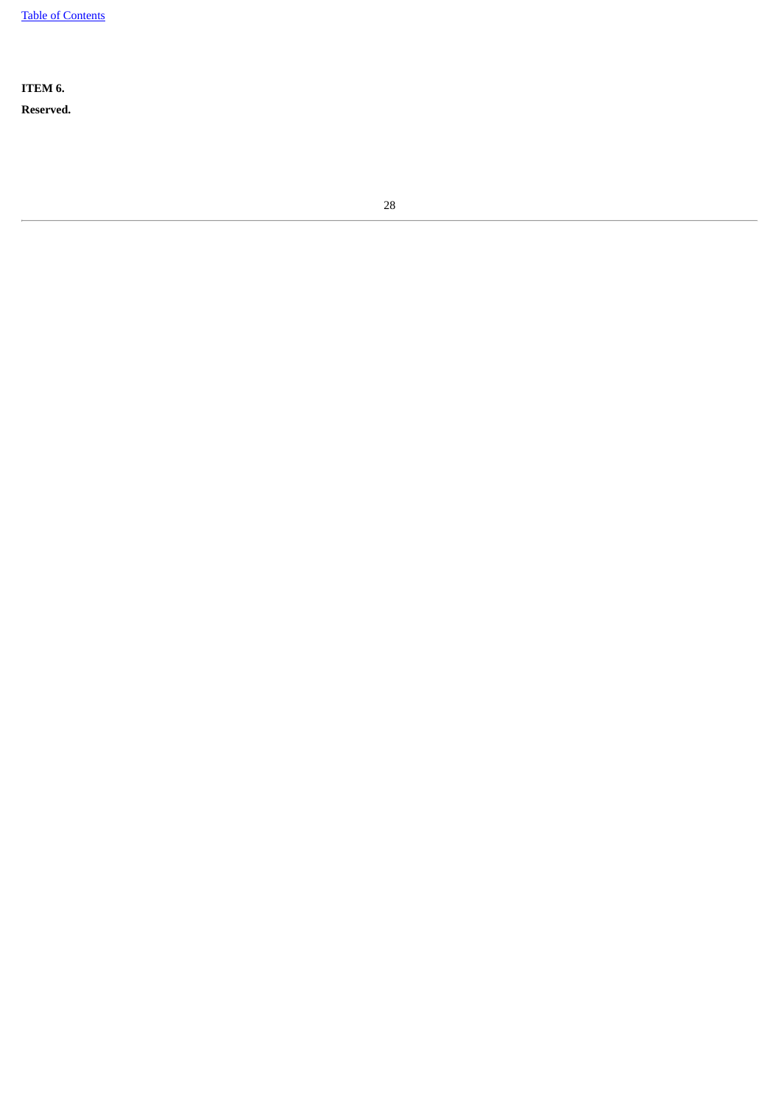<span id="page-27-1"></span><span id="page-27-0"></span>**Reserved.**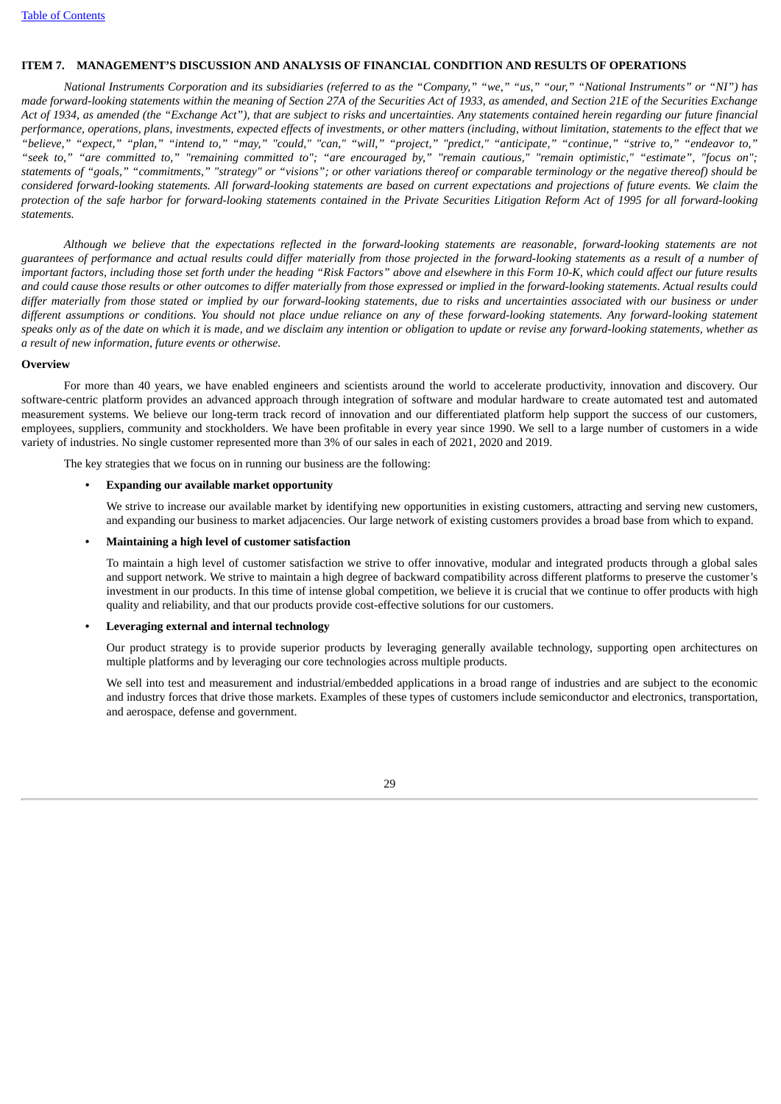## **ITEM 7. MANAGEMENT'S DISCUSSION AND ANALYSIS OF FINANCIAL CONDITION AND RESULTS OF OPERATIONS**

National Instruments Corporation and its subsidiaries (referred to as the "Company," "we," "us," "Our," "National Instruments" or "NI") has made forward-looking statements within the meaning of Section 27A of the Securities Act of 1933, as amended, and Section 21E of the Securities Exchange Act of 1934, as amended (the "Exchange Act"), that are subject to risks and uncertainties. Any statements contained herein regarding our future financial performance, operations, plans, investments, expected effects of investments, or other matters (includina, without limitation, statements to the effect that we "believe," "expect," "plan," "intend to," "may," "could," "can," "will," "project," "predict," "anticipate," "continue," "strive to," "endeavor to," "seek to," "are committed to," "remaining committed to"; "are encouraged by," "remain cautious," "remain optimistic," "estimate", "focus on"; statements of "goals," "commitments," "strategy" or "visions"; or other variations thereof or comparable terminology or the negative thereof) should be considered forward-looking statements. All forward-looking statements are based on current expectations and projections of future events. We claim the protection of the safe harbor for forward-looking statements contained in the Private Securities Litigation Reform Act of 1995 for all forward-looking *statements.*

Although we believe that the expectations reflected in the forward-looking statements are reasonable, forward-looking statements are not quarantees of performance and actual results could differ materially from those projected in the forward-looking statements as a result of a number of important factors, including those set forth under the heading "Risk Factors" above and elsewhere in this Form 10-K, which could affect our future results and could cause those results or other outcomes to differ materially from those expressed or implied in the forward-looking statements. Actual results could differ materially from those stated or implied by our forward-looking statements, due to risks and uncertainties associated with our business or under different assumptions or conditions. You should not place undue reliance on any of these forward-looking statements. Any forward-looking statement speaks only as of the date on which it is made, and we disclaim any intention or obligation to update or revise any forward-looking statements, whether as *a result of new information, future events or otherwise.*

# **Overview**

For more than 40 years, we have enabled engineers and scientists around the world to accelerate productivity, innovation and discovery. Our software-centric platform provides an advanced approach through integration of software and modular hardware to create automated test and automated measurement systems. We believe our long-term track record of innovation and our differentiated platform help support the success of our customers, employees, suppliers, community and stockholders. We have been profitable in every year since 1990. We sell to a large number of customers in a wide variety of industries. No single customer represented more than 3% of our sales in each of 2021, 2020 and 2019.

The key strategies that we focus on in running our business are the following:

#### *•* **Expanding our available market opportunity**

We strive to increase our available market by identifying new opportunities in existing customers, attracting and serving new customers, and expanding our business to market adjacencies. Our large network of existing customers provides a broad base from which to expand.

#### **• Maintaining a high level of customer satisfaction**

To maintain a high level of customer satisfaction we strive to offer innovative, modular and integrated products through a global sales and support network. We strive to maintain a high degree of backward compatibility across different platforms to preserve the customer's investment in our products. In this time of intense global competition, we believe it is crucial that we continue to offer products with high quality and reliability, and that our products provide cost-effective solutions for our customers.

#### **• Leveraging external and internal technology**

Our product strategy is to provide superior products by leveraging generally available technology, supporting open architectures on multiple platforms and by leveraging our core technologies across multiple products.

We sell into test and measurement and industrial/embedded applications in a broad range of industries and are subject to the economic and industry forces that drive those markets. Examples of these types of customers include semiconductor and electronics, transportation, and aerospace, defense and government.

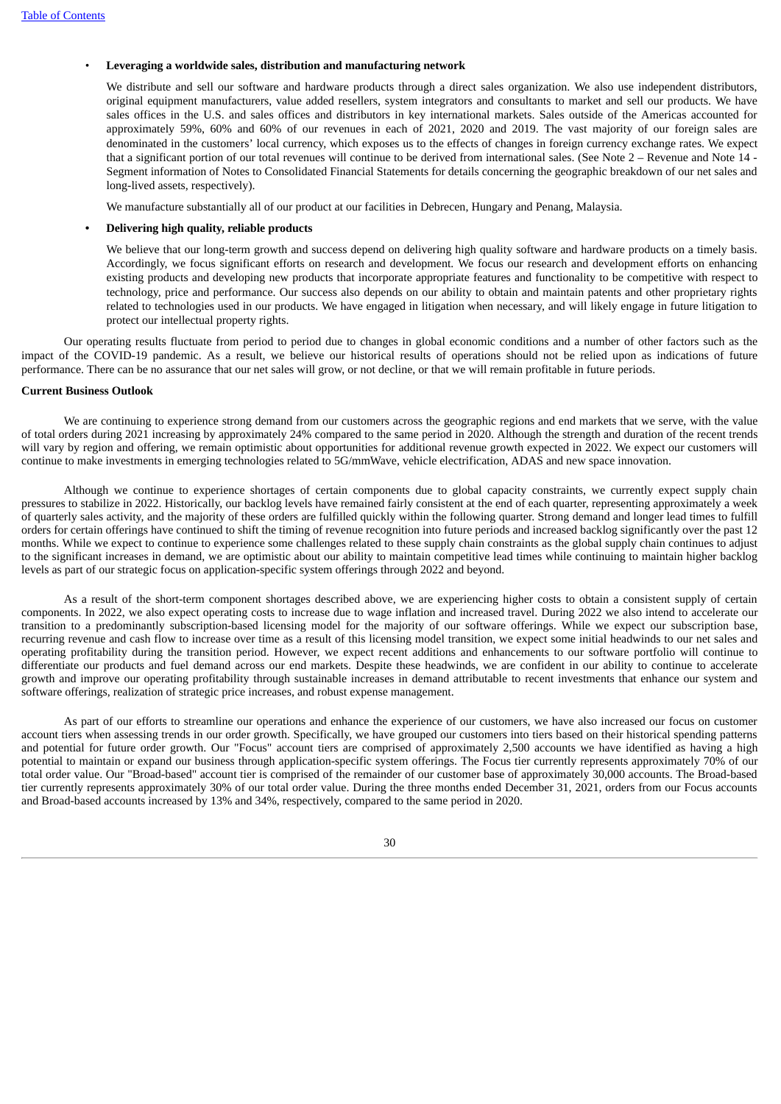## • **Leveraging a worldwide sales, distribution and manufacturing network**

We distribute and sell our software and hardware products through a direct sales organization. We also use independent distributors, original equipment manufacturers, value added resellers, system integrators and consultants to market and sell our products. We have sales offices in the U.S. and sales offices and distributors in key international markets. Sales outside of the Americas accounted for approximately 59%, 60% and 60% of our revenues in each of 2021, 2020 and 2019. The vast majority of our foreign sales are denominated in the customers' local currency, which exposes us to the effects of changes in foreign currency exchange rates. We expect that a significant portion of our total revenues will continue to be derived from international sales. (See Note 2 – Revenue and Note 14 - Segment information of Notes to Consolidated Financial Statements for details concerning the geographic breakdown of our net sales and long-lived assets, respectively).

We manufacture substantially all of our product at our facilities in Debrecen, Hungary and Penang, Malaysia.

#### **• Delivering high quality, reliable products**

We believe that our long-term growth and success depend on delivering high quality software and hardware products on a timely basis. Accordingly, we focus significant efforts on research and development. We focus our research and development efforts on enhancing existing products and developing new products that incorporate appropriate features and functionality to be competitive with respect to technology, price and performance. Our success also depends on our ability to obtain and maintain patents and other proprietary rights related to technologies used in our products. We have engaged in litigation when necessary, and will likely engage in future litigation to protect our intellectual property rights.

Our operating results fluctuate from period to period due to changes in global economic conditions and a number of other factors such as the impact of the COVID-19 pandemic. As a result, we believe our historical results of operations should not be relied upon as indications of future performance. There can be no assurance that our net sales will grow, or not decline, or that we will remain profitable in future periods.

#### **Current Business Outlook**

We are continuing to experience strong demand from our customers across the geographic regions and end markets that we serve, with the value of total orders during 2021 increasing by approximately 24% compared to the same period in 2020. Although the strength and duration of the recent trends will vary by region and offering, we remain optimistic about opportunities for additional revenue growth expected in 2022. We expect our customers will continue to make investments in emerging technologies related to 5G/mmWave, vehicle electrification, ADAS and new space innovation.

Although we continue to experience shortages of certain components due to global capacity constraints, we currently expect supply chain pressures to stabilize in 2022. Historically, our backlog levels have remained fairly consistent at the end of each quarter, representing approximately a week of quarterly sales activity, and the majority of these orders are fulfilled quickly within the following quarter. Strong demand and longer lead times to fulfill orders for certain offerings have continued to shift the timing of revenue recognition into future periods and increased backlog significantly over the past 12 months. While we expect to continue to experience some challenges related to these supply chain constraints as the global supply chain continues to adjust to the significant increases in demand, we are optimistic about our ability to maintain competitive lead times while continuing to maintain higher backlog levels as part of our strategic focus on application-specific system offerings through 2022 and beyond.

As a result of the short-term component shortages described above, we are experiencing higher costs to obtain a consistent supply of certain components. In 2022, we also expect operating costs to increase due to wage inflation and increased travel. During 2022 we also intend to accelerate our transition to a predominantly subscription-based licensing model for the majority of our software offerings. While we expect our subscription base, recurring revenue and cash flow to increase over time as a result of this licensing model transition, we expect some initial headwinds to our net sales and operating profitability during the transition period. However, we expect recent additions and enhancements to our software portfolio will continue to differentiate our products and fuel demand across our end markets. Despite these headwinds, we are confident in our ability to continue to accelerate growth and improve our operating profitability through sustainable increases in demand attributable to recent investments that enhance our system and software offerings, realization of strategic price increases, and robust expense management.

As part of our efforts to streamline our operations and enhance the experience of our customers, we have also increased our focus on customer account tiers when assessing trends in our order growth. Specifically, we have grouped our customers into tiers based on their historical spending patterns and potential for future order growth. Our "Focus" account tiers are comprised of approximately 2,500 accounts we have identified as having a high potential to maintain or expand our business through application-specific system offerings. The Focus tier currently represents approximately 70% of our total order value. Our "Broad-based" account tier is comprised of the remainder of our customer base of approximately 30,000 accounts. The Broad-based tier currently represents approximately 30% of our total order value. During the three months ended December 31, 2021, orders from our Focus accounts and Broad-based accounts increased by 13% and 34%, respectively, compared to the same period in 2020.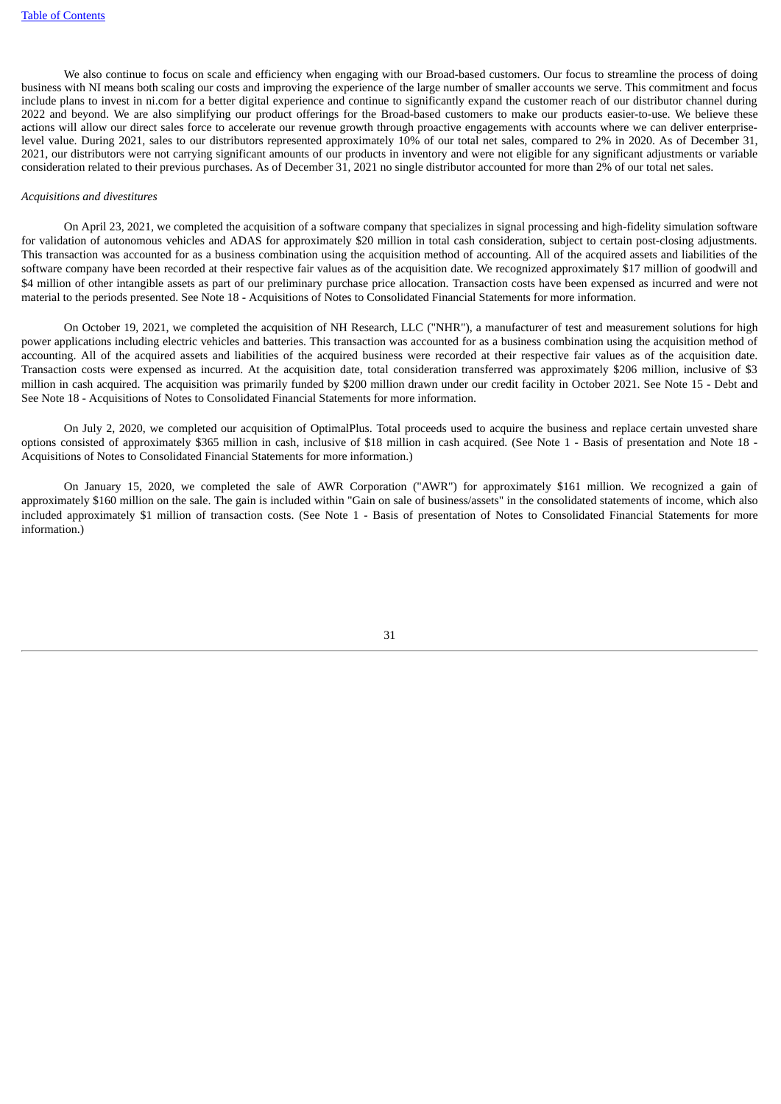We also continue to focus on scale and efficiency when engaging with our Broad-based customers. Our focus to streamline the process of doing business with NI means both scaling our costs and improving the experience of the large number of smaller accounts we serve. This commitment and focus include plans to invest in ni.com for a better digital experience and continue to significantly expand the customer reach of our distributor channel during 2022 and beyond. We are also simplifying our product offerings for the Broad-based customers to make our products easier-to-use. We believe these actions will allow our direct sales force to accelerate our revenue growth through proactive engagements with accounts where we can deliver enterpriselevel value. During 2021, sales to our distributors represented approximately 10% of our total net sales, compared to 2% in 2020. As of December 31, 2021, our distributors were not carrying significant amounts of our products in inventory and were not eligible for any significant adjustments or variable consideration related to their previous purchases. As of December 31, 2021 no single distributor accounted for more than 2% of our total net sales.

### *Acquisitions and divestitures*

On April 23, 2021, we completed the acquisition of a software company that specializes in signal processing and high-fidelity simulation software for validation of autonomous vehicles and ADAS for approximately \$20 million in total cash consideration, subject to certain post-closing adjustments. This transaction was accounted for as a business combination using the acquisition method of accounting. All of the acquired assets and liabilities of the software company have been recorded at their respective fair values as of the acquisition date. We recognized approximately \$17 million of goodwill and \$4 million of other intangible assets as part of our preliminary purchase price allocation. Transaction costs have been expensed as incurred and were not material to the periods presented. See Note 18 - Acquisitions of Notes to Consolidated Financial Statements for more information.

On October 19, 2021, we completed the acquisition of NH Research, LLC ("NHR"), a manufacturer of test and measurement solutions for high power applications including electric vehicles and batteries. This transaction was accounted for as a business combination using the acquisition method of accounting. All of the acquired assets and liabilities of the acquired business were recorded at their respective fair values as of the acquisition date. Transaction costs were expensed as incurred. At the acquisition date, total consideration transferred was approximately \$206 million, inclusive of \$3 million in cash acquired. The acquisition was primarily funded by \$200 million drawn under our credit facility in October 2021. See Note 15 - Debt and See Note 18 - Acquisitions of Notes to Consolidated Financial Statements for more information.

On July 2, 2020, we completed our acquisition of OptimalPlus. Total proceeds used to acquire the business and replace certain unvested share options consisted of approximately \$365 million in cash, inclusive of \$18 million in cash acquired. (See Note 1 - Basis of presentation and Note 18 - Acquisitions of Notes to Consolidated Financial Statements for more information.)

On January 15, 2020, we completed the sale of AWR Corporation ("AWR") for approximately \$161 million. We recognized a gain of approximately \$160 million on the sale. The gain is included within "Gain on sale of business/assets" in the consolidated statements of income, which also included approximately \$1 million of transaction costs. (See Note 1 - Basis of presentation of Notes to Consolidated Financial Statements for more information.)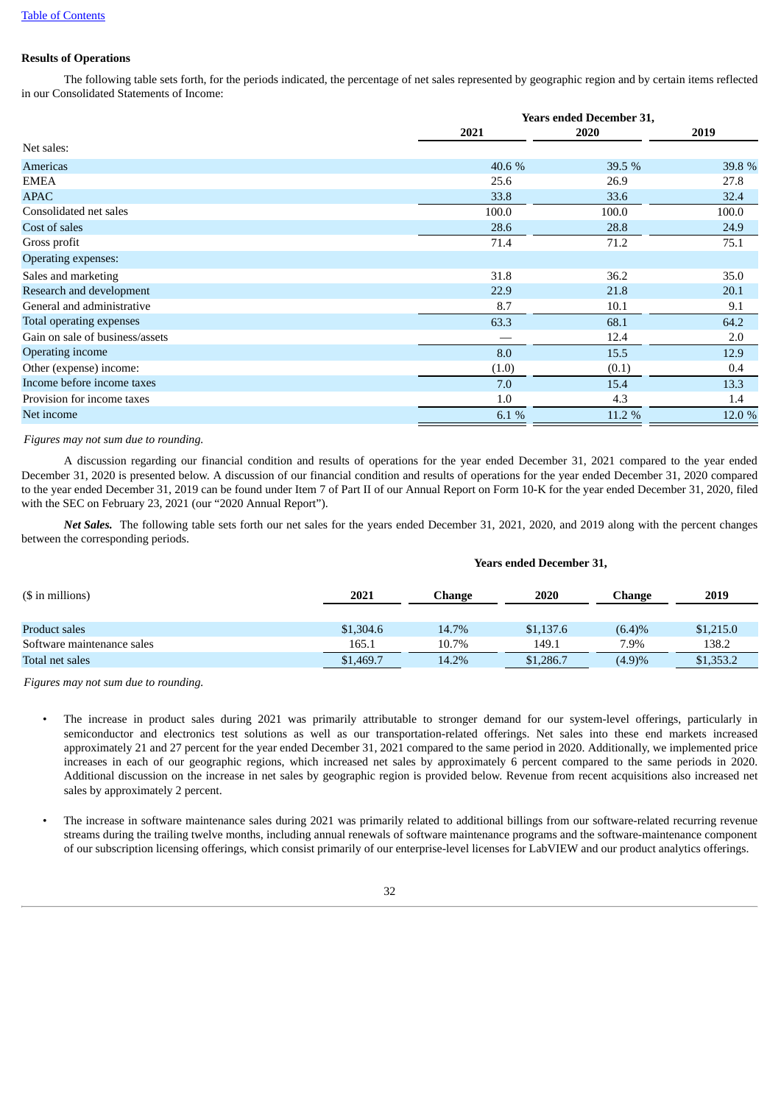## **Results of Operations**

The following table sets forth, for the periods indicated, the percentage of net sales represented by geographic region and by certain items reflected in our Consolidated Statements of Income:

|                                 | <b>Years ended December 31,</b> |        |        |  |  |
|---------------------------------|---------------------------------|--------|--------|--|--|
|                                 | 2021                            | 2020   | 2019   |  |  |
| Net sales:                      |                                 |        |        |  |  |
| Americas                        | 40.6 %                          | 39.5 % | 39.8 % |  |  |
| <b>EMEA</b>                     | 25.6                            | 26.9   | 27.8   |  |  |
| <b>APAC</b>                     | 33.8                            | 33.6   | 32.4   |  |  |
| Consolidated net sales          | 100.0                           | 100.0  | 100.0  |  |  |
| Cost of sales                   | 28.6                            | 28.8   | 24.9   |  |  |
| Gross profit                    | 71.4                            | 71.2   | 75.1   |  |  |
| Operating expenses:             |                                 |        |        |  |  |
| Sales and marketing             | 31.8                            | 36.2   | 35.0   |  |  |
| Research and development        | 22.9                            | 21.8   | 20.1   |  |  |
| General and administrative      | 8.7                             | 10.1   | 9.1    |  |  |
| Total operating expenses        | 63.3                            | 68.1   | 64.2   |  |  |
| Gain on sale of business/assets |                                 | 12.4   | 2.0    |  |  |
| Operating income                | 8.0                             | 15.5   | 12.9   |  |  |
| Other (expense) income:         | (1.0)                           | (0.1)  | 0.4    |  |  |
| Income before income taxes      | 7.0                             | 15.4   | 13.3   |  |  |
| Provision for income taxes      | 1.0                             | 4.3    | 1.4    |  |  |
| Net income                      | 6.1%                            | 11.2 % | 12.0 % |  |  |

## *Figures may not sum due to rounding.*

A discussion regarding our financial condition and results of operations for the year ended December 31, 2021 compared to the year ended December 31, 2020 is presented below. A discussion of our financial condition and results of operations for the year ended December 31, 2020 compared to the year ended December 31, 2019 can be found under Item 7 of Part II of our Annual Report on Form 10-K for the year ended December 31, 2020, filed with the SEC on February 23, 2021 (our "2020 Annual Report").

*Net Sales.* The following table sets forth our net sales for the years ended December 31, 2021, 2020, and 2019 along with the percent changes between the corresponding periods.

|                            | <b>Years ended December 31,</b> |        |           |               |           |  |  |  |  |  |
|----------------------------|---------------------------------|--------|-----------|---------------|-----------|--|--|--|--|--|
| $($$ in millions)          | 2021                            | Change | 2020      | <b>Change</b> | 2019      |  |  |  |  |  |
| Product sales              | \$1,304.6                       | 14.7%  | \$1,137.6 | (6.4)%        | \$1,215.0 |  |  |  |  |  |
| Software maintenance sales | 165.1                           | 10.7%  | 149.1     | 7.9%          | 138.2     |  |  |  |  |  |
| Total net sales            | \$1,469.7                       | 14.2%  | \$1,286.7 | (4.9)%        | \$1,353.2 |  |  |  |  |  |

*Figures may not sum due to rounding.*

- The increase in product sales during 2021 was primarily attributable to stronger demand for our system-level offerings, particularly in semiconductor and electronics test solutions as well as our transportation-related offerings. Net sales into these end markets increased approximately 21 and 27 percent for the year ended December 31, 2021 compared to the same period in 2020. Additionally, we implemented price increases in each of our geographic regions, which increased net sales by approximately 6 percent compared to the same periods in 2020. Additional discussion on the increase in net sales by geographic region is provided below. Revenue from recent acquisitions also increased net sales by approximately 2 percent.
- The increase in software maintenance sales during 2021 was primarily related to additional billings from our software-related recurring revenue streams during the trailing twelve months, including annual renewals of software maintenance programs and the software-maintenance component of our subscription licensing offerings, which consist primarily of our enterprise-level licenses for LabVIEW and our product analytics offerings.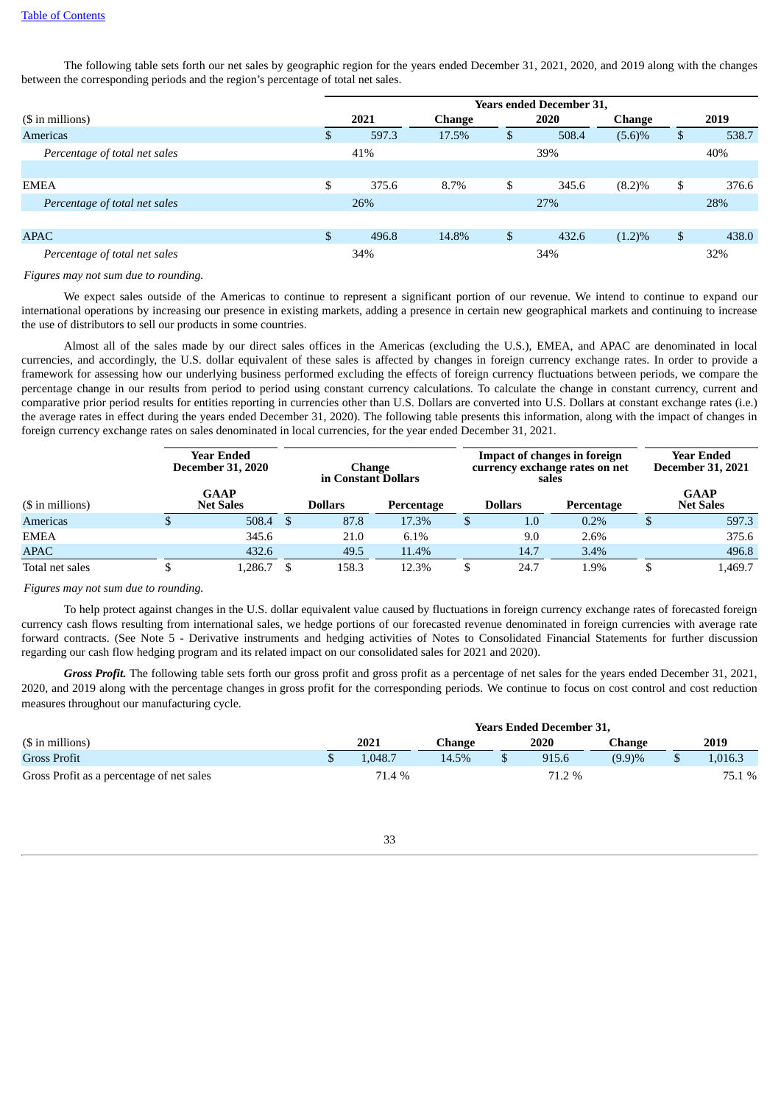The following table sets forth our net sales by geographic region for the years ended December 31, 2021, 2020, and 2019 along with the changes between the corresponding periods and the region's percentage of total net sales.

|                               | <b>Years ended December 31,</b> |       |        |     |       |           |     |       |  |
|-------------------------------|---------------------------------|-------|--------|-----|-------|-----------|-----|-------|--|
| $($$ in millions)             |                                 | 2021  | Change |     | 2020  | Change    |     | 2019  |  |
| <b>Americas</b>               |                                 | 597.3 | 17.5%  | Ф   | 508.4 | (5.6)%    | P   | 538.7 |  |
| Percentage of total net sales |                                 | 41%   | 39%    |     |       |           | 40% |       |  |
| <b>EMEA</b>                   | œ                               | 375.6 | 8.7%   | \$  | 345.6 | (8.2)%    | \$  | 376.6 |  |
| Percentage of total net sales |                                 | 26%   |        | 27% |       |           |     |       |  |
|                               |                                 |       |        |     |       |           |     |       |  |
| APAC                          |                                 | 496.8 | 14.8%  | \$  | 432.6 | $(1.2)\%$ | \$  | 438.0 |  |
| Percentage of total net sales |                                 | 34%   | 34%    |     |       |           |     | 32%   |  |

*Figures may not sum due to rounding.*

We expect sales outside of the Americas to continue to represent a significant portion of our revenue. We intend to continue to expand our international operations by increasing our presence in existing markets, adding a presence in certain new geographical markets and continuing to increase the use of distributors to sell our products in some countries.

Almost all of the sales made by our direct sales offices in the Americas (excluding the U.S.), EMEA, and APAC are denominated in local currencies, and accordingly, the U.S. dollar equivalent of these sales is affected by changes in foreign currency exchange rates. In order to provide a framework for assessing how our underlying business performed excluding the effects of foreign currency fluctuations between periods, we compare the percentage change in our results from period to period using constant currency calculations. To calculate the change in constant currency, current and comparative prior period results for entities reporting in currencies other than U.S. Dollars are converted into U.S. Dollars at constant exchange rates (i.e.) the average rates in effect during the years ended December 31, 2020). The following table presents this information, along with the impact of changes in foreign currency exchange rates on sales denominated in local currencies, for the year ended December 31, 2021.

| <b>Year Ended</b><br><b>December 31, 2020</b> |  |                                 |  | Change<br>in Constant Dollars |            | <b>Impact of changes in foreign</b><br>currency exchange rates on net<br>sales | <b>Year Ended</b><br><b>December 31, 2021</b> |                                 |
|-----------------------------------------------|--|---------------------------------|--|-------------------------------|------------|--------------------------------------------------------------------------------|-----------------------------------------------|---------------------------------|
| $(S \in \mathbb{R})$ in millions)             |  | <b>GAAP</b><br><b>Net Sales</b> |  | <b>Dollars</b>                | Percentage | <b>Dollars</b>                                                                 | Percentage                                    | <b>GAAP</b><br><b>Net Sales</b> |
| Americas                                      |  | 508.4                           |  | 87.8                          | 17.3%      | 1.0                                                                            | 0.2%                                          | 597.3                           |
| <b>EMEA</b>                                   |  | 345.6                           |  | 21.0                          | 6.1%       | 9.0                                                                            | 2.6%                                          | 375.6                           |
| APAC                                          |  | 432.6                           |  | 49.5                          | 11.4%      | 14.7                                                                           | 3.4%                                          | 496.8                           |
| Total net sales                               |  | L,286.7                         |  | 158.3                         | 12.3%      | 24.7                                                                           | l.9%                                          | 1,469.7                         |

*Figures may not sum due to rounding.*

To help protect against changes in the U.S. dollar equivalent value caused by fluctuations in foreign currency exchange rates of forecasted foreign currency cash flows resulting from international sales, we hedge portions of our forecasted revenue denominated in foreign currencies with average rate forward contracts. (See Note 5 - Derivative instruments and hedging activities of Notes to Consolidated Financial Statements for further discussion regarding our cash flow hedging program and its related impact on our consolidated sales for 2021 and 2020).

*Gross Profit.* The following table sets forth our gross profit and gross profit as a percentage of net sales for the years ended December 31, 2021, 2020, and 2019 along with the percentage changes in gross profit for the corresponding periods. We continue to focus on cost control and cost reduction measures throughout our manufacturing cycle.

|                                           | <b>Years Ended December 31,</b> |        |        |  |        |        |  |         |
|-------------------------------------------|---------------------------------|--------|--------|--|--------|--------|--|---------|
| $(S \in \mathbb{R})$ in millions)         |                                 | 2021   | Change |  | 2020   | Change |  | 2019    |
| Gross Profit                              |                                 | .048.7 | 14.5%  |  | 915.6  | (9.9)% |  | 1,016.3 |
| Gross Profit as a percentage of net sales |                                 | 71.4 % |        |  | 71.2 % |        |  | 75.1 %  |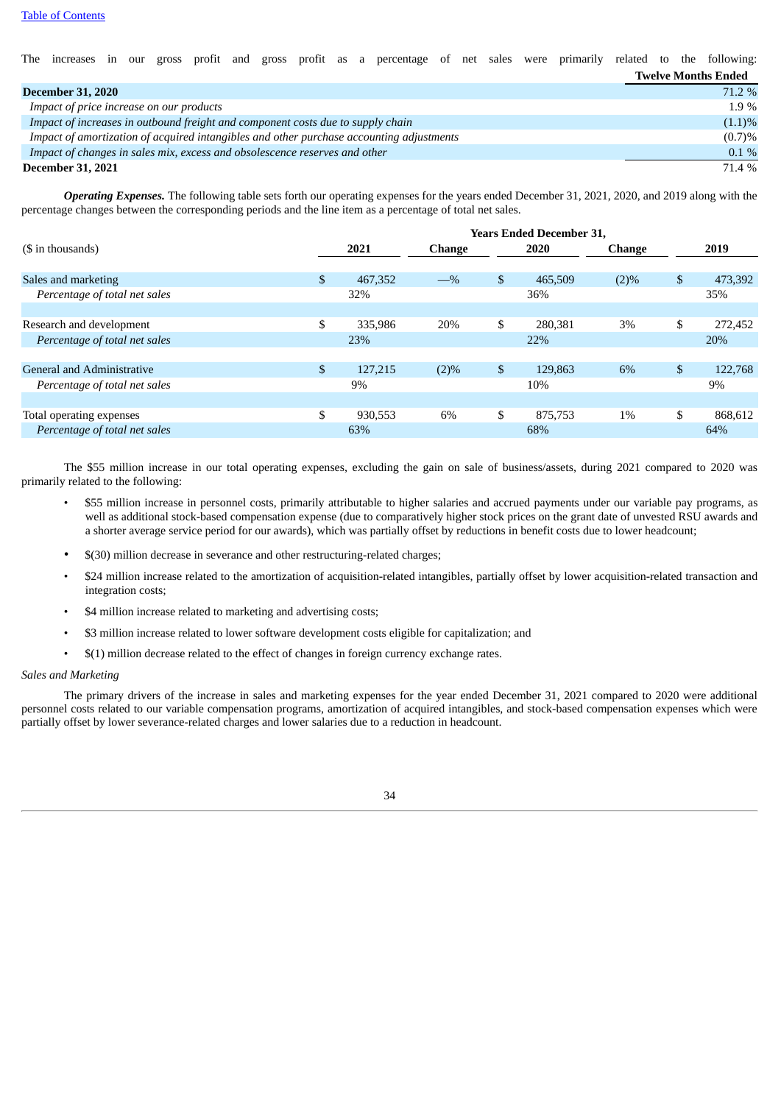|  |  |  |  |  | The increases in our gross profit and gross profit as a percentage of net sales were primarily related to the following: |  |  |  |  |  |
|--|--|--|--|--|--------------------------------------------------------------------------------------------------------------------------|--|--|--|--|--|
|  |  |  |  |  |                                                                                                                          |  |  |  |  |  |

|  | <b>Twelve Months Ended</b> |  |
|--|----------------------------|--|
|  |                            |  |

| <b>December 31, 2020</b>                                                                 | 71.2 %    |
|------------------------------------------------------------------------------------------|-----------|
| Impact of price increase on our products                                                 | $1.9\%$   |
| Impact of increases in outbound freight and component costs due to supply chain          | $(1.1)\%$ |
| Impact of amortization of acquired intangibles and other purchase accounting adjustments | (0.7)%    |
| Impact of changes in sales mix, excess and obsolescence reserves and other               | $0.1\%$   |
| <b>December 31, 2021</b>                                                                 | 71.4 %    |

*Operating Expenses.* The following table sets forth our operating expenses for the years ended December 31, 2021, 2020, and 2019 along with the percentage changes between the corresponding periods and the line item as a percentage of total net sales.

|                                   | <b>Years Ended December 31,</b> |         |        |      |         |               |    |         |  |
|-----------------------------------|---------------------------------|---------|--------|------|---------|---------------|----|---------|--|
| (\$ in thousands)                 |                                 | 2021    | Change | 2020 |         | <b>Change</b> |    | 2019    |  |
|                                   |                                 |         |        |      |         |               |    |         |  |
| Sales and marketing               | \$                              | 467.352 | $-$ %  | \$   | 465,509 | (2)%          | \$ | 473,392 |  |
| Percentage of total net sales     |                                 | 32%     |        |      | 36%     |               |    | 35%     |  |
|                                   |                                 |         |        |      |         |               |    |         |  |
| Research and development          | \$                              | 335.986 | 20%    | \$   | 280.381 | 3%            | \$ | 272,452 |  |
| Percentage of total net sales     |                                 | 23%     |        |      | 22%     |               |    | 20%     |  |
|                                   |                                 |         |        |      |         |               |    |         |  |
| <b>General and Administrative</b> | \$                              | 127,215 | (2)%   | \$   | 129,863 | 6%            | \$ | 122,768 |  |
| Percentage of total net sales     |                                 | $9\%$   |        |      | 10%     |               |    | 9%      |  |
|                                   |                                 |         |        |      |         |               |    |         |  |
| Total operating expenses          | \$                              | 930.553 | 6%     | \$   | 875,753 | $1\%$         | \$ | 868,612 |  |
| Percentage of total net sales     |                                 | 63%     |        |      | 68%     |               |    | 64%     |  |

The \$55 million increase in our total operating expenses, excluding the gain on sale of business/assets, during 2021 compared to 2020 was primarily related to the following:

- \$55 million increase in personnel costs, primarily attributable to higher salaries and accrued payments under our variable pay programs, as well as additional stock-based compensation expense (due to comparatively higher stock prices on the grant date of unvested RSU awards and a shorter average service period for our awards), which was partially offset by reductions in benefit costs due to lower headcount;
- \$(30) million decrease in severance and other restructuring-related charges;
- \$24 million increase related to the amortization of acquisition-related intangibles, partially offset by lower acquisition-related transaction and integration costs;
- \$4 million increase related to marketing and advertising costs;
- \$3 million increase related to lower software development costs eligible for capitalization; and
- \$(1) million decrease related to the effect of changes in foreign currency exchange rates.

#### *Sales and Marketing*

The primary drivers of the increase in sales and marketing expenses for the year ended December 31, 2021 compared to 2020 were additional personnel costs related to our variable compensation programs, amortization of acquired intangibles, and stock-based compensation expenses which were partially offset by lower severance-related charges and lower salaries due to a reduction in headcount.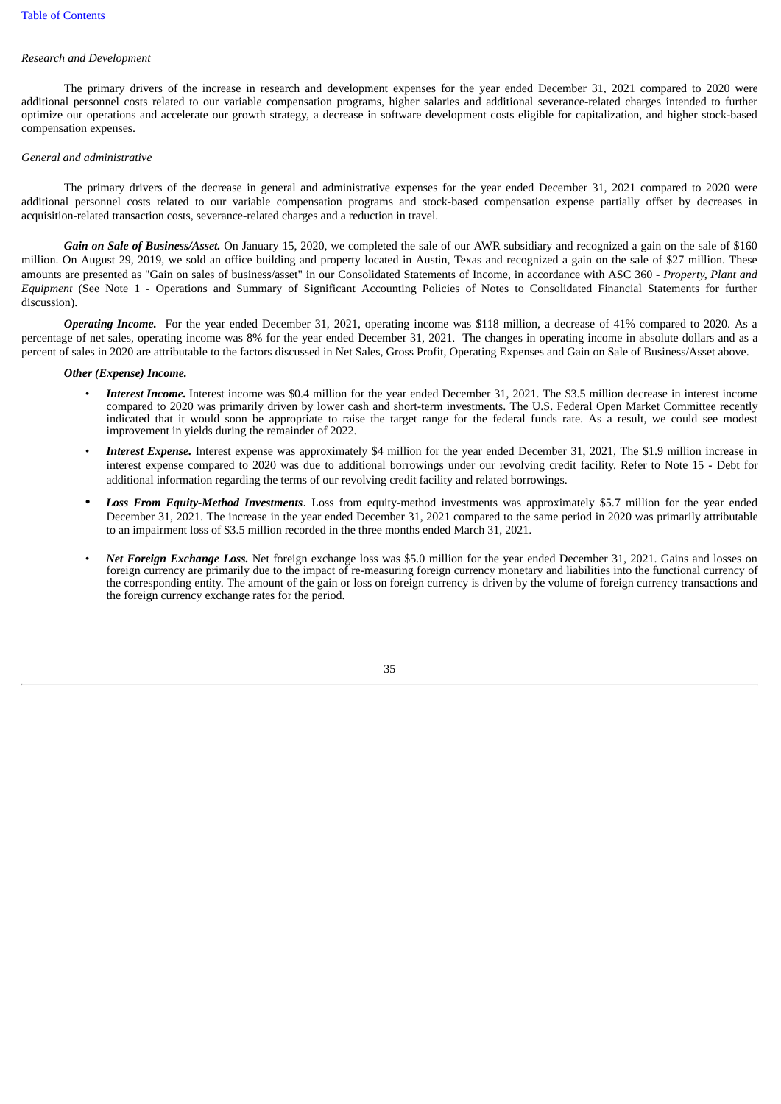# *Research and Development*

The primary drivers of the increase in research and development expenses for the year ended December 31, 2021 compared to 2020 were additional personnel costs related to our variable compensation programs, higher salaries and additional severance-related charges intended to further optimize our operations and accelerate our growth strategy, a decrease in software development costs eligible for capitalization, and higher stock-based compensation expenses.

#### *General and administrative*

The primary drivers of the decrease in general and administrative expenses for the year ended December 31, 2021 compared to 2020 were additional personnel costs related to our variable compensation programs and stock-based compensation expense partially offset by decreases in acquisition-related transaction costs, severance-related charges and a reduction in travel.

*Gain on Sale of Business/Asset.* On January 15, 2020, we completed the sale of our AWR subsidiary and recognized a gain on the sale of \$160 million. On August 29, 2019, we sold an office building and property located in Austin, Texas and recognized a gain on the sale of \$27 million. These amounts are presented as "Gain on sales of business/asset" in our Consolidated Statements of Income, in accordance with ASC 360 - *Property, Plant and Equipment* (See Note 1 - Operations and Summary of Significant Accounting Policies of Notes to Consolidated Financial Statements for further discussion).

*Operating Income.* For the year ended December 31, 2021, operating income was \$118 million, a decrease of 41% compared to 2020. As a percentage of net sales, operating income was 8% for the year ended December 31, 2021. The changes in operating income in absolute dollars and as a percent of sales in 2020 are attributable to the factors discussed in Net Sales, Gross Profit, Operating Expenses and Gain on Sale of Business/Asset above.

#### *Other (Expense) Income.*

- *Interest Income.* Interest income was \$0.4 million for the year ended December 31, 2021. The \$3.5 million decrease in interest income compared to 2020 was primarily driven by lower cash and short-term investments. The U.S. Federal Open Market Committee recently indicated that it would soon be appropriate to raise the target range for the federal funds rate. As a result, we could see modest improvement in yields during the remainder of 2022.
- *Interest Expense.* Interest expense was approximately \$4 million for the year ended December 31, 2021, The \$1.9 million increase in interest expense compared to 2020 was due to additional borrowings under our revolving credit facility. Refer to Note 15 - Debt for additional information regarding the terms of our revolving credit facility and related borrowings.
- *Loss From Equity-Method Investments*. Loss from equity-method investments was approximately \$5.7 million for the year ended December 31, 2021. The increase in the year ended December 31, 2021 compared to the same period in 2020 was primarily attributable to an impairment loss of \$3.5 million recorded in the three months ended March 31, 2021.
- *Net Foreign Exchange Loss.* Net foreign exchange loss was \$5.0 million for the year ended December 31, 2021. Gains and losses on foreign currency are primarily due to the impact of re-measuring foreign currency monetary and liabilities into the functional currency of the corresponding entity. The amount of the gain or loss on foreign currency is driven by the volume of foreign currency transactions and the foreign currency exchange rates for the period.

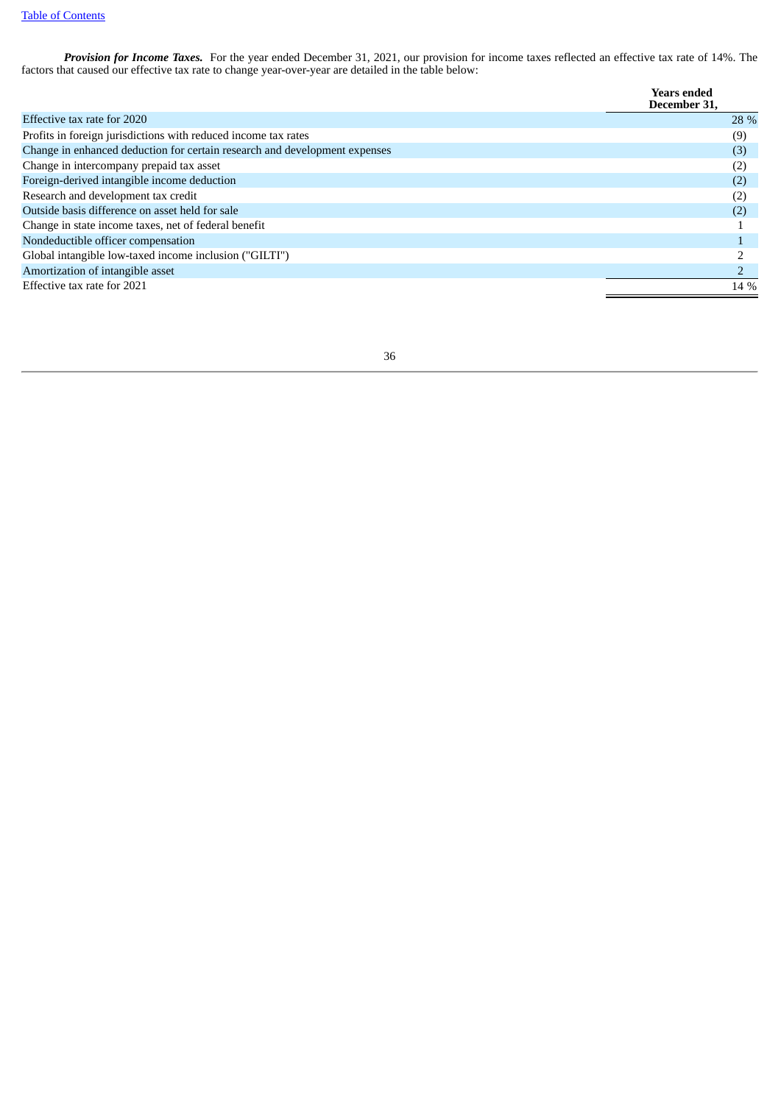*Provision for Income Taxes.* For the year ended December 31, 2021, our provision for income taxes reflected an effective tax rate of 14%. The factors that caused our effective tax rate to change year-over-year are detailed in the table below:

|                                                                            | <b>Years ended</b><br>December 31, |      |
|----------------------------------------------------------------------------|------------------------------------|------|
| Effective tax rate for 2020                                                |                                    | 28 % |
| Profits in foreign jurisdictions with reduced income tax rates             |                                    | (9)  |
| Change in enhanced deduction for certain research and development expenses |                                    | (3)  |
| Change in intercompany prepaid tax asset                                   |                                    | (2)  |
| Foreign-derived intangible income deduction                                |                                    | (2)  |
| Research and development tax credit                                        |                                    | (2)  |
| Outside basis difference on asset held for sale                            |                                    | (2)  |
| Change in state income taxes, net of federal benefit                       |                                    |      |
| Nondeductible officer compensation                                         |                                    |      |
| Global intangible low-taxed income inclusion ("GILTI")                     |                                    |      |
| Amortization of intangible asset                                           |                                    |      |
| Effective tax rate for 2021                                                |                                    | 14 % |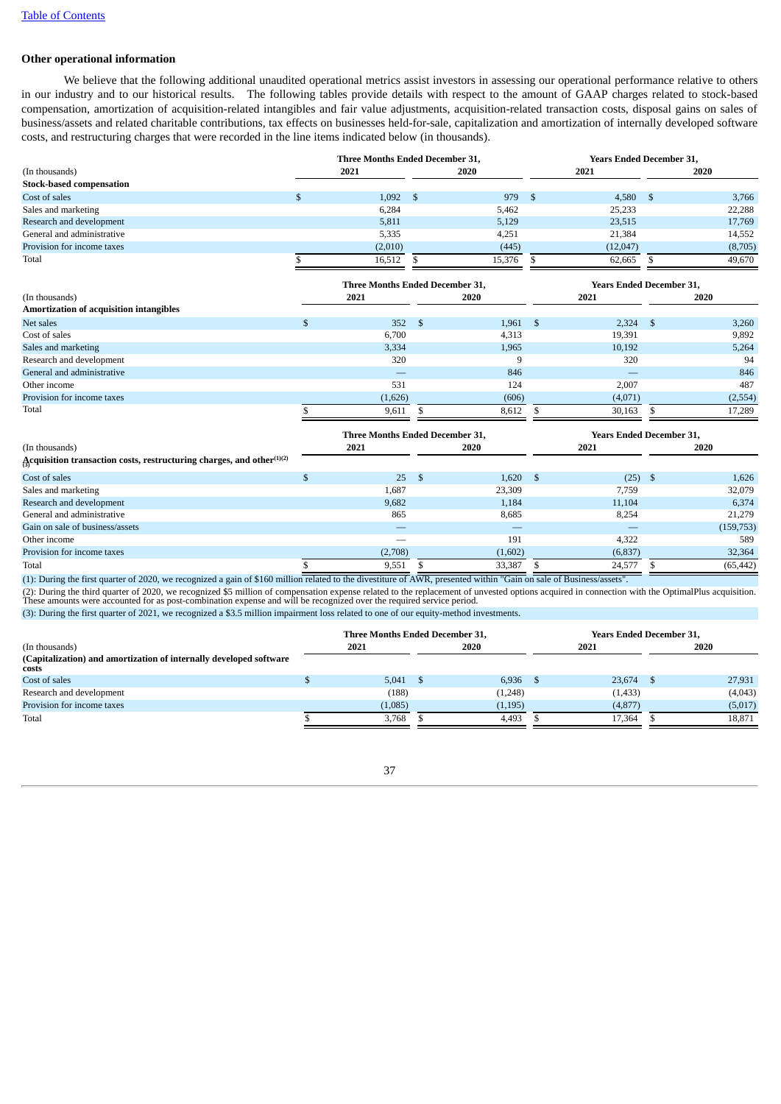# **Other operational information**

We believe that the following additional unaudited operational metrics assist investors in assessing our operational performance relative to others in our industry and to our historical results. The following tables provide details with respect to the amount of GAAP charges related to stock-based compensation, amortization of acquisition-related intangibles and fair value adjustments, acquisition-related transaction costs, disposal gains on sales of business/assets and related charitable contributions, tax effects on businesses held-for-sale, capitalization and amortization of internally developed software costs, and restructuring charges that were recorded in the line items indicated below (in thousands).

|                                                                                   |                | Three Months Ended December 31,        |                |         |                | <b>Years Ended December 31,</b> |              |            |
|-----------------------------------------------------------------------------------|----------------|----------------------------------------|----------------|---------|----------------|---------------------------------|--------------|------------|
| (In thousands)                                                                    |                | 2021                                   |                | 2020    |                | 2021                            |              | 2020       |
| <b>Stock-based compensation</b>                                                   |                |                                        |                |         |                |                                 |              |            |
| Cost of sales                                                                     | \$             | 1,092                                  | \$             | 979     | - \$           | 4,580                           | - \$         | 3,766      |
| Sales and marketing                                                               |                | 6,284                                  |                | 5,462   |                | 25,233                          |              | 22,288     |
| Research and development                                                          |                | 5,811                                  |                | 5,129   |                | 23,515                          |              | 17,769     |
| General and administrative                                                        |                | 5,335                                  |                | 4,251   |                | 21,384                          |              | 14,552     |
| Provision for income taxes                                                        |                | (2,010)                                |                | (445)   |                | (12,047)                        |              | (8,705)    |
| Total                                                                             | \$             | 16,512                                 | \$             | 15,376  | \$             | 62,665                          | \$           | 49,670     |
|                                                                                   |                | <b>Three Months Ended December 31,</b> |                |         |                | <b>Years Ended December 31,</b> |              |            |
| (In thousands)                                                                    |                | 2021                                   |                | 2020    |                | 2021                            |              | 2020       |
| Amortization of acquisition intangibles                                           |                |                                        |                |         |                |                                 |              |            |
| Net sales                                                                         | $\mathfrak{S}$ | 352                                    | $\mathfrak{S}$ | 1,961   | $\mathfrak{S}$ | 2,324                           | $^{\circ}$   | 3,260      |
| Cost of sales                                                                     |                | 6,700                                  |                | 4,313   |                | 19,391                          |              | 9,892      |
| Sales and marketing                                                               |                | 3,334                                  |                | 1,965   |                | 10,192                          |              | 5,264      |
| Research and development                                                          |                | 320                                    |                | 9       |                | 320                             |              | 94         |
| General and administrative                                                        |                | -                                      |                | 846     |                |                                 |              | 846        |
| Other income                                                                      |                | 531                                    |                | 124     |                | 2,007                           |              | 487        |
| Provision for income taxes                                                        |                | (1,626)                                |                | (606)   |                | (4,071)                         |              | (2, 554)   |
| Total                                                                             |                | 9,611                                  | \$             | 8,612   | \$             | 30,163                          | \$           | 17,289     |
|                                                                                   |                | <b>Three Months Ended December 31,</b> |                |         |                | <b>Years Ended December 31,</b> |              |            |
| (In thousands)                                                                    |                | 2021                                   |                | 2020    |                | 2021                            |              | 2020       |
| Acquisition transaction costs, restructuring charges, and other <sup>(1)(2)</sup> |                |                                        |                |         |                |                                 |              |            |
| Cost of sales                                                                     | $\mathbb{S}$   | 25                                     | $\mathfrak{S}$ | 1,620   | $\mathfrak{S}$ | $(25)$ \$                       |              | 1,626      |
| Sales and marketing                                                               |                | 1,687                                  |                | 23,309  |                | 7,759                           |              | 32,079     |
| Research and development                                                          |                | 9,682                                  |                | 1,184   |                | 11,104                          |              | 6,374      |
| General and administrative                                                        |                | 865                                    |                | 8,685   |                | 8,254                           |              | 21,279     |
| Gain on sale of business/assets                                                   |                |                                        |                |         |                |                                 |              | (159, 753) |
| Other income                                                                      |                |                                        |                | 191     |                | 4,322                           |              | 589        |
| Provision for income taxes                                                        |                | (2,708)                                |                | (1,602) |                | (6,837)                         |              | 32,364     |
| Total                                                                             | \$             | 9,551                                  | \$             | 33,387  | \$             | 24,577                          | $\mathbb{S}$ | (65, 442)  |

(1): During the first quarter of 2020, we recognized a gain of \$160 million related to the divestiture of AWR, presented within "Gain on sale of Business/assets". (2): During the third quarter of 2020, we recognized \$5 million of compensation expense related to the replacement of unvested options acquired in connection with the OptimalPlus acquisition.<br>These amounts were accounted f

(3): During the first quarter of 2021, we recognized a \$3.5 million impairment loss related to one of our equity-method investments.

|                                                                             | <b>Three Months Ended December 31.</b> |            |  | <b>Years Ended December 31,</b> |  |          |  |      |         |
|-----------------------------------------------------------------------------|----------------------------------------|------------|--|---------------------------------|--|----------|--|------|---------|
| (In thousands)                                                              |                                        | 2021       |  | 2020                            |  | 2021     |  | 2020 |         |
| (Capitalization) and amortization of internally developed software<br>costs |                                        |            |  |                                 |  |          |  |      |         |
| Cost of sales                                                               |                                        | $5,041$ \$ |  | 6,936                           |  | 23,674   |  |      | 27,931  |
| Research and development                                                    |                                        | (188)      |  | (1,248)                         |  | (1, 433) |  |      | (4,043) |
| Provision for income taxes                                                  |                                        | (1,085)    |  | (1, 195)                        |  | (4,877)  |  |      | (5,017) |
| Total                                                                       |                                        | 3,768      |  | 4,493                           |  | 17.364   |  |      | 18,871  |
|                                                                             |                                        |            |  |                                 |  |          |  |      |         |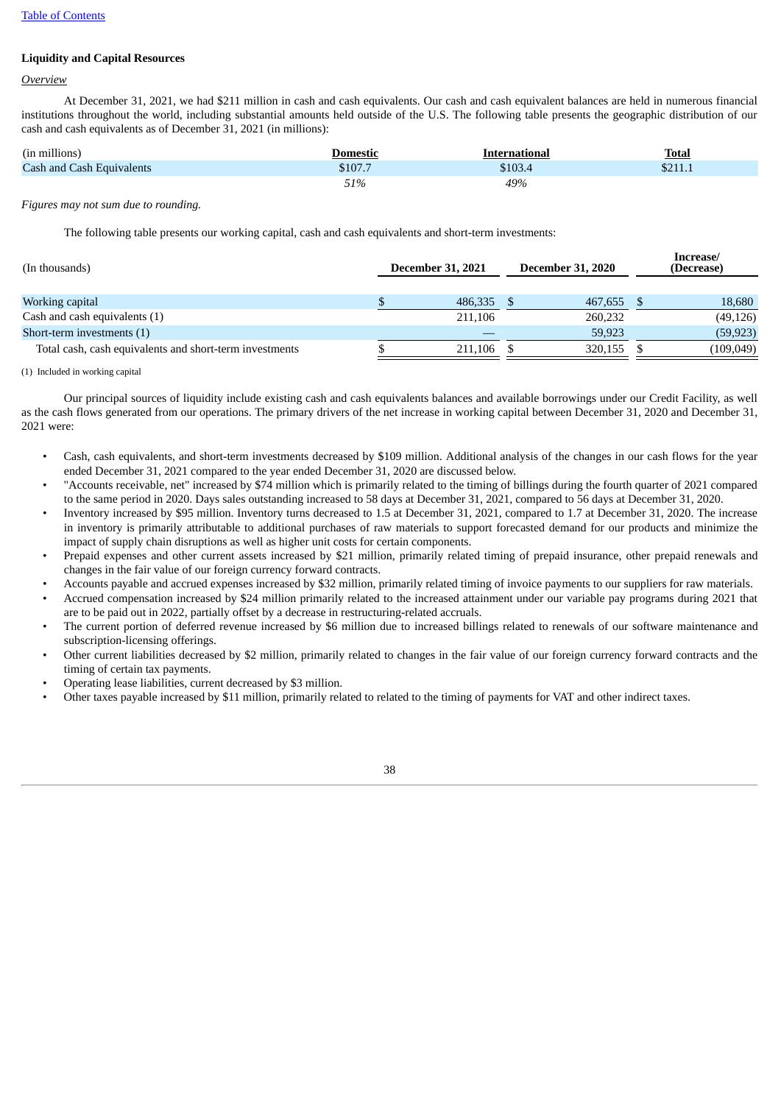# **Liquidity and Capital Resources**

*Overview*

At December 31, 2021, we had \$211 million in cash and cash equivalents. Our cash and cash equivalent balances are held in numerous financial institutions throughout the world, including substantial amounts held outside of the U.S. The following table presents the geographic distribution of our cash and cash equivalents as of December 31, 2021 (in millions):

| (in millions)                    | Domestic | International | <u>Total</u> |
|----------------------------------|----------|---------------|--------------|
| <b>Cash and Cash Equivalents</b> | \$107.7  | \$103.4       |              |
|                                  | 51%      | 49%           |              |

### *Figures may not sum due to rounding.*

The following table presents our working capital, cash and cash equivalents and short-term investments:

| (In thousands)                                          | <b>December 31, 2021</b> | <b>December 31, 2020</b> | Increase/<br>(Decrease) |  |
|---------------------------------------------------------|--------------------------|--------------------------|-------------------------|--|
|                                                         |                          |                          |                         |  |
| Working capital                                         | 486,335                  | 467,655 \$               | 18,680                  |  |
| Cash and cash equivalents (1)                           | 211,106                  | 260,232                  | (49, 126)               |  |
| Short-term investments (1)                              |                          | 59,923                   | (59, 923)               |  |
| Total cash, cash equivalents and short-term investments | 211.106                  | 320,155                  | (109, 049)              |  |

# (1) Included in working capital

Our principal sources of liquidity include existing cash and cash equivalents balances and available borrowings under our Credit Facility, as well as the cash flows generated from our operations. The primary drivers of the net increase in working capital between December 31, 2020 and December 31, 2021 were:

- Cash, cash equivalents, and short-term investments decreased by \$109 million. Additional analysis of the changes in our cash flows for the year ended December 31, 2021 compared to the year ended December 31, 2020 are discussed below.
- "Accounts receivable, net" increased by \$74 million which is primarily related to the timing of billings during the fourth quarter of 2021 compared to the same period in 2020. Days sales outstanding increased to 58 days at December 31, 2021, compared to 56 days at December 31, 2020.
- Inventory increased by \$95 million. Inventory turns decreased to 1.5 at December 31, 2021, compared to 1.7 at December 31, 2020. The increase in inventory is primarily attributable to additional purchases of raw materials to support forecasted demand for our products and minimize the impact of supply chain disruptions as well as higher unit costs for certain components.
- Prepaid expenses and other current assets increased by \$21 million, primarily related timing of prepaid insurance, other prepaid renewals and changes in the fair value of our foreign currency forward contracts.
- Accounts payable and accrued expenses increased by \$32 million, primarily related timing of invoice payments to our suppliers for raw materials.
- Accrued compensation increased by \$24 million primarily related to the increased attainment under our variable pay programs during 2021 that are to be paid out in 2022, partially offset by a decrease in restructuring-related accruals.
- The current portion of deferred revenue increased by \$6 million due to increased billings related to renewals of our software maintenance and subscription-licensing offerings.
- Other current liabilities decreased by \$2 million, primarily related to changes in the fair value of our foreign currency forward contracts and the timing of certain tax payments.
- Operating lease liabilities, current decreased by \$3 million.
- Other taxes payable increased by \$11 million, primarily related to related to the timing of payments for VAT and other indirect taxes.

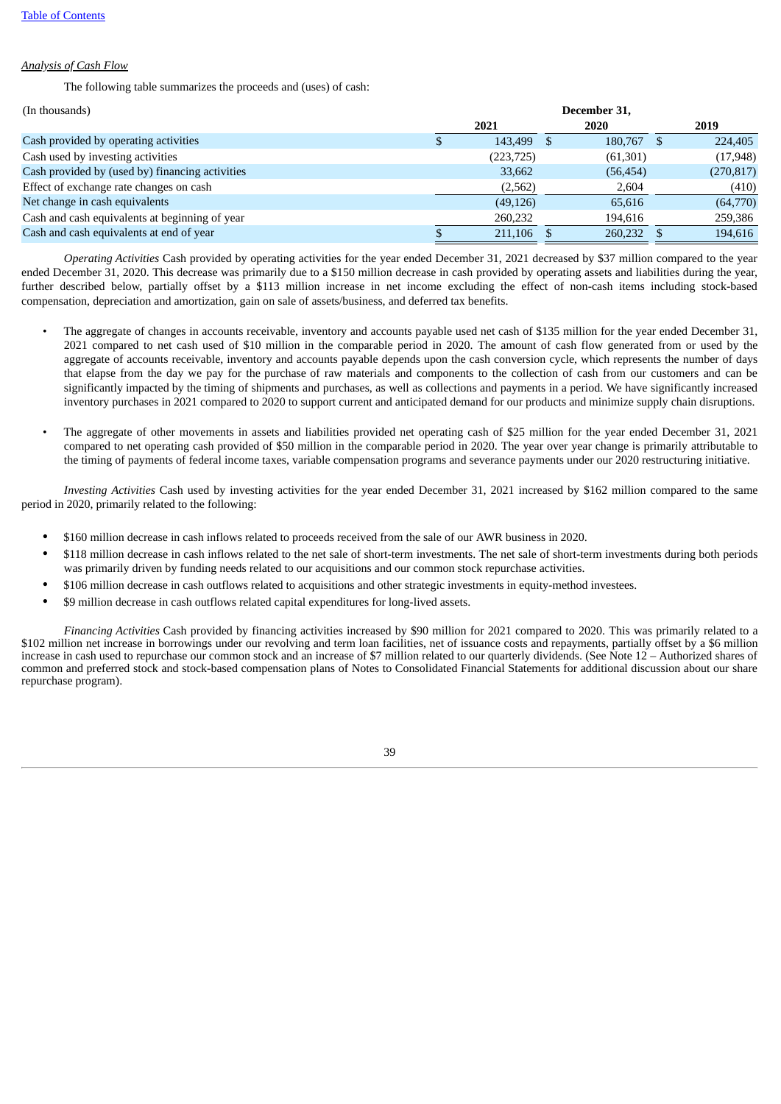# *Analysis of Cash Flow*

The following table summarizes the proceeds and (uses) of cash:

| (In thousands)                                  | December 31, |            |  |           |            |
|-------------------------------------------------|--------------|------------|--|-----------|------------|
|                                                 |              | 2021       |  | 2020      | 2019       |
| Cash provided by operating activities           | Ъ            | 143,499    |  | 180,767   | 224,405    |
| Cash used by investing activities               |              | (223, 725) |  | (61, 301) | (17,948)   |
| Cash provided by (used by) financing activities |              | 33,662     |  | (56, 454) | (270, 817) |
| Effect of exchange rate changes on cash         |              | (2,562)    |  | 2,604     | (410)      |
| Net change in cash equivalents                  |              | (49, 126)  |  | 65,616    | (64,770)   |
| Cash and cash equivalents at beginning of year  |              | 260,232    |  | 194,616   | 259,386    |
| Cash and cash equivalents at end of year        |              | 211,106    |  | 260,232   | 194,616    |
|                                                 |              |            |  |           |            |

*Operating Activities* Cash provided by operating activities for the year ended December 31, 2021 decreased by \$37 million compared to the year ended December 31, 2020. This decrease was primarily due to a \$150 million decrease in cash provided by operating assets and liabilities during the year, further described below, partially offset by a \$113 million increase in net income excluding the effect of non-cash items including stock-based compensation, depreciation and amortization, gain on sale of assets/business, and deferred tax benefits.

- The aggregate of changes in accounts receivable, inventory and accounts payable used net cash of \$135 million for the year ended December 31, 2021 compared to net cash used of \$10 million in the comparable period in 2020. The amount of cash flow generated from or used by the aggregate of accounts receivable, inventory and accounts payable depends upon the cash conversion cycle, which represents the number of days that elapse from the day we pay for the purchase of raw materials and components to the collection of cash from our customers and can be significantly impacted by the timing of shipments and purchases, as well as collections and payments in a period. We have significantly increased inventory purchases in 2021 compared to 2020 to support current and anticipated demand for our products and minimize supply chain disruptions.
- The aggregate of other movements in assets and liabilities provided net operating cash of \$25 million for the year ended December 31, 2021 compared to net operating cash provided of \$50 million in the comparable period in 2020. The year over year change is primarily attributable to the timing of payments of federal income taxes, variable compensation programs and severance payments under our 2020 restructuring initiative.

*Investing Activities* Cash used by investing activities for the year ended December 31, 2021 increased by \$162 million compared to the same period in 2020, primarily related to the following:

- \$160 million decrease in cash inflows related to proceeds received from the sale of our AWR business in 2020.
- \$118 million decrease in cash inflows related to the net sale of short-term investments. The net sale of short-term investments during both periods was primarily driven by funding needs related to our acquisitions and our common stock repurchase activities.
- \$106 million decrease in cash outflows related to acquisitions and other strategic investments in equity-method investees.
- \$9 million decrease in cash outflows related capital expenditures for long-lived assets.

*Financing Activities* Cash provided by financing activities increased by \$90 million for 2021 compared to 2020. This was primarily related to a \$102 million net increase in borrowings under our revolving and term loan facilities, net of issuance costs and repayments, partially offset by a \$6 million increase in cash used to repurchase our common stock and an increase of \$7 million related to our quarterly dividends. (See Note 12 – Authorized shares of common and preferred stock and stock-based compensation plans of Notes to Consolidated Financial Statements for additional discussion about our share repurchase program).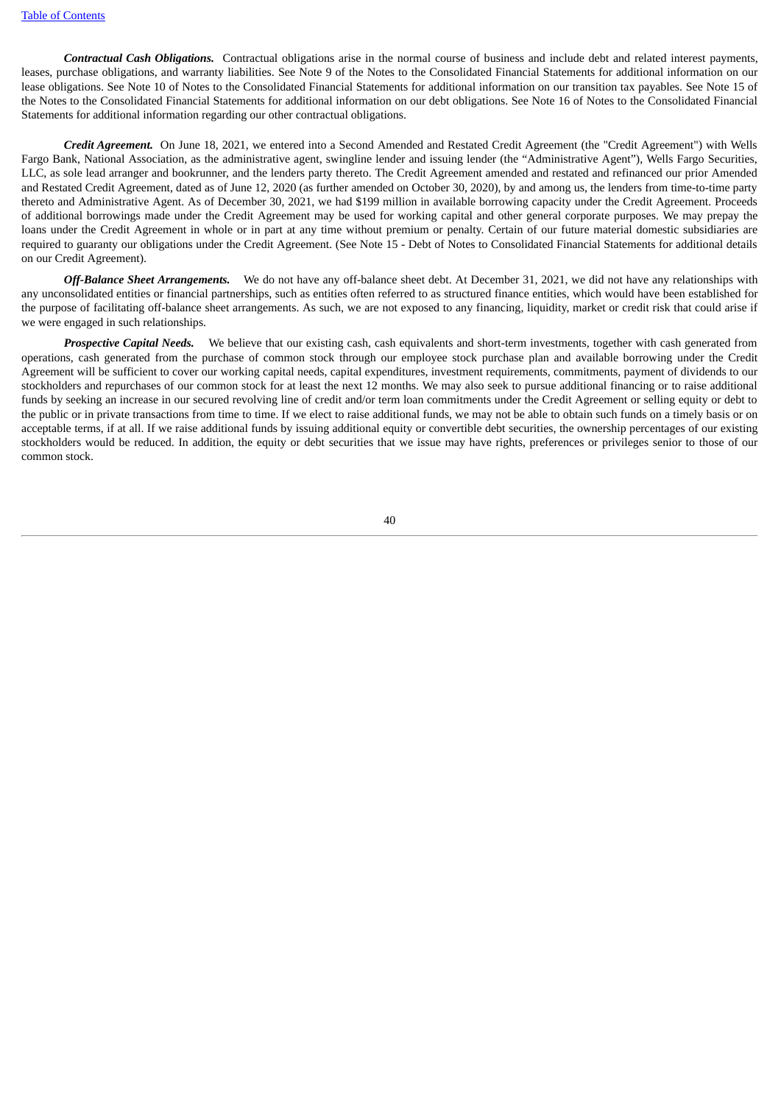*Contractual Cash Obligations.* Contractual obligations arise in the normal course of business and include debt and related interest payments, leases, purchase obligations, and warranty liabilities. See Note 9 of the Notes to the Consolidated Financial Statements for additional information on our lease obligations. See Note 10 of Notes to the Consolidated Financial Statements for additional information on our transition tax payables. See Note 15 of the Notes to the Consolidated Financial Statements for additional information on our debt obligations. See Note 16 of Notes to the Consolidated Financial Statements for additional information regarding our other contractual obligations.

*Credit Agreement.* On June 18, 2021, we entered into a Second Amended and Restated Credit Agreement (the "Credit Agreement") with Wells Fargo Bank, National Association, as the administrative agent, swingline lender and issuing lender (the "Administrative Agent"), Wells Fargo Securities, LLC, as sole lead arranger and bookrunner, and the lenders party thereto. The Credit Agreement amended and restated and refinanced our prior Amended and Restated Credit Agreement, dated as of June 12, 2020 (as further amended on October 30, 2020), by and among us, the lenders from time-to-time party thereto and Administrative Agent. As of December 30, 2021, we had \$199 million in available borrowing capacity under the Credit Agreement. Proceeds of additional borrowings made under the Credit Agreement may be used for working capital and other general corporate purposes. We may prepay the loans under the Credit Agreement in whole or in part at any time without premium or penalty. Certain of our future material domestic subsidiaries are required to guaranty our obligations under the Credit Agreement. (See Note 15 - Debt of Notes to Consolidated Financial Statements for additional details on our Credit Agreement).

*Off-Balance Sheet Arrangements.* We do not have any off-balance sheet debt. At December 31, 2021, we did not have any relationships with any unconsolidated entities or financial partnerships, such as entities often referred to as structured finance entities, which would have been established for the purpose of facilitating off-balance sheet arrangements. As such, we are not exposed to any financing, liquidity, market or credit risk that could arise if we were engaged in such relationships.

*Prospective Capital Needs.* We believe that our existing cash, cash equivalents and short-term investments, together with cash generated from operations, cash generated from the purchase of common stock through our employee stock purchase plan and available borrowing under the Credit Agreement will be sufficient to cover our working capital needs, capital expenditures, investment requirements, commitments, payment of dividends to our stockholders and repurchases of our common stock for at least the next 12 months. We may also seek to pursue additional financing or to raise additional funds by seeking an increase in our secured revolving line of credit and/or term loan commitments under the Credit Agreement or selling equity or debt to the public or in private transactions from time to time. If we elect to raise additional funds, we may not be able to obtain such funds on a timely basis or on acceptable terms, if at all. If we raise additional funds by issuing additional equity or convertible debt securities, the ownership percentages of our existing stockholders would be reduced. In addition, the equity or debt securities that we issue may have rights, preferences or privileges senior to those of our common stock.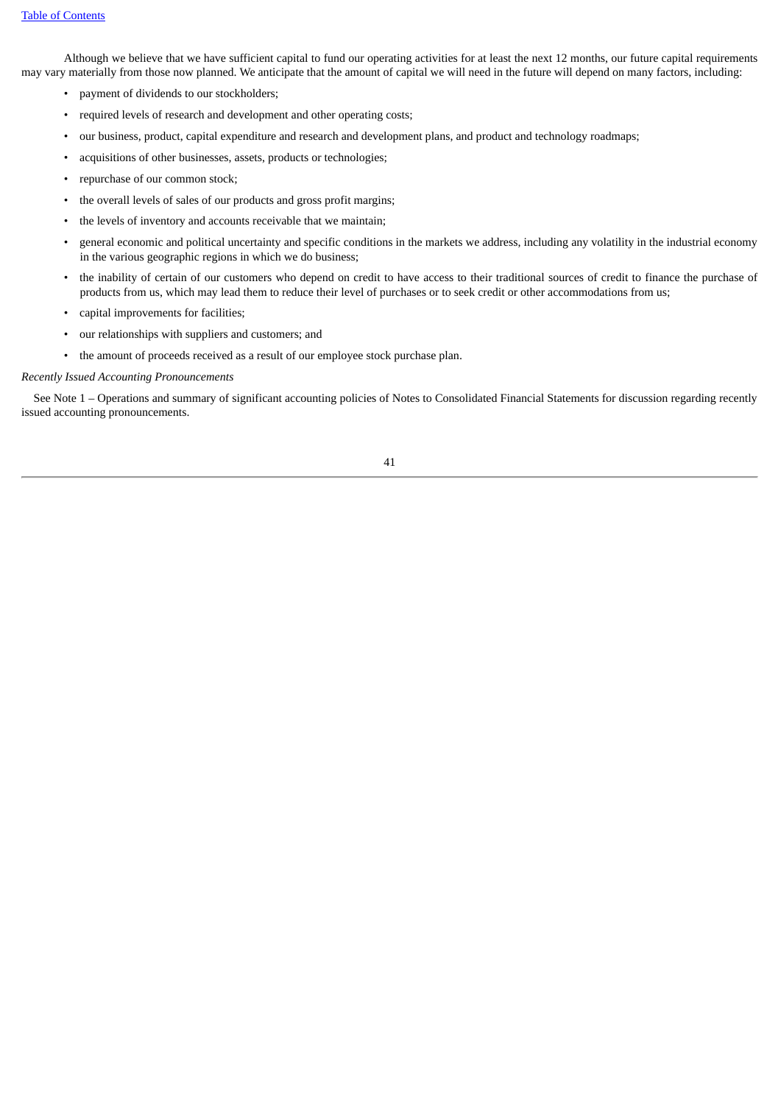Although we believe that we have sufficient capital to fund our operating activities for at least the next 12 months, our future capital requirements may vary materially from those now planned. We anticipate that the amount of capital we will need in the future will depend on many factors, including:

- payment of dividends to our stockholders;
- required levels of research and development and other operating costs;
- our business, product, capital expenditure and research and development plans, and product and technology roadmaps;
- acquisitions of other businesses, assets, products or technologies;
- repurchase of our common stock;
- the overall levels of sales of our products and gross profit margins;
- the levels of inventory and accounts receivable that we maintain;
- general economic and political uncertainty and specific conditions in the markets we address, including any volatility in the industrial economy in the various geographic regions in which we do business;
- the inability of certain of our customers who depend on credit to have access to their traditional sources of credit to finance the purchase of products from us, which may lead them to reduce their level of purchases or to seek credit or other accommodations from us;
- capital improvements for facilities;
- our relationships with suppliers and customers; and
- the amount of proceeds received as a result of our employee stock purchase plan.

# *Recently Issued Accounting Pronouncements*

See Note 1 – Operations and summary of significant accounting policies of Notes to Consolidated Financial Statements for discussion regarding recently issued accounting pronouncements.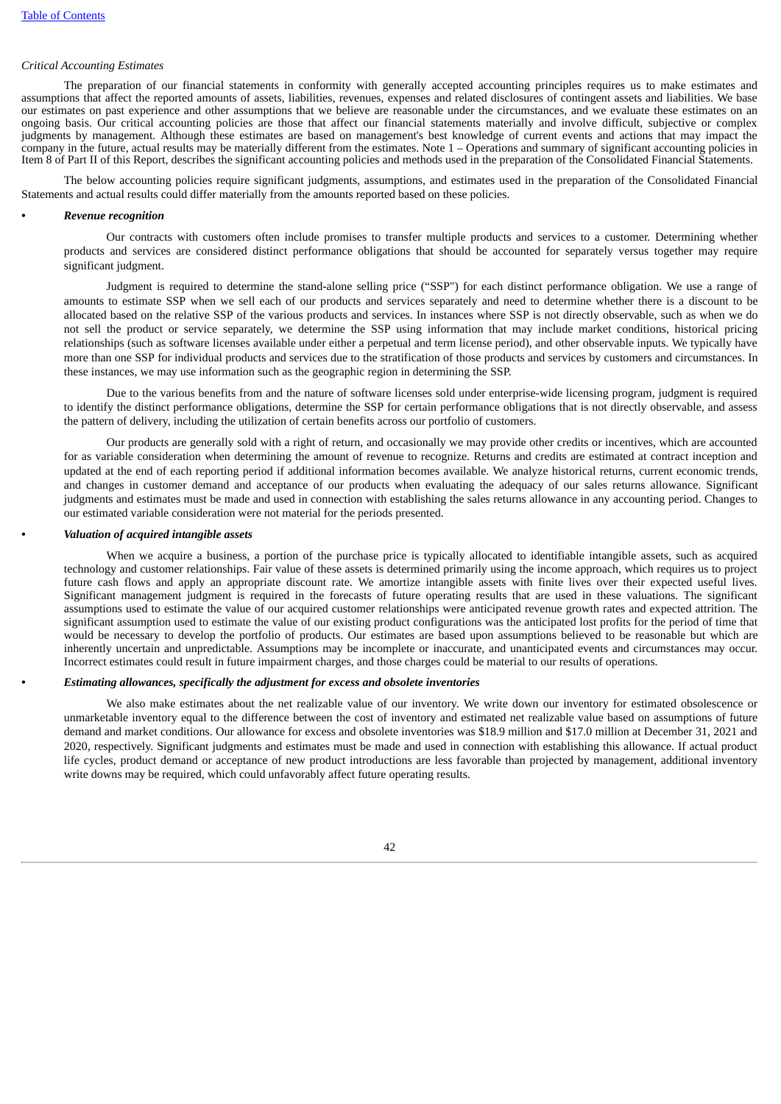# *Critical Accounting Estimates*

The preparation of our financial statements in conformity with generally accepted accounting principles requires us to make estimates and assumptions that affect the reported amounts of assets, liabilities, revenues, expenses and related disclosures of contingent assets and liabilities. We base our estimates on past experience and other assumptions that we believe are reasonable under the circumstances, and we evaluate these estimates on an ongoing basis. Our critical accounting policies are those that affect our financial statements materially and involve difficult, subjective or complex judgments by management. Although these estimates are based on management's best knowledge of current events and actions that may impact the company in the future, actual results may be materially different from the estimates. Note 1 – Operations and summary of significant accounting policies in Item 8 of Part II of this Report, describes the significant accounting policies and methods used in the preparation of the Consolidated Financial Statements.

The below accounting policies require significant judgments, assumptions, and estimates used in the preparation of the Consolidated Financial Statements and actual results could differ materially from the amounts reported based on these policies.

#### *• Revenue recognition*

Our contracts with customers often include promises to transfer multiple products and services to a customer. Determining whether products and services are considered distinct performance obligations that should be accounted for separately versus together may require significant judgment.

Judgment is required to determine the stand-alone selling price ("SSP") for each distinct performance obligation. We use a range of amounts to estimate SSP when we sell each of our products and services separately and need to determine whether there is a discount to be allocated based on the relative SSP of the various products and services. In instances where SSP is not directly observable, such as when we do not sell the product or service separately, we determine the SSP using information that may include market conditions, historical pricing relationships (such as software licenses available under either a perpetual and term license period), and other observable inputs. We typically have more than one SSP for individual products and services due to the stratification of those products and services by customers and circumstances. In these instances, we may use information such as the geographic region in determining the SSP.

Due to the various benefits from and the nature of software licenses sold under enterprise-wide licensing program, judgment is required to identify the distinct performance obligations, determine the SSP for certain performance obligations that is not directly observable, and assess the pattern of delivery, including the utilization of certain benefits across our portfolio of customers.

Our products are generally sold with a right of return, and occasionally we may provide other credits or incentives, which are accounted for as variable consideration when determining the amount of revenue to recognize. Returns and credits are estimated at contract inception and updated at the end of each reporting period if additional information becomes available. We analyze historical returns, current economic trends, and changes in customer demand and acceptance of our products when evaluating the adequacy of our sales returns allowance. Significant judgments and estimates must be made and used in connection with establishing the sales returns allowance in any accounting period. Changes to our estimated variable consideration were not material for the periods presented.

#### *• Valuation of acquired intangible assets*

When we acquire a business, a portion of the purchase price is typically allocated to identifiable intangible assets, such as acquired technology and customer relationships. Fair value of these assets is determined primarily using the income approach, which requires us to project future cash flows and apply an appropriate discount rate. We amortize intangible assets with finite lives over their expected useful lives. Significant management judgment is required in the forecasts of future operating results that are used in these valuations. The significant assumptions used to estimate the value of our acquired customer relationships were anticipated revenue growth rates and expected attrition. The significant assumption used to estimate the value of our existing product configurations was the anticipated lost profits for the period of time that would be necessary to develop the portfolio of products. Our estimates are based upon assumptions believed to be reasonable but which are inherently uncertain and unpredictable. Assumptions may be incomplete or inaccurate, and unanticipated events and circumstances may occur. Incorrect estimates could result in future impairment charges, and those charges could be material to our results of operations.

# *• Estimating allowances, specifically the adjustment for excess and obsolete inventories*

We also make estimates about the net realizable value of our inventory. We write down our inventory for estimated obsolescence or unmarketable inventory equal to the difference between the cost of inventory and estimated net realizable value based on assumptions of future demand and market conditions. Our allowance for excess and obsolete inventories was \$18.9 million and \$17.0 million at December 31, 2021 and 2020, respectively. Significant judgments and estimates must be made and used in connection with establishing this allowance. If actual product life cycles, product demand or acceptance of new product introductions are less favorable than projected by management, additional inventory write downs may be required, which could unfavorably affect future operating results.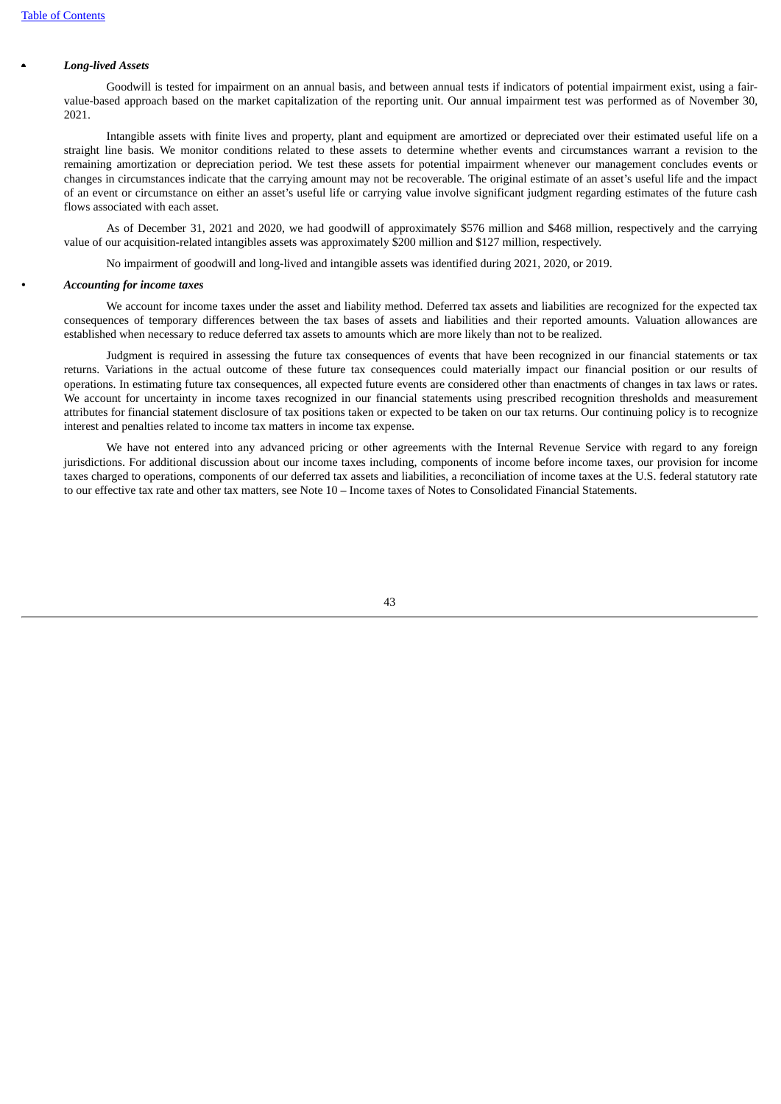# *• Long-lived Assets*

Goodwill is tested for impairment on an annual basis, and between annual tests if indicators of potential impairment exist, using a fairvalue-based approach based on the market capitalization of the reporting unit. Our annual impairment test was performed as of November 30, 2021.

Intangible assets with finite lives and property, plant and equipment are amortized or depreciated over their estimated useful life on a straight line basis. We monitor conditions related to these assets to determine whether events and circumstances warrant a revision to the remaining amortization or depreciation period. We test these assets for potential impairment whenever our management concludes events or changes in circumstances indicate that the carrying amount may not be recoverable. The original estimate of an asset's useful life and the impact of an event or circumstance on either an asset's useful life or carrying value involve significant judgment regarding estimates of the future cash flows associated with each asset.

As of December 31, 2021 and 2020, we had goodwill of approximately \$576 million and \$468 million, respectively and the carrying value of our acquisition-related intangibles assets was approximately \$200 million and \$127 million, respectively.

No impairment of goodwill and long-lived and intangible assets was identified during 2021, 2020, or 2019.

### *• Accounting for income taxes*

We account for income taxes under the asset and liability method. Deferred tax assets and liabilities are recognized for the expected tax consequences of temporary differences between the tax bases of assets and liabilities and their reported amounts. Valuation allowances are established when necessary to reduce deferred tax assets to amounts which are more likely than not to be realized.

Judgment is required in assessing the future tax consequences of events that have been recognized in our financial statements or tax returns. Variations in the actual outcome of these future tax consequences could materially impact our financial position or our results of operations. In estimating future tax consequences, all expected future events are considered other than enactments of changes in tax laws or rates. We account for uncertainty in income taxes recognized in our financial statements using prescribed recognition thresholds and measurement attributes for financial statement disclosure of tax positions taken or expected to be taken on our tax returns. Our continuing policy is to recognize interest and penalties related to income tax matters in income tax expense.

We have not entered into any advanced pricing or other agreements with the Internal Revenue Service with regard to any foreign jurisdictions. For additional discussion about our income taxes including, components of income before income taxes, our provision for income taxes charged to operations, components of our deferred tax assets and liabilities, a reconciliation of income taxes at the U.S. federal statutory rate to our effective tax rate and other tax matters, see Note 10 – Income taxes of Notes to Consolidated Financial Statements.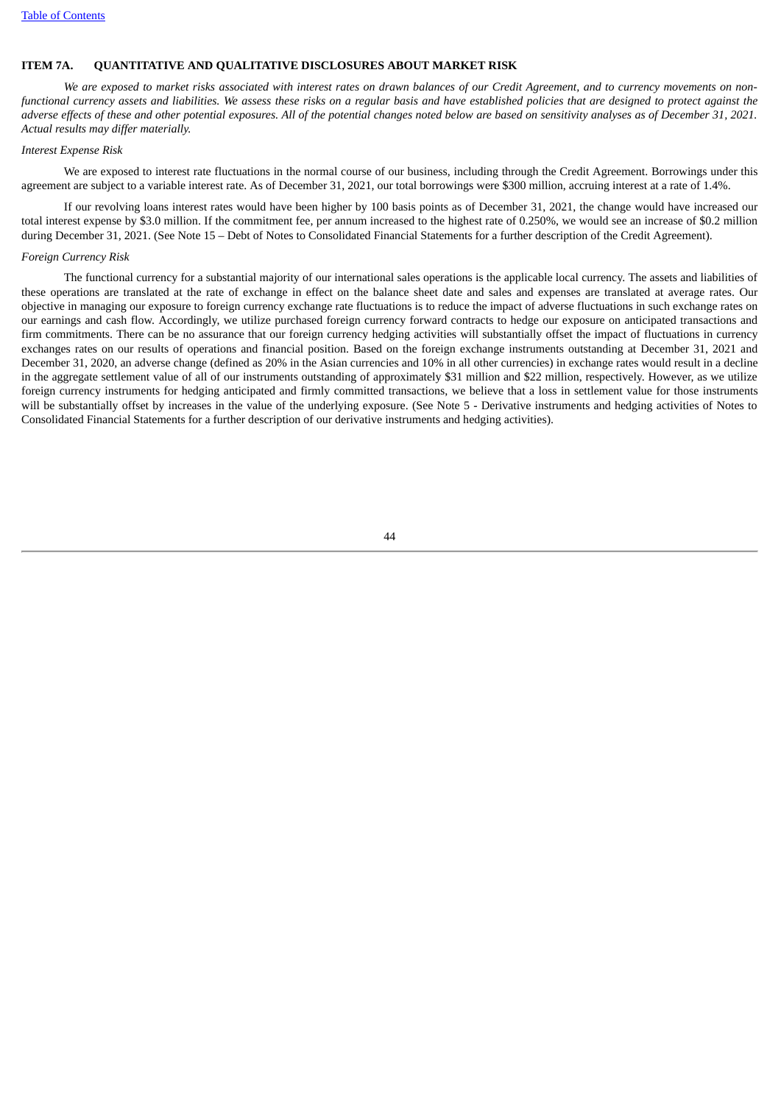# **ITEM 7A. QUANTITATIVE AND QUALITATIVE DISCLOSURES ABOUT MARKET RISK**

We are exposed to market risks associated with interest rates on drawn balances of our Credit Agreement, and to currency movements on nonfunctional currency assets and liabilities. We assess these risks on a regular basis and have established policies that are designed to protect against the adverse effects of these and other potential exposures. All of the potential changes noted below are based on sensitivity analyses as of December 31, 2021. *Actual results may differ materially.*

### *Interest Expense Risk*

We are exposed to interest rate fluctuations in the normal course of our business, including through the Credit Agreement. Borrowings under this agreement are subject to a variable interest rate. As of December 31, 2021, our total borrowings were \$300 million, accruing interest at a rate of 1.4%.

If our revolving loans interest rates would have been higher by 100 basis points as of December 31, 2021, the change would have increased our total interest expense by \$3.0 million. If the commitment fee, per annum increased to the highest rate of 0.250%, we would see an increase of \$0.2 million during December 31, 2021. (See Note 15 – Debt of Notes to Consolidated Financial Statements for a further description of the Credit Agreement).

### *Foreign Currency Risk*

The functional currency for a substantial majority of our international sales operations is the applicable local currency. The assets and liabilities of these operations are translated at the rate of exchange in effect on the balance sheet date and sales and expenses are translated at average rates. Our objective in managing our exposure to foreign currency exchange rate fluctuations is to reduce the impact of adverse fluctuations in such exchange rates on our earnings and cash flow. Accordingly, we utilize purchased foreign currency forward contracts to hedge our exposure on anticipated transactions and firm commitments. There can be no assurance that our foreign currency hedging activities will substantially offset the impact of fluctuations in currency exchanges rates on our results of operations and financial position. Based on the foreign exchange instruments outstanding at December 31, 2021 and December 31, 2020, an adverse change (defined as 20% in the Asian currencies and 10% in all other currencies) in exchange rates would result in a decline in the aggregate settlement value of all of our instruments outstanding of approximately \$31 million and \$22 million, respectively. However, as we utilize foreign currency instruments for hedging anticipated and firmly committed transactions, we believe that a loss in settlement value for those instruments will be substantially offset by increases in the value of the underlying exposure. (See Note 5 - Derivative instruments and hedging activities of Notes to Consolidated Financial Statements for a further description of our derivative instruments and hedging activities).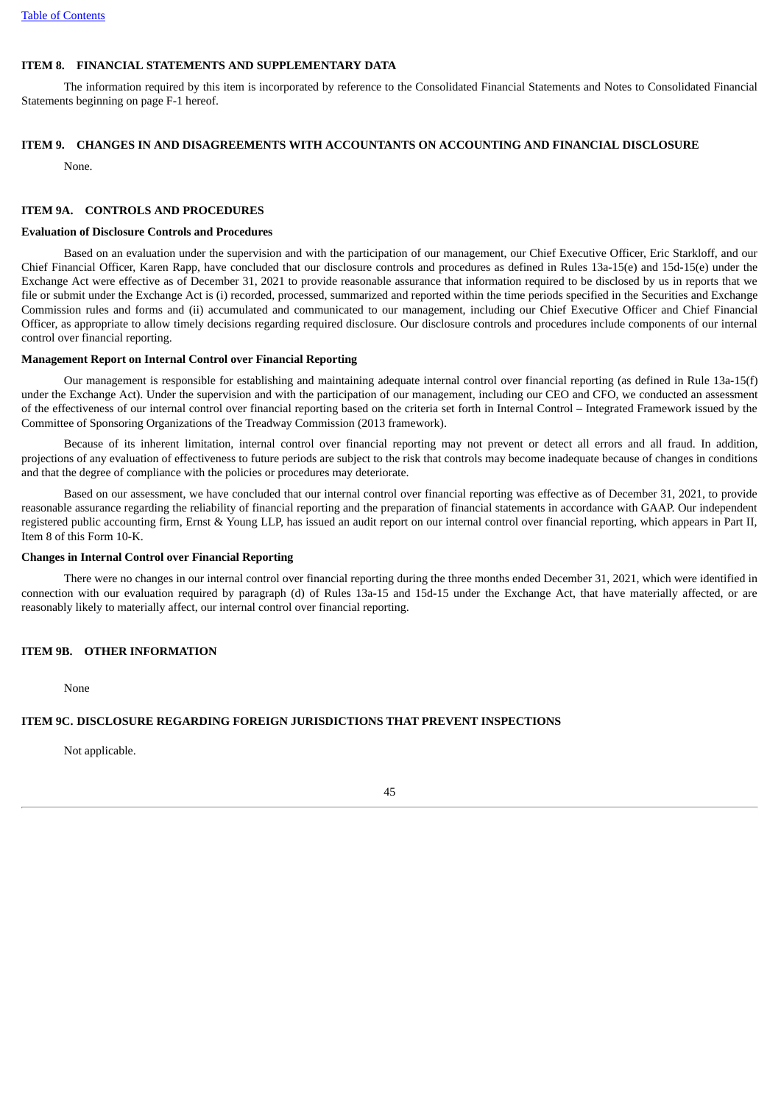# **ITEM 8. FINANCIAL STATEMENTS AND SUPPLEMENTARY DATA**

The information required by this item is incorporated by reference to the Consolidated Financial Statements and Notes to Consolidated Financial Statements beginning on page F-1 hereof.

# **ITEM 9. CHANGES IN AND DISAGREEMENTS WITH ACCOUNTANTS ON ACCOUNTING AND FINANCIAL DISCLOSURE**

None.

# **ITEM 9A. CONTROLS AND PROCEDURES**

### **Evaluation of Disclosure Controls and Procedures**

Based on an evaluation under the supervision and with the participation of our management, our Chief Executive Officer, Eric Starkloff, and our Chief Financial Officer, Karen Rapp, have concluded that our disclosure controls and procedures as defined in Rules 13a-15(e) and 15d-15(e) under the Exchange Act were effective as of December 31, 2021 to provide reasonable assurance that information required to be disclosed by us in reports that we file or submit under the Exchange Act is (i) recorded, processed, summarized and reported within the time periods specified in the Securities and Exchange Commission rules and forms and (ii) accumulated and communicated to our management, including our Chief Executive Officer and Chief Financial Officer, as appropriate to allow timely decisions regarding required disclosure. Our disclosure controls and procedures include components of our internal control over financial reporting.

# **Management Report on Internal Control over Financial Reporting**

Our management is responsible for establishing and maintaining adequate internal control over financial reporting (as defined in Rule 13a-15(f) under the Exchange Act). Under the supervision and with the participation of our management, including our CEO and CFO, we conducted an assessment of the effectiveness of our internal control over financial reporting based on the criteria set forth in Internal Control – Integrated Framework issued by the Committee of Sponsoring Organizations of the Treadway Commission (2013 framework).

Because of its inherent limitation, internal control over financial reporting may not prevent or detect all errors and all fraud. In addition, projections of any evaluation of effectiveness to future periods are subject to the risk that controls may become inadequate because of changes in conditions and that the degree of compliance with the policies or procedures may deteriorate.

Based on our assessment, we have concluded that our internal control over financial reporting was effective as of December 31, 2021, to provide reasonable assurance regarding the reliability of financial reporting and the preparation of financial statements in accordance with GAAP. Our independent registered public accounting firm, Ernst & Young LLP, has issued an audit report on our internal control over financial reporting, which appears in Part II, Item 8 of this Form 10-K.

# **Changes in Internal Control over Financial Reporting**

There were no changes in our internal control over financial reporting during the three months ended December 31, 2021, which were identified in connection with our evaluation required by paragraph (d) of Rules 13a-15 and 15d-15 under the Exchange Act, that have materially affected, or are reasonably likely to materially affect, our internal control over financial reporting.

# **ITEM 9B. OTHER INFORMATION**

None

# **ITEM 9C. DISCLOSURE REGARDING FOREIGN JURISDICTIONS THAT PREVENT INSPECTIONS**

Not applicable.

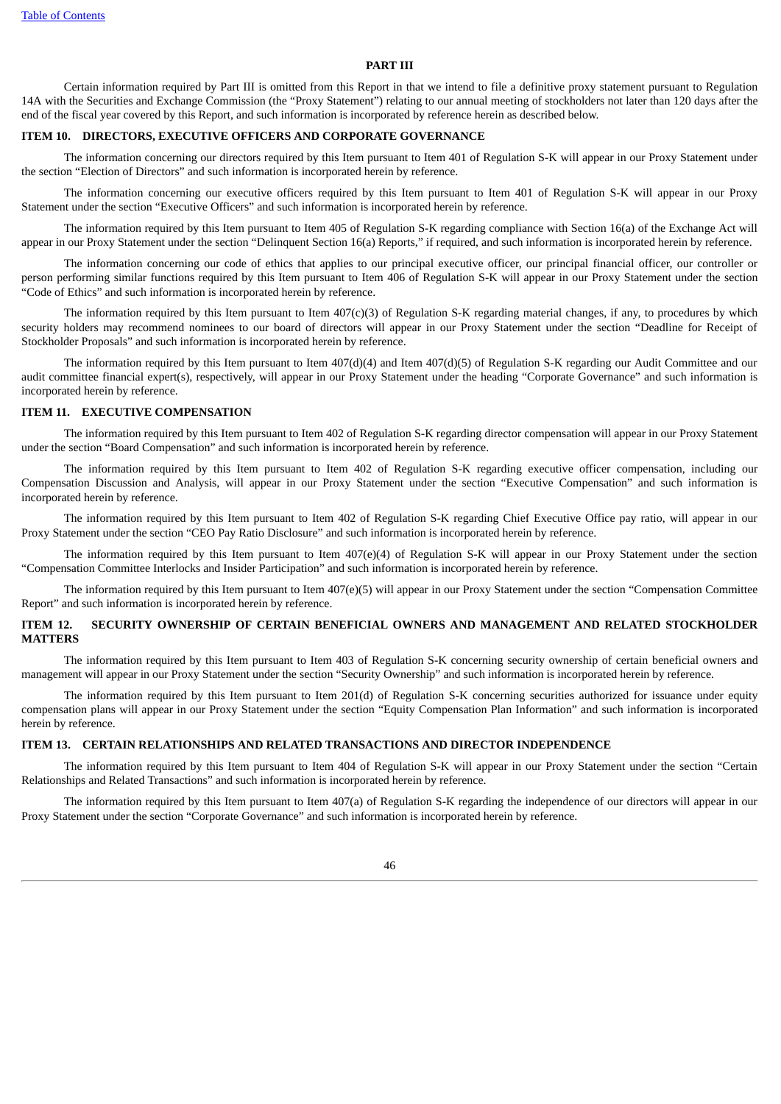### **PART III**

Certain information required by Part III is omitted from this Report in that we intend to file a definitive proxy statement pursuant to Regulation 14A with the Securities and Exchange Commission (the "Proxy Statement") relating to our annual meeting of stockholders not later than 120 days after the end of the fiscal year covered by this Report, and such information is incorporated by reference herein as described below.

# **ITEM 10. DIRECTORS, EXECUTIVE OFFICERS AND CORPORATE GOVERNANCE**

The information concerning our directors required by this Item pursuant to Item 401 of Regulation S-K will appear in our Proxy Statement under the section "Election of Directors" and such information is incorporated herein by reference.

The information concerning our executive officers required by this Item pursuant to Item 401 of Regulation S-K will appear in our Proxy Statement under the section "Executive Officers" and such information is incorporated herein by reference.

The information required by this Item pursuant to Item 405 of Regulation S-K regarding compliance with Section 16(a) of the Exchange Act will appear in our Proxy Statement under the section "Delinquent Section 16(a) Reports," if required, and such information is incorporated herein by reference.

The information concerning our code of ethics that applies to our principal executive officer, our principal financial officer, our controller or person performing similar functions required by this Item pursuant to Item 406 of Regulation S-K will appear in our Proxy Statement under the section "Code of Ethics" and such information is incorporated herein by reference.

The information required by this Item pursuant to Item  $407(c)(3)$  of Regulation S-K regarding material changes, if any, to procedures by which security holders may recommend nominees to our board of directors will appear in our Proxy Statement under the section "Deadline for Receipt of Stockholder Proposals" and such information is incorporated herein by reference.

The information required by this Item pursuant to Item 407(d)(4) and Item 407(d)(5) of Regulation S-K regarding our Audit Committee and our audit committee financial expert(s), respectively, will appear in our Proxy Statement under the heading "Corporate Governance" and such information is incorporated herein by reference.

### **ITEM 11. EXECUTIVE COMPENSATION**

The information required by this Item pursuant to Item 402 of Regulation S-K regarding director compensation will appear in our Proxy Statement under the section "Board Compensation" and such information is incorporated herein by reference.

The information required by this Item pursuant to Item 402 of Regulation S-K regarding executive officer compensation, including our Compensation Discussion and Analysis, will appear in our Proxy Statement under the section "Executive Compensation" and such information is incorporated herein by reference.

The information required by this Item pursuant to Item 402 of Regulation S-K regarding Chief Executive Office pay ratio, will appear in our Proxy Statement under the section "CEO Pay Ratio Disclosure" and such information is incorporated herein by reference.

The information required by this Item pursuant to Item 407(e)(4) of Regulation S-K will appear in our Proxy Statement under the section "Compensation Committee Interlocks and Insider Participation" and such information is incorporated herein by reference.

The information required by this Item pursuant to Item 407(e)(5) will appear in our Proxy Statement under the section "Compensation Committee Report" and such information is incorporated herein by reference.

# **ITEM 12. SECURITY OWNERSHIP OF CERTAIN BENEFICIAL OWNERS AND MANAGEMENT AND RELATED STOCKHOLDER MATTERS**

The information required by this Item pursuant to Item 403 of Regulation S-K concerning security ownership of certain beneficial owners and management will appear in our Proxy Statement under the section "Security Ownership" and such information is incorporated herein by reference.

The information required by this Item pursuant to Item 201(d) of Regulation S-K concerning securities authorized for issuance under equity compensation plans will appear in our Proxy Statement under the section "Equity Compensation Plan Information" and such information is incorporated herein by reference.

# **ITEM 13. CERTAIN RELATIONSHIPS AND RELATED TRANSACTIONS AND DIRECTOR INDEPENDENCE**

The information required by this Item pursuant to Item 404 of Regulation S-K will appear in our Proxy Statement under the section "Certain Relationships and Related Transactions" and such information is incorporated herein by reference.

The information required by this Item pursuant to Item 407(a) of Regulation S-K regarding the independence of our directors will appear in our Proxy Statement under the section "Corporate Governance" and such information is incorporated herein by reference.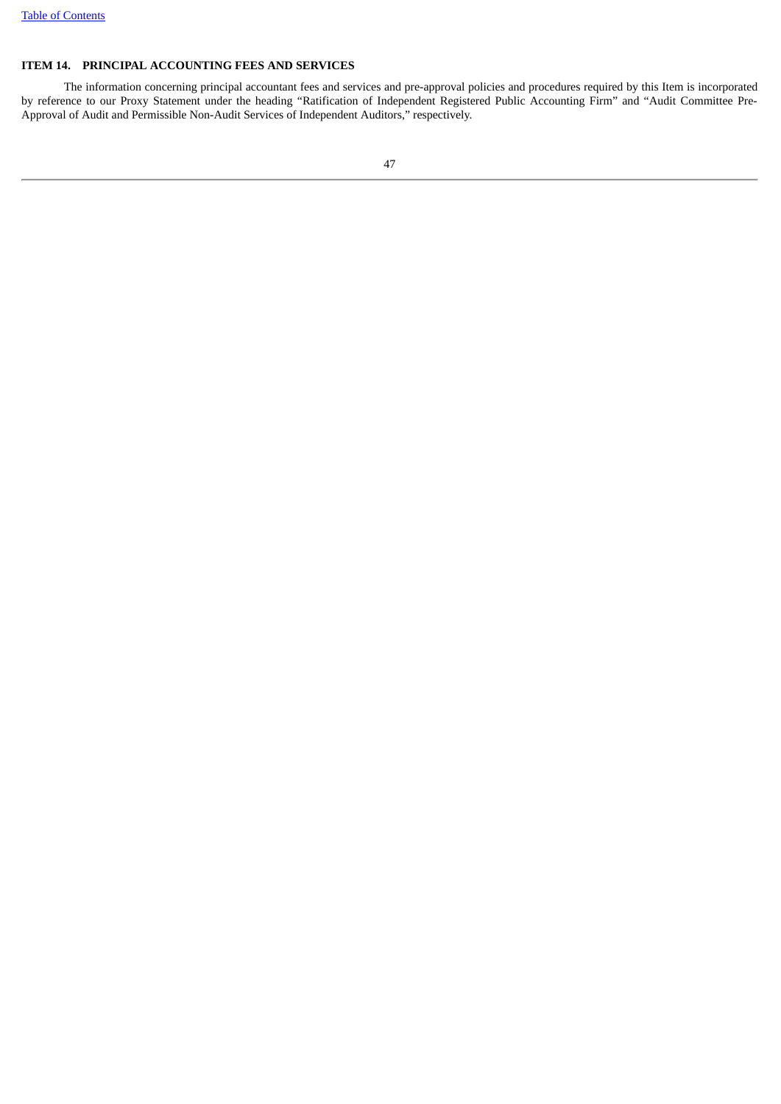# **ITEM 14. PRINCIPAL ACCOUNTING FEES AND SERVICES**

The information concerning principal accountant fees and services and pre-approval policies and procedures required by this Item is incorporated by reference to our Proxy Statement under the heading "Ratification of Independent Registered Public Accounting Firm" and "Audit Committee Pre-Approval of Audit and Permissible Non-Audit Services of Independent Auditors," respectively.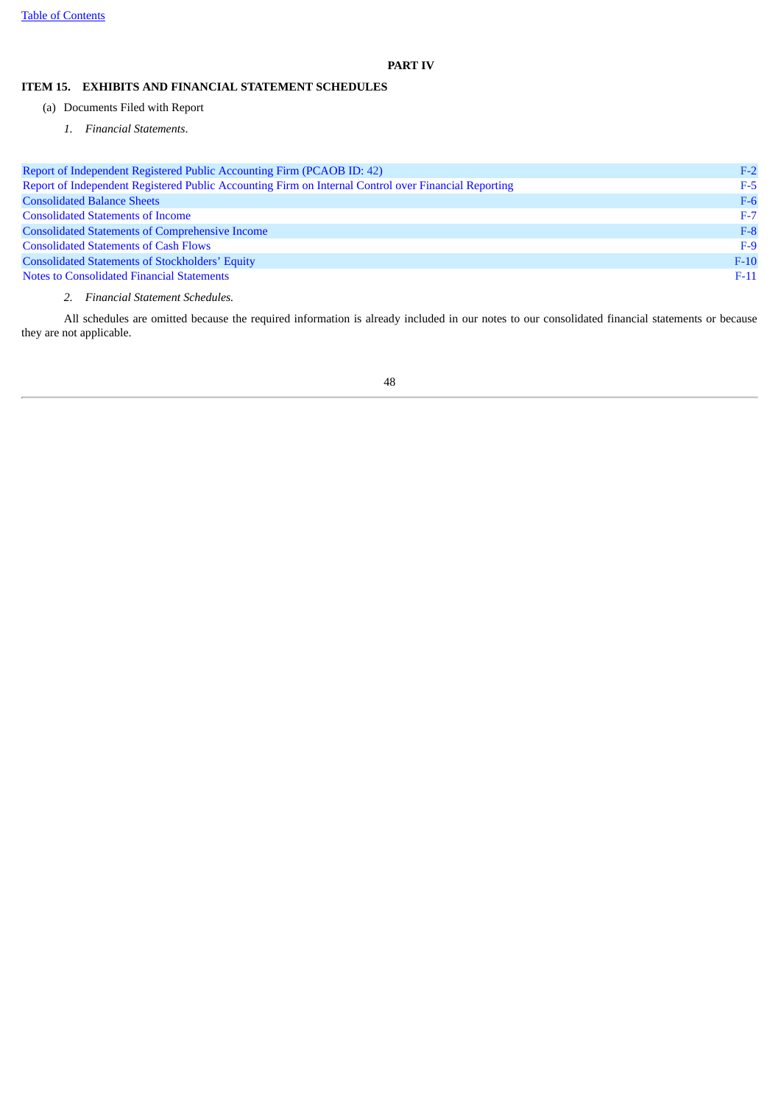# **PART IV**

# **ITEM 15. EXHIBITS AND FINANCIAL STATEMENT SCHEDULES**

# (a) Documents Filed with Report

*1. Financial Statements*.

| Report of Independent Registered Public Accounting Firm (PCAOB ID: 42)                               | $F-2$  |  |  |
|------------------------------------------------------------------------------------------------------|--------|--|--|
| Report of Independent Registered Public Accounting Firm on Internal Control over Financial Reporting |        |  |  |
| <b>Consolidated Balance Sheets</b>                                                                   | $F-6$  |  |  |
| <b>Consolidated Statements of Income</b>                                                             | $F-7$  |  |  |
| <b>Consolidated Statements of Comprehensive Income</b>                                               | $F-8$  |  |  |
| <b>Consolidated Statements of Cash Flows</b>                                                         | $F-9$  |  |  |
| <b>Consolidated Statements of Stockholders' Equity</b>                                               | $F-10$ |  |  |
| <b>Notes to Consolidated Financial Statements</b>                                                    | $F-11$ |  |  |
|                                                                                                      |        |  |  |

# *2. Financial Statement Schedules.*

All schedules are omitted because the required information is already included in our notes to our consolidated financial statements or because they are not applicable.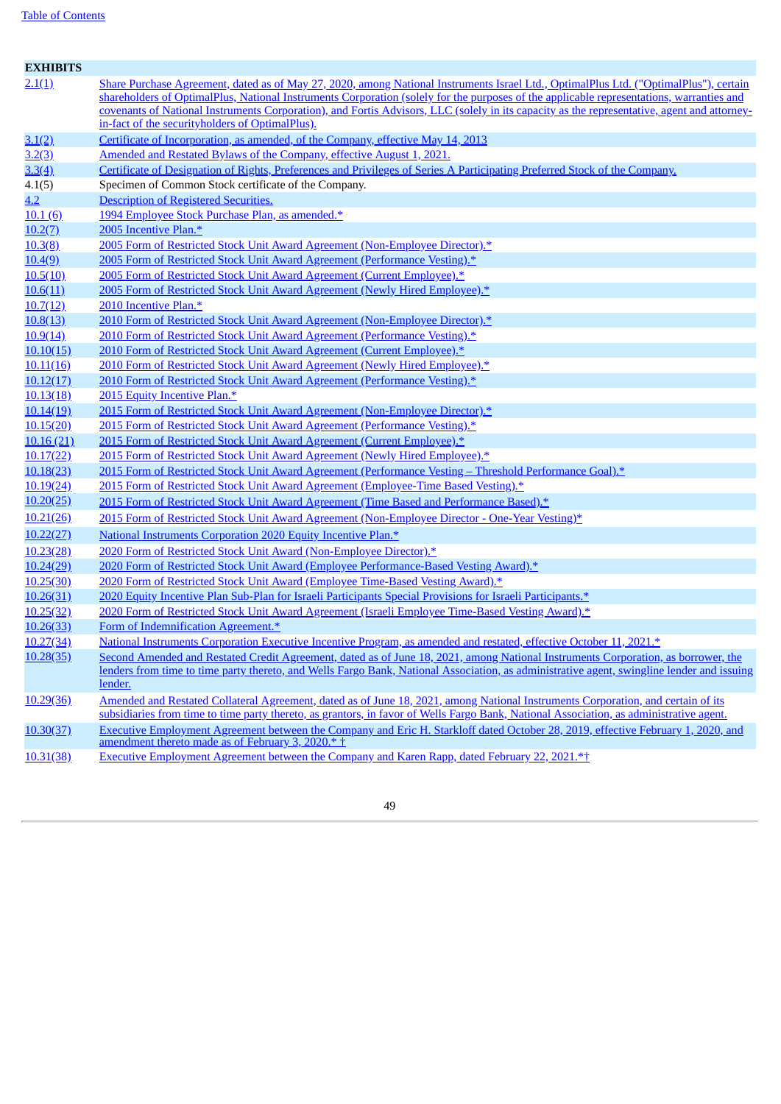```
Table of Contents
```

| <b>EXHIBITS</b>  |                                                                                                                                                                                                                                                                                            |
|------------------|--------------------------------------------------------------------------------------------------------------------------------------------------------------------------------------------------------------------------------------------------------------------------------------------|
| 2.1(1)           | Share Purchase Agreement, dated as of May 27, 2020, among National Instruments Israel Ltd., OptimalPlus Ltd. ("OptimalPlus"), certain                                                                                                                                                      |
|                  | shareholders of OptimalPlus, National Instruments Corporation (solely for the purposes of the applicable representations, warranties and                                                                                                                                                   |
|                  | covenants of National Instruments Corporation), and Fortis Advisors, LLC (solely in its capacity as the representative, agent and attorney-                                                                                                                                                |
|                  | in-fact of the securityholders of OptimalPlus).                                                                                                                                                                                                                                            |
| 3.1(2)           | Certificate of Incorporation, as amended, of the Company, effective May 14, 2013                                                                                                                                                                                                           |
| 3.2(3)           | Amended and Restated Bylaws of the Company, effective August 1, 2021.                                                                                                                                                                                                                      |
| 3.3(4)           | Certificate of Designation of Rights, Preferences and Privileges of Series A Participating Preferred Stock of the Company.                                                                                                                                                                 |
| 4.1(5)           | Specimen of Common Stock certificate of the Company.                                                                                                                                                                                                                                       |
| 4.2              | <b>Description of Registered Securities.</b>                                                                                                                                                                                                                                               |
| 10.1(6)          | 1994 Employee Stock Purchase Plan, as amended.*                                                                                                                                                                                                                                            |
| 10.2(7)          | 2005 Incentive Plan.*                                                                                                                                                                                                                                                                      |
| 10.3(8)          | 2005 Form of Restricted Stock Unit Award Agreement (Non-Employee Director).*                                                                                                                                                                                                               |
| 10.4(9)          | 2005 Form of Restricted Stock Unit Award Agreement (Performance Vesting).*                                                                                                                                                                                                                 |
| 10.5(10)         | 2005 Form of Restricted Stock Unit Award Agreement (Current Employee).*                                                                                                                                                                                                                    |
| 10.6(11)         | 2005 Form of Restricted Stock Unit Award Agreement (Newly Hired Employee).*                                                                                                                                                                                                                |
| 10.7(12)         | 2010 Incentive Plan.*                                                                                                                                                                                                                                                                      |
| 10.8(13)         | 2010 Form of Restricted Stock Unit Award Agreement (Non-Employee Director).*                                                                                                                                                                                                               |
| 10.9(14)         | 2010 Form of Restricted Stock Unit Award Agreement (Performance Vesting).*                                                                                                                                                                                                                 |
| 10.10(15)        | 2010 Form of Restricted Stock Unit Award Agreement (Current Employee).*                                                                                                                                                                                                                    |
| 10.11(16)        | 2010 Form of Restricted Stock Unit Award Agreement (Newly Hired Employee).*                                                                                                                                                                                                                |
| 10.12(17)        | 2010 Form of Restricted Stock Unit Award Agreement (Performance Vesting).*                                                                                                                                                                                                                 |
| 10.13(18)        | 2015 Equity Incentive Plan.*                                                                                                                                                                                                                                                               |
| 10.14(19)        | 2015 Form of Restricted Stock Unit Award Agreement (Non-Employee Director).*                                                                                                                                                                                                               |
| 10.15(20)        | 2015 Form of Restricted Stock Unit Award Agreement (Performance Vesting).*                                                                                                                                                                                                                 |
| 10.16(21)        | 2015 Form of Restricted Stock Unit Award Agreement (Current Employee).*                                                                                                                                                                                                                    |
| 10.17(22)        | 2015 Form of Restricted Stock Unit Award Agreement (Newly Hired Employee).*                                                                                                                                                                                                                |
| 10.18(23)        | 2015 Form of Restricted Stock Unit Award Agreement (Performance Vesting - Threshold Performance Goal).*                                                                                                                                                                                    |
| 10.19(24)        | 2015 Form of Restricted Stock Unit Award Agreement (Employee-Time Based Vesting).*                                                                                                                                                                                                         |
| 10.20(25)        | 2015 Form of Restricted Stock Unit Award Agreement (Time Based and Performance Based).*                                                                                                                                                                                                    |
| 10.21(26)        | 2015 Form of Restricted Stock Unit Award Agreement (Non-Employee Director - One-Year Vesting)*                                                                                                                                                                                             |
| 10.22(27)        | National Instruments Corporation 2020 Equity Incentive Plan.*                                                                                                                                                                                                                              |
| 10.23(28)        | 2020 Form of Restricted Stock Unit Award (Non-Employee Director).*                                                                                                                                                                                                                         |
| 10.24(29)        | 2020 Form of Restricted Stock Unit Award (Employee Performance-Based Vesting Award).*                                                                                                                                                                                                      |
| 10.25(30)        | 2020 Form of Restricted Stock Unit Award (Employee Time-Based Vesting Award).*                                                                                                                                                                                                             |
| 10.26(31)        | 2020 Equity Incentive Plan Sub-Plan for Israeli Participants Special Provisions for Israeli Participants.*                                                                                                                                                                                 |
| 10.25(32)        | 2020 Form of Restricted Stock Unit Award Agreement (Israeli Employee Time-Based Vesting Award).*                                                                                                                                                                                           |
| 10.26(33)        | Form of Indemnification Agreement.*                                                                                                                                                                                                                                                        |
| <u>10.27(34)</u> | National Instruments Corporation Executive Incentive Program, as amended and restated, effective October 11, 2021.*                                                                                                                                                                        |
| <u>10.28(35)</u> | Second Amended and Restated Credit Agreement, dated as of June 18, 2021, among National Instruments Corporation, as borrower, the<br>lenders from time to time party thereto, and Wells Fargo Bank, National Association, as administrative agent, swingline lender and issuing<br>lender. |
| 10.29(36)        | Amended and Restated Collateral Agreement, dated as of June 18, 2021, among National Instruments Corporation, and certain of its<br>subsidiaries from time to time party thereto, as grantors, in favor of Wells Fargo Bank, National Association, as administrative agent.                |
| 10.30(37)        | Executive Employment Agreement between the Company and Eric H. Starkloff dated October 28, 2019, effective February 1, 2020, and<br>amendment thereto made as of February 3, 2020. $*$ †                                                                                                   |
| 10.31(38)        | <b>Executive Employment Agreement between the Company and Karen Rapp, dated February 22, 2021.*†</b>                                                                                                                                                                                       |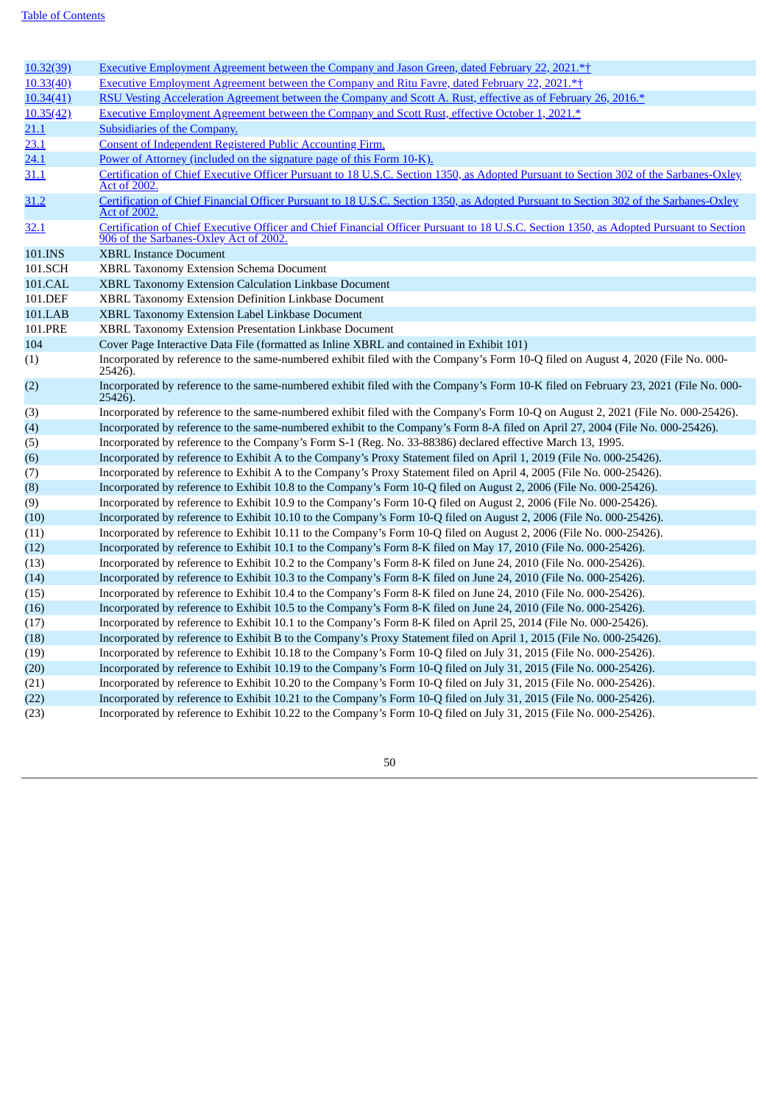| 10.32(39) | Executive Employment Agreement between the Company and Jason Green, dated February 22, 2021.*†                                                                                    |
|-----------|-----------------------------------------------------------------------------------------------------------------------------------------------------------------------------------|
| 10.33(40) | Executive Employment Agreement between the Company and Ritu Favre, dated February 22, 2021.*†                                                                                     |
| 10.34(41) | RSU Vesting Acceleration Agreement between the Company and Scott A. Rust, effective as of February 26, 2016.*                                                                     |
| 10.35(42) | Executive Employment Agreement between the Company and Scott Rust, effective October 1, 2021.*                                                                                    |
| 21.1      | Subsidiaries of the Company.                                                                                                                                                      |
| 23.1      | Consent of Independent Registered Public Accounting Firm.                                                                                                                         |
| 24.1      | Power of Attorney (included on the signature page of this Form 10-K).                                                                                                             |
| 31.1      | Certification of Chief Executive Officer Pursuant to 18 U.S.C. Section 1350, as Adopted Pursuant to Section 302 of the Sarbanes-Oxley<br>Act of 2002.                             |
| 31.2      | Certification of Chief Financial Officer Pursuant to 18 U.S.C. Section 1350, as Adopted Pursuant to Section 302 of the Sarbanes-Oxley<br>Act of 2002.                             |
| 32.1      | Certification of Chief Executive Officer and Chief Financial Officer Pursuant to 18 U.S.C. Section 1350, as Adopted Pursuant to Section<br>906 of the Sarbanes-Oxley Act of 2002. |
| 101.INS   | <b>XBRL Instance Document</b>                                                                                                                                                     |
| 101.SCH   | XBRL Taxonomy Extension Schema Document                                                                                                                                           |
| 101.CAL   | <b>XBRL Taxonomy Extension Calculation Linkbase Document</b>                                                                                                                      |
| 101.DEF   | XBRL Taxonomy Extension Definition Linkbase Document                                                                                                                              |
| 101.LAB   | <b>XBRL Taxonomy Extension Label Linkbase Document</b>                                                                                                                            |
| 101.PRE   | XBRL Taxonomy Extension Presentation Linkbase Document                                                                                                                            |
| 104       | Cover Page Interactive Data File (formatted as Inline XBRL and contained in Exhibit 101)                                                                                          |
| (1)       | Incorporated by reference to the same-numbered exhibit filed with the Company's Form 10-Q filed on August 4, 2020 (File No. 000-<br>25426).                                       |
| (2)       | Incorporated by reference to the same-numbered exhibit filed with the Company's Form 10-K filed on February 23, 2021 (File No. 000-<br>25426).                                    |
| (3)       | Incorporated by reference to the same-numbered exhibit filed with the Company's Form 10-Q on August 2, 2021 (File No. 000-25426).                                                 |
| (4)       | Incorporated by reference to the same-numbered exhibit to the Company's Form 8-A filed on April 27, 2004 (File No. 000-25426).                                                    |
| (5)       | Incorporated by reference to the Company's Form S-1 (Reg. No. 33-88386) declared effective March 13, 1995.                                                                        |
| (6)       | Incorporated by reference to Exhibit A to the Company's Proxy Statement filed on April 1, 2019 (File No. 000-25426).                                                              |
| (7)       | Incorporated by reference to Exhibit A to the Company's Proxy Statement filed on April 4, 2005 (File No. 000-25426).                                                              |
| (8)       | Incorporated by reference to Exhibit 10.8 to the Company's Form 10-Q filed on August 2, 2006 (File No. 000-25426).                                                                |
| (9)       | Incorporated by reference to Exhibit 10.9 to the Company's Form 10-Q filed on August 2, 2006 (File No. 000-25426).                                                                |
| (10)      | Incorporated by reference to Exhibit 10.10 to the Company's Form 10-Q filed on August 2, 2006 (File No. 000-25426).                                                               |
| (11)      | Incorporated by reference to Exhibit 10.11 to the Company's Form 10-Q filed on August 2, 2006 (File No. 000-25426).                                                               |
| (12)      | Incorporated by reference to Exhibit 10.1 to the Company's Form 8-K filed on May 17, 2010 (File No. 000-25426).                                                                   |
| (13)      | Incorporated by reference to Exhibit 10.2 to the Company's Form 8-K filed on June 24, 2010 (File No. 000-25426).                                                                  |
| (14)      | Incorporated by reference to Exhibit 10.3 to the Company's Form 8-K filed on June 24, 2010 (File No. 000-25426).                                                                  |
| (15)      | Incorporated by reference to Exhibit 10.4 to the Company's Form 8-K filed on June 24, 2010 (File No. 000-25426).                                                                  |
| (16)      | Incorporated by reference to Exhibit 10.5 to the Company's Form 8-K filed on June 24, 2010 (File No. 000-25426).                                                                  |
| (17)      | Incorporated by reference to Exhibit 10.1 to the Company's Form 8-K filed on April 25, 2014 (File No. 000-25426).                                                                 |
| (18)      | Incorporated by reference to Exhibit B to the Company's Proxy Statement filed on April 1, 2015 (File No. 000-25426).                                                              |
| (19)      | Incorporated by reference to Exhibit 10.18 to the Company's Form 10-Q filed on July 31, 2015 (File No. 000-25426).                                                                |
| (20)      | Incorporated by reference to Exhibit 10.19 to the Company's Form 10-Q filed on July 31, 2015 (File No. 000-25426).                                                                |
| (21)      | Incorporated by reference to Exhibit 10.20 to the Company's Form 10-Q filed on July 31, 2015 (File No. 000-25426).                                                                |
| (22)      | Incorporated by reference to Exhibit 10.21 to the Company's Form 10-Q filed on July 31, 2015 (File No. 000-25426).                                                                |
| (23)      | Incorporated by reference to Exhibit 10.22 to the Company's Form 10-Q filed on July 31, 2015 (File No. 000-25426).                                                                |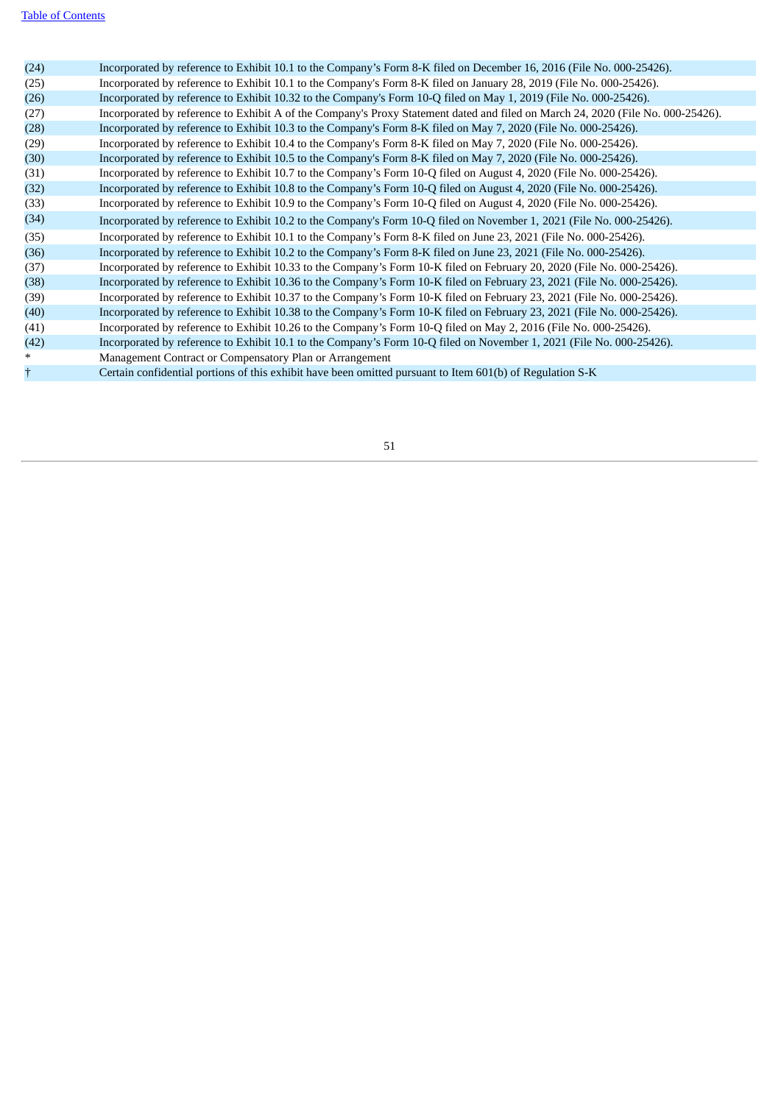| (24)         | Incorporated by reference to Exhibit 10.1 to the Company's Form 8-K filed on December 16, 2016 (File No. 000-25426).            |
|--------------|---------------------------------------------------------------------------------------------------------------------------------|
| (25)         | Incorporated by reference to Exhibit 10.1 to the Company's Form 8-K filed on January 28, 2019 (File No. 000-25426).             |
| (26)         | Incorporated by reference to Exhibit 10.32 to the Company's Form 10-Q filed on May 1, 2019 (File No. 000-25426).                |
| (27)         | Incorporated by reference to Exhibit A of the Company's Proxy Statement dated and filed on March 24, 2020 (File No. 000-25426). |
| (28)         | Incorporated by reference to Exhibit 10.3 to the Company's Form 8-K filed on May 7, 2020 (File No. 000-25426).                  |
| (29)         | Incorporated by reference to Exhibit 10.4 to the Company's Form 8-K filed on May 7, 2020 (File No. 000-25426).                  |
| (30)         | Incorporated by reference to Exhibit 10.5 to the Company's Form 8-K filed on May 7, 2020 (File No. 000-25426).                  |
| (31)         | Incorporated by reference to Exhibit 10.7 to the Company's Form 10-Q filed on August 4, 2020 (File No. 000-25426).              |
| (32)         | Incorporated by reference to Exhibit 10.8 to the Company's Form 10-Q filed on August 4, 2020 (File No. 000-25426).              |
| (33)         | Incorporated by reference to Exhibit 10.9 to the Company's Form 10-Q filed on August 4, 2020 (File No. 000-25426).              |
| (34)         | Incorporated by reference to Exhibit 10.2 to the Company's Form 10-Q filed on November 1, 2021 (File No. 000-25426).            |
| (35)         | Incorporated by reference to Exhibit 10.1 to the Company's Form 8-K filed on June 23, 2021 (File No. 000-25426).                |
| (36)         | Incorporated by reference to Exhibit 10.2 to the Company's Form 8-K filed on June 23, 2021 (File No. 000-25426).                |
| (37)         | Incorporated by reference to Exhibit 10.33 to the Company's Form 10-K filed on February 20, 2020 (File No. 000-25426).          |
| (38)         | Incorporated by reference to Exhibit 10.36 to the Company's Form 10-K filed on February 23, 2021 (File No. 000-25426).          |
| (39)         | Incorporated by reference to Exhibit 10.37 to the Company's Form 10-K filed on February 23, 2021 (File No. 000-25426).          |
| (40)         | Incorporated by reference to Exhibit 10.38 to the Company's Form 10-K filed on February 23, 2021 (File No. 000-25426).          |
| (41)         | Incorporated by reference to Exhibit 10.26 to the Company's Form 10-Q filed on May 2, 2016 (File No. 000-25426).                |
| (42)         | Incorporated by reference to Exhibit 10.1 to the Company's Form 10-Q filed on November 1, 2021 (File No. 000-25426).            |
| $\ast$       | Management Contract or Compensatory Plan or Arrangement                                                                         |
| $^{\dagger}$ | Certain confidential portions of this exhibit have been omitted pursuant to Item 601(b) of Regulation S-K                       |
|              |                                                                                                                                 |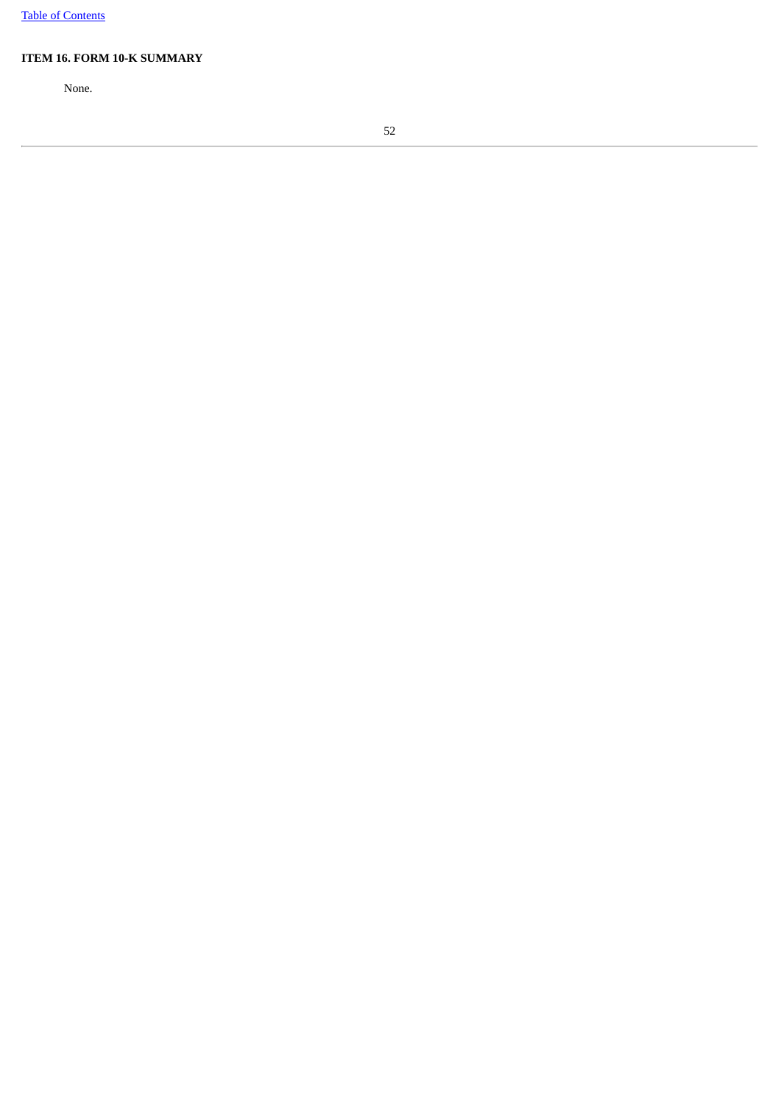# **ITEM 16. FORM 10-K SUMMARY**

<span id="page-51-0"></span>None.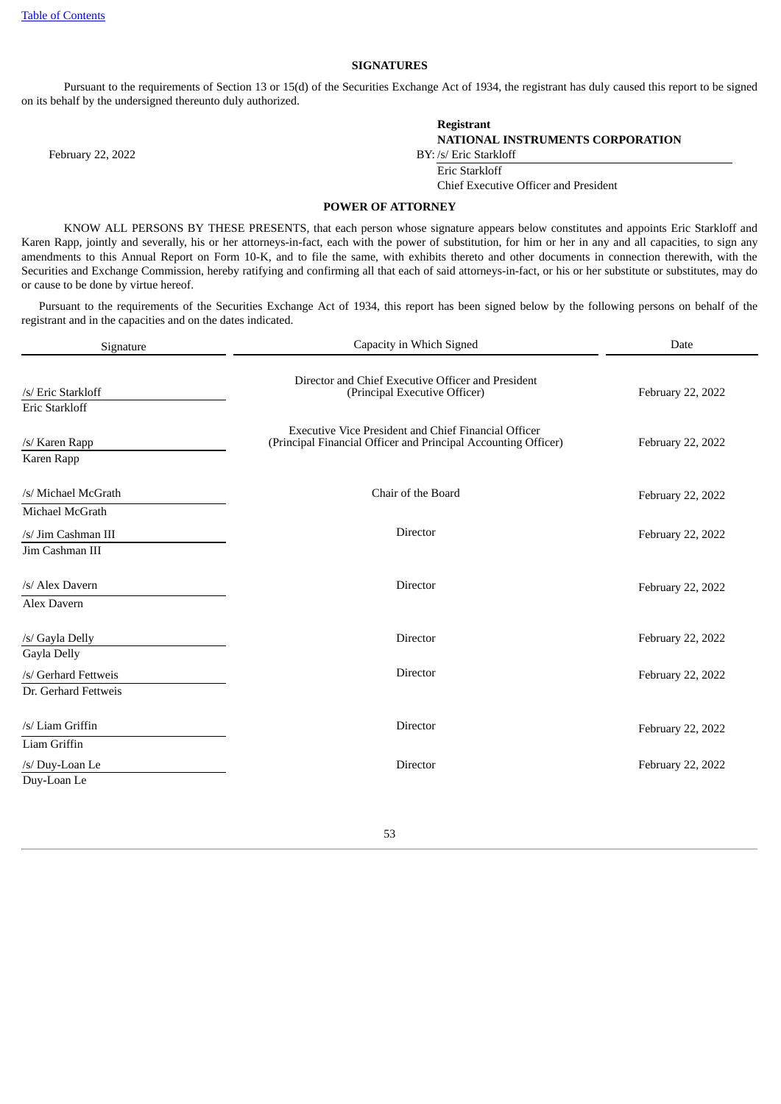# **SIGNATURES**

Pursuant to the requirements of Section 13 or 15(d) of the Securities Exchange Act of 1934, the registrant has duly caused this report to be signed on its behalf by the undersigned thereunto duly authorized.

|                   | Registrant<br><b>NATIONAL INSTRUMENTS CORPORATION</b> |
|-------------------|-------------------------------------------------------|
| February 22, 2022 | BY: /s/ Eric Starkloff                                |
|                   | Eric Starkloff                                        |
|                   | Chief Executive Officer and President                 |

# **POWER OF ATTORNEY**

KNOW ALL PERSONS BY THESE PRESENTS, that each person whose signature appears below constitutes and appoints Eric Starkloff and Karen Rapp, jointly and severally, his or her attorneys-in-fact, each with the power of substitution, for him or her in any and all capacities, to sign any amendments to this Annual Report on Form 10-K, and to file the same, with exhibits thereto and other documents in connection therewith, with the Securities and Exchange Commission, hereby ratifying and confirming all that each of said attorneys-in-fact, or his or her substitute or substitutes, may do or cause to be done by virtue hereof.

Pursuant to the requirements of the Securities Exchange Act of 1934, this report has been signed below by the following persons on behalf of the registrant and in the capacities and on the dates indicated.

| Signature                                                 | Capacity in Which Signed                                                                                               | Date              |  |  |  |
|-----------------------------------------------------------|------------------------------------------------------------------------------------------------------------------------|-------------------|--|--|--|
| /s/ Eric Starkloff                                        | Director and Chief Executive Officer and President<br>(Principal Executive Officer)                                    | February 22, 2022 |  |  |  |
| Eric Starkloff<br>/s/ Karen Rapp<br>Karen Rapp            | Executive Vice President and Chief Financial Officer<br>(Principal Financial Officer and Principal Accounting Officer) | February 22, 2022 |  |  |  |
| /s/ Michael McGrath                                       | Chair of the Board                                                                                                     | February 22, 2022 |  |  |  |
| Michael McGrath<br>/s/ Jim Cashman III<br>Jim Cashman III | <b>Director</b>                                                                                                        | February 22, 2022 |  |  |  |
| /s/ Alex Davern<br>Alex Davern                            | Director                                                                                                               | February 22, 2022 |  |  |  |
| /s/ Gayla Delly<br>Gayla Delly                            | Director                                                                                                               | February 22, 2022 |  |  |  |
| /s/ Gerhard Fettweis<br>Dr. Gerhard Fettweis              | Director                                                                                                               | February 22, 2022 |  |  |  |
| /s/ Liam Griffin<br>Liam Griffin                          | <b>Director</b>                                                                                                        | February 22, 2022 |  |  |  |
| /s/ Duy-Loan Le<br>Duy-Loan Le                            | <b>Director</b>                                                                                                        | February 22, 2022 |  |  |  |

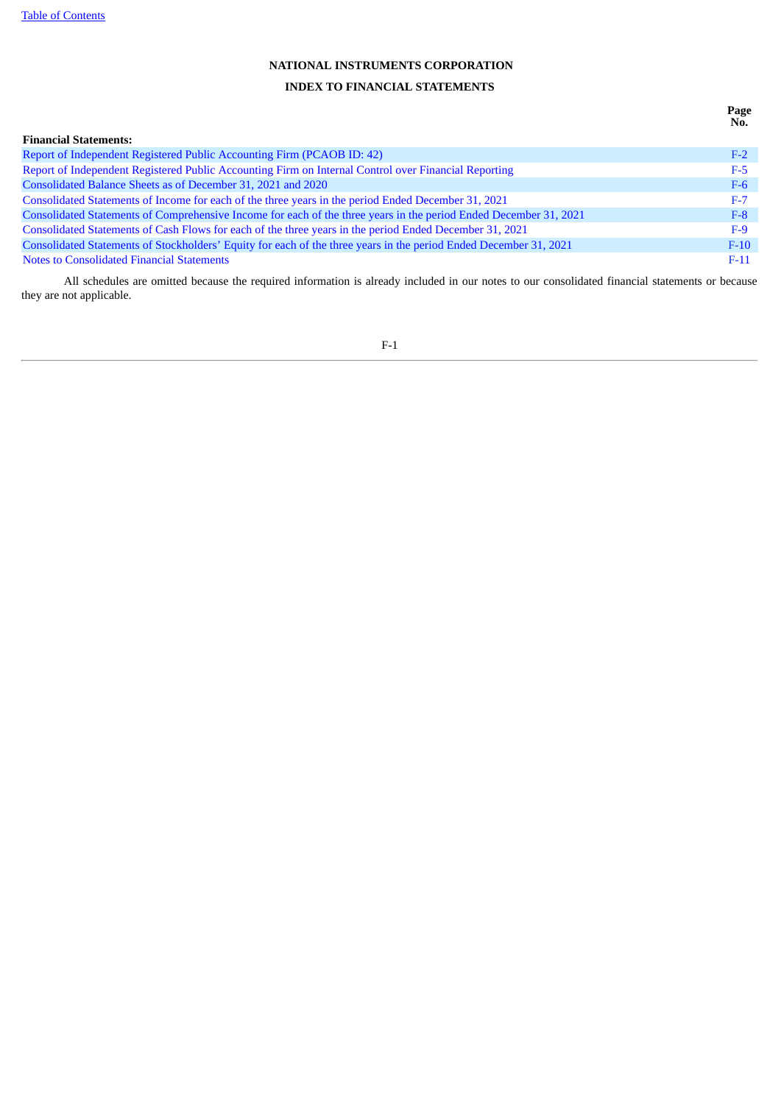# **NATIONAL INSTRUMENTS CORPORATION**

# **INDEX TO FINANCIAL STATEMENTS**

**Page No.**

| <b>Financial Statements:</b>                                                                                      |        |
|-------------------------------------------------------------------------------------------------------------------|--------|
| Report of Independent Registered Public Accounting Firm (PCAOB ID: 42)                                            | $F-2$  |
| Report of Independent Registered Public Accounting Firm on Internal Control over Financial Reporting              | $F-5$  |
| Consolidated Balance Sheets as of December 31, 2021 and 2020                                                      | $F-6$  |
| Consolidated Statements of Income for each of the three years in the period Ended December 31, 2021               | $F-7$  |
| Consolidated Statements of Comprehensive Income for each of the three years in the period Ended December 31, 2021 | $F-8$  |
| Consolidated Statements of Cash Flows for each of the three years in the period Ended December 31, 2021           | $F-9$  |
| Consolidated Statements of Stockholders' Equity for each of the three years in the period Ended December 31, 2021 | $F-10$ |
| <b>Notes to Consolidated Financial Statements</b>                                                                 | $F-11$ |

<span id="page-53-0"></span>All schedules are omitted because the required information is already included in our notes to our consolidated financial statements or because they are not applicable.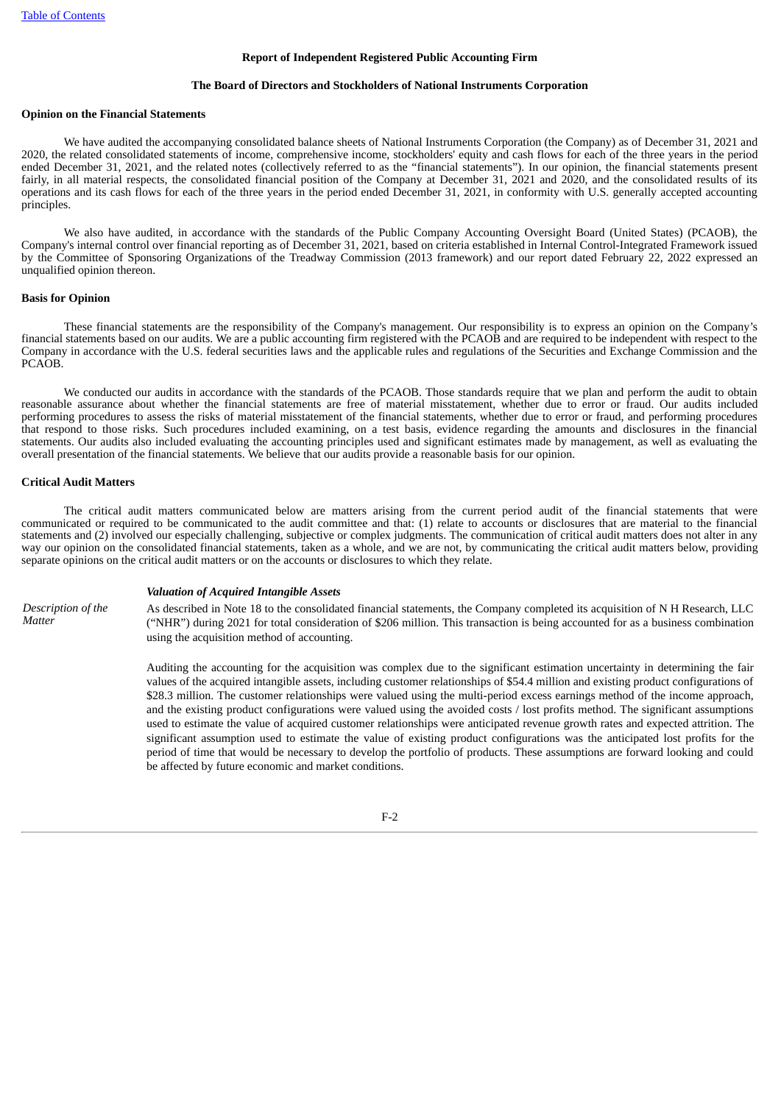### **Report of Independent Registered Public Accounting Firm**

### **The Board of Directors and Stockholders of National Instruments Corporation**

### **Opinion on the Financial Statements**

We have audited the accompanying consolidated balance sheets of National Instruments Corporation (the Company) as of December 31, 2021 and 2020, the related consolidated statements of income, comprehensive income, stockholders' equity and cash flows for each of the three years in the period ended December 31, 2021, and the related notes (collectively referred to as the "financial statements"). In our opinion, the financial statements present fairly, in all material respects, the consolidated financial position of the Company at December 31, 2021 and 2020, and the consolidated results of its operations and its cash flows for each of the three years in the period ended December 31, 2021, in conformity with U.S. generally accepted accounting principles.

We also have audited, in accordance with the standards of the Public Company Accounting Oversight Board (United States) (PCAOB), the Company's internal control over financial reporting as of December 31, 2021, based on criteria established in Internal Control-Integrated Framework issued by the Committee of Sponsoring Organizations of the Treadway Commission (2013 framework) and our report dated February 22, 2022 expressed an unqualified opinion thereon.

# **Basis for Opinion**

These financial statements are the responsibility of the Company's management. Our responsibility is to express an opinion on the Company's financial statements based on our audits. We are a public accounting firm registered with the PCAOB and are required to be independent with respect to the Company in accordance with the U.S. federal securities laws and the applicable rules and regulations of the Securities and Exchange Commission and the PCAOB.

We conducted our audits in accordance with the standards of the PCAOB. Those standards require that we plan and perform the audit to obtain reasonable assurance about whether the financial statements are free of material misstatement, whether due to error or fraud. Our audits included performing procedures to assess the risks of material misstatement of the financial statements, whether due to error or fraud, and performing procedures that respond to those risks. Such procedures included examining, on a test basis, evidence regarding the amounts and disclosures in the financial statements. Our audits also included evaluating the accounting principles used and significant estimates made by management, as well as evaluating the overall presentation of the financial statements. We believe that our audits provide a reasonable basis for our opinion.

# **Critical Audit Matters**

The critical audit matters communicated below are matters arising from the current period audit of the financial statements that were communicated or required to be communicated to the audit committee and that: (1) relate to accounts or disclosures that are material to the financial statements and (2) involved our especially challenging, subjective or complex judgments. The communication of critical audit matters does not alter in any way our opinion on the consolidated financial statements, taken as a whole, and we are not, by communicating the critical audit matters below, providing separate opinions on the critical audit matters or on the accounts or disclosures to which they relate.

#### *Valuation of Acquired Intangible Assets*

*Description of the Matter*

As described in Note 18 to the consolidated financial statements, the Company completed its acquisition of N H Research, LLC ("NHR") during 2021 for total consideration of \$206 million. This transaction is being accounted for as a business combination using the acquisition method of accounting.

> Auditing the accounting for the acquisition was complex due to the significant estimation uncertainty in determining the fair values of the acquired intangible assets, including customer relationships of \$54.4 million and existing product configurations of \$28.3 million. The customer relationships were valued using the multi-period excess earnings method of the income approach, and the existing product configurations were valued using the avoided costs / lost profits method. The significant assumptions used to estimate the value of acquired customer relationships were anticipated revenue growth rates and expected attrition. The significant assumption used to estimate the value of existing product configurations was the anticipated lost profits for the period of time that would be necessary to develop the portfolio of products. These assumptions are forward looking and could be affected by future economic and market conditions.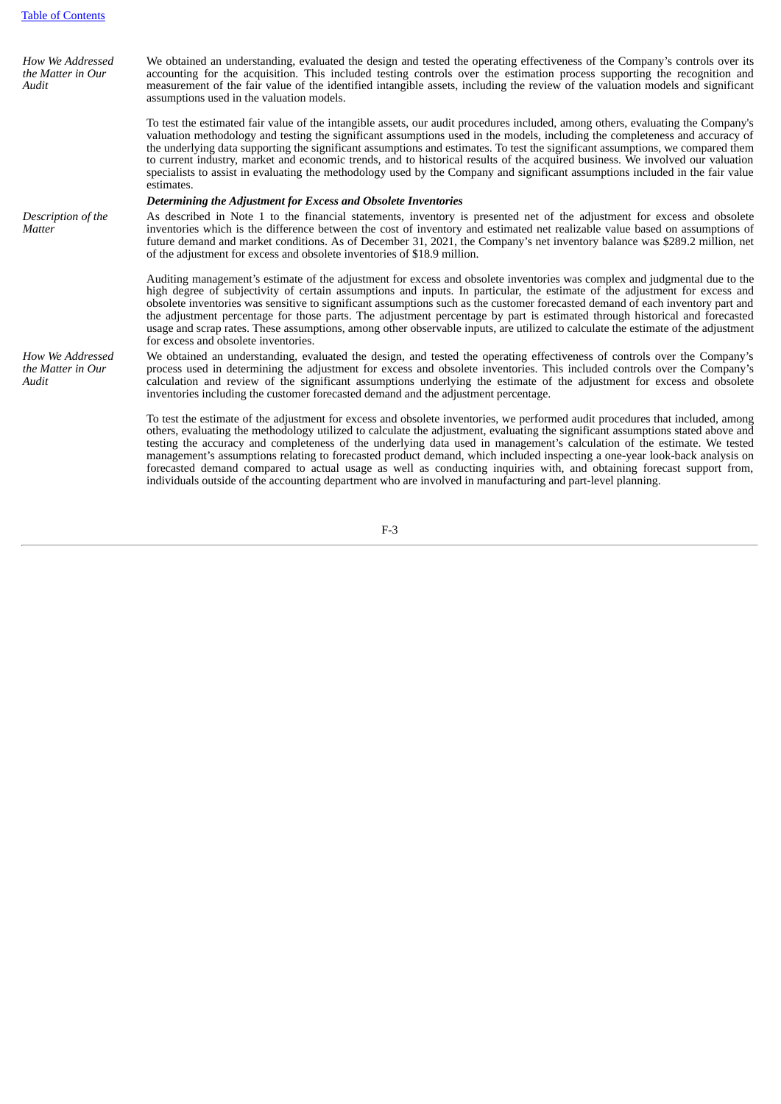| How We Addressed<br>the Matter in Our<br>Audit | We obtained an understanding, evaluated the design and tested the operating effectiveness of the Company's controls over its<br>accounting for the acquisition. This included testing controls over the estimation process supporting the recognition and<br>measurement of the fair value of the identified intangible assets, including the review of the valuation models and significant<br>assumptions used in the valuation models.                                                                                                                                                                                                                                                                                                                            |
|------------------------------------------------|----------------------------------------------------------------------------------------------------------------------------------------------------------------------------------------------------------------------------------------------------------------------------------------------------------------------------------------------------------------------------------------------------------------------------------------------------------------------------------------------------------------------------------------------------------------------------------------------------------------------------------------------------------------------------------------------------------------------------------------------------------------------|
|                                                | To test the estimated fair value of the intangible assets, our audit procedures included, among others, evaluating the Company's<br>valuation methodology and testing the significant assumptions used in the models, including the completeness and accuracy of<br>the underlying data supporting the significant assumptions and estimates. To test the significant assumptions, we compared them<br>to current industry, market and economic trends, and to historical results of the acquired business. We involved our valuation<br>specialists to assist in evaluating the methodology used by the Company and significant assumptions included in the fair value<br>estimates.                                                                                |
|                                                | Determining the Adjustment for Excess and Obsolete Inventories                                                                                                                                                                                                                                                                                                                                                                                                                                                                                                                                                                                                                                                                                                       |
| Description of the<br><b>Matter</b>            | As described in Note 1 to the financial statements, inventory is presented net of the adjustment for excess and obsolete<br>inventories which is the difference between the cost of inventory and estimated net realizable value based on assumptions of<br>future demand and market conditions. As of December 31, 2021, the Company's net inventory balance was \$289.2 million, net<br>of the adjustment for excess and obsolete inventories of \$18.9 million.                                                                                                                                                                                                                                                                                                   |
|                                                | Auditing management's estimate of the adjustment for excess and obsolete inventories was complex and judgmental due to the<br>high degree of subjectivity of certain assumptions and inputs. In particular, the estimate of the adjustment for excess and<br>obsolete inventories was sensitive to significant assumptions such as the customer forecasted demand of each inventory part and<br>the adjustment percentage for those parts. The adjustment percentage by part is estimated through historical and forecasted<br>usage and scrap rates. These assumptions, among other observable inputs, are utilized to calculate the estimate of the adjustment<br>for excess and obsolete inventories.                                                             |
| How We Addressed<br>the Matter in Our<br>Audit | We obtained an understanding, evaluated the design, and tested the operating effectiveness of controls over the Company's<br>process used in determining the adjustment for excess and obsolete inventories. This included controls over the Company's<br>calculation and review of the significant assumptions underlying the estimate of the adjustment for excess and obsolete<br>inventories including the customer forecasted demand and the adjustment percentage.                                                                                                                                                                                                                                                                                             |
|                                                | To test the estimate of the adjustment for excess and obsolete inventories, we performed audit procedures that included, among<br>others, evaluating the methodology utilized to calculate the adjustment, evaluating the significant assumptions stated above and<br>testing the accuracy and completeness of the underlying data used in management's calculation of the estimate. We tested<br>management's assumptions relating to forecasted product demand, which included inspecting a one-year look-back analysis on<br>forecasted demand compared to actual usage as well as conducting inquiries with, and obtaining forecast support from,<br>individuals outside of the accounting department who are involved in manufacturing and part-level planning. |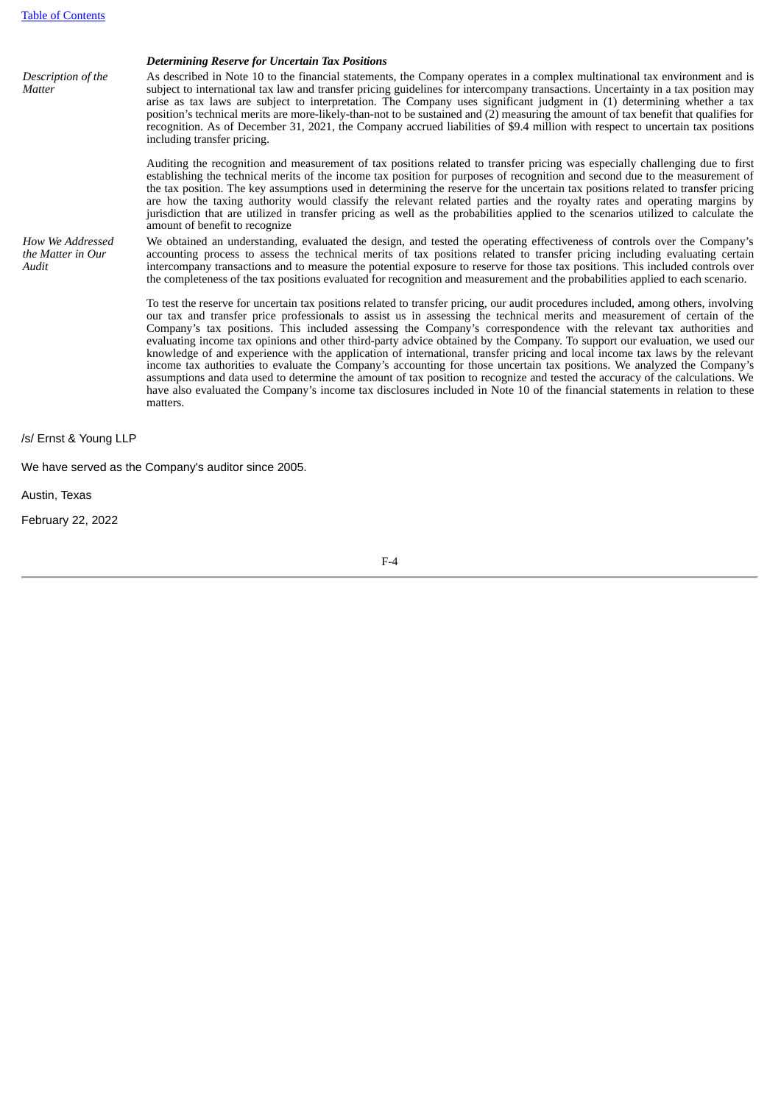| Description of the<br>Matter                   | <b>Determining Reserve for Uncertain Tax Positions</b><br>As described in Note 10 to the financial statements, the Company operates in a complex multinational tax environment and is<br>subject to international tax law and transfer pricing guidelines for intercompany transactions. Uncertainty in a tax position may<br>arise as tax laws are subject to interpretation. The Company uses significant judgment in (1) determining whether a tax<br>position's technical merits are more-likely-than-not to be sustained and (2) measuring the amount of tax benefit that qualifies for<br>recognition. As of December 31, 2021, the Company accrued liabilities of \$9.4 million with respect to uncertain tax positions<br>including transfer pricing.                                                                                                                                                                                                                                                                                                      |
|------------------------------------------------|--------------------------------------------------------------------------------------------------------------------------------------------------------------------------------------------------------------------------------------------------------------------------------------------------------------------------------------------------------------------------------------------------------------------------------------------------------------------------------------------------------------------------------------------------------------------------------------------------------------------------------------------------------------------------------------------------------------------------------------------------------------------------------------------------------------------------------------------------------------------------------------------------------------------------------------------------------------------------------------------------------------------------------------------------------------------|
|                                                | Auditing the recognition and measurement of tax positions related to transfer pricing was especially challenging due to first<br>establishing the technical merits of the income tax position for purposes of recognition and second due to the measurement of<br>the tax position. The key assumptions used in determining the reserve for the uncertain tax positions related to transfer pricing<br>are how the taxing authority would classify the relevant related parties and the royalty rates and operating margins by<br>jurisdiction that are utilized in transfer pricing as well as the probabilities applied to the scenarios utilized to calculate the<br>amount of benefit to recognize                                                                                                                                                                                                                                                                                                                                                             |
| How We Addressed<br>the Matter in Our<br>Audit | We obtained an understanding, evaluated the design, and tested the operating effectiveness of controls over the Company's<br>accounting process to assess the technical merits of tax positions related to transfer pricing including evaluating certain<br>intercompany transactions and to measure the potential exposure to reserve for those tax positions. This included controls over<br>the completeness of the tax positions evaluated for recognition and measurement and the probabilities applied to each scenario.                                                                                                                                                                                                                                                                                                                                                                                                                                                                                                                                     |
|                                                | To test the reserve for uncertain tax positions related to transfer pricing, our audit procedures included, among others, involving<br>our tax and transfer price professionals to assist us in assessing the technical merits and measurement of certain of the<br>Company's tax positions. This included assessing the Company's correspondence with the relevant tax authorities and<br>evaluating income tax opinions and other third-party advice obtained by the Company. To support our evaluation, we used our<br>knowledge of and experience with the application of international, transfer pricing and local income tax laws by the relevant<br>income tax authorities to evaluate the Company's accounting for those uncertain tax positions. We analyzed the Company's<br>assumptions and data used to determine the amount of tax position to recognize and tested the accuracy of the calculations. We<br>have also evaluated the Company's income tax disclosures included in Note 10 of the financial statements in relation to these<br>matters. |
| /s/ Ernst & Young LLP                          |                                                                                                                                                                                                                                                                                                                                                                                                                                                                                                                                                                                                                                                                                                                                                                                                                                                                                                                                                                                                                                                                    |

We have served as the Company's auditor since 2005.

Austin, Texas

<span id="page-56-0"></span>February 22, 2022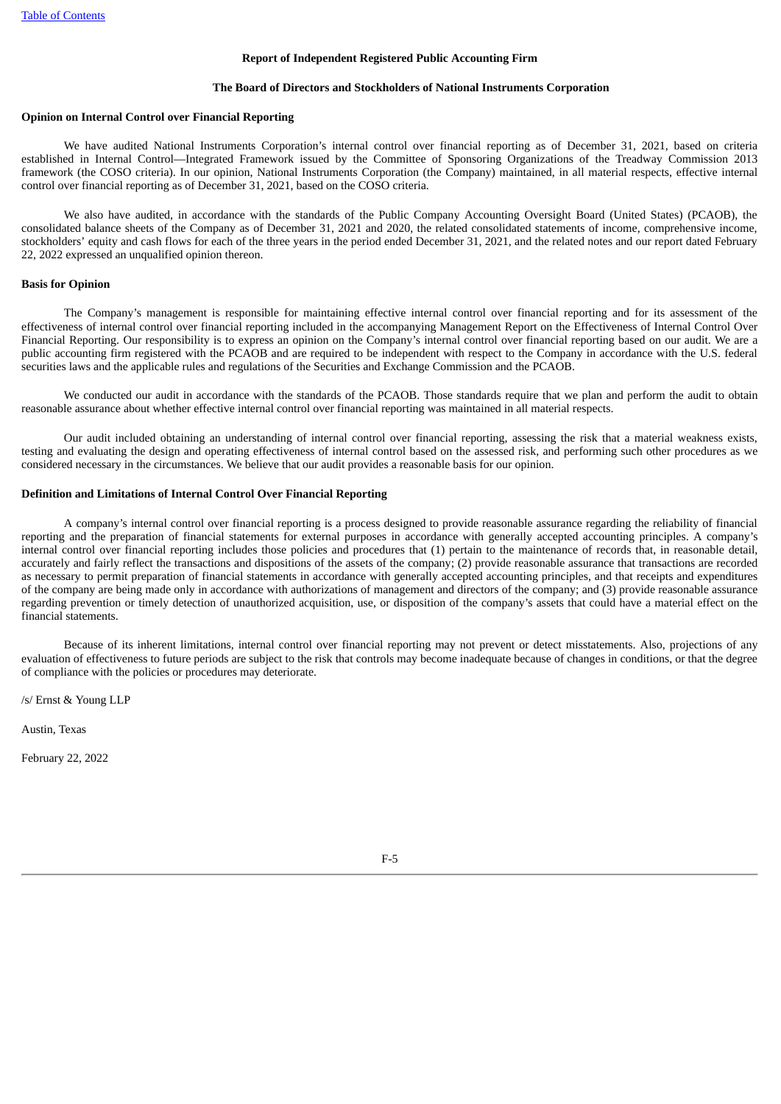### **Report of Independent Registered Public Accounting Firm**

#### **The Board of Directors and Stockholders of National Instruments Corporation**

#### **Opinion on Internal Control over Financial Reporting**

We have audited National Instruments Corporation's internal control over financial reporting as of December 31, 2021, based on criteria established in Internal Control—Integrated Framework issued by the Committee of Sponsoring Organizations of the Treadway Commission 2013 framework (the COSO criteria). In our opinion, National Instruments Corporation (the Company) maintained, in all material respects, effective internal control over financial reporting as of December 31, 2021, based on the COSO criteria.

We also have audited, in accordance with the standards of the Public Company Accounting Oversight Board (United States) (PCAOB), the consolidated balance sheets of the Company as of December 31, 2021 and 2020, the related consolidated statements of income, comprehensive income, stockholders' equity and cash flows for each of the three years in the period ended December 31, 2021, and the related notes and our report dated February 22, 2022 expressed an unqualified opinion thereon.

# **Basis for Opinion**

The Company's management is responsible for maintaining effective internal control over financial reporting and for its assessment of the effectiveness of internal control over financial reporting included in the accompanying Management Report on the Effectiveness of Internal Control Over Financial Reporting. Our responsibility is to express an opinion on the Company's internal control over financial reporting based on our audit. We are a public accounting firm registered with the PCAOB and are required to be independent with respect to the Company in accordance with the U.S. federal securities laws and the applicable rules and regulations of the Securities and Exchange Commission and the PCAOB.

We conducted our audit in accordance with the standards of the PCAOB. Those standards require that we plan and perform the audit to obtain reasonable assurance about whether effective internal control over financial reporting was maintained in all material respects.

Our audit included obtaining an understanding of internal control over financial reporting, assessing the risk that a material weakness exists, testing and evaluating the design and operating effectiveness of internal control based on the assessed risk, and performing such other procedures as we considered necessary in the circumstances. We believe that our audit provides a reasonable basis for our opinion.

# **Definition and Limitations of Internal Control Over Financial Reporting**

A company's internal control over financial reporting is a process designed to provide reasonable assurance regarding the reliability of financial reporting and the preparation of financial statements for external purposes in accordance with generally accepted accounting principles. A company's internal control over financial reporting includes those policies and procedures that (1) pertain to the maintenance of records that, in reasonable detail, accurately and fairly reflect the transactions and dispositions of the assets of the company; (2) provide reasonable assurance that transactions are recorded as necessary to permit preparation of financial statements in accordance with generally accepted accounting principles, and that receipts and expenditures of the company are being made only in accordance with authorizations of management and directors of the company; and (3) provide reasonable assurance regarding prevention or timely detection of unauthorized acquisition, use, or disposition of the company's assets that could have a material effect on the financial statements.

Because of its inherent limitations, internal control over financial reporting may not prevent or detect misstatements. Also, projections of any evaluation of effectiveness to future periods are subject to the risk that controls may become inadequate because of changes in conditions, or that the degree of compliance with the policies or procedures may deteriorate.

/s/ Ernst & Young LLP

Austin, Texas

<span id="page-57-0"></span>February 22, 2022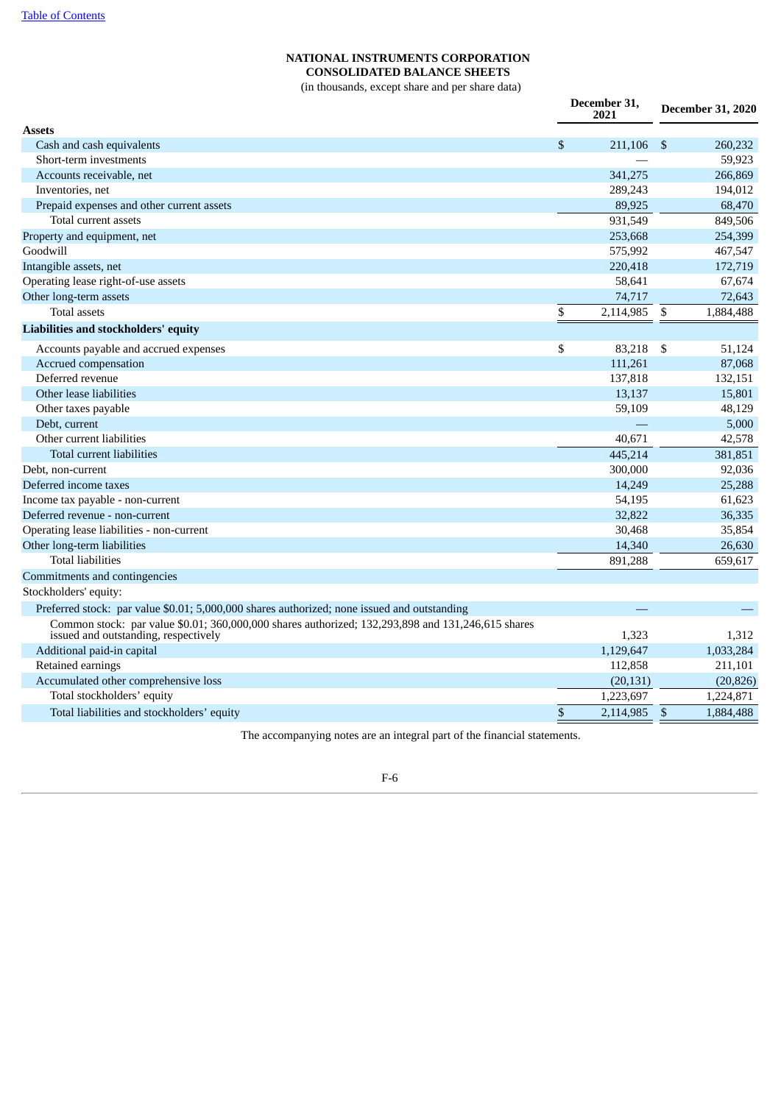# **NATIONAL INSTRUMENTS CORPORATION**

**CONSOLIDATED BALANCE SHEETS** (in thousands, except share and per share data)

|                                                                                                                                           |              |           | <b>December 31, 2020</b> |           |  |
|-------------------------------------------------------------------------------------------------------------------------------------------|--------------|-----------|--------------------------|-----------|--|
| <b>Assets</b>                                                                                                                             |              |           |                          |           |  |
| Cash and cash equivalents                                                                                                                 | \$           | 211,106   | \$                       | 260,232   |  |
| Short-term investments                                                                                                                    |              |           |                          | 59,923    |  |
| Accounts receivable, net                                                                                                                  |              | 341,275   |                          | 266,869   |  |
| Inventories, net                                                                                                                          |              | 289,243   |                          | 194,012   |  |
| Prepaid expenses and other current assets                                                                                                 |              | 89,925    |                          | 68,470    |  |
| Total current assets                                                                                                                      |              | 931,549   |                          | 849,506   |  |
| Property and equipment, net                                                                                                               |              | 253,668   |                          | 254,399   |  |
| Goodwill                                                                                                                                  |              | 575,992   |                          | 467,547   |  |
| Intangible assets, net                                                                                                                    |              | 220,418   |                          | 172,719   |  |
| Operating lease right-of-use assets                                                                                                       |              | 58,641    |                          | 67,674    |  |
| Other long-term assets                                                                                                                    |              | 74,717    |                          | 72,643    |  |
| <b>Total assets</b>                                                                                                                       | \$           | 2,114,985 | \$                       | 1,884,488 |  |
| Liabilities and stockholders' equity                                                                                                      |              |           |                          |           |  |
| Accounts payable and accrued expenses                                                                                                     | \$           | 83,218    | \$                       | 51,124    |  |
| Accrued compensation                                                                                                                      |              | 111,261   |                          | 87,068    |  |
| Deferred revenue                                                                                                                          |              | 137,818   |                          | 132,151   |  |
| Other lease liabilities                                                                                                                   |              | 13,137    |                          | 15,801    |  |
| Other taxes payable                                                                                                                       |              | 59,109    |                          | 48,129    |  |
| Debt, current                                                                                                                             |              |           |                          | 5,000     |  |
| Other current liabilities                                                                                                                 |              | 40,671    |                          | 42,578    |  |
| Total current liabilities                                                                                                                 |              | 445,214   |                          | 381,851   |  |
| Debt. non-current                                                                                                                         |              | 300,000   |                          | 92,036    |  |
| Deferred income taxes                                                                                                                     |              | 14,249    |                          | 25,288    |  |
| Income tax payable - non-current                                                                                                          |              | 54,195    |                          | 61,623    |  |
| Deferred revenue - non-current                                                                                                            |              | 32,822    |                          | 36,335    |  |
| Operating lease liabilities - non-current                                                                                                 |              | 30,468    |                          | 35,854    |  |
| Other long-term liabilities                                                                                                               |              | 14,340    |                          | 26,630    |  |
| <b>Total liabilities</b>                                                                                                                  |              | 891,288   |                          | 659,617   |  |
| Commitments and contingencies                                                                                                             |              |           |                          |           |  |
| Stockholders' equity:                                                                                                                     |              |           |                          |           |  |
| Preferred stock: par value \$0.01; 5,000,000 shares authorized; none issued and outstanding                                               |              |           |                          |           |  |
| Common stock: par value \$0.01; 360,000,000 shares authorized; 132,293,898 and 131,246,615 shares<br>issued and outstanding, respectively |              | 1,323     |                          | 1,312     |  |
| Additional paid-in capital                                                                                                                |              | 1,129,647 |                          | 1,033,284 |  |
| Retained earnings                                                                                                                         |              | 112,858   |                          | 211,101   |  |
| Accumulated other comprehensive loss                                                                                                      |              | (20, 131) |                          | (20, 826) |  |
| Total stockholders' equity                                                                                                                |              | 1,223,697 |                          | 1,224,871 |  |
| Total liabilities and stockholders' equity                                                                                                | $\mathbb{S}$ | 2,114,985 | $\mathfrak{S}$           | 1,884,488 |  |

<span id="page-58-0"></span>The accompanying notes are an integral part of the financial statements.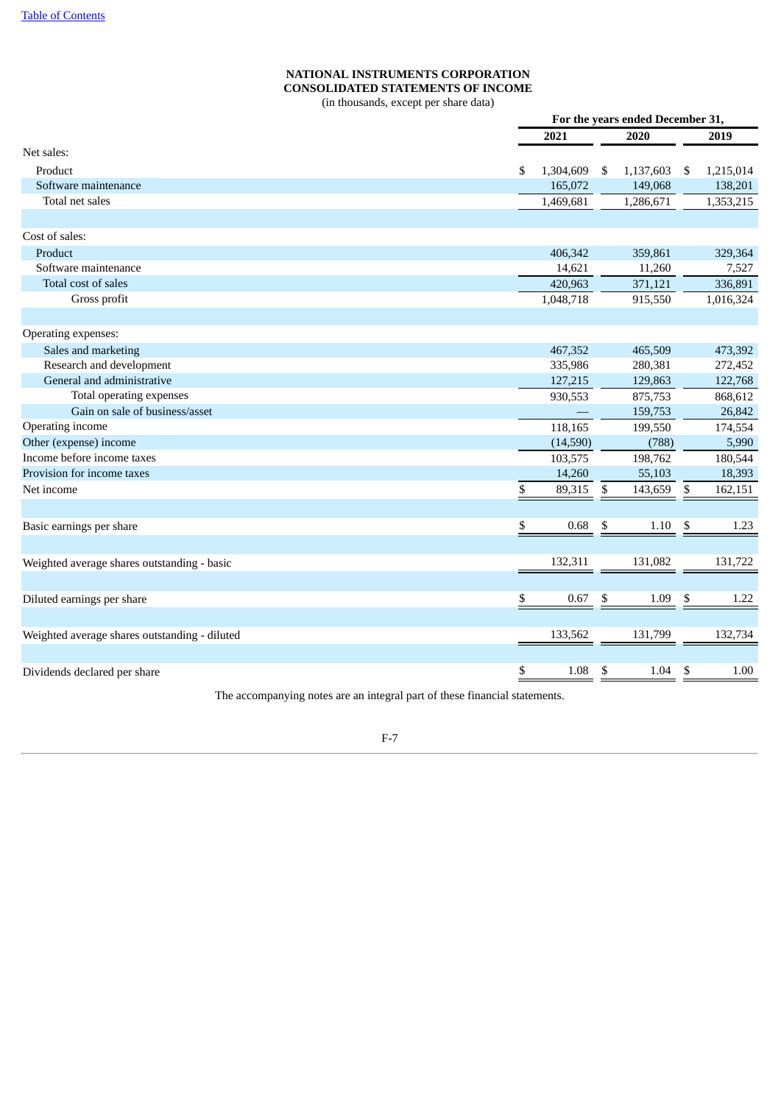# **NATIONAL INSTRUMENTS CORPORATION CONSOLIDATED STATEMENTS OF INCOME**

(in thousands, except per share data)

|                                               | For the years ended December 31, |    |           |     |           |
|-----------------------------------------------|----------------------------------|----|-----------|-----|-----------|
|                                               | 2021                             |    | 2020      |     | 2019      |
| Net sales:                                    |                                  |    |           |     |           |
| Product                                       | \$<br>1,304,609                  | \$ | 1,137,603 | \$  | 1,215,014 |
| Software maintenance                          | 165,072                          |    | 149,068   |     | 138,201   |
| Total net sales                               | 1,469,681                        |    | 1,286,671 |     | 1,353,215 |
|                                               |                                  |    |           |     |           |
| Cost of sales:                                |                                  |    |           |     |           |
| Product                                       | 406,342                          |    | 359,861   |     | 329,364   |
| Software maintenance                          | 14,621                           |    | 11,260    |     | 7,527     |
| Total cost of sales                           | 420,963                          |    | 371,121   |     | 336,891   |
| Gross profit                                  | 1,048,718                        |    | 915,550   |     | 1,016,324 |
|                                               |                                  |    |           |     |           |
| Operating expenses:                           |                                  |    |           |     |           |
| Sales and marketing                           | 467,352                          |    | 465,509   |     | 473,392   |
| Research and development                      | 335,986                          |    | 280,381   |     | 272,452   |
| General and administrative                    | 127,215                          |    | 129,863   |     | 122,768   |
| Total operating expenses                      | 930,553                          |    | 875,753   |     | 868,612   |
| Gain on sale of business/asset                |                                  |    | 159,753   |     | 26,842    |
| Operating income                              | 118,165                          |    | 199,550   |     | 174,554   |
| Other (expense) income                        | (14,590)                         |    | (788)     |     | 5,990     |
| Income before income taxes                    | 103,575                          |    | 198,762   |     | 180,544   |
| Provision for income taxes                    | 14,260                           |    | 55,103    |     | 18,393    |
| Net income                                    | \$<br>89,315                     | \$ | 143,659   | \$  | 162,151   |
|                                               |                                  |    |           |     |           |
| Basic earnings per share                      | \$<br>0.68                       | \$ | 1.10      | \$  | 1.23      |
|                                               |                                  |    |           |     |           |
| Weighted average shares outstanding - basic   | 132,311                          |    | 131,082   |     | 131,722   |
|                                               |                                  |    |           |     |           |
| Diluted earnings per share                    | \$<br>0.67                       | \$ | 1.09      | \$  | 1.22      |
|                                               |                                  |    |           |     |           |
| Weighted average shares outstanding - diluted | 133,562                          |    | 131,799   |     | 132,734   |
|                                               |                                  |    |           |     |           |
| Dividends declared per share                  | \$<br>1.08                       | \$ | 1.04      | -\$ | 1.00      |

<span id="page-59-0"></span>The accompanying notes are an integral part of these financial statements.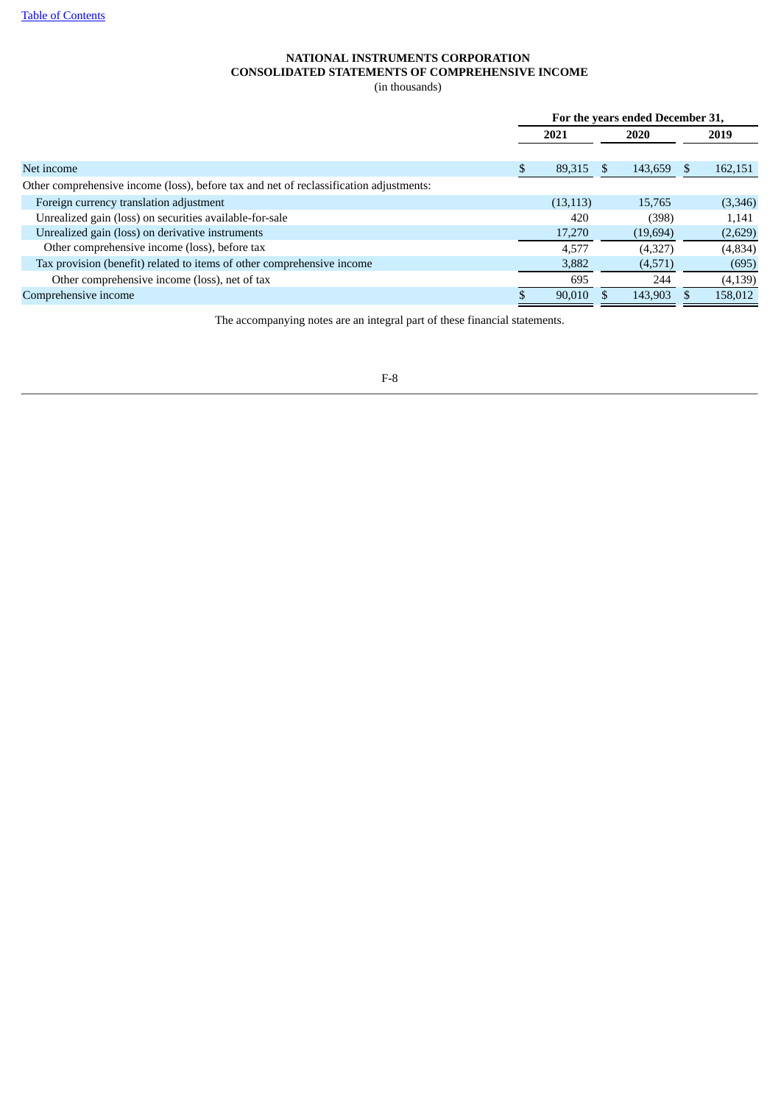# **NATIONAL INSTRUMENTS CORPORATION CONSOLIDATED STATEMENTS OF COMPREHENSIVE INCOME** (in thousands)

|                                                                                        | For the years ended December 31, |           |      |           |  |          |
|----------------------------------------------------------------------------------------|----------------------------------|-----------|------|-----------|--|----------|
|                                                                                        | 2021                             |           | 2020 |           |  | 2019     |
|                                                                                        |                                  |           |      |           |  |          |
| Net income                                                                             |                                  | 89,315    | \$.  | 143,659   |  | 162,151  |
| Other comprehensive income (loss), before tax and net of reclassification adjustments: |                                  |           |      |           |  |          |
| Foreign currency translation adjustment                                                |                                  | (13, 113) |      | 15,765    |  | (3,346)  |
| Unrealized gain (loss) on securities available-for-sale                                |                                  | 420       |      | (398)     |  | 1,141    |
| Unrealized gain (loss) on derivative instruments                                       |                                  | 17,270    |      | (19, 694) |  | (2,629)  |
| Other comprehensive income (loss), before tax                                          |                                  | 4.577     |      | (4,327)   |  | (4,834)  |
| Tax provision (benefit) related to items of other comprehensive income                 |                                  | 3,882     |      | (4,571)   |  | (695)    |
| Other comprehensive income (loss), net of tax                                          |                                  | 695       |      | 244       |  | (4, 139) |
| Comprehensive income                                                                   |                                  | 90,010    |      | 143,903   |  | 158,012  |

<span id="page-60-0"></span>The accompanying notes are an integral part of these financial statements.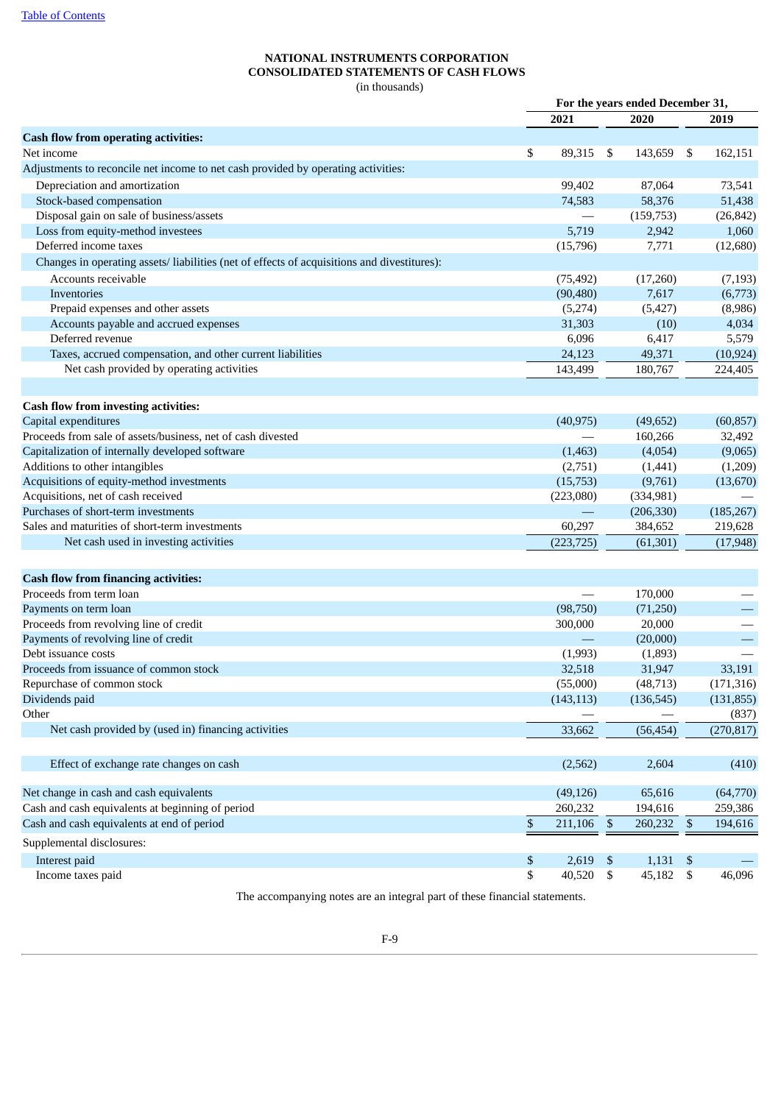# **NATIONAL INSTRUMENTS CORPORATION CONSOLIDATED STATEMENTS OF CASH FLOWS** (in thousands)

|                                                                                             | For the years ended December 31, |              |            |      |            |
|---------------------------------------------------------------------------------------------|----------------------------------|--------------|------------|------|------------|
|                                                                                             | 2021                             |              | 2020       |      | 2019       |
| <b>Cash flow from operating activities:</b>                                                 |                                  |              |            |      |            |
| Net income                                                                                  | \$<br>89,315                     | - \$         | 143,659    | - \$ | 162,151    |
| Adjustments to reconcile net income to net cash provided by operating activities:           |                                  |              |            |      |            |
| Depreciation and amortization                                                               | 99,402                           |              | 87,064     |      | 73,541     |
| Stock-based compensation                                                                    | 74,583                           |              | 58,376     |      | 51,438     |
| Disposal gain on sale of business/assets                                                    |                                  |              | (159, 753) |      | (26, 842)  |
| Loss from equity-method investees                                                           | 5,719                            |              | 2,942      |      | 1,060      |
| Deferred income taxes                                                                       | (15,796)                         |              | 7,771      |      | (12,680)   |
| Changes in operating assets/ liabilities (net of effects of acquisitions and divestitures): |                                  |              |            |      |            |
| Accounts receivable                                                                         | (75, 492)                        |              | (17,260)   |      | (7, 193)   |
| <b>Inventories</b>                                                                          | (90, 480)                        |              | 7,617      |      | (6,773)    |
| Prepaid expenses and other assets                                                           | (5,274)                          |              | (5, 427)   |      | (8,986)    |
| Accounts payable and accrued expenses                                                       | 31,303                           |              | (10)       |      | 4,034      |
| Deferred revenue                                                                            | 6,096                            |              | 6,417      |      | 5,579      |
| Taxes, accrued compensation, and other current liabilities                                  | 24,123                           |              | 49,371     |      | (10, 924)  |
| Net cash provided by operating activities                                                   | 143,499                          |              | 180,767    |      | 224,405    |
|                                                                                             |                                  |              |            |      |            |
| <b>Cash flow from investing activities:</b>                                                 |                                  |              |            |      |            |
| Capital expenditures                                                                        | (40, 975)                        |              | (49, 652)  |      | (60, 857)  |
| Proceeds from sale of assets/business, net of cash divested                                 |                                  |              | 160,266    |      | 32,492     |
| Capitalization of internally developed software                                             | (1,463)                          |              | (4,054)    |      | (9,065)    |
| Additions to other intangibles                                                              | (2,751)                          |              | (1,441)    |      | (1,209)    |
| Acquisitions of equity-method investments                                                   | (15,753)                         |              | (9,761)    |      | (13,670)   |
| Acquisitions, net of cash received                                                          | (223,080)                        |              | (334, 981) |      |            |
| Purchases of short-term investments                                                         |                                  |              | (206, 330) |      | (185, 267) |
| Sales and maturities of short-term investments                                              | 60,297                           |              | 384,652    |      | 219,628    |
| Net cash used in investing activities                                                       | (223, 725)                       |              | (61, 301)  |      | (17, 948)  |
|                                                                                             |                                  |              |            |      |            |
| <b>Cash flow from financing activities:</b>                                                 |                                  |              |            |      |            |
| Proceeds from term loan                                                                     |                                  |              | 170,000    |      |            |
| Payments on term loan                                                                       | (98,750)                         |              | (71,250)   |      |            |
| Proceeds from revolving line of credit                                                      | 300,000                          |              | 20,000     |      |            |
| Payments of revolving line of credit                                                        |                                  |              | (20,000)   |      |            |
| Debt issuance costs                                                                         | (1,993)                          |              | (1,893)    |      |            |
| Proceeds from issuance of common stock                                                      | 32,518                           |              | 31,947     |      | 33,191     |
| Repurchase of common stock                                                                  | (55,000)                         |              | (48, 713)  |      | (171, 316) |
| Dividends paid                                                                              | (143, 113)                       |              | (136, 545) |      | (131, 855) |
| Other                                                                                       |                                  |              |            |      | (837)      |
| Net cash provided by (used in) financing activities                                         | 33,662                           |              | (56, 454)  |      | (270, 817) |
| Effect of exchange rate changes on cash                                                     | (2,562)                          |              | 2,604      |      | (410)      |
| Net change in cash and cash equivalents                                                     | (49, 126)                        |              | 65,616     |      | (64,770)   |
| Cash and cash equivalents at beginning of period                                            | 260,232                          |              | 194,616    |      | 259,386    |
| Cash and cash equivalents at end of period                                                  | \$<br>211,106                    | $\mathbb{S}$ | 260,232    | \$   | 194,616    |
| Supplemental disclosures:                                                                   |                                  |              |            |      |            |
| Interest paid                                                                               | \$<br>2,619                      | - \$         | $1,131$ \$ |      |            |
| Income taxes paid                                                                           | \$<br>40,520 \$                  |              | 45,182 \$  |      | 46,096     |

<span id="page-61-0"></span>The accompanying notes are an integral part of these financial statements.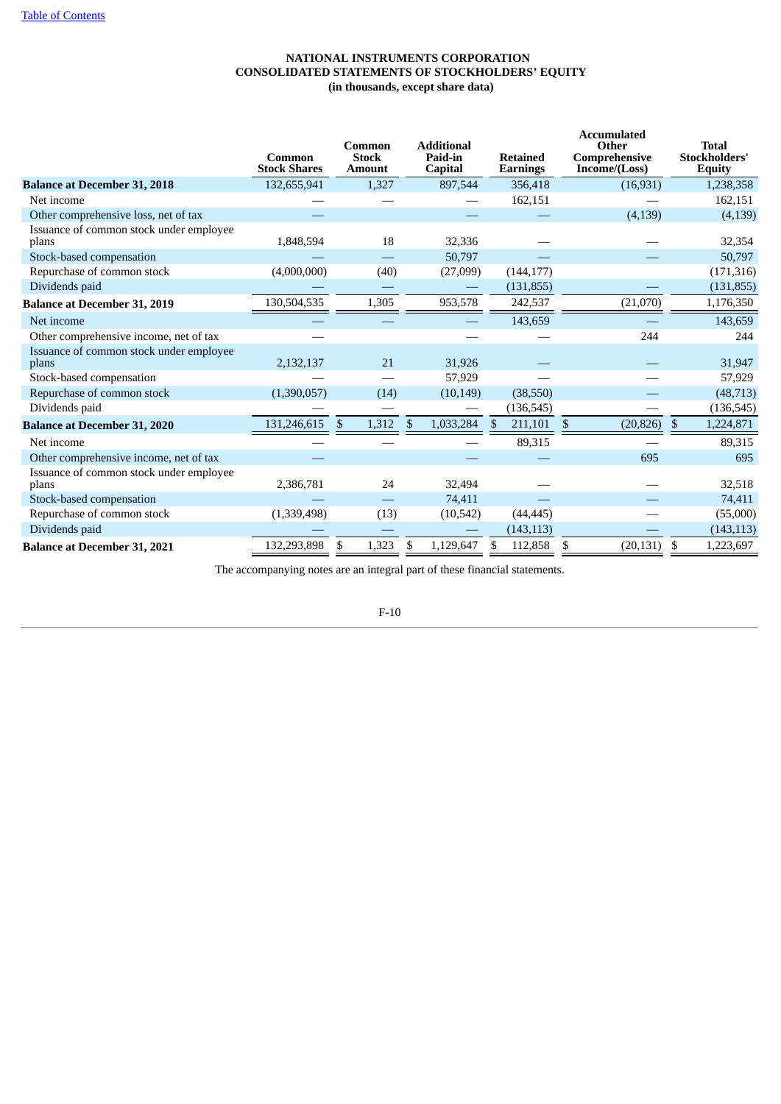# **NATIONAL INSTRUMENTS CORPORATION CONSOLIDATED STATEMENTS OF STOCKHOLDERS' EQUITY (in thousands, except share data)**

|                                                  | Common<br><b>Stock Shares</b> |              | Common<br><b>Stock</b><br><b>Amount</b> | <b>Additional</b><br>Paid-in<br><b>Capital</b> | <b>Retained</b><br><b>Earnings</b> |    | <b>Accumulated</b><br>Other<br>Comprehensive<br>Income/(Loss) |                | <b>Total</b><br>Stockholders'<br><b>Equity</b> |
|--------------------------------------------------|-------------------------------|--------------|-----------------------------------------|------------------------------------------------|------------------------------------|----|---------------------------------------------------------------|----------------|------------------------------------------------|
| <b>Balance at December 31, 2018</b>              | 132,655,941                   |              | 1,327                                   | 897,544                                        | 356,418                            |    | (16, 931)                                                     |                | 1,238,358                                      |
| Net income                                       |                               |              |                                         |                                                | 162,151                            |    |                                                               |                | 162,151                                        |
| Other comprehensive loss, net of tax             |                               |              |                                         |                                                |                                    |    | (4, 139)                                                      |                | (4, 139)                                       |
| Issuance of common stock under employee<br>plans | 1,848,594                     |              | 18                                      | 32,336                                         |                                    |    |                                                               |                | 32,354                                         |
| Stock-based compensation                         |                               |              |                                         | 50,797                                         |                                    |    |                                                               |                | 50,797                                         |
| Repurchase of common stock                       | (4,000,000)                   |              | (40)                                    | (27,099)                                       | (144, 177)                         |    |                                                               |                | (171, 316)                                     |
| Dividends paid                                   |                               |              |                                         |                                                | (131, 855)                         |    |                                                               |                | (131, 855)                                     |
| <b>Balance at December 31, 2019</b>              | 130,504,535                   |              | 1,305                                   | 953,578                                        | 242,537                            |    | (21,070)                                                      |                | 1,176,350                                      |
| Net income                                       |                               |              |                                         |                                                | 143,659                            |    |                                                               |                | 143,659                                        |
| Other comprehensive income, net of tax           |                               |              |                                         |                                                |                                    |    | 244                                                           |                | 244                                            |
| Issuance of common stock under employee<br>plans | 2,132,137                     |              | 21                                      | 31,926                                         |                                    |    |                                                               |                | 31,947                                         |
| Stock-based compensation                         |                               |              |                                         | 57,929                                         |                                    |    |                                                               |                | 57,929                                         |
| Repurchase of common stock                       | (1,390,057)                   |              | (14)                                    | (10, 149)                                      | (38, 550)                          |    |                                                               |                | (48, 713)                                      |
| Dividends paid                                   |                               |              |                                         |                                                | (136, 545)                         |    |                                                               |                | (136, 545)                                     |
| <b>Balance at December 31, 2020</b>              | 131,246,615                   | $\mathbf{s}$ | 1,312                                   | \$<br>1,033,284                                | \$<br>211,101                      | \$ | (20, 826)                                                     | $\mathfrak{s}$ | 1,224,871                                      |
| Net income                                       |                               |              |                                         |                                                | 89,315                             |    |                                                               |                | 89,315                                         |
| Other comprehensive income, net of tax           |                               |              |                                         |                                                |                                    |    | 695                                                           |                | 695                                            |
| Issuance of common stock under employee<br>plans | 2,386,781                     |              | 24                                      | 32,494                                         |                                    |    |                                                               |                | 32,518                                         |
| Stock-based compensation                         |                               |              |                                         | 74,411                                         |                                    |    |                                                               |                | 74,411                                         |
| Repurchase of common stock                       | (1,339,498)                   |              | (13)                                    | (10, 542)                                      | (44, 445)                          |    |                                                               |                | (55,000)                                       |
| Dividends paid                                   |                               |              |                                         |                                                | (143, 113)                         |    |                                                               |                | (143, 113)                                     |
| <b>Balance at December 31, 2021</b>              | 132,293,898                   | \$           | 1,323                                   | \$<br>1,129,647                                | \$<br>112,858                      | S  | (20, 131)                                                     | \$             | 1,223,697                                      |

<span id="page-62-0"></span>The accompanying notes are an integral part of these financial statements.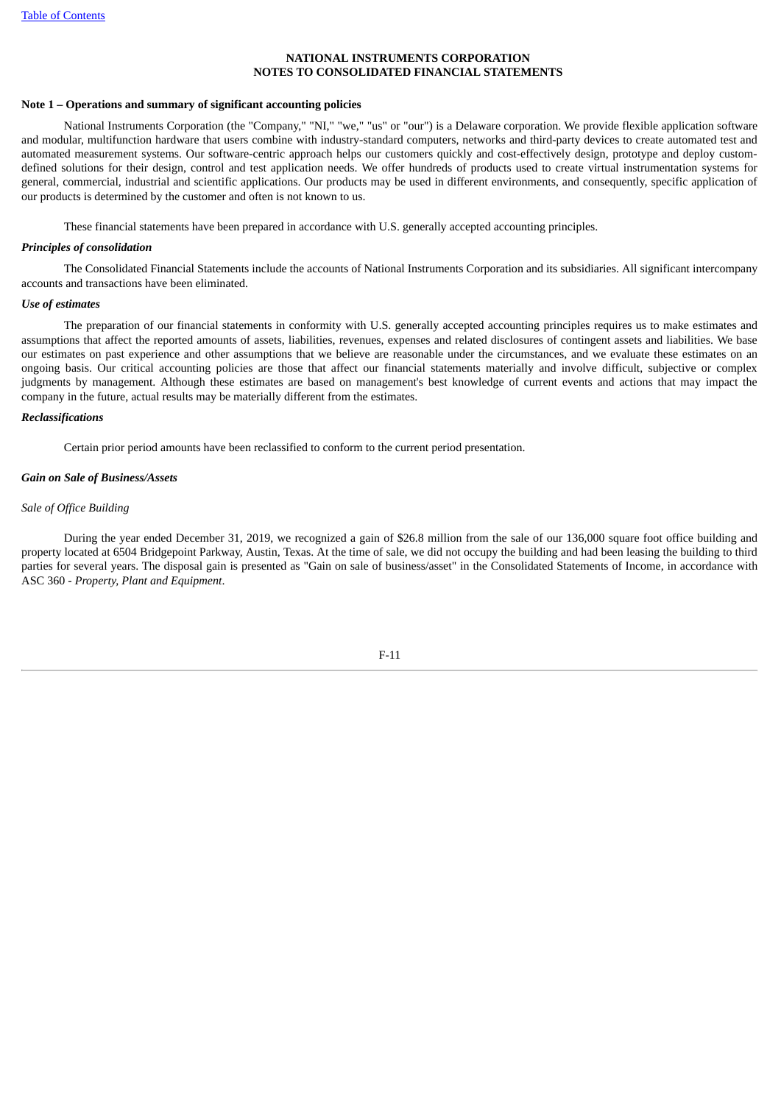# **NATIONAL INSTRUMENTS CORPORATION NOTES TO CONSOLIDATED FINANCIAL STATEMENTS**

# **Note 1 – Operations and summary of significant accounting policies**

National Instruments Corporation (the "Company," "NI," "we," "us" or "our") is a Delaware corporation. We provide flexible application software and modular, multifunction hardware that users combine with industry-standard computers, networks and third-party devices to create automated test and automated measurement systems. Our software-centric approach helps our customers quickly and cost-effectively design, prototype and deploy customdefined solutions for their design, control and test application needs. We offer hundreds of products used to create virtual instrumentation systems for general, commercial, industrial and scientific applications. Our products may be used in different environments, and consequently, specific application of our products is determined by the customer and often is not known to us.

These financial statements have been prepared in accordance with U.S. generally accepted accounting principles.

### *Principles of consolidation*

The Consolidated Financial Statements include the accounts of National Instruments Corporation and its subsidiaries. All significant intercompany accounts and transactions have been eliminated.

#### *Use of estimates*

The preparation of our financial statements in conformity with U.S. generally accepted accounting principles requires us to make estimates and assumptions that affect the reported amounts of assets, liabilities, revenues, expenses and related disclosures of contingent assets and liabilities. We base our estimates on past experience and other assumptions that we believe are reasonable under the circumstances, and we evaluate these estimates on an ongoing basis. Our critical accounting policies are those that affect our financial statements materially and involve difficult, subjective or complex judgments by management. Although these estimates are based on management's best knowledge of current events and actions that may impact the company in the future, actual results may be materially different from the estimates.

### *Reclassifications*

Certain prior period amounts have been reclassified to conform to the current period presentation.

### *Gain on Sale of Business/Assets*

# *Sale of Office Building*

During the year ended December 31, 2019, we recognized a gain of \$26.8 million from the sale of our 136,000 square foot office building and property located at 6504 Bridgepoint Parkway, Austin, Texas. At the time of sale, we did not occupy the building and had been leasing the building to third parties for several years. The disposal gain is presented as "Gain on sale of business/asset" in the Consolidated Statements of Income, in accordance with ASC 360 - *Property, Plant and Equipment*.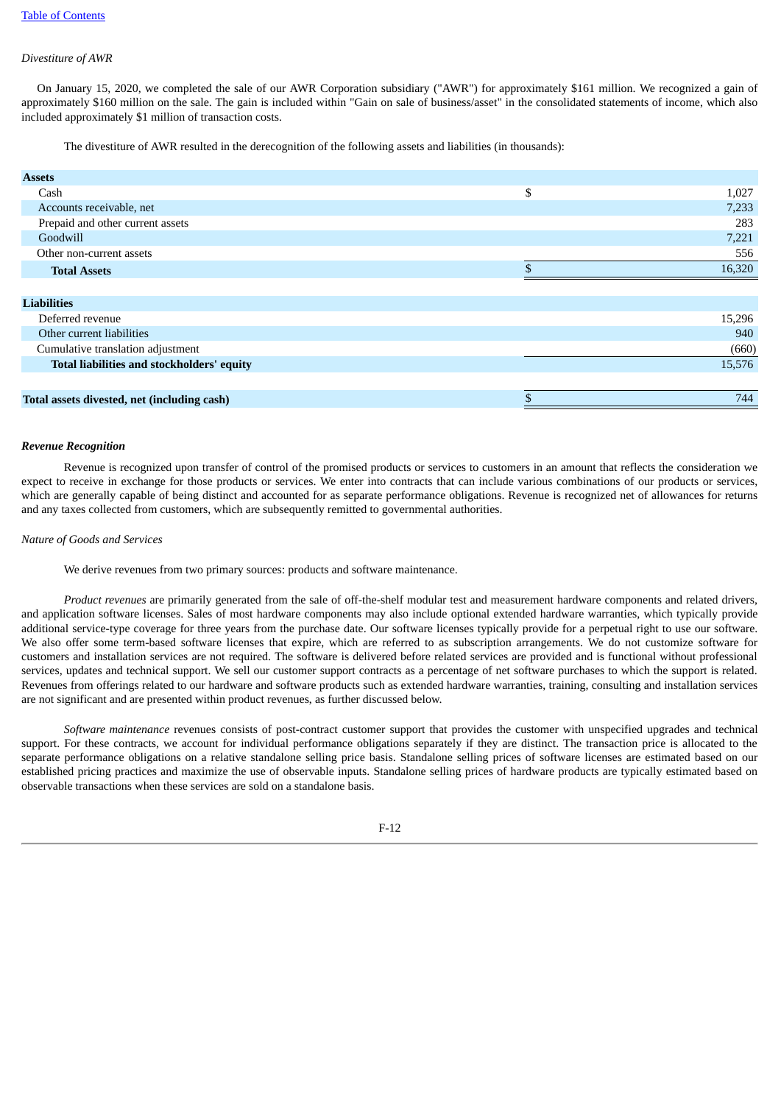# *Divestiture of AWR*

On January 15, 2020, we completed the sale of our AWR Corporation subsidiary ("AWR") for approximately \$161 million. We recognized a gain of approximately \$160 million on the sale. The gain is included within "Gain on sale of business/asset" in the consolidated statements of income, which also included approximately \$1 million of transaction costs.

The divestiture of AWR resulted in the derecognition of the following assets and liabilities (in thousands):

| <b>Assets</b>                                     |    |        |
|---------------------------------------------------|----|--------|
|                                                   |    |        |
| Cash                                              | \$ | 1,027  |
| Accounts receivable, net                          |    | 7,233  |
| Prepaid and other current assets                  |    | 283    |
| Goodwill                                          |    | 7,221  |
| Other non-current assets                          |    | 556    |
| <b>Total Assets</b>                               |    | 16,320 |
|                                                   |    |        |
| <b>Liabilities</b>                                |    |        |
| Deferred revenue                                  |    | 15,296 |
| Other current liabilities                         |    | 940    |
| Cumulative translation adjustment                 |    | (660)  |
| <b>Total liabilities and stockholders' equity</b> |    | 15,576 |
|                                                   |    |        |
| Total assets divested, net (including cash)       | Эħ | 744    |

### *Revenue Recognition*

Revenue is recognized upon transfer of control of the promised products or services to customers in an amount that reflects the consideration we expect to receive in exchange for those products or services. We enter into contracts that can include various combinations of our products or services, which are generally capable of being distinct and accounted for as separate performance obligations. Revenue is recognized net of allowances for returns and any taxes collected from customers, which are subsequently remitted to governmental authorities.

# *Nature of Goods and Services*

We derive revenues from two primary sources: products and software maintenance.

*Product revenues* are primarily generated from the sale of off-the-shelf modular test and measurement hardware components and related drivers, and application software licenses. Sales of most hardware components may also include optional extended hardware warranties, which typically provide additional service-type coverage for three years from the purchase date. Our software licenses typically provide for a perpetual right to use our software. We also offer some term-based software licenses that expire, which are referred to as subscription arrangements. We do not customize software for customers and installation services are not required. The software is delivered before related services are provided and is functional without professional services, updates and technical support. We sell our customer support contracts as a percentage of net software purchases to which the support is related. Revenues from offerings related to our hardware and software products such as extended hardware warranties, training, consulting and installation services are not significant and are presented within product revenues, as further discussed below.

*Software maintenance* revenues consists of post-contract customer support that provides the customer with unspecified upgrades and technical support. For these contracts, we account for individual performance obligations separately if they are distinct. The transaction price is allocated to the separate performance obligations on a relative standalone selling price basis. Standalone selling prices of software licenses are estimated based on our established pricing practices and maximize the use of observable inputs. Standalone selling prices of hardware products are typically estimated based on observable transactions when these services are sold on a standalone basis.

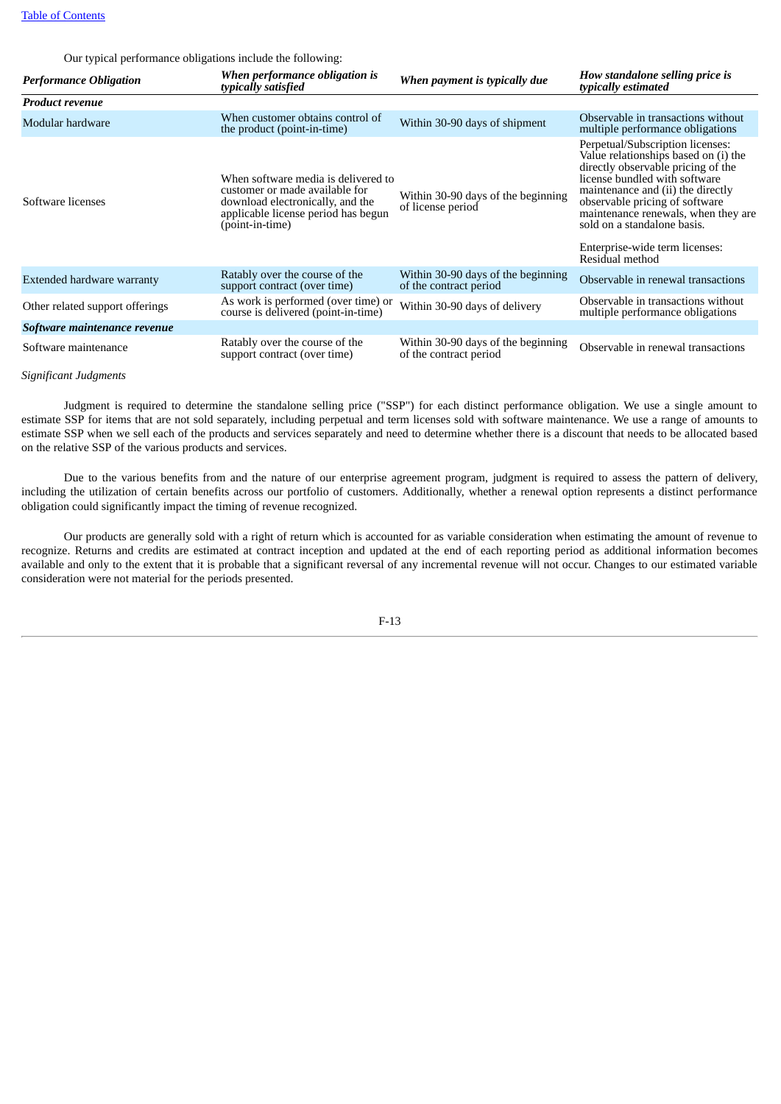Our typical performance obligations include the following:

| <b>Performance Obligation</b>   | When performance obligation is<br>typically satisfied                                                                                                               | When payment is typically due                                | How standalone selling price is<br>typically estimated                                                                                                                                                                                                                                                                                            |  |  |  |  |  |  |
|---------------------------------|---------------------------------------------------------------------------------------------------------------------------------------------------------------------|--------------------------------------------------------------|---------------------------------------------------------------------------------------------------------------------------------------------------------------------------------------------------------------------------------------------------------------------------------------------------------------------------------------------------|--|--|--|--|--|--|
| <b>Product revenue</b>          |                                                                                                                                                                     |                                                              |                                                                                                                                                                                                                                                                                                                                                   |  |  |  |  |  |  |
| Modular hardware                | When customer obtains control of<br>the product (point-in-time)                                                                                                     | Within 30-90 days of shipment                                | Observable in transactions without<br>multiple performance obligations                                                                                                                                                                                                                                                                            |  |  |  |  |  |  |
| Software licenses               | When software media is delivered to<br>customer or made available for<br>download electronically, and the<br>applicable license period has begun<br>(point-in-time) | Within 30-90 days of the beginning<br>of license period      | Perpetual/Subscription licenses:<br>Value relationships based on (i) the<br>directly observable pricing of the<br>license bundled with software<br>maintenance and (ii) the directly<br>observable pricing of software<br>maintenance renewals, when they are<br>sold on a standalone basis.<br>Enterprise-wide term licenses:<br>Residual method |  |  |  |  |  |  |
| Extended hardware warranty      | Ratably over the course of the<br>support contract (over time)                                                                                                      | Within 30-90 days of the beginning<br>of the contract period | Observable in renewal transactions                                                                                                                                                                                                                                                                                                                |  |  |  |  |  |  |
| Other related support offerings | As work is performed (over time) or<br>course is delivered (point-in-time)                                                                                          | Within 30-90 days of delivery                                | Observable in transactions without<br>multiple performance obligations                                                                                                                                                                                                                                                                            |  |  |  |  |  |  |
| Software maintenance revenue    |                                                                                                                                                                     |                                                              |                                                                                                                                                                                                                                                                                                                                                   |  |  |  |  |  |  |
| Software maintenance            | Ratably over the course of the<br>support contract (over time)                                                                                                      | Within 30-90 days of the beginning<br>of the contract period | Observable in renewal transactions                                                                                                                                                                                                                                                                                                                |  |  |  |  |  |  |

# *Significant Judgments*

Judgment is required to determine the standalone selling price ("SSP") for each distinct performance obligation. We use a single amount to estimate SSP for items that are not sold separately, including perpetual and term licenses sold with software maintenance. We use a range of amounts to estimate SSP when we sell each of the products and services separately and need to determine whether there is a discount that needs to be allocated based on the relative SSP of the various products and services.

Due to the various benefits from and the nature of our enterprise agreement program, judgment is required to assess the pattern of delivery, including the utilization of certain benefits across our portfolio of customers. Additionally, whether a renewal option represents a distinct performance obligation could significantly impact the timing of revenue recognized.

Our products are generally sold with a right of return which is accounted for as variable consideration when estimating the amount of revenue to recognize. Returns and credits are estimated at contract inception and updated at the end of each reporting period as additional information becomes available and only to the extent that it is probable that a significant reversal of any incremental revenue will not occur. Changes to our estimated variable consideration were not material for the periods presented.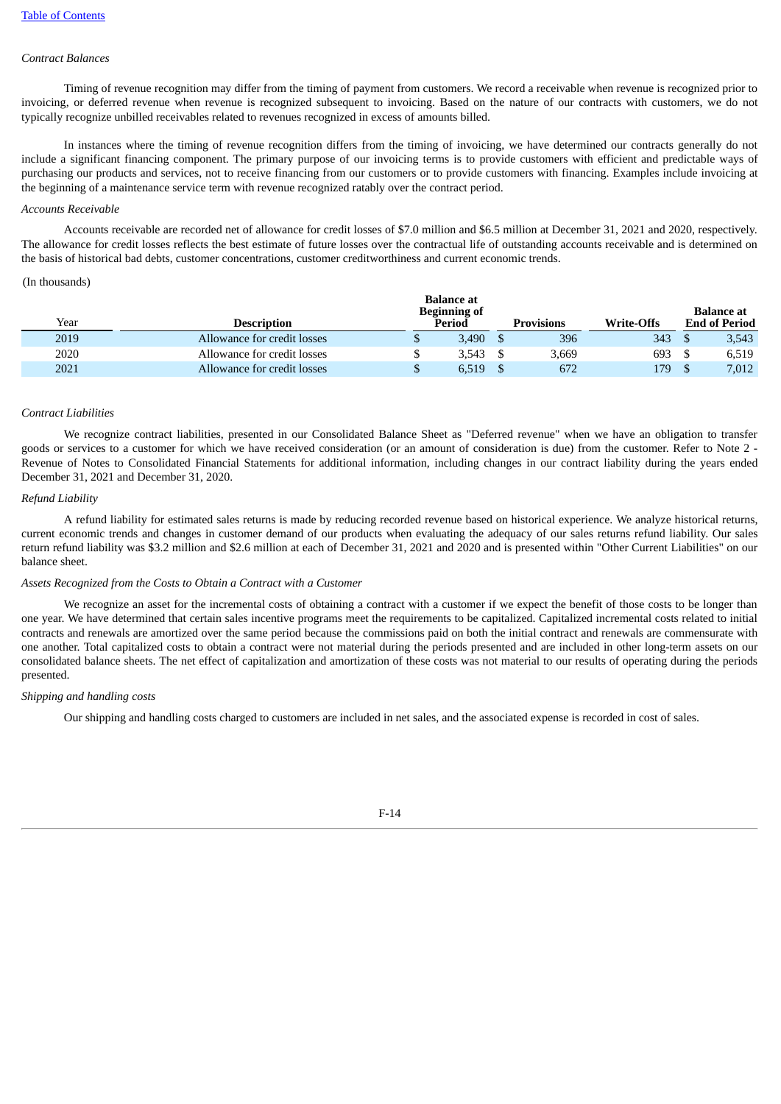## *Contract Balances*

Timing of revenue recognition may differ from the timing of payment from customers. We record a receivable when revenue is recognized prior to invoicing, or deferred revenue when revenue is recognized subsequent to invoicing. Based on the nature of our contracts with customers, we do not typically recognize unbilled receivables related to revenues recognized in excess of amounts billed.

In instances where the timing of revenue recognition differs from the timing of invoicing, we have determined our contracts generally do not include a significant financing component. The primary purpose of our invoicing terms is to provide customers with efficient and predictable ways of purchasing our products and services, not to receive financing from our customers or to provide customers with financing. Examples include invoicing at the beginning of a maintenance service term with revenue recognized ratably over the contract period.

# *Accounts Receivable*

Accounts receivable are recorded net of allowance for credit losses of \$7.0 million and \$6.5 million at December 31, 2021 and 2020, respectively. The allowance for credit losses reflects the best estimate of future losses over the contractual life of outstanding accounts receivable and is determined on the basis of historical bad debts, customer concentrations, customer creditworthiness and current economic trends.

# (In thousands)

| Year | Description                 | <b>Balance</b> at<br><b>Beginning of</b><br>Period | <b>Provisions</b> | <b>Write-Offs</b> | <b>Balance</b> at<br><b>End of Period</b> |
|------|-----------------------------|----------------------------------------------------|-------------------|-------------------|-------------------------------------------|
| 2019 | Allowance for credit losses | 3,490                                              | 396               | 343               | 3,543                                     |
| 2020 | Allowance for credit losses | 3.543                                              | 3,669             | 693               | 6,519                                     |
| 2021 | Allowance for credit losses | 6,519                                              | 672               | 179               | 7,012                                     |

# *Contract Liabilities*

We recognize contract liabilities, presented in our Consolidated Balance Sheet as "Deferred revenue" when we have an obligation to transfer goods or services to a customer for which we have received consideration (or an amount of consideration is due) from the customer. Refer to Note 2 - Revenue of Notes to Consolidated Financial Statements for additional information, including changes in our contract liability during the years ended December 31, 2021 and December 31, 2020.

# *Refund Liability*

A refund liability for estimated sales returns is made by reducing recorded revenue based on historical experience. We analyze historical returns, current economic trends and changes in customer demand of our products when evaluating the adequacy of our sales returns refund liability. Our sales return refund liability was \$3.2 million and \$2.6 million at each of December 31, 2021 and 2020 and is presented within "Other Current Liabilities" on our balance sheet.

# *Assets Recognized from the Costs to Obtain a Contract with a Customer*

We recognize an asset for the incremental costs of obtaining a contract with a customer if we expect the benefit of those costs to be longer than one year. We have determined that certain sales incentive programs meet the requirements to be capitalized. Capitalized incremental costs related to initial contracts and renewals are amortized over the same period because the commissions paid on both the initial contract and renewals are commensurate with one another. Total capitalized costs to obtain a contract were not material during the periods presented and are included in other long-term assets on our consolidated balance sheets. The net effect of capitalization and amortization of these costs was not material to our results of operating during the periods presented.

### *Shipping and handling costs*

Our shipping and handling costs charged to customers are included in net sales, and the associated expense is recorded in cost of sales.

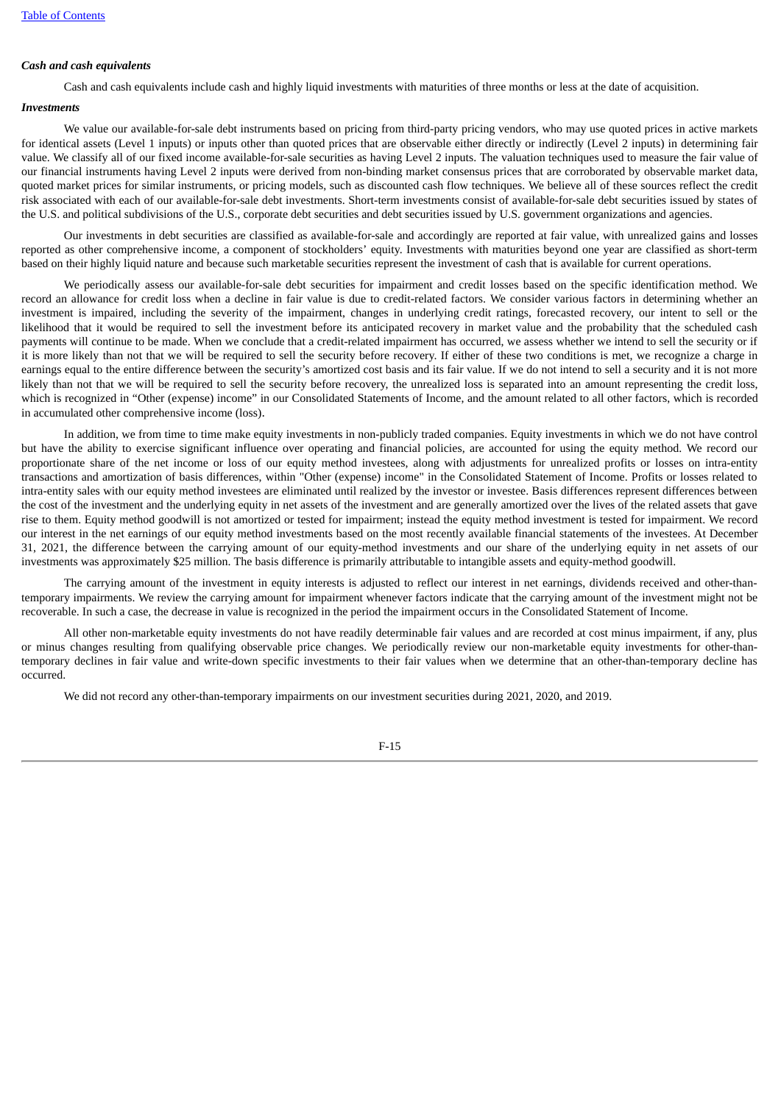# *Cash and cash equivalents*

Cash and cash equivalents include cash and highly liquid investments with maturities of three months or less at the date of acquisition.

# *Investments*

We value our available-for-sale debt instruments based on pricing from third-party pricing vendors, who may use quoted prices in active markets for identical assets (Level 1 inputs) or inputs other than quoted prices that are observable either directly or indirectly (Level 2 inputs) in determining fair value. We classify all of our fixed income available-for-sale securities as having Level 2 inputs. The valuation techniques used to measure the fair value of our financial instruments having Level 2 inputs were derived from non-binding market consensus prices that are corroborated by observable market data, quoted market prices for similar instruments, or pricing models, such as discounted cash flow techniques. We believe all of these sources reflect the credit risk associated with each of our available-for-sale debt investments. Short-term investments consist of available-for-sale debt securities issued by states of the U.S. and political subdivisions of the U.S., corporate debt securities and debt securities issued by U.S. government organizations and agencies.

Our investments in debt securities are classified as available-for-sale and accordingly are reported at fair value, with unrealized gains and losses reported as other comprehensive income, a component of stockholders' equity. Investments with maturities beyond one year are classified as short-term based on their highly liquid nature and because such marketable securities represent the investment of cash that is available for current operations.

We periodically assess our available-for-sale debt securities for impairment and credit losses based on the specific identification method. We record an allowance for credit loss when a decline in fair value is due to credit-related factors. We consider various factors in determining whether an investment is impaired, including the severity of the impairment, changes in underlying credit ratings, forecasted recovery, our intent to sell or the likelihood that it would be required to sell the investment before its anticipated recovery in market value and the probability that the scheduled cash payments will continue to be made. When we conclude that a credit-related impairment has occurred, we assess whether we intend to sell the security or if it is more likely than not that we will be required to sell the security before recovery. If either of these two conditions is met, we recognize a charge in earnings equal to the entire difference between the security's amortized cost basis and its fair value. If we do not intend to sell a security and it is not more likely than not that we will be required to sell the security before recovery, the unrealized loss is separated into an amount representing the credit loss, which is recognized in "Other (expense) income" in our Consolidated Statements of Income, and the amount related to all other factors, which is recorded in accumulated other comprehensive income (loss).

In addition, we from time to time make equity investments in non-publicly traded companies. Equity investments in which we do not have control but have the ability to exercise significant influence over operating and financial policies, are accounted for using the equity method. We record our proportionate share of the net income or loss of our equity method investees, along with adjustments for unrealized profits or losses on intra-entity transactions and amortization of basis differences, within "Other (expense) income" in the Consolidated Statement of Income. Profits or losses related to intra-entity sales with our equity method investees are eliminated until realized by the investor or investee. Basis differences represent differences between the cost of the investment and the underlying equity in net assets of the investment and are generally amortized over the lives of the related assets that gave rise to them. Equity method goodwill is not amortized or tested for impairment; instead the equity method investment is tested for impairment. We record our interest in the net earnings of our equity method investments based on the most recently available financial statements of the investees. At December 31, 2021, the difference between the carrying amount of our equity-method investments and our share of the underlying equity in net assets of our investments was approximately \$25 million. The basis difference is primarily attributable to intangible assets and equity-method goodwill.

The carrying amount of the investment in equity interests is adjusted to reflect our interest in net earnings, dividends received and other-thantemporary impairments. We review the carrying amount for impairment whenever factors indicate that the carrying amount of the investment might not be recoverable. In such a case, the decrease in value is recognized in the period the impairment occurs in the Consolidated Statement of Income.

All other non-marketable equity investments do not have readily determinable fair values and are recorded at cost minus impairment, if any, plus or minus changes resulting from qualifying observable price changes. We periodically review our non-marketable equity investments for other-thantemporary declines in fair value and write-down specific investments to their fair values when we determine that an other-than-temporary decline has occurred.

We did not record any other-than-temporary impairments on our investment securities during 2021, 2020, and 2019.

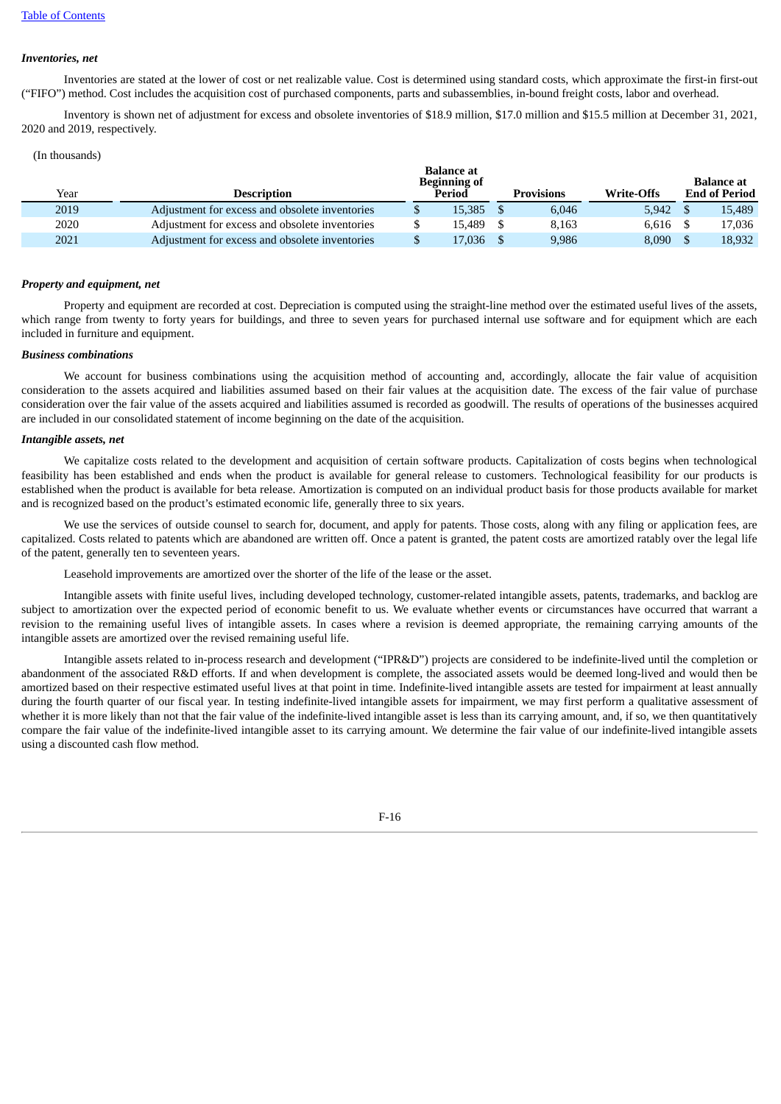# *Inventories, net*

Inventories are stated at the lower of cost or net realizable value. Cost is determined using standard costs, which approximate the first-in first-out ("FIFO") method. Cost includes the acquisition cost of purchased components, parts and subassemblies, in-bound freight costs, labor and overhead.

Inventory is shown net of adjustment for excess and obsolete inventories of \$18.9 million, \$17.0 million and \$15.5 million at December 31, 2021, 2020 and 2019, respectively.

**Balance at**

# (In thousands)

| Year | Description                                    | -balalice at<br><b>Beginning of</b><br>Period | <b>Provisions</b> | Write-Offs | <b>Balance at</b><br><b>End of Period</b> |
|------|------------------------------------------------|-----------------------------------------------|-------------------|------------|-------------------------------------------|
| 2019 | Adjustment for excess and obsolete inventories | 15.385                                        | 6.046             | 5.942      | 15,489                                    |
| 2020 | Adjustment for excess and obsolete inventories | 15.489                                        | 8.163             | 6.616      | 17,036                                    |
| 2021 | Adjustment for excess and obsolete inventories | 17,036                                        | 9,986             | 8.090      | 18,932                                    |

### *Property and equipment, net*

Property and equipment are recorded at cost. Depreciation is computed using the straight-line method over the estimated useful lives of the assets, which range from twenty to forty years for buildings, and three to seven years for purchased internal use software and for equipment which are each included in furniture and equipment.

# *Business combinations*

We account for business combinations using the acquisition method of accounting and, accordingly, allocate the fair value of acquisition consideration to the assets acquired and liabilities assumed based on their fair values at the acquisition date. The excess of the fair value of purchase consideration over the fair value of the assets acquired and liabilities assumed is recorded as goodwill. The results of operations of the businesses acquired are included in our consolidated statement of income beginning on the date of the acquisition.

### *Intangible assets, net*

We capitalize costs related to the development and acquisition of certain software products. Capitalization of costs begins when technological feasibility has been established and ends when the product is available for general release to customers. Technological feasibility for our products is established when the product is available for beta release. Amortization is computed on an individual product basis for those products available for market and is recognized based on the product's estimated economic life, generally three to six years.

We use the services of outside counsel to search for, document, and apply for patents. Those costs, along with any filing or application fees, are capitalized. Costs related to patents which are abandoned are written off. Once a patent is granted, the patent costs are amortized ratably over the legal life of the patent, generally ten to seventeen years.

Leasehold improvements are amortized over the shorter of the life of the lease or the asset.

Intangible assets with finite useful lives, including developed technology, customer-related intangible assets, patents, trademarks, and backlog are subject to amortization over the expected period of economic benefit to us. We evaluate whether events or circumstances have occurred that warrant a revision to the remaining useful lives of intangible assets. In cases where a revision is deemed appropriate, the remaining carrying amounts of the intangible assets are amortized over the revised remaining useful life.

Intangible assets related to in-process research and development ("IPR&D") projects are considered to be indefinite-lived until the completion or abandonment of the associated R&D efforts. If and when development is complete, the associated assets would be deemed long-lived and would then be amortized based on their respective estimated useful lives at that point in time. Indefinite-lived intangible assets are tested for impairment at least annually during the fourth quarter of our fiscal year. In testing indefinite-lived intangible assets for impairment, we may first perform a qualitative assessment of whether it is more likely than not that the fair value of the indefinite-lived intangible asset is less than its carrying amount, and, if so, we then quantitatively compare the fair value of the indefinite-lived intangible asset to its carrying amount. We determine the fair value of our indefinite-lived intangible assets using a discounted cash flow method.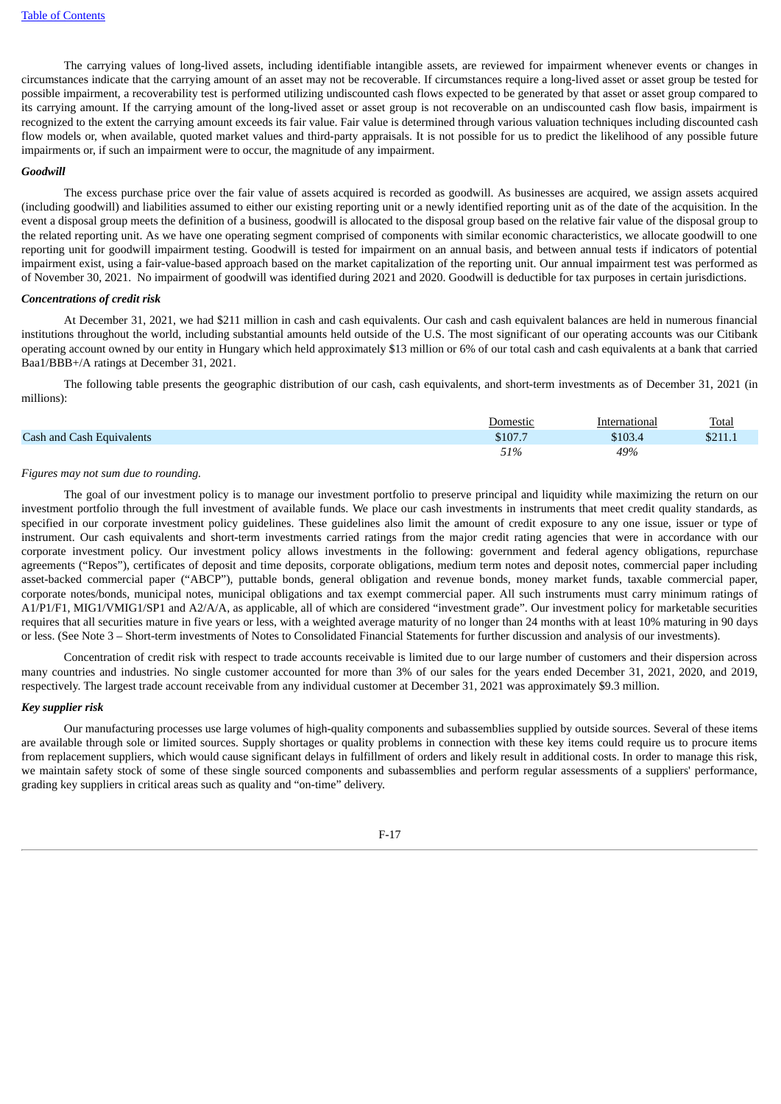The carrying values of long-lived assets, including identifiable intangible assets, are reviewed for impairment whenever events or changes in circumstances indicate that the carrying amount of an asset may not be recoverable. If circumstances require a long-lived asset or asset group be tested for possible impairment, a recoverability test is performed utilizing undiscounted cash flows expected to be generated by that asset or asset group compared to its carrying amount. If the carrying amount of the long-lived asset or asset group is not recoverable on an undiscounted cash flow basis, impairment is recognized to the extent the carrying amount exceeds its fair value. Fair value is determined through various valuation techniques including discounted cash flow models or, when available, quoted market values and third-party appraisals. It is not possible for us to predict the likelihood of any possible future impairments or, if such an impairment were to occur, the magnitude of any impairment.

### *Goodwill*

The excess purchase price over the fair value of assets acquired is recorded as goodwill. As businesses are acquired, we assign assets acquired (including goodwill) and liabilities assumed to either our existing reporting unit or a newly identified reporting unit as of the date of the acquisition. In the event a disposal group meets the definition of a business, goodwill is allocated to the disposal group based on the relative fair value of the disposal group to the related reporting unit. As we have one operating segment comprised of components with similar economic characteristics, we allocate goodwill to one reporting unit for goodwill impairment testing. Goodwill is tested for impairment on an annual basis, and between annual tests if indicators of potential impairment exist, using a fair-value-based approach based on the market capitalization of the reporting unit. Our annual impairment test was performed as of November 30, 2021. No impairment of goodwill was identified during 2021 and 2020. Goodwill is deductible for tax purposes in certain jurisdictions.

# *Concentrations of credit risk*

At December 31, 2021, we had \$211 million in cash and cash equivalents. Our cash and cash equivalent balances are held in numerous financial institutions throughout the world, including substantial amounts held outside of the U.S. The most significant of our operating accounts was our Citibank operating account owned by our entity in Hungary which held approximately \$13 million or 6% of our total cash and cash equivalents at a bank that carried Baa1/BBB+/A ratings at December 31, 2021.

The following table presents the geographic distribution of our cash, cash equivalents, and short-term investments as of December 31, 2021 (in millions):

|                           | Domestic | International | <b>Total</b> |
|---------------------------|----------|---------------|--------------|
| Cash and Cash Equivalents | \$107.7  | \$103.4       | \$211        |
|                           | 51%      | 49%           |              |

# *Figures may not sum due to rounding.*

The goal of our investment policy is to manage our investment portfolio to preserve principal and liquidity while maximizing the return on our investment portfolio through the full investment of available funds. We place our cash investments in instruments that meet credit quality standards, as specified in our corporate investment policy guidelines. These guidelines also limit the amount of credit exposure to any one issue, issuer or type of instrument. Our cash equivalents and short-term investments carried ratings from the major credit rating agencies that were in accordance with our corporate investment policy. Our investment policy allows investments in the following: government and federal agency obligations, repurchase agreements ("Repos"), certificates of deposit and time deposits, corporate obligations, medium term notes and deposit notes, commercial paper including asset-backed commercial paper ("ABCP"), puttable bonds, general obligation and revenue bonds, money market funds, taxable commercial paper, corporate notes/bonds, municipal notes, municipal obligations and tax exempt commercial paper. All such instruments must carry minimum ratings of A1/P1/F1, MIG1/VMIG1/SP1 and A2/A/A, as applicable, all of which are considered "investment grade". Our investment policy for marketable securities requires that all securities mature in five years or less, with a weighted average maturity of no longer than 24 months with at least 10% maturing in 90 days or less. (See Note 3 – Short-term investments of Notes to Consolidated Financial Statements for further discussion and analysis of our investments).

Concentration of credit risk with respect to trade accounts receivable is limited due to our large number of customers and their dispersion across many countries and industries. No single customer accounted for more than 3% of our sales for the years ended December 31, 2021, 2020, and 2019, respectively. The largest trade account receivable from any individual customer at December 31, 2021 was approximately \$9.3 million.

### *Key supplier risk*

Our manufacturing processes use large volumes of high-quality components and subassemblies supplied by outside sources. Several of these items are available through sole or limited sources. Supply shortages or quality problems in connection with these key items could require us to procure items from replacement suppliers, which would cause significant delays in fulfillment of orders and likely result in additional costs. In order to manage this risk, we maintain safety stock of some of these single sourced components and subassemblies and perform regular assessments of a suppliers' performance, grading key suppliers in critical areas such as quality and "on-time" delivery.

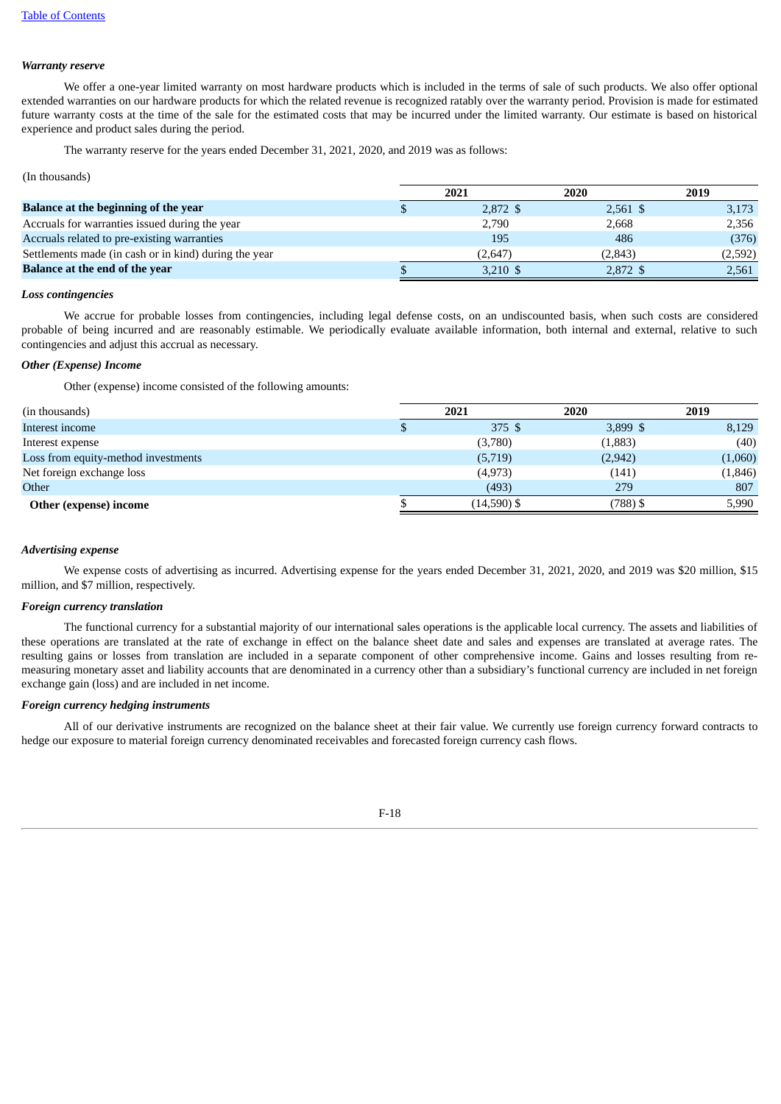# *Warranty reserve*

We offer a one-year limited warranty on most hardware products which is included in the terms of sale of such products. We also offer optional extended warranties on our hardware products for which the related revenue is recognized ratably over the warranty period. Provision is made for estimated future warranty costs at the time of the sale for the estimated costs that may be incurred under the limited warranty. Our estimate is based on historical experience and product sales during the period.

The warranty reserve for the years ended December 31, 2021, 2020, and 2019 was as follows:

(In thousands)

|                                                       | 2021 |            | 2020     | 2019    |
|-------------------------------------------------------|------|------------|----------|---------|
| Balance at the beginning of the year                  |      | 2,872 \$   | 2,561 \$ | 3,173   |
| Accruals for warranties issued during the year        |      | 2,790      | 2,668    | 2,356   |
| Accruals related to pre-existing warranties           |      | 195        | 486      | (376)   |
| Settlements made (in cash or in kind) during the year |      | (2,647)    | (2,843)  | (2,592) |
| Balance at the end of the year                        |      | $3,210$ \$ | 2,872 \$ | 2,561   |

# *Loss contingencies*

We accrue for probable losses from contingencies, including legal defense costs, on an undiscounted basis*,* when such costs are considered probable of being incurred and are reasonably estimable. We periodically evaluate available information, both internal and external, relative to such contingencies and adjust this accrual as necessary.

# *Other (Expense) Income*

Other (expense) income consisted of the following amounts:

| (in thousands)                      | 2021 |               | 2020       | 2019     |
|-------------------------------------|------|---------------|------------|----------|
| Interest income                     |      | 375 \$        | $3,899$ \$ | 8,129    |
| Interest expense                    |      | (3,780)       | (1,883)    | (40)     |
| Loss from equity-method investments |      | (5,719)       | (2,942)    | (1,060)  |
| Net foreign exchange loss           |      | (4,973)       | (141)      | (1, 846) |
| Other                               |      | (493)         | 279        | 807      |
| Other (expense) income              |      | $(14,590)$ \$ | $(788)$ \$ | 5,990    |

# *Advertising expense*

We expense costs of advertising as incurred. Advertising expense for the years ended December 31, 2021, 2020, and 2019 was \$20 million, \$15 million, and \$7 million, respectively.

### *Foreign currency translation*

The functional currency for a substantial majority of our international sales operations is the applicable local currency. The assets and liabilities of these operations are translated at the rate of exchange in effect on the balance sheet date and sales and expenses are translated at average rates. The resulting gains or losses from translation are included in a separate component of other comprehensive income. Gains and losses resulting from remeasuring monetary asset and liability accounts that are denominated in a currency other than a subsidiary's functional currency are included in net foreign exchange gain (loss) and are included in net income.

# *Foreign currency hedging instruments*

All of our derivative instruments are recognized on the balance sheet at their fair value. We currently use foreign currency forward contracts to hedge our exposure to material foreign currency denominated receivables and forecasted foreign currency cash flows.

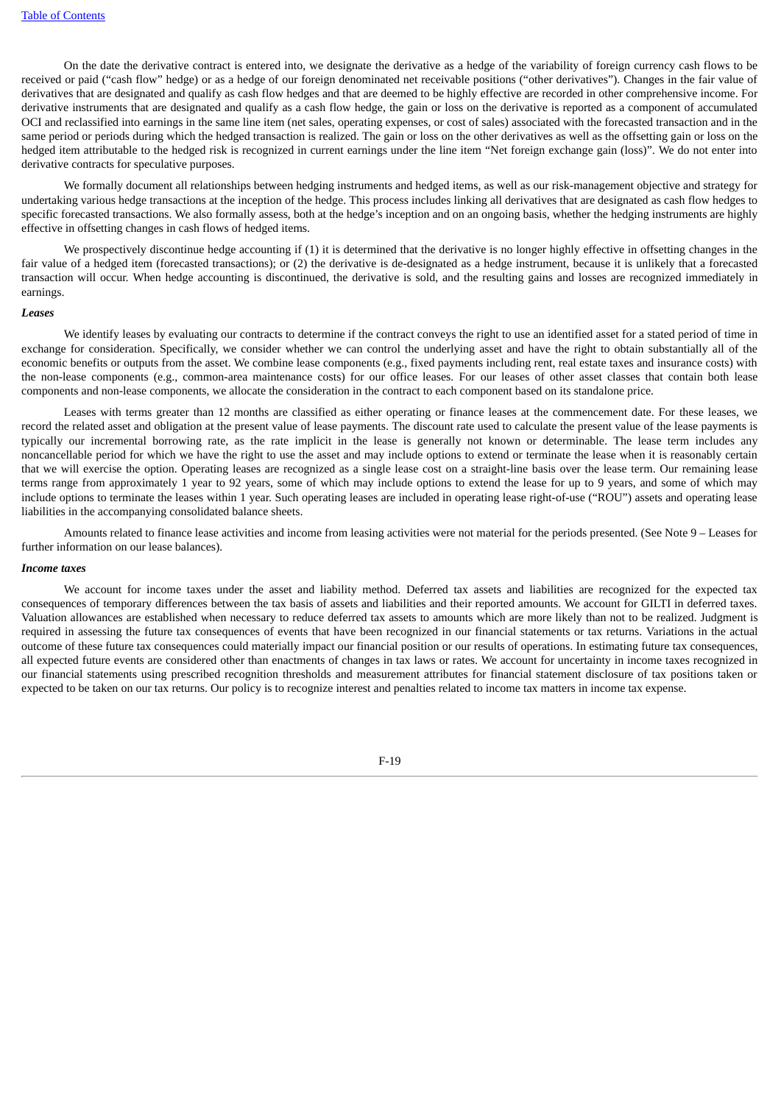On the date the derivative contract is entered into, we designate the derivative as a hedge of the variability of foreign currency cash flows to be received or paid ("cash flow" hedge) or as a hedge of our foreign denominated net receivable positions ("other derivatives"). Changes in the fair value of derivatives that are designated and qualify as cash flow hedges and that are deemed to be highly effective are recorded in other comprehensive income. For derivative instruments that are designated and qualify as a cash flow hedge, the gain or loss on the derivative is reported as a component of accumulated OCI and reclassified into earnings in the same line item (net sales, operating expenses, or cost of sales) associated with the forecasted transaction and in the same period or periods during which the hedged transaction is realized. The gain or loss on the other derivatives as well as the offsetting gain or loss on the hedged item attributable to the hedged risk is recognized in current earnings under the line item "Net foreign exchange gain (loss)". We do not enter into derivative contracts for speculative purposes.

We formally document all relationships between hedging instruments and hedged items, as well as our risk-management objective and strategy for undertaking various hedge transactions at the inception of the hedge. This process includes linking all derivatives that are designated as cash flow hedges to specific forecasted transactions. We also formally assess, both at the hedge's inception and on an ongoing basis, whether the hedging instruments are highly effective in offsetting changes in cash flows of hedged items.

We prospectively discontinue hedge accounting if (1) it is determined that the derivative is no longer highly effective in offsetting changes in the fair value of a hedged item (forecasted transactions); or (2) the derivative is de-designated as a hedge instrument, because it is unlikely that a forecasted transaction will occur. When hedge accounting is discontinued, the derivative is sold, and the resulting gains and losses are recognized immediately in earnings.

### *Leases*

We identify leases by evaluating our contracts to determine if the contract conveys the right to use an identified asset for a stated period of time in exchange for consideration. Specifically, we consider whether we can control the underlying asset and have the right to obtain substantially all of the economic benefits or outputs from the asset. We combine lease components (e.g., fixed payments including rent, real estate taxes and insurance costs) with the non-lease components (e.g., common-area maintenance costs) for our office leases. For our leases of other asset classes that contain both lease components and non-lease components, we allocate the consideration in the contract to each component based on its standalone price.

Leases with terms greater than 12 months are classified as either operating or finance leases at the commencement date. For these leases, we record the related asset and obligation at the present value of lease payments. The discount rate used to calculate the present value of the lease payments is typically our incremental borrowing rate, as the rate implicit in the lease is generally not known or determinable. The lease term includes any noncancellable period for which we have the right to use the asset and may include options to extend or terminate the lease when it is reasonably certain that we will exercise the option. Operating leases are recognized as a single lease cost on a straight-line basis over the lease term. Our remaining lease terms range from approximately 1 year to 92 years, some of which may include options to extend the lease for up to 9 years, and some of which may include options to terminate the leases within 1 year. Such operating leases are included in operating lease right-of-use ("ROU") assets and operating lease liabilities in the accompanying consolidated balance sheets.

Amounts related to finance lease activities and income from leasing activities were not material for the periods presented. (See Note 9 – Leases for further information on our lease balances).

### *Income taxes*

We account for income taxes under the asset and liability method. Deferred tax assets and liabilities are recognized for the expected tax consequences of temporary differences between the tax basis of assets and liabilities and their reported amounts. We account for GILTI in deferred taxes. Valuation allowances are established when necessary to reduce deferred tax assets to amounts which are more likely than not to be realized. Judgment is required in assessing the future tax consequences of events that have been recognized in our financial statements or tax returns. Variations in the actual outcome of these future tax consequences could materially impact our financial position or our results of operations. In estimating future tax consequences, all expected future events are considered other than enactments of changes in tax laws or rates. We account for uncertainty in income taxes recognized in our financial statements using prescribed recognition thresholds and measurement attributes for financial statement disclosure of tax positions taken or expected to be taken on our tax returns. Our policy is to recognize interest and penalties related to income tax matters in income tax expense.

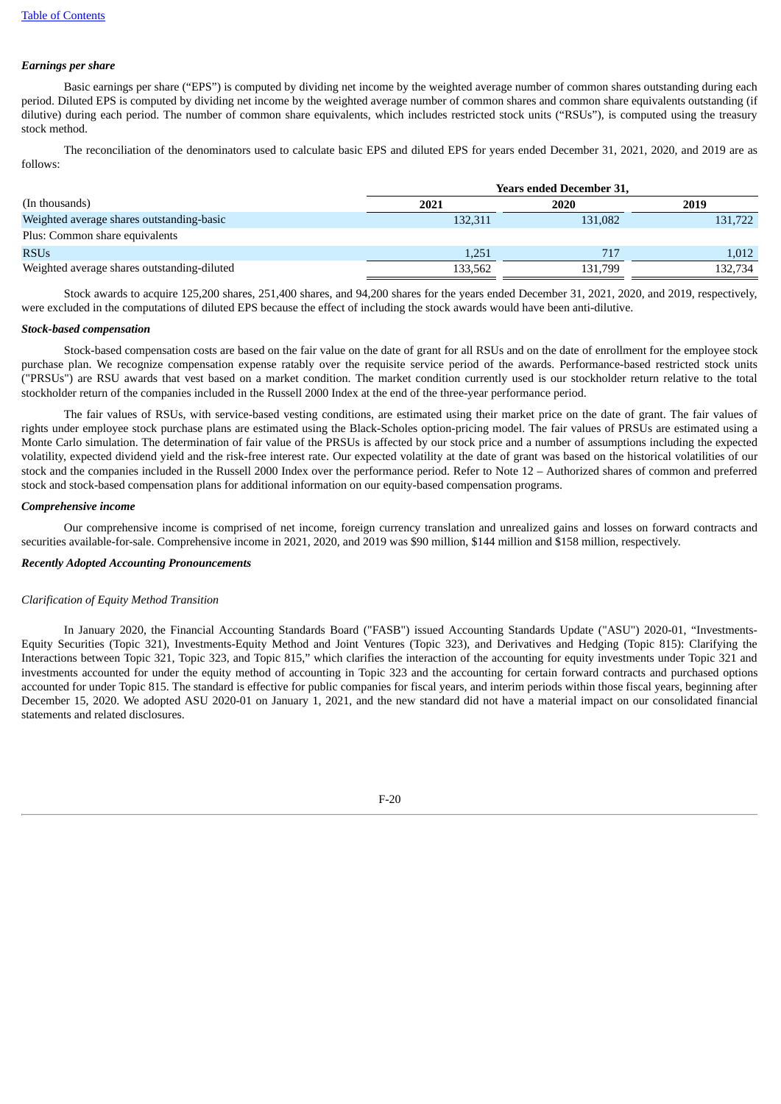## *Earnings per share*

Basic earnings per share ("EPS") is computed by dividing net income by the weighted average number of common shares outstanding during each period. Diluted EPS is computed by dividing net income by the weighted average number of common shares and common share equivalents outstanding (if dilutive) during each period. The number of common share equivalents, which includes restricted stock units ("RSUs"), is computed using the treasury stock method.

The reconciliation of the denominators used to calculate basic EPS and diluted EPS for years ended December 31, 2021, 2020, and 2019 are as follows:

|                                             | <b>Years ended December 31,</b> |         |         |  |  |  |  |
|---------------------------------------------|---------------------------------|---------|---------|--|--|--|--|
| (In thousands)                              | 2021                            | 2020    | 2019    |  |  |  |  |
| Weighted average shares outstanding-basic   | 132,311                         | 131,082 | 131,722 |  |  |  |  |
| Plus: Common share equivalents              |                                 |         |         |  |  |  |  |
| <b>RSUs</b>                                 | 1,251                           | 717     | 1,012   |  |  |  |  |
| Weighted average shares outstanding-diluted | 133,562                         | 131,799 | 132,734 |  |  |  |  |

Stock awards to acquire 125,200 shares, 251,400 shares, and 94,200 shares for the years ended December 31, 2021, 2020, and 2019, respectively, were excluded in the computations of diluted EPS because the effect of including the stock awards would have been anti-dilutive.

#### *Stock-based compensation*

Stock-based compensation costs are based on the fair value on the date of grant for all RSUs and on the date of enrollment for the employee stock purchase plan. We recognize compensation expense ratably over the requisite service period of the awards. Performance-based restricted stock units ("PRSUs") are RSU awards that vest based on a market condition. The market condition currently used is our stockholder return relative to the total stockholder return of the companies included in the Russell 2000 Index at the end of the three-year performance period.

The fair values of RSUs, with service-based vesting conditions, are estimated using their market price on the date of grant. The fair values of rights under employee stock purchase plans are estimated using the Black-Scholes option-pricing model. The fair values of PRSUs are estimated using a Monte Carlo simulation. The determination of fair value of the PRSUs is affected by our stock price and a number of assumptions including the expected volatility, expected dividend yield and the risk-free interest rate. Our expected volatility at the date of grant was based on the historical volatilities of our stock and the companies included in the Russell 2000 Index over the performance period. Refer to Note 12 – Authorized shares of common and preferred stock and stock-based compensation plans for additional information on our equity-based compensation programs.

#### *Comprehensive income*

Our comprehensive income is comprised of net income, foreign currency translation and unrealized gains and losses on forward contracts and securities available-for-sale. Comprehensive income in 2021, 2020, and 2019 was \$90 million, \$144 million and \$158 million, respectively.

#### *Recently Adopted Accounting Pronouncements*

### *Clarification of Equity Method Transition*

In January 2020, the Financial Accounting Standards Board ("FASB") issued Accounting Standards Update ("ASU") 2020-01, "Investments-Equity Securities (Topic 321), Investments-Equity Method and Joint Ventures (Topic 323), and Derivatives and Hedging (Topic 815): Clarifying the Interactions between Topic 321, Topic 323, and Topic 815," which clarifies the interaction of the accounting for equity investments under Topic 321 and investments accounted for under the equity method of accounting in Topic 323 and the accounting for certain forward contracts and purchased options accounted for under Topic 815. The standard is effective for public companies for fiscal years, and interim periods within those fiscal years, beginning after December 15, 2020. We adopted ASU 2020-01 on January 1, 2021, and the new standard did not have a material impact on our consolidated financial statements and related disclosures.

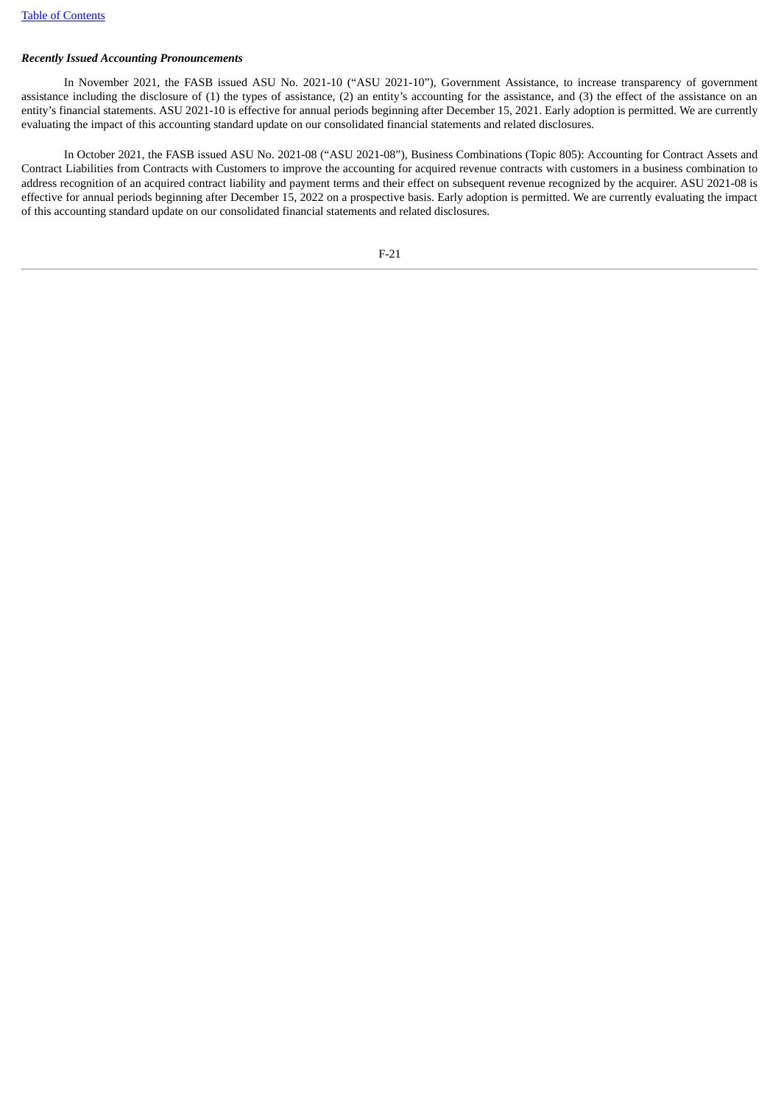## *Recently Issued Accounting Pronouncements*

In November 2021, the FASB issued ASU No. 2021-10 ("ASU 2021-10"), Government Assistance, to increase transparency of government assistance including the disclosure of (1) the types of assistance, (2) an entity's accounting for the assistance, and (3) the effect of the assistance on an entity's financial statements. ASU 2021-10 is effective for annual periods beginning after December 15, 2021. Early adoption is permitted. We are currently evaluating the impact of this accounting standard update on our consolidated financial statements and related disclosures.

In October 2021, the FASB issued ASU No. 2021-08 ("ASU 2021-08"), Business Combinations (Topic 805): Accounting for Contract Assets and Contract Liabilities from Contracts with Customers to improve the accounting for acquired revenue contracts with customers in a business combination to address recognition of an acquired contract liability and payment terms and their effect on subsequent revenue recognized by the acquirer. ASU 2021-08 is effective for annual periods beginning after December 15, 2022 on a prospective basis. Early adoption is permitted. We are currently evaluating the impact of this accounting standard update on our consolidated financial statements and related disclosures.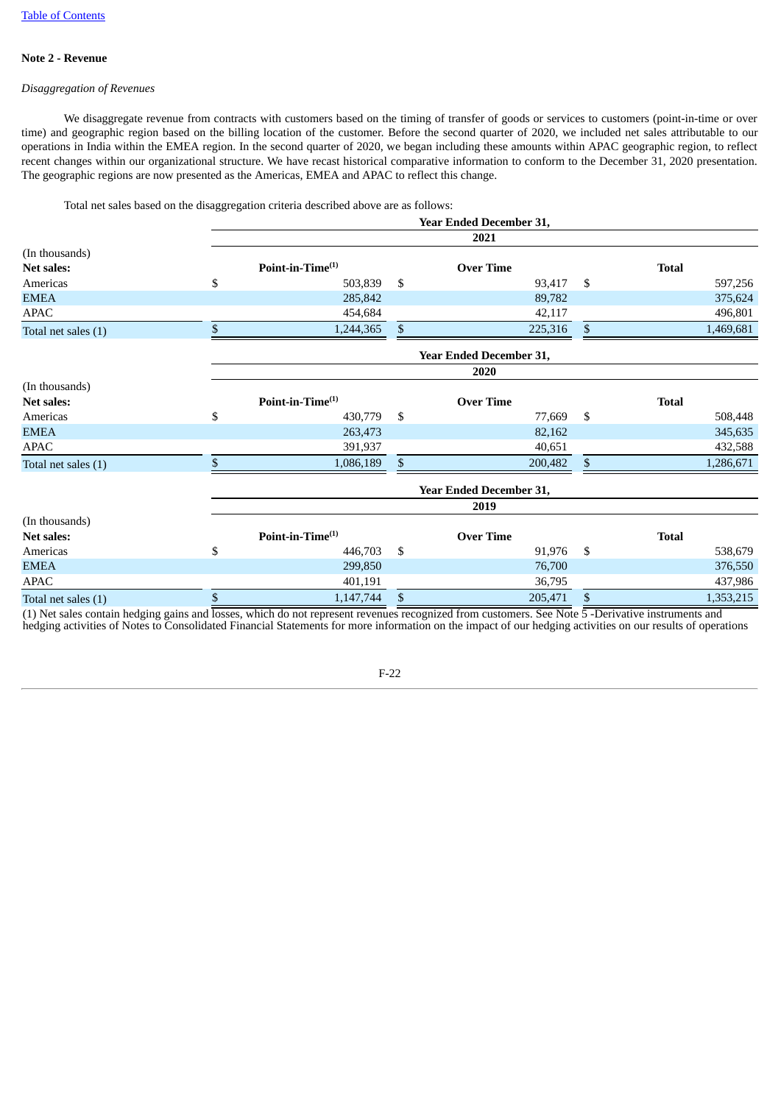## **Note 2 - Revenue**

### *Disaggregation of Revenues*

We disaggregate revenue from contracts with customers based on the timing of transfer of goods or services to customers (point-in-time or over time) and geographic region based on the billing location of the customer. Before the second quarter of 2020, we included net sales attributable to our operations in India within the EMEA region. In the second quarter of 2020, we began including these amounts within APAC geographic region, to reflect recent changes within our organizational structure. We have recast historical comparative information to conform to the December 31, 2020 presentation. The geographic regions are now presented as the Americas, EMEA and APAC to reflect this change.

Total net sales based on the disaggregation criteria described above are as follows:

|                     |                              | <b>Year Ended December 31,</b> |      |              |
|---------------------|------------------------------|--------------------------------|------|--------------|
|                     |                              | 2021                           |      |              |
| (In thousands)      |                              |                                |      |              |
| <b>Net sales:</b>   | Point-in-Time <sup>(1)</sup> | <b>Over Time</b>               |      | <b>Total</b> |
| Americas            | \$<br>503,839                | \$<br>93,417                   | \$   | 597,256      |
| <b>EMEA</b>         | 285,842                      | 89,782                         |      | 375,624      |
| APAC                | 454,684                      | 42,117                         |      | 496,801      |
| Total net sales (1) | \$<br>1,244,365              | \$<br>225,316                  | $\$$ | 1,469,681    |
|                     |                              | <b>Year Ended December 31,</b> |      |              |
|                     |                              | 2020                           |      |              |
| (In thousands)      |                              |                                |      |              |
| Net sales:          | Point-in-Time <sup>(1)</sup> | <b>Over Time</b>               |      | <b>Total</b> |
| Americas            | \$<br>430,779                | \$<br>77,669                   | \$   | 508,448      |
| <b>EMEA</b>         | 263,473                      | 82,162                         |      | 345,635      |
| APAC                | 391,937                      | 40,651                         |      | 432,588      |
| Total net sales (1) | \$<br>1,086,189              | \$<br>200,482                  | \$   | 1,286,671    |
|                     |                              | Year Ended December 31,        |      |              |
|                     |                              | 2019                           |      |              |
| (In thousands)      |                              |                                |      |              |
| <b>Net sales:</b>   | Point-in-Time <sup>(1)</sup> | <b>Over Time</b>               |      | <b>Total</b> |
| Americas            | \$<br>446,703                | \$<br>91,976                   | \$   | 538,679      |
| <b>EMEA</b>         | 299,850                      | 76,700                         |      | 376,550      |
| APAC                | 401,191                      | 36,795                         |      | 437,986      |
| Total net sales (1) | \$<br>1,147,744              | \$<br>205,471                  | \$   | 1,353,215    |

(1) Net sales contain hedging gains and losses, which do not represent revenues recognized from customers. See Note 5 -Derivative instruments and hedging activities of Notes to Consolidated Financial Statements for more information on the impact of our hedging activities on our results of operations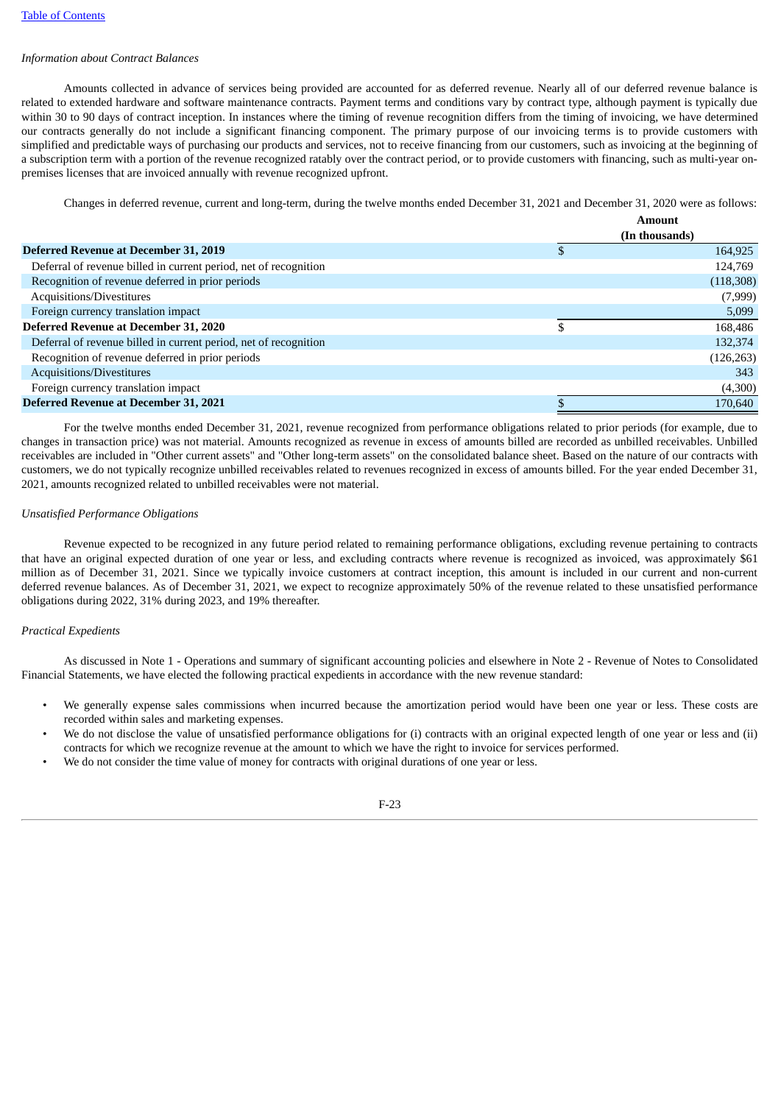## *Information about Contract Balances*

Amounts collected in advance of services being provided are accounted for as deferred revenue. Nearly all of our deferred revenue balance is related to extended hardware and software maintenance contracts. Payment terms and conditions vary by contract type, although payment is typically due within 30 to 90 days of contract inception. In instances where the timing of revenue recognition differs from the timing of invoicing, we have determined our contracts generally do not include a significant financing component. The primary purpose of our invoicing terms is to provide customers with simplified and predictable ways of purchasing our products and services, not to receive financing from our customers, such as invoicing at the beginning of a subscription term with a portion of the revenue recognized ratably over the contract period, or to provide customers with financing, such as multi-year onpremises licenses that are invoiced annually with revenue recognized upfront.

Changes in deferred revenue, current and long-term, during the twelve months ended December 31, 2021 and December 31, 2020 were as follows:

|                                                                  | <b>Amount</b>  |
|------------------------------------------------------------------|----------------|
|                                                                  | (In thousands) |
| <b>Deferred Revenue at December 31, 2019</b>                     | 164,925        |
| Deferral of revenue billed in current period, net of recognition | 124,769        |
| Recognition of revenue deferred in prior periods                 | (118, 308)     |
| Acquisitions/Divestitures                                        | (7,999)        |
| Foreign currency translation impact                              | 5,099          |
| Deferred Revenue at December 31, 2020                            | 168,486        |
| Deferral of revenue billed in current period, net of recognition | 132,374        |
| Recognition of revenue deferred in prior periods                 | (126, 263)     |
| Acquisitions/Divestitures                                        | 343            |
| Foreign currency translation impact                              | (4,300)        |
| <b>Deferred Revenue at December 31, 2021</b>                     | 170,640        |

For the twelve months ended December 31, 2021, revenue recognized from performance obligations related to prior periods (for example, due to changes in transaction price) was not material. Amounts recognized as revenue in excess of amounts billed are recorded as unbilled receivables. Unbilled receivables are included in "Other current assets" and "Other long-term assets" on the consolidated balance sheet. Based on the nature of our contracts with customers, we do not typically recognize unbilled receivables related to revenues recognized in excess of amounts billed. For the year ended December 31, 2021, amounts recognized related to unbilled receivables were not material.

### *Unsatisfied Performance Obligations*

Revenue expected to be recognized in any future period related to remaining performance obligations, excluding revenue pertaining to contracts that have an original expected duration of one year or less, and excluding contracts where revenue is recognized as invoiced, was approximately \$61 million as of December 31, 2021. Since we typically invoice customers at contract inception, this amount is included in our current and non-current deferred revenue balances. As of December 31, 2021, we expect to recognize approximately 50% of the revenue related to these unsatisfied performance obligations during 2022, 31% during 2023, and 19% thereafter.

## *Practical Expedients*

As discussed in Note 1 - Operations and summary of significant accounting policies and elsewhere in Note 2 - Revenue of Notes to Consolidated Financial Statements, we have elected the following practical expedients in accordance with the new revenue standard:

- We generally expense sales commissions when incurred because the amortization period would have been one year or less. These costs are recorded within sales and marketing expenses.
- We do not disclose the value of unsatisfied performance obligations for (i) contracts with an original expected length of one year or less and (ii) contracts for which we recognize revenue at the amount to which we have the right to invoice for services performed.
- We do not consider the time value of money for contracts with original durations of one year or less.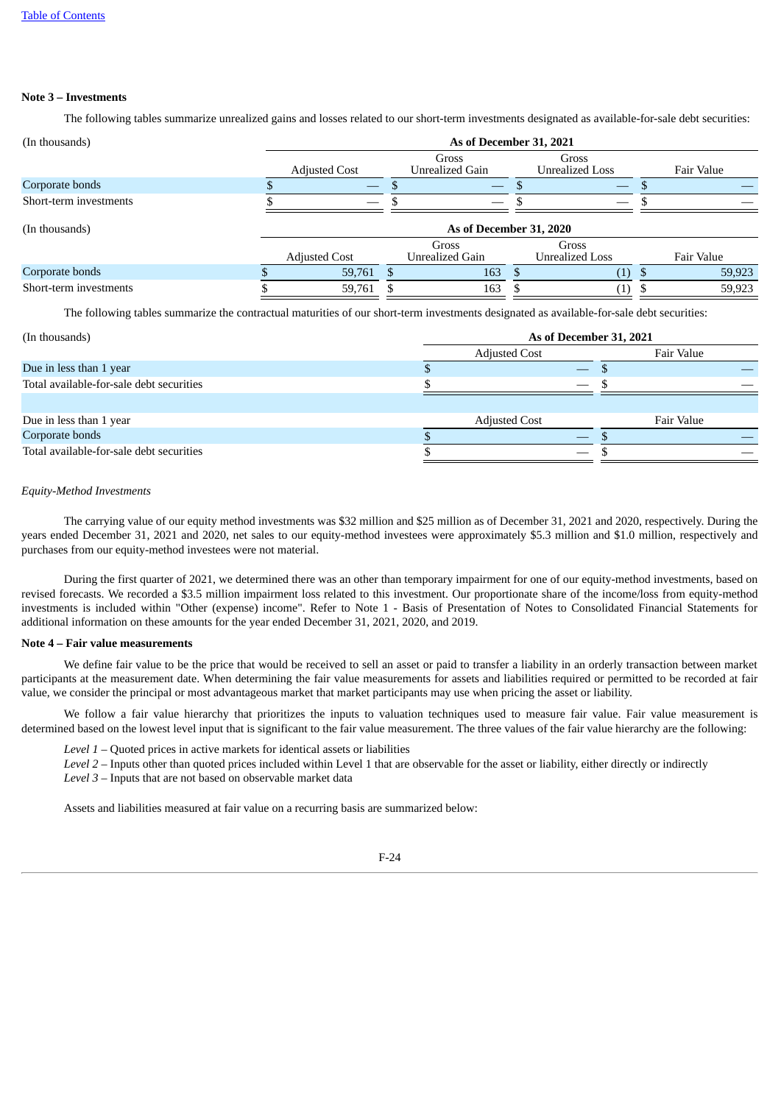## **Note 3 – Investments**

The following tables summarize unrealized gains and losses related to our short-term investments designated as available-for-sale debt securities:

| (In thousands)         | As of December 31, 2021 |                         |                          |                          |                                 |                                 |  |            |  |
|------------------------|-------------------------|-------------------------|--------------------------|--------------------------|---------------------------------|---------------------------------|--|------------|--|
|                        |                         | <b>Adjusted Cost</b>    | Gross<br>Unrealized Gain |                          | Gross<br><b>Unrealized Loss</b> |                                 |  | Fair Value |  |
| Corporate bonds        |                         |                         |                          |                          |                                 |                                 |  |            |  |
| Short-term investments |                         |                         |                          |                          |                                 | $\overbrace{\hspace{25mm}}^{}$  |  |            |  |
| (In thousands)         |                         | As of December 31, 2020 |                          |                          |                                 |                                 |  |            |  |
|                        |                         | <b>Adjusted Cost</b>    |                          | Gross<br>Unrealized Gain |                                 | Gross<br><b>Unrealized Loss</b> |  | Fair Value |  |
| Corporate bonds        |                         | 59,761                  | .S                       | 163                      |                                 | $\left( 1\right)$               |  | 59,923     |  |
| Short-term investments |                         | 59,761                  |                          | 163                      |                                 |                                 |  | 59,923     |  |
|                        |                         |                         |                          |                          |                                 |                                 |  |            |  |

The following tables summarize the contractual maturities of our short-term investments designated as available-for-sale debt securities:

| (In thousands)                           |                      | As of December 31, 2021        |            |  |  |  |
|------------------------------------------|----------------------|--------------------------------|------------|--|--|--|
|                                          | <b>Adjusted Cost</b> |                                | Fair Value |  |  |  |
| Due in less than 1 year                  |                      |                                |            |  |  |  |
| Total available-for-sale debt securities |                      | $\overbrace{\hspace{25mm}}^{}$ |            |  |  |  |
|                                          |                      |                                |            |  |  |  |
| Due in less than 1 year                  | <b>Adjusted Cost</b> |                                | Fair Value |  |  |  |
| Corporate bonds                          |                      |                                |            |  |  |  |
| Total available-for-sale debt securities |                      |                                |            |  |  |  |
|                                          |                      |                                |            |  |  |  |

### *Equity-Method Investments*

The carrying value of our equity method investments was \$32 million and \$25 million as of December 31, 2021 and 2020, respectively. During the years ended December 31, 2021 and 2020, net sales to our equity-method investees were approximately \$5.3 million and \$1.0 million, respectively and purchases from our equity-method investees were not material.

During the first quarter of 2021, we determined there was an other than temporary impairment for one of our equity-method investments, based on revised forecasts. We recorded a \$3.5 million impairment loss related to this investment. Our proportionate share of the income/loss from equity-method investments is included within "Other (expense) income". Refer to Note 1 - Basis of Presentation of Notes to Consolidated Financial Statements for additional information on these amounts for the year ended December 31, 2021, 2020, and 2019.

#### **Note 4 – Fair value measurements**

We define fair value to be the price that would be received to sell an asset or paid to transfer a liability in an orderly transaction between market participants at the measurement date. When determining the fair value measurements for assets and liabilities required or permitted to be recorded at fair value, we consider the principal or most advantageous market that market participants may use when pricing the asset or liability.

We follow a fair value hierarchy that prioritizes the inputs to valuation techniques used to measure fair value. Fair value measurement is determined based on the lowest level input that is significant to the fair value measurement. The three values of the fair value hierarchy are the following:

*Level 1 –* Quoted prices in active markets for identical assets or liabilities

*Level 2 –* Inputs other than quoted prices included within Level 1 that are observable for the asset or liability, either directly or indirectly

*Level 3 –* Inputs that are not based on observable market data

Assets and liabilities measured at fair value on a recurring basis are summarized below:

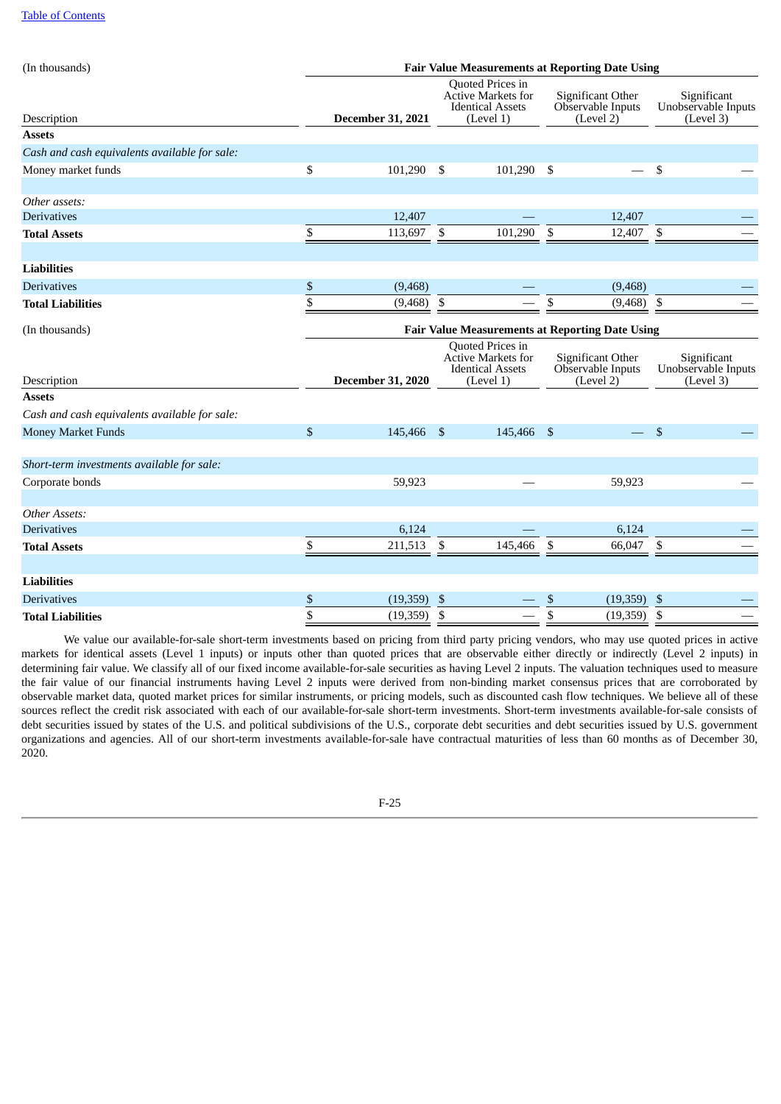| (In thousands)                                | <b>Fair Value Measurements at Reporting Date Using</b> |                          |                           |                                                                                       |                           |                                                            |                           |                                                 |
|-----------------------------------------------|--------------------------------------------------------|--------------------------|---------------------------|---------------------------------------------------------------------------------------|---------------------------|------------------------------------------------------------|---------------------------|-------------------------------------------------|
| Description                                   |                                                        | December 31, 2021        |                           | Quoted Prices in<br><b>Active Markets for</b><br><b>Identical Assets</b><br>(Level 1) |                           | Significant Other<br>Observable Inputs<br>(Level 2)        |                           | Significant<br>Unobservable Inputs<br>(Level 3) |
| <b>Assets</b>                                 |                                                        |                          |                           |                                                                                       |                           |                                                            |                           |                                                 |
| Cash and cash equivalents available for sale: |                                                        |                          |                           |                                                                                       |                           |                                                            |                           |                                                 |
| Money market funds                            | \$                                                     | 101,290 \$               |                           | 101,290 \$                                                                            |                           |                                                            | \$                        |                                                 |
|                                               |                                                        |                          |                           |                                                                                       |                           |                                                            |                           |                                                 |
| Other assets:                                 |                                                        |                          |                           |                                                                                       |                           |                                                            |                           |                                                 |
| <b>Derivatives</b>                            |                                                        | 12,407                   |                           |                                                                                       |                           | 12,407                                                     |                           |                                                 |
| <b>Total Assets</b>                           | \$                                                     | 113,697                  | $\boldsymbol{\mathsf{S}}$ | 101,290                                                                               | $\overline{\mathcal{S}}$  | 12,407                                                     | $\mathbb S$               |                                                 |
| <b>Liabilities</b>                            |                                                        |                          |                           |                                                                                       |                           |                                                            |                           |                                                 |
| <b>Derivatives</b>                            | \$                                                     | (9, 468)                 |                           |                                                                                       |                           | (9,468)                                                    |                           |                                                 |
| <b>Total Liabilities</b>                      | \$                                                     | (9, 468)                 | \$                        |                                                                                       | \$                        | (9, 468)                                                   | \$                        |                                                 |
| (In thousands)                                |                                                        |                          |                           |                                                                                       |                           | <b>Fair Value Measurements at Reporting Date Using</b>     |                           |                                                 |
| Description                                   |                                                        | <b>December 31, 2020</b> |                           | Quoted Prices in<br><b>Active Markets for</b><br><b>Identical Assets</b><br>(Level 1) |                           | <b>Significant Other</b><br>Observable Inputs<br>(Level 2) |                           | Significant<br>Unobservable Inputs<br>(Level 3) |
| <b>Assets</b>                                 |                                                        |                          |                           |                                                                                       |                           |                                                            |                           |                                                 |
| Cash and cash equivalents available for sale: |                                                        |                          |                           |                                                                                       |                           |                                                            |                           |                                                 |
| <b>Money Market Funds</b>                     | \$                                                     | 145,466                  | -\$                       | 145,466                                                                               | - \$                      |                                                            | $\mathcal{S}$             |                                                 |
| Short-term investments available for sale:    |                                                        |                          |                           |                                                                                       |                           |                                                            |                           |                                                 |
| Corporate bonds                               |                                                        | 59,923                   |                           |                                                                                       |                           | 59,923                                                     |                           |                                                 |
| Other Assets:                                 |                                                        |                          |                           |                                                                                       |                           |                                                            |                           |                                                 |
| <b>Derivatives</b>                            |                                                        | 6,124                    |                           |                                                                                       |                           | 6,124                                                      |                           |                                                 |
| <b>Total Assets</b>                           | \$                                                     | 211,513                  | \$                        | 145,466                                                                               | $\boldsymbol{\mathsf{S}}$ | 66,047                                                     | \$                        |                                                 |
| <b>Liabilities</b>                            |                                                        |                          |                           |                                                                                       |                           |                                                            |                           |                                                 |
| <b>Derivatives</b>                            | \$                                                     | (19,359)                 | $\boldsymbol{\mathsf{S}}$ |                                                                                       | \$                        | (19, 359)                                                  | \$                        |                                                 |
| <b>Total Liabilities</b>                      | $\overline{\$}$                                        | (19, 359)                | $\mathfrak s$             |                                                                                       | $\overline{\$}$           | (19, 359)                                                  | $\boldsymbol{\mathsf{S}}$ |                                                 |

We value our available-for-sale short-term investments based on pricing from third party pricing vendors, who may use quoted prices in active markets for identical assets (Level 1 inputs) or inputs other than quoted prices that are observable either directly or indirectly (Level 2 inputs) in determining fair value. We classify all of our fixed income available-for-sale securities as having Level 2 inputs. The valuation techniques used to measure the fair value of our financial instruments having Level 2 inputs were derived from non-binding market consensus prices that are corroborated by observable market data, quoted market prices for similar instruments, or pricing models, such as discounted cash flow techniques. We believe all of these sources reflect the credit risk associated with each of our available-for-sale short-term investments. Short-term investments available-for-sale consists of debt securities issued by states of the U.S. and political subdivisions of the U.S., corporate debt securities and debt securities issued by U.S. government organizations and agencies. All of our short-term investments available-for-sale have contractual maturities of less than 60 months as of December 30, 2020.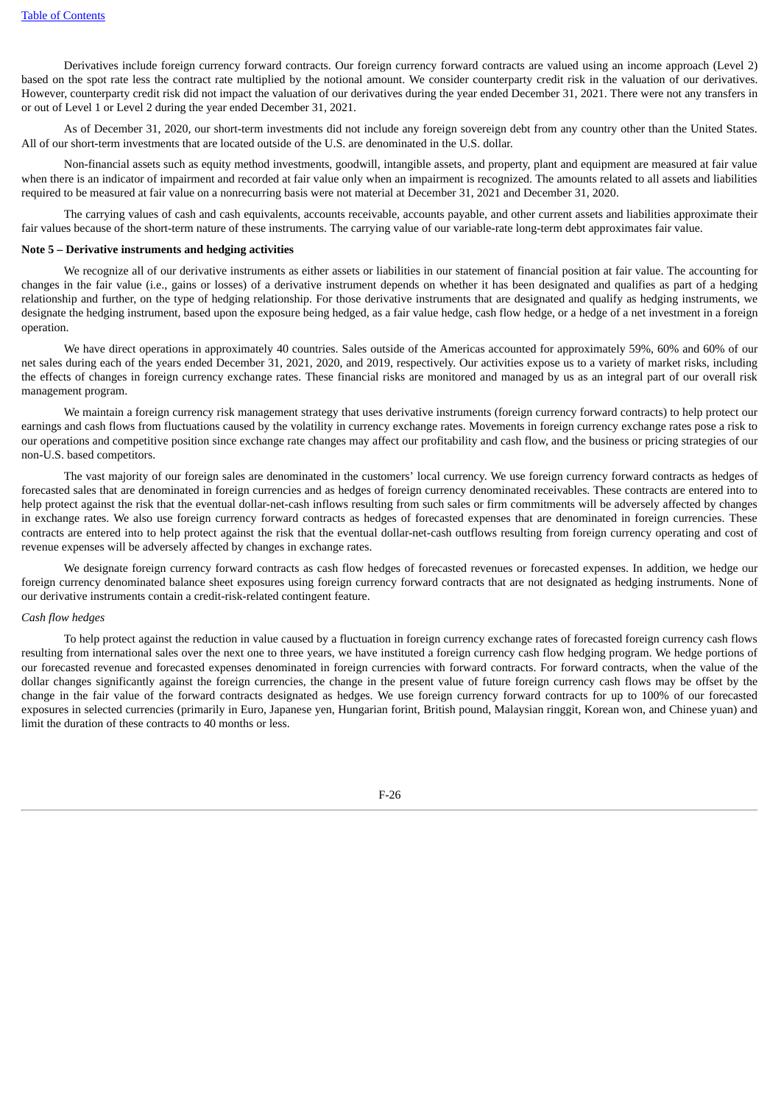Derivatives include foreign currency forward contracts. Our foreign currency forward contracts are valued using an income approach (Level 2) based on the spot rate less the contract rate multiplied by the notional amount. We consider counterparty credit risk in the valuation of our derivatives. However, counterparty credit risk did not impact the valuation of our derivatives during the year ended December 31, 2021. There were not any transfers in or out of Level 1 or Level 2 during the year ended December 31, 2021.

As of December 31, 2020, our short-term investments did not include any foreign sovereign debt from any country other than the United States. All of our short-term investments that are located outside of the U.S. are denominated in the U.S. dollar.

Non-financial assets such as equity method investments, goodwill, intangible assets, and property, plant and equipment are measured at fair value when there is an indicator of impairment and recorded at fair value only when an impairment is recognized. The amounts related to all assets and liabilities required to be measured at fair value on a nonrecurring basis were not material at December 31, 2021 and December 31, 2020.

The carrying values of cash and cash equivalents, accounts receivable, accounts payable, and other current assets and liabilities approximate their fair values because of the short-term nature of these instruments. The carrying value of our variable-rate long-term debt approximates fair value.

### **Note 5 – Derivative instruments and hedging activities**

We recognize all of our derivative instruments as either assets or liabilities in our statement of financial position at fair value. The accounting for changes in the fair value (i.e., gains or losses) of a derivative instrument depends on whether it has been designated and qualifies as part of a hedging relationship and further, on the type of hedging relationship. For those derivative instruments that are designated and qualify as hedging instruments, we designate the hedging instrument, based upon the exposure being hedged, as a fair value hedge, cash flow hedge, or a hedge of a net investment in a foreign operation.

We have direct operations in approximately 40 countries. Sales outside of the Americas accounted for approximately 59%, 60% and 60% of our net sales during each of the years ended December 31, 2021, 2020, and 2019, respectively. Our activities expose us to a variety of market risks, including the effects of changes in foreign currency exchange rates. These financial risks are monitored and managed by us as an integral part of our overall risk management program.

We maintain a foreign currency risk management strategy that uses derivative instruments (foreign currency forward contracts) to help protect our earnings and cash flows from fluctuations caused by the volatility in currency exchange rates. Movements in foreign currency exchange rates pose a risk to our operations and competitive position since exchange rate changes may affect our profitability and cash flow, and the business or pricing strategies of our non-U.S. based competitors.

The vast majority of our foreign sales are denominated in the customers' local currency. We use foreign currency forward contracts as hedges of forecasted sales that are denominated in foreign currencies and as hedges of foreign currency denominated receivables. These contracts are entered into to help protect against the risk that the eventual dollar-net-cash inflows resulting from such sales or firm commitments will be adversely affected by changes in exchange rates. We also use foreign currency forward contracts as hedges of forecasted expenses that are denominated in foreign currencies. These contracts are entered into to help protect against the risk that the eventual dollar-net-cash outflows resulting from foreign currency operating and cost of revenue expenses will be adversely affected by changes in exchange rates.

We designate foreign currency forward contracts as cash flow hedges of forecasted revenues or forecasted expenses. In addition, we hedge our foreign currency denominated balance sheet exposures using foreign currency forward contracts that are not designated as hedging instruments. None of our derivative instruments contain a credit-risk-related contingent feature.

#### *Cash flow hedges*

To help protect against the reduction in value caused by a fluctuation in foreign currency exchange rates of forecasted foreign currency cash flows resulting from international sales over the next one to three years, we have instituted a foreign currency cash flow hedging program. We hedge portions of our forecasted revenue and forecasted expenses denominated in foreign currencies with forward contracts. For forward contracts, when the value of the dollar changes significantly against the foreign currencies, the change in the present value of future foreign currency cash flows may be offset by the change in the fair value of the forward contracts designated as hedges. We use foreign currency forward contracts for up to 100% of our forecasted exposures in selected currencies (primarily in Euro, Japanese yen, Hungarian forint, British pound, Malaysian ringgit, Korean won, and Chinese yuan) and limit the duration of these contracts to 40 months or less.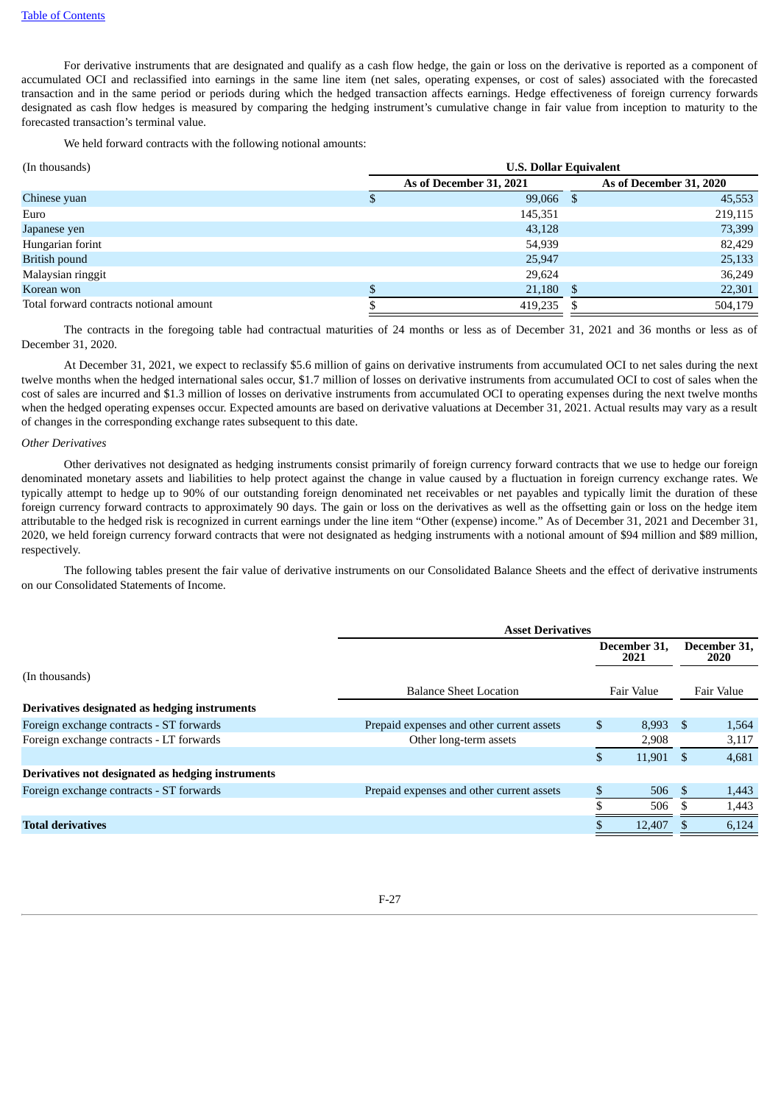For derivative instruments that are designated and qualify as a cash flow hedge, the gain or loss on the derivative is reported as a component of accumulated OCI and reclassified into earnings in the same line item (net sales, operating expenses, or cost of sales) associated with the forecasted transaction and in the same period or periods during which the hedged transaction affects earnings. Hedge effectiveness of foreign currency forwards designated as cash flow hedges is measured by comparing the hedging instrument's cumulative change in fair value from inception to maturity to the forecasted transaction's terminal value.

We held forward contracts with the following notional amounts:

| (In thousands)                          | <b>U.S. Dollar Equivalent</b> |  |                         |  |  |  |  |
|-----------------------------------------|-------------------------------|--|-------------------------|--|--|--|--|
|                                         | As of December 31, 2021       |  | As of December 31, 2020 |  |  |  |  |
| Chinese yuan                            | 99,066 \$                     |  | 45,553                  |  |  |  |  |
| Euro                                    | 145,351                       |  | 219,115                 |  |  |  |  |
| Japanese yen                            | 43,128                        |  | 73,399                  |  |  |  |  |
| Hungarian forint                        | 54.939                        |  | 82.429                  |  |  |  |  |
| British pound                           | 25,947                        |  | 25,133                  |  |  |  |  |
| Malaysian ringgit                       | 29,624                        |  | 36,249                  |  |  |  |  |
| Korean won                              | 21,180 \$                     |  | 22,301                  |  |  |  |  |
| Total forward contracts notional amount | 419,235                       |  | 504,179                 |  |  |  |  |

The contracts in the foregoing table had contractual maturities of 24 months or less as of December 31, 2021 and 36 months or less as of December 31, 2020.

At December 31, 2021, we expect to reclassify \$5.6 million of gains on derivative instruments from accumulated OCI to net sales during the next twelve months when the hedged international sales occur, \$1.7 million of losses on derivative instruments from accumulated OCI to cost of sales when the cost of sales are incurred and \$1.3 million of losses on derivative instruments from accumulated OCI to operating expenses during the next twelve months when the hedged operating expenses occur. Expected amounts are based on derivative valuations at December 31, 2021. Actual results may vary as a result of changes in the corresponding exchange rates subsequent to this date.

### *Other Derivatives*

Other derivatives not designated as hedging instruments consist primarily of foreign currency forward contracts that we use to hedge our foreign denominated monetary assets and liabilities to help protect against the change in value caused by a fluctuation in foreign currency exchange rates. We typically attempt to hedge up to 90% of our outstanding foreign denominated net receivables or net payables and typically limit the duration of these foreign currency forward contracts to approximately 90 days. The gain or loss on the derivatives as well as the offsetting gain or loss on the hedge item attributable to the hedged risk is recognized in current earnings under the line item "Other (expense) income." As of December 31, 2021 and December 31, 2020, we held foreign currency forward contracts that were not designated as hedging instruments with a notional amount of \$94 million and \$89 million, respectively.

The following tables present the fair value of derivative instruments on our Consolidated Balance Sheets and the effect of derivative instruments on our Consolidated Statements of Income.

| <b>Asset Derivatives</b>                  |                      |        |            |                             |  |  |
|-------------------------------------------|----------------------|--------|------------|-----------------------------|--|--|
|                                           | December 31,<br>2021 |        |            | December 31.<br><b>2020</b> |  |  |
|                                           |                      |        |            |                             |  |  |
| <b>Balance Sheet Location</b>             | Fair Value           |        | Fair Value |                             |  |  |
|                                           |                      |        |            |                             |  |  |
| Prepaid expenses and other current assets | \$                   |        |            | 1,564                       |  |  |
| Other long-term assets                    |                      | 2,908  |            | 3,117                       |  |  |
|                                           | S                    | 11,901 | -S         | 4,681                       |  |  |
|                                           |                      |        |            |                             |  |  |
| Prepaid expenses and other current assets |                      | 506    | -\$        | 1,443                       |  |  |
|                                           |                      | 506    |            | 1,443                       |  |  |
|                                           |                      | 12,407 |            | 6,124                       |  |  |
|                                           |                      |        |            | $8.993$ \$                  |  |  |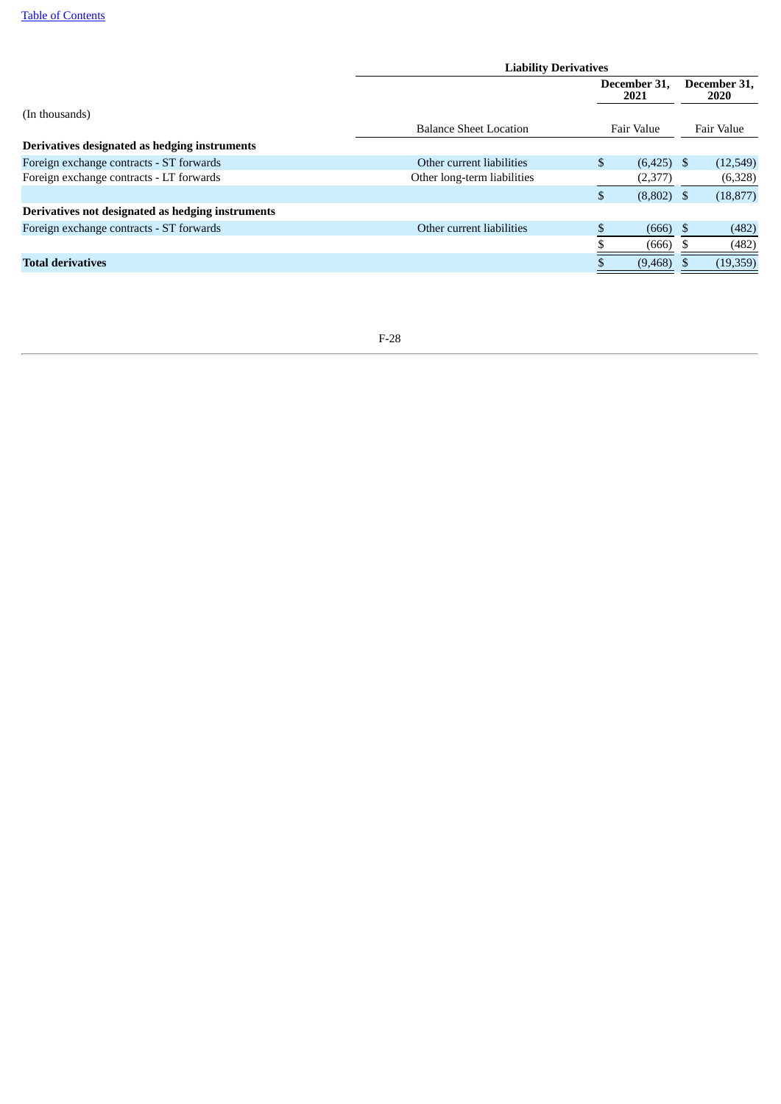|                                                   | <b>Liability Derivatives</b>  |                      |              |            |                      |  |  |  |
|---------------------------------------------------|-------------------------------|----------------------|--------------|------------|----------------------|--|--|--|
|                                                   |                               | December 31,<br>2021 |              |            | December 31,<br>2020 |  |  |  |
| (In thousands)                                    |                               |                      |              |            |                      |  |  |  |
|                                                   | <b>Balance Sheet Location</b> | Fair Value           |              | Fair Value |                      |  |  |  |
| Derivatives designated as hedging instruments     |                               |                      |              |            |                      |  |  |  |
| Foreign exchange contracts - ST forwards          | Other current liabilities     | \$                   | $(6,425)$ \$ |            | (12,549)             |  |  |  |
| Foreign exchange contracts - LT forwards          | Other long-term liabilities   |                      | (2,377)      |            | (6,328)              |  |  |  |
|                                                   |                               | \$                   | $(8,802)$ \$ |            | (18, 877)            |  |  |  |
| Derivatives not designated as hedging instruments |                               |                      |              |            |                      |  |  |  |
| Foreign exchange contracts - ST forwards          | Other current liabilities     |                      | (666)        | - \$       | (482)                |  |  |  |
|                                                   |                               |                      | (666)        |            | (482)                |  |  |  |
| <b>Total derivatives</b>                          |                               |                      | (9, 468)     |            | (19,359)             |  |  |  |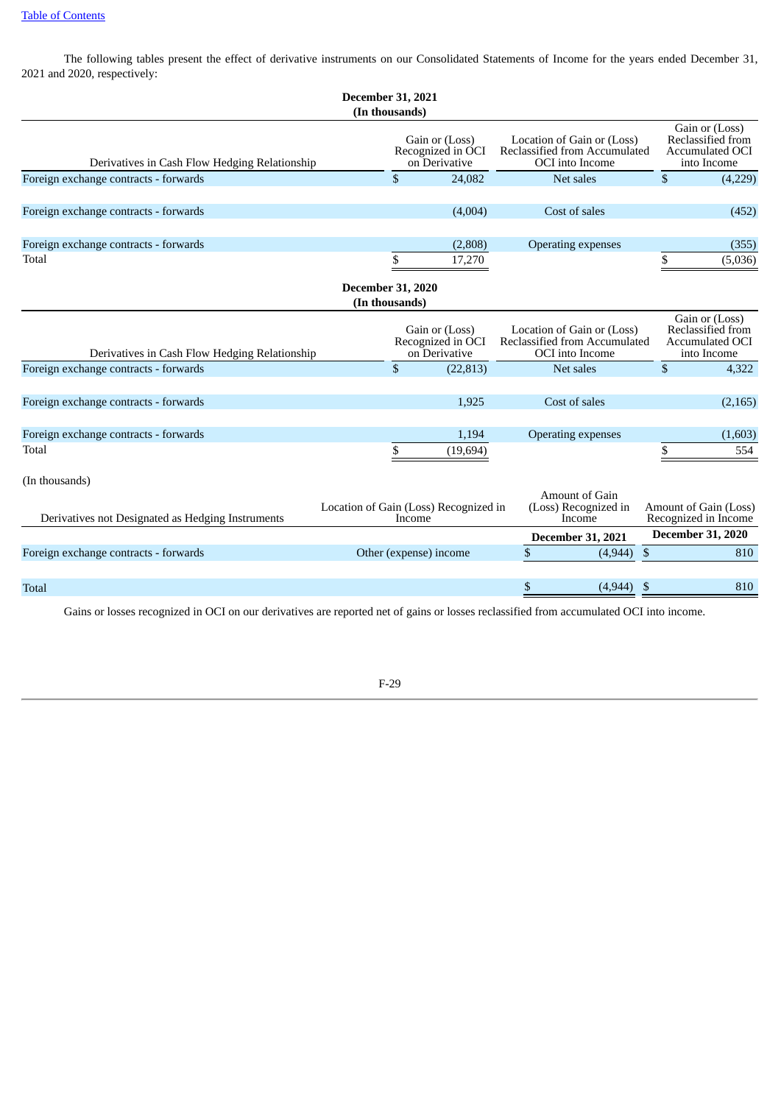The following tables present the effect of derivative instruments on our Consolidated Statements of Income for the years ended December 31, 2021 and 2020, respectively:

|                                                                                                                                         | <b>December 31, 2021</b> |                |                                                      |                                                                                |              |                                                                              |
|-----------------------------------------------------------------------------------------------------------------------------------------|--------------------------|----------------|------------------------------------------------------|--------------------------------------------------------------------------------|--------------|------------------------------------------------------------------------------|
|                                                                                                                                         |                          | (In thousands) |                                                      |                                                                                |              |                                                                              |
| Derivatives in Cash Flow Hedging Relationship                                                                                           |                          |                | Gain or (Loss)<br>Recognized in OCI<br>on Derivative | Location of Gain or (Loss)<br>Reclassified from Accumulated<br>OCI into Income |              | Gain or (Loss)<br>Reclassified from<br><b>Accumulated OCI</b><br>into Income |
| Foreign exchange contracts - forwards                                                                                                   |                          | \$             | 24,082                                               | Net sales                                                                      | \$           | (4,229)                                                                      |
| Foreign exchange contracts - forwards                                                                                                   |                          |                | (4,004)                                              | Cost of sales                                                                  |              | (452)                                                                        |
| Foreign exchange contracts - forwards                                                                                                   |                          |                | (2,808)                                              | <b>Operating expenses</b>                                                      |              | (355)                                                                        |
| Total                                                                                                                                   |                          | \$             | 17,270                                               |                                                                                | \$           | (5,036)                                                                      |
|                                                                                                                                         | <b>December 31, 2020</b> | (In thousands) |                                                      |                                                                                |              |                                                                              |
| Derivatives in Cash Flow Hedging Relationship                                                                                           |                          |                | Gain or (Loss)<br>Recognized in OCI<br>on Derivative | Location of Gain or (Loss)<br>Reclassified from Accumulated<br>OCI into Income |              | Gain or (Loss)<br>Reclassified from<br><b>Accumulated OCI</b><br>into Income |
| Foreign exchange contracts - forwards                                                                                                   |                          | \$             | (22, 813)                                            | Net sales                                                                      | \$           | 4,322                                                                        |
| Foreign exchange contracts - forwards                                                                                                   |                          |                | 1,925                                                | Cost of sales                                                                  |              | (2,165)                                                                      |
| Foreign exchange contracts - forwards                                                                                                   |                          |                | 1,194                                                | <b>Operating expenses</b>                                                      |              | (1,603)                                                                      |
| Total                                                                                                                                   |                          | \$             | (19, 694)                                            |                                                                                | \$           | 554                                                                          |
| (In thousands)<br>Derivatives not Designated as Hedging Instruments                                                                     |                          | Income         | Location of Gain (Loss) Recognized in                | Amount of Gain<br>(Loss) Recognized in<br>Income                               |              | Amount of Gain (Loss)<br>Recognized in Income                                |
|                                                                                                                                         |                          |                |                                                      | <b>December 31, 2021</b>                                                       |              | <b>December 31, 2020</b>                                                     |
| Foreign exchange contracts - forwards                                                                                                   |                          |                | Other (expense) income                               | \$<br>(4,944)                                                                  | $\mathbb{S}$ | 810                                                                          |
| <b>Total</b>                                                                                                                            |                          |                |                                                      | \$<br>(4,944)                                                                  | -\$          | 810                                                                          |
| Gains or losses recognized in OCI on our derivatives are reported net of gains or losses reclassified from accumulated OCI into income. |                          |                |                                                      |                                                                                |              |                                                                              |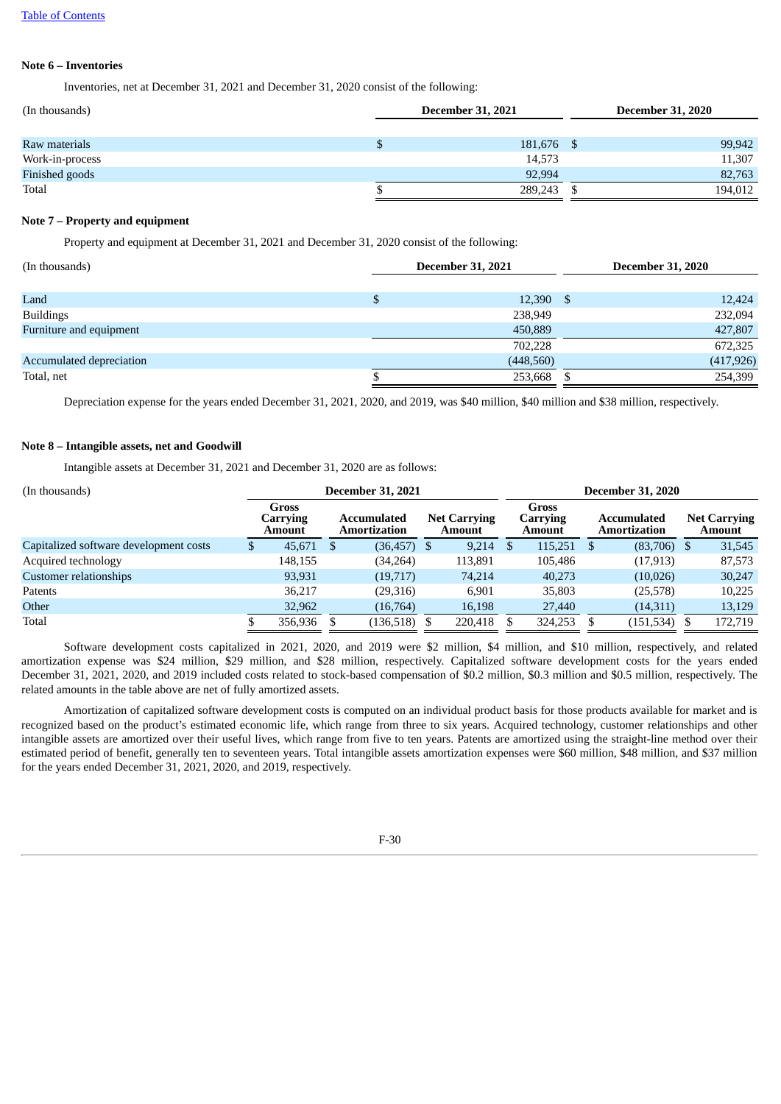## **Note 6 – Inventories**

Inventories, net at December 31, 2021 and December 31, 2020 consist of the following:

| <b>December 31, 2020</b> |
|--------------------------|
|                          |
| 99,942                   |
| 11,307                   |
| 82,763                   |
| 194,012                  |
|                          |

# **Note 7 – Property and equipment**

Property and equipment at December 31, 2021 and December 31, 2020 consist of the following:

| (In thousands)           | <b>December 31, 2021</b> |            | <b>December 31, 2020</b> |            |  |  |
|--------------------------|--------------------------|------------|--------------------------|------------|--|--|
|                          |                          |            |                          |            |  |  |
| Land                     | S                        | 12,390     | - S                      | 12,424     |  |  |
| <b>Buildings</b>         |                          | 238,949    |                          | 232,094    |  |  |
| Furniture and equipment  |                          | 450,889    |                          | 427,807    |  |  |
|                          |                          | 702,228    |                          | 672,325    |  |  |
| Accumulated depreciation |                          | (448, 560) |                          | (417, 926) |  |  |
| Total, net               |                          | 253,668    |                          | 254,399    |  |  |
|                          |                          |            |                          |            |  |  |

Depreciation expense for the years ended December 31, 2021, 2020, and 2019, was \$40 million, \$40 million and \$38 million, respectively.

## **Note 8 – Intangible assets, net and Goodwill**

Intangible assets at December 31, 2021 and December 31, 2020 are as follows:

| (In thousands)                         | <b>December 31, 2021</b> |                             |    |                             |    |                               | <b>December 31, 2020</b> |                                    |  |                             |  |                               |
|----------------------------------------|--------------------------|-----------------------------|----|-----------------------------|----|-------------------------------|--------------------------|------------------------------------|--|-----------------------------|--|-------------------------------|
|                                        |                          | Gross<br>Carrving<br>Amount |    | Accumulated<br>Amortization |    | <b>Net Carrying</b><br>Amount |                          | Gross<br>Carrying<br><b>Amount</b> |  | Accumulated<br>Amortization |  | <b>Net Carrying</b><br>Amount |
| Capitalized software development costs | <b>D</b>                 | 45,671                      | -5 | (36, 457)                   | -S | 9,214                         | <sup>8</sup>             | 115,251                            |  | $(83,706)$ \$               |  | 31,545                        |
| Acquired technology                    |                          | 148,155                     |    | (34,264)                    |    | 113,891                       |                          | 105,486                            |  | (17,913)                    |  | 87,573                        |
| <b>Customer relationships</b>          |                          | 93,931                      |    | (19,717)                    |    | 74,214                        |                          | 40,273                             |  | (10, 026)                   |  | 30,247                        |
| Patents                                |                          | 36,217                      |    | (29,316)                    |    | 6,901                         |                          | 35,803                             |  | (25, 578)                   |  | 10,225                        |
| Other                                  |                          | 32,962                      |    | (16,764)                    |    | 16,198                        |                          | 27,440                             |  | (14, 311)                   |  | 13,129                        |
| Total                                  |                          | 356,936                     |    | (136,518)                   |    | 220,418                       |                          | 324,253                            |  | (151, 534)                  |  | 172,719                       |

Software development costs capitalized in 2021, 2020, and 2019 were \$2 million, \$4 million, and \$10 million, respectively, and related amortization expense was \$24 million, \$29 million, and \$28 million, respectively. Capitalized software development costs for the years ended December 31, 2021, 2020, and 2019 included costs related to stock-based compensation of \$0.2 million, \$0.3 million and \$0.5 million, respectively. The related amounts in the table above are net of fully amortized assets.

Amortization of capitalized software development costs is computed on an individual product basis for those products available for market and is recognized based on the product's estimated economic life, which range from three to six years. Acquired technology, customer relationships and other intangible assets are amortized over their useful lives, which range from five to ten years. Patents are amortized using the straight-line method over their estimated period of benefit, generally ten to seventeen years. Total intangible assets amortization expenses were \$60 million, \$48 million, and \$37 million for the years ended December 31, 2021, 2020, and 2019, respectively.

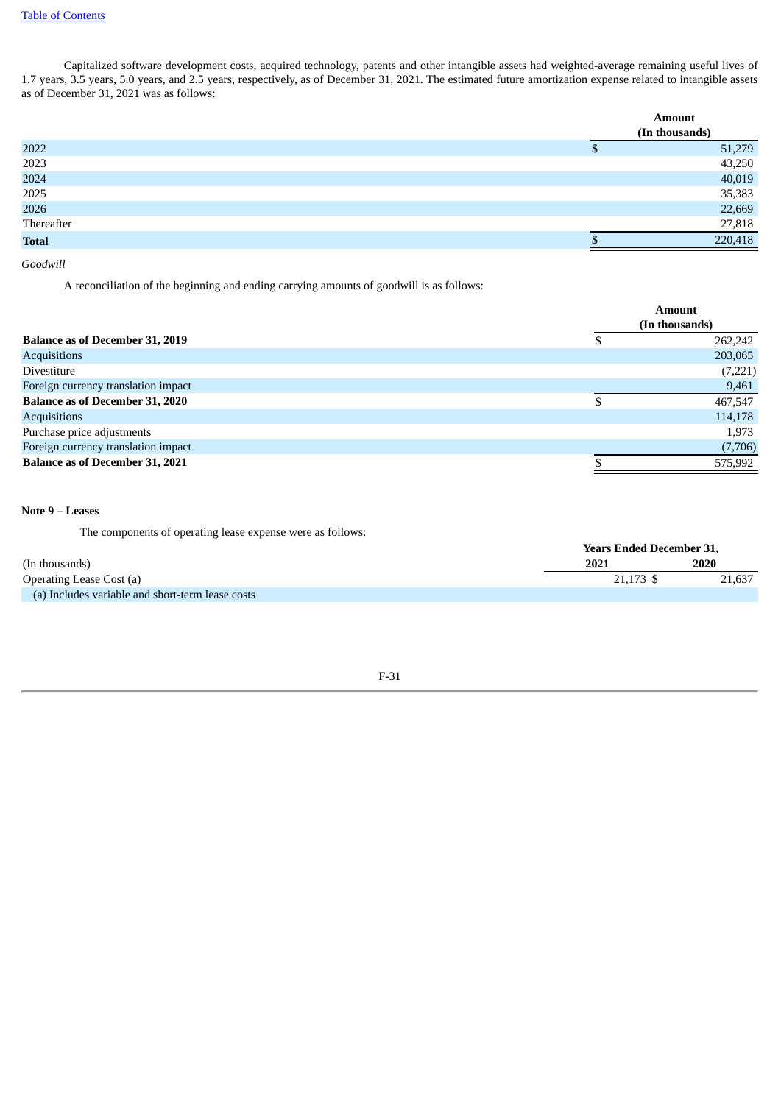Capitalized software development costs, acquired technology, patents and other intangible assets had weighted-average remaining useful lives of 1.7 years, 3.5 years, 5.0 years, and 2.5 years, respectively, as of December 31, 2021. The estimated future amortization expense related to intangible assets as of December 31, 2021 was as follows:

|              | <b>Amount</b>  |         |
|--------------|----------------|---------|
|              | (In thousands) |         |
| 2022         | ⊅              | 51,279  |
| 2023         |                | 43,250  |
| 2024         |                | 40,019  |
| 2025         |                | 35,383  |
| 2026         |                | 22,669  |
| Thereafter   |                | 27,818  |
| <b>Total</b> |                | 220,418 |
|              |                |         |

*Goodwill*

A reconciliation of the beginning and ending carrying amounts of goodwill is as follows:

|                                        | <b>Amount</b>  |
|----------------------------------------|----------------|
|                                        | (In thousands) |
| <b>Balance as of December 31, 2019</b> | 262,242        |
| <b>Acquisitions</b>                    | 203,065        |
| Divestiture                            | (7,221)        |
| Foreign currency translation impact    | 9,461          |
| <b>Balance as of December 31, 2020</b> | 467,547        |
| <b>Acquisitions</b>                    | 114,178        |
| Purchase price adjustments             | 1,973          |
| Foreign currency translation impact    | (7,706)        |
| <b>Balance as of December 31, 2021</b> | 575,992        |
|                                        |                |

## **Note 9 – Leases**

The components of operating lease expense were as follows:

|                                                  | <b>Years Ended December 31.</b> |        |
|--------------------------------------------------|---------------------------------|--------|
| (In thousands)                                   | 2021                            | 2020   |
| Operating Lease Cost (a)                         | 21.173 \$                       | 21,637 |
| (a) Includes variable and short-term lease costs |                                 |        |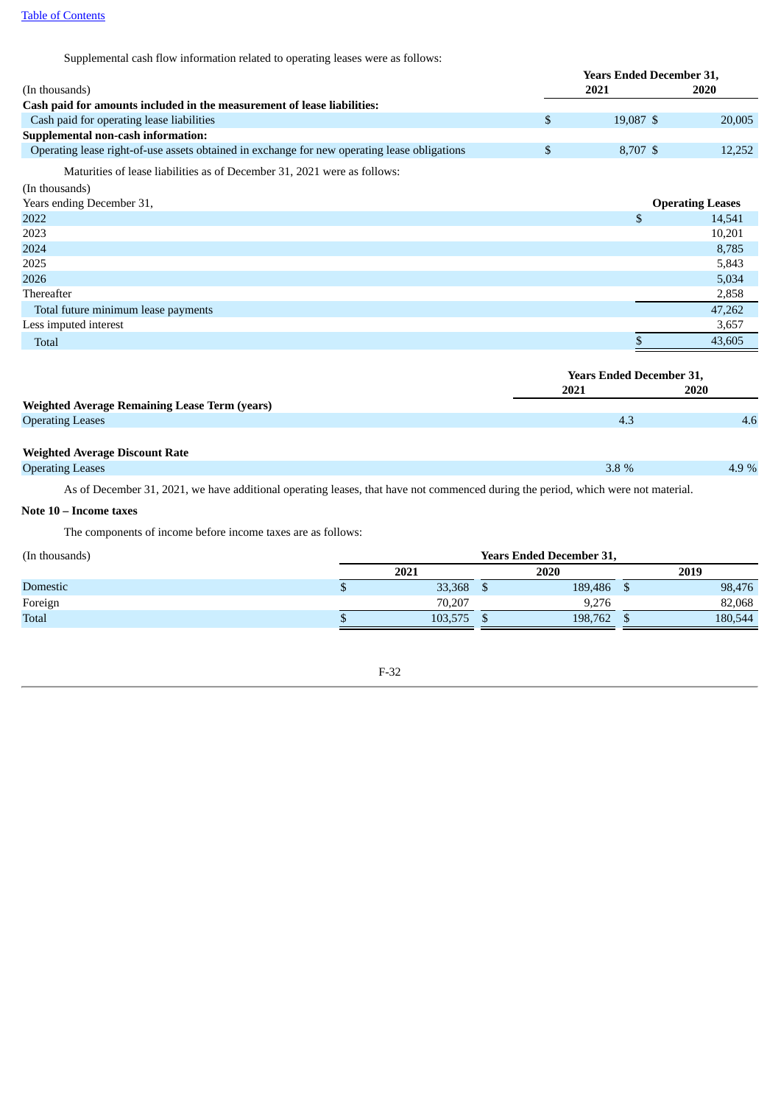Supplemental cash flow information related to operating leases were as follows:

|                                                                                              | <b>Years Ended December 31,</b> |        |  |  |  |
|----------------------------------------------------------------------------------------------|---------------------------------|--------|--|--|--|
| (In thousands)                                                                               | 2021                            | 2020   |  |  |  |
| Cash paid for amounts included in the measurement of lease liabilities:                      |                                 |        |  |  |  |
| Cash paid for operating lease liabilities                                                    | 19,087 \$                       | 20,005 |  |  |  |
| Supplemental non-cash information:                                                           |                                 |        |  |  |  |
| Operating lease right-of-use assets obtained in exchange for new operating lease obligations | 8.707 \$                        | 12.252 |  |  |  |
|                                                                                              |                                 |        |  |  |  |

Maturities of lease liabilities as of December 31, 2021 were as follows:

| (In thousands)                      |                         |
|-------------------------------------|-------------------------|
| Years ending December 31,           | <b>Operating Leases</b> |
| 2022                                | \$<br>14,541            |
| 2023                                | 10,201                  |
| 2024                                | 8,785                   |
| 2025                                | 5,843                   |
| 2026                                | 5,034                   |
| Thereafter                          | 2,858                   |
| Total future minimum lease payments | 47,262                  |
| Less imputed interest               | 3,657                   |
| Total                               | 43,605                  |

|                                                      | <b>Years Ended December 31,</b> |       |
|------------------------------------------------------|---------------------------------|-------|
|                                                      | 2021                            | 2020  |
| <b>Weighted Average Remaining Lease Term (years)</b> |                                 |       |
| <b>Operating Leases</b>                              | 4.3                             | 4.6   |
|                                                      |                                 |       |
| <b>Weighted Average Discount Rate</b>                |                                 |       |
| <b>Operating Leases</b>                              | 3.8%                            | 4.9 % |
|                                                      | .                               |       |

As of December 31, 2021, we have additional operating leases, that have not commenced during the period, which were not material.

## **Note 10 – Income taxes**

The components of income before income taxes are as follows:

| (In thousands) | <b>Years Ended December 31,</b> |         |      |         |    |         |
|----------------|---------------------------------|---------|------|---------|----|---------|
|                | 2021                            |         | 2020 |         |    | 2019    |
| Domestic       |                                 | 33,368  |      | 189,486 | ۰D | 98,476  |
| Foreign        |                                 | 70,207  |      | 9,276   |    | 82,068  |
| <b>Total</b>   |                                 | 103,575 |      | 198,762 | D  | 180,544 |
|                |                                 |         |      |         |    |         |

$$
F-32
$$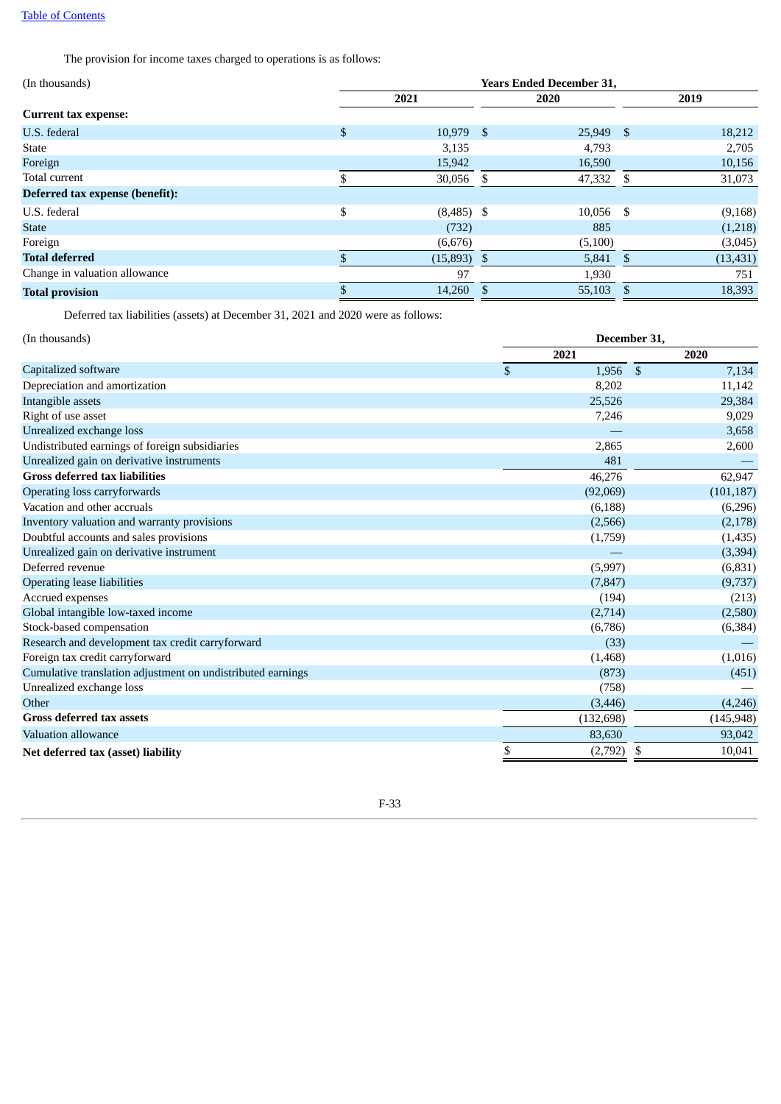The provision for income taxes charged to operations is as follows:

| 2021<br>2019<br>2020                                          |           |
|---------------------------------------------------------------|-----------|
| Current tax expense:                                          |           |
| $\mathfrak{s}$<br>U.S. federal<br>10,979 \$<br>25,949<br>- \$ | 18,212    |
| <b>State</b><br>3,135<br>4,793                                | 2,705     |
| Foreign<br>15,942<br>16,590                                   | 10,156    |
| Total current<br>30,056<br>47,332<br>S<br>S                   | 31,073    |
| Deferred tax expense (benefit):                               |           |
| \$<br>U.S. federal<br>10,056<br>$(8,485)$ \$<br>- \$          | (9, 168)  |
| <b>State</b><br>(732)<br>885                                  | (1,218)   |
| Foreign<br>(6,676)<br>(5,100)                                 | (3,045)   |
| <b>Total deferred</b><br>(15,893)<br>5,841<br>-S<br>S         | (13, 431) |
| Change in valuation allowance<br>97<br>1,930                  | 751       |
| 14,260<br>55,103<br><b>Total provision</b>                    | 18,393    |

Deferred tax liabilities (assets) at December 31, 2021 and 2020 were as follows:

| (In thousands)                                              | December 31,   |            |                |            |
|-------------------------------------------------------------|----------------|------------|----------------|------------|
|                                                             |                | 2021       |                | 2020       |
| Capitalized software                                        | $\mathfrak{S}$ | 1,956      | $\mathfrak{S}$ | 7,134      |
| Depreciation and amortization                               |                | 8,202      |                | 11,142     |
| Intangible assets                                           |                | 25,526     |                | 29,384     |
| Right of use asset                                          |                | 7,246      |                | 9,029      |
| Unrealized exchange loss                                    |                |            |                | 3,658      |
| Undistributed earnings of foreign subsidiaries              |                | 2,865      |                | 2,600      |
| Unrealized gain on derivative instruments                   |                | 481        |                |            |
| <b>Gross deferred tax liabilities</b>                       |                | 46,276     |                | 62,947     |
| Operating loss carryforwards                                |                | (92,069)   |                | (101, 187) |
| Vacation and other accruals                                 |                | (6, 188)   |                | (6,296)    |
| Inventory valuation and warranty provisions                 |                | (2,566)    |                | (2,178)    |
| Doubtful accounts and sales provisions                      |                | (1,759)    |                | (1,435)    |
| Unrealized gain on derivative instrument                    |                |            |                | (3,394)    |
| Deferred revenue                                            |                | (5,997)    |                | (6, 831)   |
| <b>Operating lease liabilities</b>                          |                | (7, 847)   |                | (9,737)    |
| Accrued expenses                                            |                | (194)      |                | (213)      |
| Global intangible low-taxed income                          |                | (2,714)    |                | (2,580)    |
| Stock-based compensation                                    |                | (6,786)    |                | (6, 384)   |
| Research and development tax credit carryforward            |                | (33)       |                |            |
| Foreign tax credit carryforward                             |                | (1,468)    |                | (1,016)    |
| Cumulative translation adjustment on undistributed earnings |                | (873)      |                | (451)      |
| Unrealized exchange loss                                    |                | (758)      |                |            |
| Other                                                       |                | (3, 446)   |                | (4,246)    |
| <b>Gross deferred tax assets</b>                            |                | (132, 698) |                | (145, 948) |
| Valuation allowance                                         |                | 83,630     |                | 93,042     |
| Net deferred tax (asset) liability                          |                | (2,792)    | -\$            | 10,041     |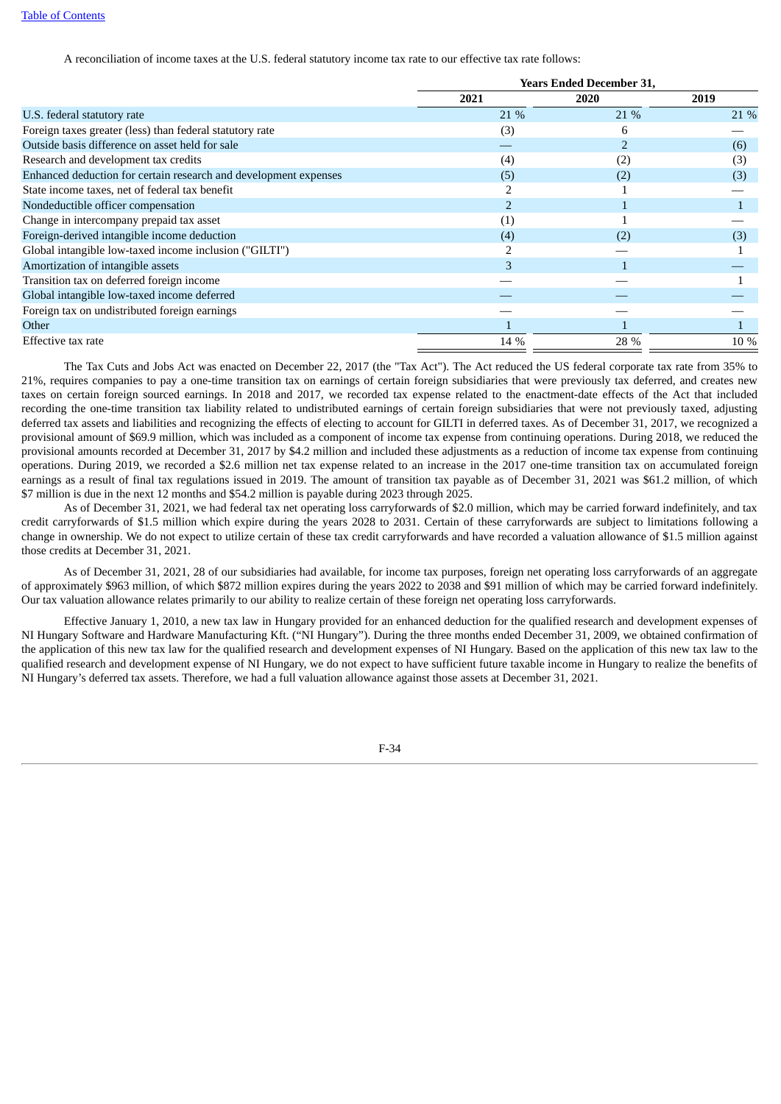A reconciliation of income taxes at the U.S. federal statutory income tax rate to our effective tax rate follows:

|                                                                  | <b>Years Ended December 31,</b> |      |      |  |  |  |
|------------------------------------------------------------------|---------------------------------|------|------|--|--|--|
|                                                                  | 2021                            | 2020 | 2019 |  |  |  |
| U.S. federal statutory rate                                      | 21 %                            | 21 % | 21 % |  |  |  |
| Foreign taxes greater (less) than federal statutory rate         | (3)                             | h    |      |  |  |  |
| Outside basis difference on asset held for sale                  |                                 |      | (6)  |  |  |  |
| Research and development tax credits                             | (4)                             | (2)  | (3)  |  |  |  |
| Enhanced deduction for certain research and development expenses | (5)                             | (2)  | (3)  |  |  |  |
| State income taxes, net of federal tax benefit                   |                                 |      |      |  |  |  |
| Nondeductible officer compensation                               |                                 |      |      |  |  |  |
| Change in intercompany prepaid tax asset                         | $^{(1)}$                        |      |      |  |  |  |
| Foreign-derived intangible income deduction                      | (4)                             | (2)  | (3)  |  |  |  |
| Global intangible low-taxed income inclusion ("GILTI")           |                                 |      |      |  |  |  |
| Amortization of intangible assets                                | 3                               |      |      |  |  |  |
| Transition tax on deferred foreign income                        |                                 |      |      |  |  |  |
| Global intangible low-taxed income deferred                      |                                 |      |      |  |  |  |
| Foreign tax on undistributed foreign earnings                    |                                 |      |      |  |  |  |
| Other                                                            |                                 |      |      |  |  |  |
| Effective tax rate                                               | 14 %                            | 28 % | 10 % |  |  |  |

The Tax Cuts and Jobs Act was enacted on December 22, 2017 (the "Tax Act"). The Act reduced the US federal corporate tax rate from 35% to 21%, requires companies to pay a one-time transition tax on earnings of certain foreign subsidiaries that were previously tax deferred, and creates new taxes on certain foreign sourced earnings. In 2018 and 2017, we recorded tax expense related to the enactment-date effects of the Act that included recording the one-time transition tax liability related to undistributed earnings of certain foreign subsidiaries that were not previously taxed, adjusting deferred tax assets and liabilities and recognizing the effects of electing to account for GILTI in deferred taxes. As of December 31, 2017, we recognized a provisional amount of \$69.9 million, which was included as a component of income tax expense from continuing operations. During 2018, we reduced the provisional amounts recorded at December 31, 2017 by \$4.2 million and included these adjustments as a reduction of income tax expense from continuing operations. During 2019, we recorded a \$2.6 million net tax expense related to an increase in the 2017 one-time transition tax on accumulated foreign earnings as a result of final tax regulations issued in 2019. The amount of transition tax payable as of December 31, 2021 was \$61.2 million, of which \$7 million is due in the next 12 months and \$54.2 million is payable during 2023 through 2025.

As of December 31, 2021, we had federal tax net operating loss carryforwards of \$2.0 million, which may be carried forward indefinitely, and tax credit carryforwards of \$1.5 million which expire during the years 2028 to 2031. Certain of these carryforwards are subject to limitations following a change in ownership. We do not expect to utilize certain of these tax credit carryforwards and have recorded a valuation allowance of \$1.5 million against those credits at December 31, 2021.

As of December 31, 2021, 28 of our subsidiaries had available, for income tax purposes, foreign net operating loss carryforwards of an aggregate of approximately \$963 million, of which \$872 million expires during the years 2022 to 2038 and \$91 million of which may be carried forward indefinitely. Our tax valuation allowance relates primarily to our ability to realize certain of these foreign net operating loss carryforwards.

Effective January 1, 2010, a new tax law in Hungary provided for an enhanced deduction for the qualified research and development expenses of NI Hungary Software and Hardware Manufacturing Kft. ("NI Hungary"). During the three months ended December 31, 2009, we obtained confirmation of the application of this new tax law for the qualified research and development expenses of NI Hungary. Based on the application of this new tax law to the qualified research and development expense of NI Hungary, we do not expect to have sufficient future taxable income in Hungary to realize the benefits of NI Hungary's deferred tax assets. Therefore, we had a full valuation allowance against those assets at December 31, 2021.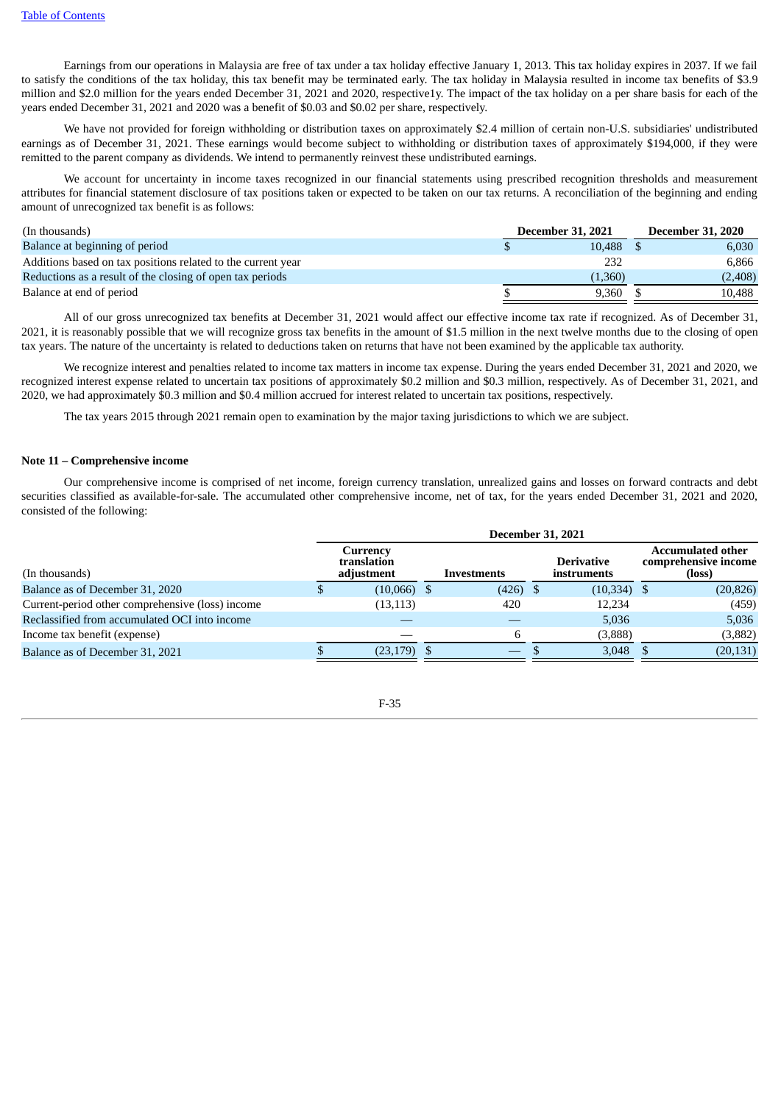Earnings from our operations in Malaysia are free of tax under a tax holiday effective January 1, 2013. This tax holiday expires in 2037. If we fail to satisfy the conditions of the tax holiday, this tax benefit may be terminated early. The tax holiday in Malaysia resulted in income tax benefits of \$3.9 million and \$2.0 million for the years ended December 31, 2021 and 2020, respective1y. The impact of the tax holiday on a per share basis for each of the years ended December 31, 2021 and 2020 was a benefit of \$0.03 and \$0.02 per share, respectively.

We have not provided for foreign withholding or distribution taxes on approximately \$2.4 million of certain non-U.S. subsidiaries' undistributed earnings as of December 31, 2021. These earnings would become subject to withholding or distribution taxes of approximately \$194,000, if they were remitted to the parent company as dividends. We intend to permanently reinvest these undistributed earnings.

We account for uncertainty in income taxes recognized in our financial statements using prescribed recognition thresholds and measurement attributes for financial statement disclosure of tax positions taken or expected to be taken on our tax returns. A reconciliation of the beginning and ending amount of unrecognized tax benefit is as follows:

| (In thousands)                                               | <b>December 31, 2021</b> | <b>December 31, 2020</b> |
|--------------------------------------------------------------|--------------------------|--------------------------|
| Balance at beginning of period                               | 10.488                   | 6.030                    |
| Additions based on tax positions related to the current year | 232                      | 6.866                    |
| Reductions as a result of the closing of open tax periods    | (1,360)                  | (2,408)                  |
| Balance at end of period                                     | 9.360                    | 10.488                   |

All of our gross unrecognized tax benefits at December 31, 2021 would affect our effective income tax rate if recognized. As of December 31, 2021, it is reasonably possible that we will recognize gross tax benefits in the amount of \$1.5 million in the next twelve months due to the closing of open tax years. The nature of the uncertainty is related to deductions taken on returns that have not been examined by the applicable tax authority.

We recognize interest and penalties related to income tax matters in income tax expense. During the years ended December 31, 2021 and 2020, we recognized interest expense related to uncertain tax positions of approximately \$0.2 million and \$0.3 million, respectively. As of December 31, 2021, and 2020, we had approximately \$0.3 million and \$0.4 million accrued for interest related to uncertain tax positions, respectively.

The tax years 2015 through 2021 remain open to examination by the major taxing jurisdictions to which we are subject.

### **Note 11 – Comprehensive income**

Our comprehensive income is comprised of net income, foreign currency translation, unrealized gains and losses on forward contracts and debt securities classified as available-for-sale. The accumulated other comprehensive income, net of tax, for the years ended December 31, 2021 and 2020, consisted of the following:

|                                                  | <b>December 31, 2021</b> |                                       |    |             |  |                                  |  |                                                            |  |
|--------------------------------------------------|--------------------------|---------------------------------------|----|-------------|--|----------------------------------|--|------------------------------------------------------------|--|
| (In thousands)                                   |                          | Currency<br>translation<br>adjustment |    | Investments |  | <b>Derivative</b><br>instruments |  | <b>Accumulated other</b><br>comprehensive income<br>(loss) |  |
| Balance as of December 31, 2020                  |                          | $(10,066)$ \$                         |    | $(426)$ \$  |  | $(10,334)$ \$                    |  | (20, 826)                                                  |  |
| Current-period other comprehensive (loss) income |                          | (13, 113)                             |    | 420         |  | 12,234                           |  | (459)                                                      |  |
| Reclassified from accumulated OCI into income    |                          |                                       |    |             |  | 5,036                            |  | 5,036                                                      |  |
| Income tax benefit (expense)                     |                          |                                       |    | 6           |  | (3,888)                          |  | (3,882)                                                    |  |
| Balance as of December 31, 2021                  |                          | (23, 179)                             | -S |             |  | 3,048                            |  | (20, 131)                                                  |  |

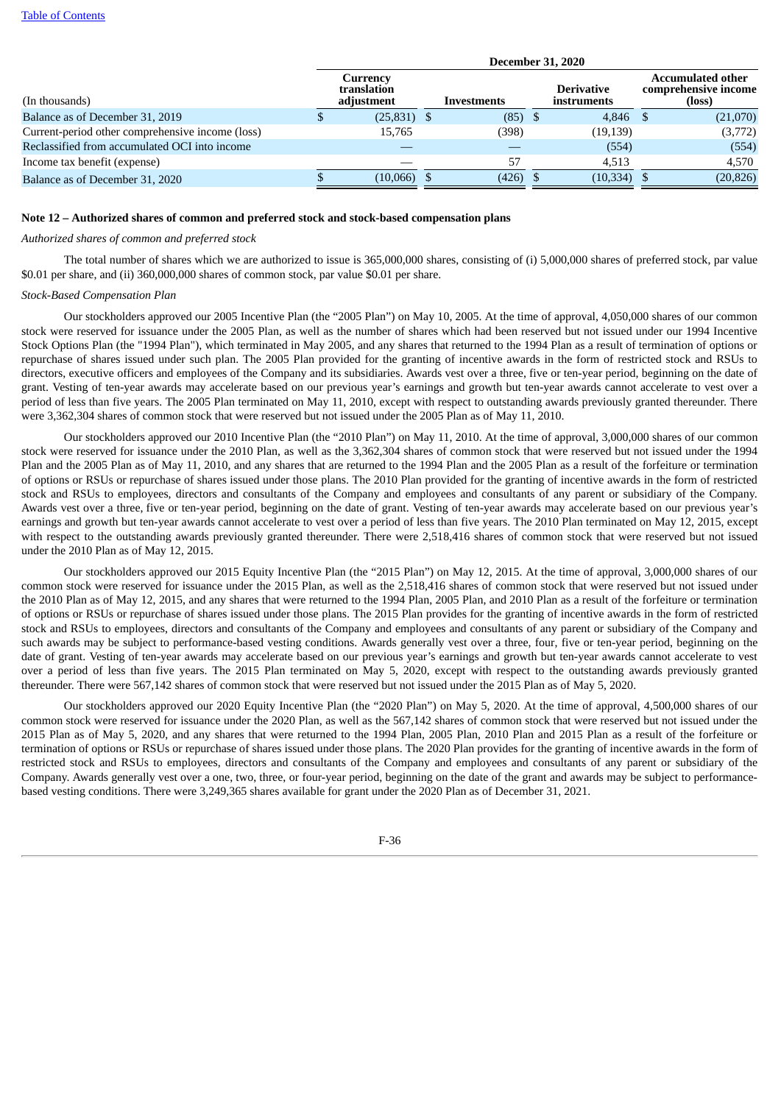|                                                  | <b>December 31, 2020</b> |                                       |  |             |  |                                  |  |                                                            |  |
|--------------------------------------------------|--------------------------|---------------------------------------|--|-------------|--|----------------------------------|--|------------------------------------------------------------|--|
| (In thousands)                                   |                          | Currency<br>translation<br>adjustment |  | Investments |  | <b>Derivative</b><br>instruments |  | <b>Accumulated other</b><br>comprehensive income<br>(loss) |  |
| Balance as of December 31, 2019                  |                          | $(25,831)$ \$                         |  | $(85)$ \$   |  | 4,846                            |  | (21,070)                                                   |  |
| Current-period other comprehensive income (loss) |                          | 15,765                                |  | (398)       |  | (19, 139)                        |  | (3,772)                                                    |  |
| Reclassified from accumulated OCI into income    |                          |                                       |  |             |  | (554)                            |  | (554)                                                      |  |
| Income tax benefit (expense)                     |                          |                                       |  | 57          |  | 4,513                            |  | 4,570                                                      |  |
| Balance as of December 31, 2020                  |                          | (10,066)                              |  | (426)       |  | (10, 334)                        |  | (20, 826)                                                  |  |

### **Note 12 – Authorized shares of common and preferred stock and stock-based compensation plans**

#### *Authorized shares of common and preferred stock*

The total number of shares which we are authorized to issue is 365,000,000 shares, consisting of (i) 5,000,000 shares of preferred stock, par value \$0.01 per share, and (ii) 360,000,000 shares of common stock, par value \$0.01 per share.

### *Stock-Based Compensation Plan*

Our stockholders approved our 2005 Incentive Plan (the "2005 Plan") on May 10, 2005. At the time of approval, 4,050,000 shares of our common stock were reserved for issuance under the 2005 Plan, as well as the number of shares which had been reserved but not issued under our 1994 Incentive Stock Options Plan (the "1994 Plan"), which terminated in May 2005, and any shares that returned to the 1994 Plan as a result of termination of options or repurchase of shares issued under such plan. The 2005 Plan provided for the granting of incentive awards in the form of restricted stock and RSUs to directors, executive officers and employees of the Company and its subsidiaries. Awards vest over a three, five or ten-year period, beginning on the date of grant. Vesting of ten-year awards may accelerate based on our previous year's earnings and growth but ten-year awards cannot accelerate to vest over a period of less than five years. The 2005 Plan terminated on May 11, 2010, except with respect to outstanding awards previously granted thereunder. There were 3,362,304 shares of common stock that were reserved but not issued under the 2005 Plan as of May 11, 2010.

Our stockholders approved our 2010 Incentive Plan (the "2010 Plan") on May 11, 2010. At the time of approval, 3,000,000 shares of our common stock were reserved for issuance under the 2010 Plan, as well as the 3,362,304 shares of common stock that were reserved but not issued under the 1994 Plan and the 2005 Plan as of May 11, 2010, and any shares that are returned to the 1994 Plan and the 2005 Plan as a result of the forfeiture or termination of options or RSUs or repurchase of shares issued under those plans. The 2010 Plan provided for the granting of incentive awards in the form of restricted stock and RSUs to employees, directors and consultants of the Company and employees and consultants of any parent or subsidiary of the Company. Awards vest over a three, five or ten-year period, beginning on the date of grant. Vesting of ten-year awards may accelerate based on our previous year's earnings and growth but ten-year awards cannot accelerate to vest over a period of less than five years. The 2010 Plan terminated on May 12, 2015, except with respect to the outstanding awards previously granted thereunder. There were 2,518,416 shares of common stock that were reserved but not issued under the 2010 Plan as of May 12, 2015.

Our stockholders approved our 2015 Equity Incentive Plan (the "2015 Plan") on May 12, 2015. At the time of approval, 3,000,000 shares of our common stock were reserved for issuance under the 2015 Plan, as well as the 2,518,416 shares of common stock that were reserved but not issued under the 2010 Plan as of May 12, 2015, and any shares that were returned to the 1994 Plan, 2005 Plan, and 2010 Plan as a result of the forfeiture or termination of options or RSUs or repurchase of shares issued under those plans. The 2015 Plan provides for the granting of incentive awards in the form of restricted stock and RSUs to employees, directors and consultants of the Company and employees and consultants of any parent or subsidiary of the Company and such awards may be subject to performance-based vesting conditions. Awards generally vest over a three, four, five or ten-year period, beginning on the date of grant. Vesting of ten-year awards may accelerate based on our previous year's earnings and growth but ten-year awards cannot accelerate to vest over a period of less than five years. The 2015 Plan terminated on May 5, 2020, except with respect to the outstanding awards previously granted thereunder. There were 567,142 shares of common stock that were reserved but not issued under the 2015 Plan as of May 5, 2020.

Our stockholders approved our 2020 Equity Incentive Plan (the "2020 Plan") on May 5, 2020. At the time of approval, 4,500,000 shares of our common stock were reserved for issuance under the 2020 Plan, as well as the 567,142 shares of common stock that were reserved but not issued under the 2015 Plan as of May 5, 2020, and any shares that were returned to the 1994 Plan, 2005 Plan, 2010 Plan and 2015 Plan as a result of the forfeiture or termination of options or RSUs or repurchase of shares issued under those plans. The 2020 Plan provides for the granting of incentive awards in the form of restricted stock and RSUs to employees, directors and consultants of the Company and employees and consultants of any parent or subsidiary of the Company. Awards generally vest over a one, two, three, or four-year period, beginning on the date of the grant and awards may be subject to performancebased vesting conditions. There were 3,249,365 shares available for grant under the 2020 Plan as of December 31, 2021.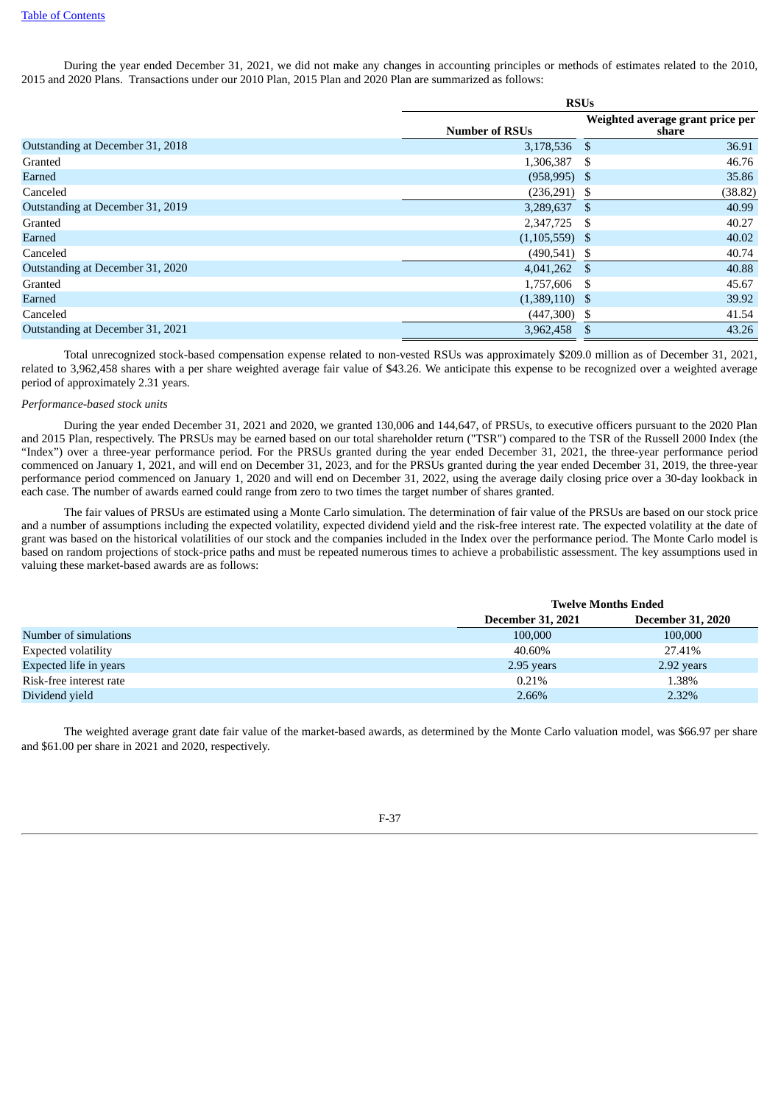During the year ended December 31, 2021, we did not make any changes in accounting principles or methods of estimates related to the 2010, 2015 and 2020 Plans. Transactions under our 2010 Plan, 2015 Plan and 2020 Plan are summarized as follows:

|                                  |                       | <b>RSUs</b>                               |  |  |  |  |
|----------------------------------|-----------------------|-------------------------------------------|--|--|--|--|
|                                  | <b>Number of RSUs</b> | Weighted average grant price per<br>share |  |  |  |  |
| Outstanding at December 31, 2018 | 3,178,536             | 36.91<br>- \$                             |  |  |  |  |
| Granted                          | 1,306,387             | 46.76<br>-S                               |  |  |  |  |
| Earned                           | $(958, 995)$ \$       | 35.86                                     |  |  |  |  |
| Canceled                         | $(236,291)$ \$        | (38.82)                                   |  |  |  |  |
| Outstanding at December 31, 2019 | 3,289,637             | -S<br>40.99                               |  |  |  |  |
| Granted                          | 2,347,725             | 40.27<br>- \$                             |  |  |  |  |
| Earned                           | $(1,105,559)$ \$      | 40.02                                     |  |  |  |  |
| Canceled                         | (490, 541)            | 40.74<br>- \$                             |  |  |  |  |
| Outstanding at December 31, 2020 | 4,041,262             | 40.88<br>- \$                             |  |  |  |  |
| Granted                          | 1,757,606             | 45.67<br>- \$                             |  |  |  |  |
| Earned                           | $(1,389,110)$ \$      | 39.92                                     |  |  |  |  |
| Canceled                         | (447,300)             | 41.54<br>- \$                             |  |  |  |  |
| Outstanding at December 31, 2021 | 3,962,458             | -S<br>43.26                               |  |  |  |  |

Total unrecognized stock-based compensation expense related to non-vested RSUs was approximately \$209.0 million as of December 31, 2021, related to 3,962,458 shares with a per share weighted average fair value of \$43.26. We anticipate this expense to be recognized over a weighted average period of approximately 2.31 years.

#### *Performance-based stock units*

During the year ended December 31, 2021 and 2020, we granted 130,006 and 144,647, of PRSUs, to executive officers pursuant to the 2020 Plan and 2015 Plan, respectively. The PRSUs may be earned based on our total shareholder return ("TSR") compared to the TSR of the Russell 2000 Index (the "Index") over a three-year performance period. For the PRSUs granted during the year ended December 31, 2021, the three-year performance period commenced on January 1, 2021, and will end on December 31, 2023, and for the PRSUs granted during the year ended December 31, 2019, the three-year performance period commenced on January 1, 2020 and will end on December 31, 2022, using the average daily closing price over a 30-day lookback in each case. The number of awards earned could range from zero to two times the target number of shares granted.

The fair values of PRSUs are estimated using a Monte Carlo simulation. The determination of fair value of the PRSUs are based on our stock price and a number of assumptions including the expected volatility, expected dividend yield and the risk-free interest rate. The expected volatility at the date of grant was based on the historical volatilities of our stock and the companies included in the Index over the performance period. The Monte Carlo model is based on random projections of stock-price paths and must be repeated numerous times to achieve a probabilistic assessment. The key assumptions used in valuing these market-based awards are as follows:

|                         | <b>Twelve Months Ended</b> |                          |  |  |
|-------------------------|----------------------------|--------------------------|--|--|
|                         | <b>December 31, 2021</b>   | <b>December 31, 2020</b> |  |  |
| Number of simulations   | 100,000                    | 100,000                  |  |  |
| Expected volatility     | 40.60%                     | 27.41%                   |  |  |
| Expected life in years  | 2.95 years                 | 2.92 years               |  |  |
| Risk-free interest rate | 0.21%                      | 1.38%                    |  |  |
| Dividend yield          | 2.66%                      | 2.32%                    |  |  |

The weighted average grant date fair value of the market-based awards, as determined by the Monte Carlo valuation model, was \$66.97 per share and \$61.00 per share in 2021 and 2020, respectively.

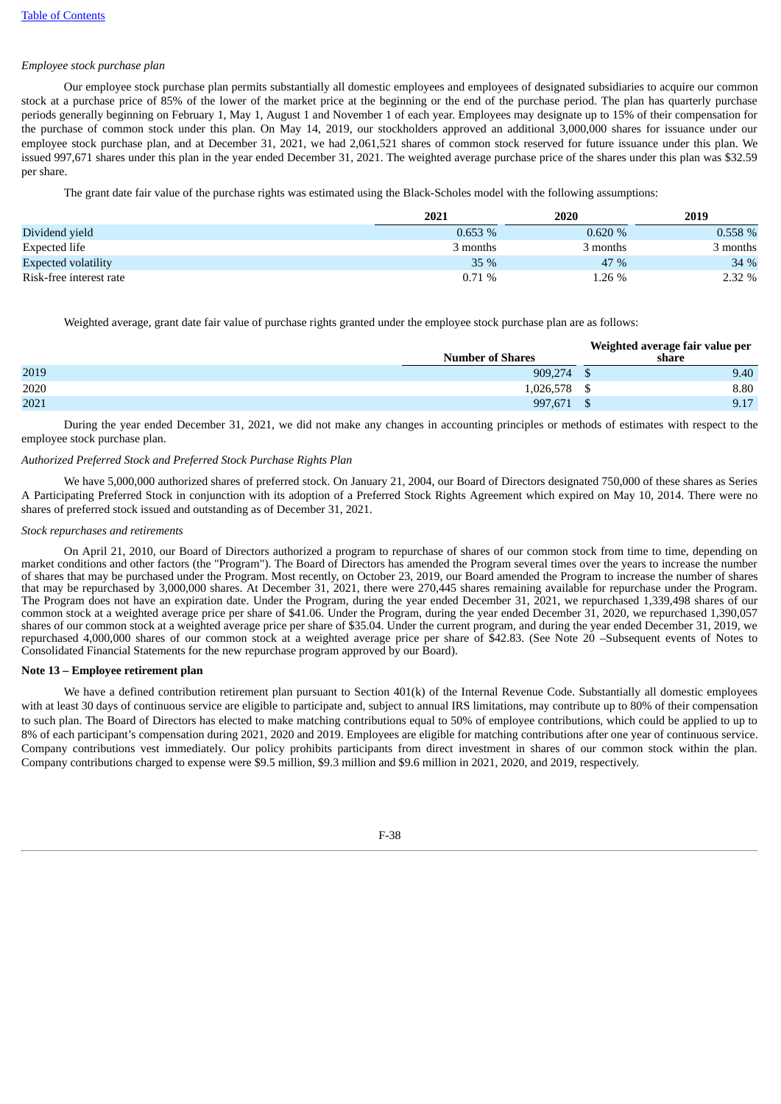# *Employee stock purchase plan*

Our employee stock purchase plan permits substantially all domestic employees and employees of designated subsidiaries to acquire our common stock at a purchase price of 85% of the lower of the market price at the beginning or the end of the purchase period. The plan has quarterly purchase periods generally beginning on February 1, May 1, August 1 and November 1 of each year. Employees may designate up to 15% of their compensation for the purchase of common stock under this plan. On May 14, 2019, our stockholders approved an additional 3,000,000 shares for issuance under our employee stock purchase plan, and at December 31, 2021, we had 2,061,521 shares of common stock reserved for future issuance under this plan. We issued 997,671 shares under this plan in the year ended December 31, 2021. The weighted average purchase price of the shares under this plan was \$32.59 per share.

The grant date fair value of the purchase rights was estimated using the Black-Scholes model with the following assumptions:

|                            | 2021     | 2020     | 2019     |
|----------------------------|----------|----------|----------|
| Dividend yield             | 0.653%   | 0.620%   | 0.558%   |
| Expected life              | 3 months | 3 months | 3 months |
| <b>Expected volatility</b> | 35%      | $47\%$   | 34 %     |
| Risk-free interest rate    | 0.71%    | 1.26 %   | $2.32\%$ |

Weighted average, grant date fair value of purchase rights granted under the employee stock purchase plan are as follows:

|      | <b>Number of Shares</b> | Weighted average fair value per<br>share |
|------|-------------------------|------------------------------------------|
| 2019 | 909,274                 | 9.40                                     |
| 2020 | 1,026,578 \$            | 8.80                                     |
| 2021 | 997,671                 | 9.17                                     |

During the year ended December 31, 2021, we did not make any changes in accounting principles or methods of estimates with respect to the employee stock purchase plan.

### *Authorized Preferred Stock and Preferred Stock Purchase Rights Plan*

We have 5,000,000 authorized shares of preferred stock. On January 21, 2004, our Board of Directors designated 750,000 of these shares as Series A Participating Preferred Stock in conjunction with its adoption of a Preferred Stock Rights Agreement which expired on May 10, 2014. There were no shares of preferred stock issued and outstanding as of December 31, 2021.

### *Stock repurchases and retirements*

On April 21, 2010, our Board of Directors authorized a program to repurchase of shares of our common stock from time to time, depending on market conditions and other factors (the "Program"). The Board of Directors has amended the Program several times over the years to increase the number of shares that may be purchased under the Program. Most recently, on October 23, 2019, our Board amended the Program to increase the number of shares that may be repurchased by 3,000,000 shares. At December 31, 2021, there were 270,445 shares remaining available for repurchase under the Program. The Program does not have an expiration date. Under the Program, during the year ended December 31, 2021, we repurchased 1,339,498 shares of our common stock at a weighted average price per share of \$41.06. Under the Program, during the year ended December 31, 2020, we repurchased 1,390,057 shares of our common stock at a weighted average price per share of \$35.04. Under the current program, and during the year ended December 31, 2019, we repurchased 4,000,000 shares of our common stock at a weighted average price per share of \$42.83. (See Note 20 –Subsequent events of Notes to Consolidated Financial Statements for the new repurchase program approved by our Board).

#### **Note 13 – Employee retirement plan**

We have a defined contribution retirement plan pursuant to Section 401(k) of the Internal Revenue Code. Substantially all domestic employees with at least 30 days of continuous service are eligible to participate and, subject to annual IRS limitations, may contribute up to 80% of their compensation to such plan. The Board of Directors has elected to make matching contributions equal to 50% of employee contributions, which could be applied to up to 8% of each participant's compensation during 2021, 2020 and 2019. Employees are eligible for matching contributions after one year of continuous service. Company contributions vest immediately. Our policy prohibits participants from direct investment in shares of our common stock within the plan. Company contributions charged to expense were \$9.5 million, \$9.3 million and \$9.6 million in 2021, 2020, and 2019, respectively.

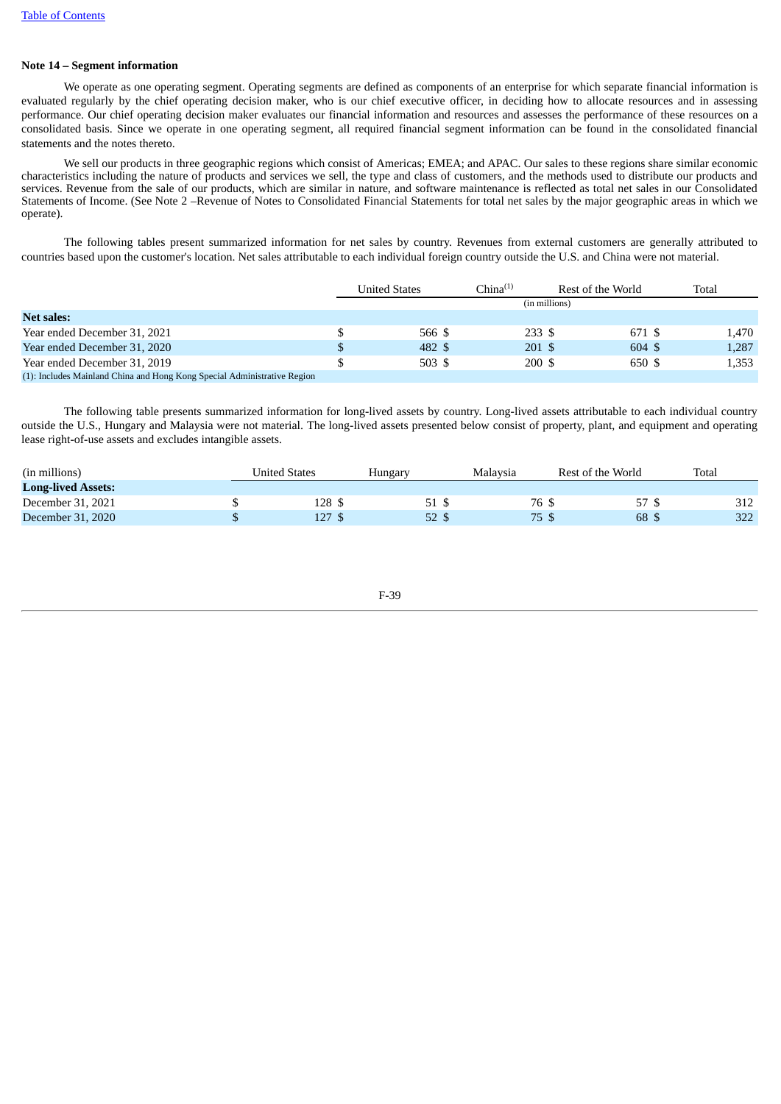# **Note 14 – Segment information**

We operate as one operating segment. Operating segments are defined as components of an enterprise for which separate financial information is evaluated regularly by the chief operating decision maker, who is our chief executive officer, in deciding how to allocate resources and in assessing performance. Our chief operating decision maker evaluates our financial information and resources and assesses the performance of these resources on a consolidated basis. Since we operate in one operating segment, all required financial segment information can be found in the consolidated financial statements and the notes thereto.

We sell our products in three geographic regions which consist of Americas; EMEA; and APAC. Our sales to these regions share similar economic characteristics including the nature of products and services we sell, the type and class of customers, and the methods used to distribute our products and services. Revenue from the sale of our products, which are similar in nature, and software maintenance is reflected as total net sales in our Consolidated Statements of Income. (See Note 2 –Revenue of Notes to Consolidated Financial Statements for total net sales by the major geographic areas in which we operate).

The following tables present summarized information for net sales by country. Revenues from external customers are generally attributed to countries based upon the customer's location. Net sales attributable to each individual foreign country outside the U.S. and China were not material.

|                                                                          | <b>United States</b> | $China^{(1)}$ | Rest of the World | Total |
|--------------------------------------------------------------------------|----------------------|---------------|-------------------|-------|
|                                                                          |                      | (in millions) |                   |       |
| <b>Net sales:</b>                                                        |                      |               |                   |       |
| Year ended December 31, 2021                                             | 566 \$               | 233 \$        | 671 \$            | 1.470 |
| Year ended December 31, 2020                                             | \$<br>482 \$         | 201 \$        | 604 \$            | 1,287 |
| Year ended December 31, 2019                                             | 503S                 | 200 \$        | 650 \$            | 1,353 |
| (1): Includes Mainland China and Hong Kong Special Administrative Region |                      |               |                   |       |

The following table presents summarized information for long-lived assets by country. Long-lived assets attributable to each individual country outside the U.S., Hungary and Malaysia were not material. The long-lived assets presented below consist of property, plant, and equipment and operating lease right-of-use assets and excludes intangible assets.

| (in millions)             | Jnited States |       | Hungary | Malaysia | Rest of the World |       | Total |
|---------------------------|---------------|-------|---------|----------|-------------------|-------|-------|
| <b>Long-lived Assets:</b> |               |       |         |          |                   |       |       |
| December 31, 2021         |               | 128 S | 51 S    |          | 76 \$             | 57    | 312   |
| December 31, 2020         |               | 127   | 52S     |          | 75 <sub>5</sub>   | 68 \$ | 322   |

$$
F-39
$$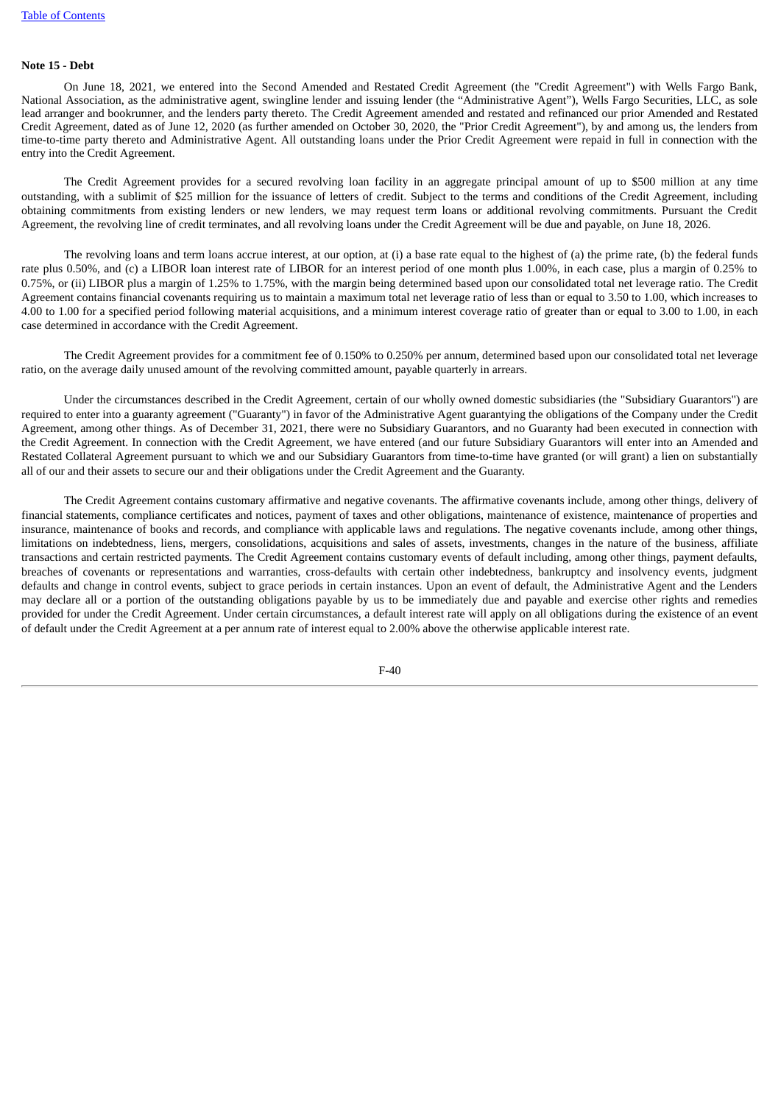## **Note 15 - Debt**

On June 18, 2021, we entered into the Second Amended and Restated Credit Agreement (the "Credit Agreement") with Wells Fargo Bank, National Association, as the administrative agent, swingline lender and issuing lender (the "Administrative Agent"), Wells Fargo Securities, LLC, as sole lead arranger and bookrunner, and the lenders party thereto. The Credit Agreement amended and restated and refinanced our prior Amended and Restated Credit Agreement, dated as of June 12, 2020 (as further amended on October 30, 2020, the "Prior Credit Agreement"), by and among us, the lenders from time-to-time party thereto and Administrative Agent. All outstanding loans under the Prior Credit Agreement were repaid in full in connection with the entry into the Credit Agreement.

The Credit Agreement provides for a secured revolving loan facility in an aggregate principal amount of up to \$500 million at any time outstanding, with a sublimit of \$25 million for the issuance of letters of credit. Subject to the terms and conditions of the Credit Agreement, including obtaining commitments from existing lenders or new lenders, we may request term loans or additional revolving commitments. Pursuant the Credit Agreement, the revolving line of credit terminates, and all revolving loans under the Credit Agreement will be due and payable, on June 18, 2026.

The revolving loans and term loans accrue interest, at our option, at (i) a base rate equal to the highest of (a) the prime rate, (b) the federal funds rate plus 0.50%, and (c) a LIBOR loan interest rate of LIBOR for an interest period of one month plus 1.00%, in each case, plus a margin of 0.25% to 0.75%, or (ii) LIBOR plus a margin of 1.25% to 1.75%, with the margin being determined based upon our consolidated total net leverage ratio. The Credit Agreement contains financial covenants requiring us to maintain a maximum total net leverage ratio of less than or equal to 3.50 to 1.00, which increases to 4.00 to 1.00 for a specified period following material acquisitions, and a minimum interest coverage ratio of greater than or equal to 3.00 to 1.00, in each case determined in accordance with the Credit Agreement.

The Credit Agreement provides for a commitment fee of 0.150% to 0.250% per annum, determined based upon our consolidated total net leverage ratio, on the average daily unused amount of the revolving committed amount, payable quarterly in arrears.

Under the circumstances described in the Credit Agreement, certain of our wholly owned domestic subsidiaries (the "Subsidiary Guarantors") are required to enter into a guaranty agreement ("Guaranty") in favor of the Administrative Agent guarantying the obligations of the Company under the Credit Agreement, among other things. As of December 31, 2021, there were no Subsidiary Guarantors, and no Guaranty had been executed in connection with the Credit Agreement. In connection with the Credit Agreement, we have entered (and our future Subsidiary Guarantors will enter into an Amended and Restated Collateral Agreement pursuant to which we and our Subsidiary Guarantors from time-to-time have granted (or will grant) a lien on substantially all of our and their assets to secure our and their obligations under the Credit Agreement and the Guaranty.

The Credit Agreement contains customary affirmative and negative covenants. The affirmative covenants include, among other things, delivery of financial statements, compliance certificates and notices, payment of taxes and other obligations, maintenance of existence, maintenance of properties and insurance, maintenance of books and records, and compliance with applicable laws and regulations. The negative covenants include, among other things, limitations on indebtedness, liens, mergers, consolidations, acquisitions and sales of assets, investments, changes in the nature of the business, affiliate transactions and certain restricted payments. The Credit Agreement contains customary events of default including, among other things, payment defaults, breaches of covenants or representations and warranties, cross-defaults with certain other indebtedness, bankruptcy and insolvency events, judgment defaults and change in control events, subject to grace periods in certain instances. Upon an event of default, the Administrative Agent and the Lenders may declare all or a portion of the outstanding obligations payable by us to be immediately due and payable and exercise other rights and remedies provided for under the Credit Agreement. Under certain circumstances, a default interest rate will apply on all obligations during the existence of an event of default under the Credit Agreement at a per annum rate of interest equal to 2.00% above the otherwise applicable interest rate.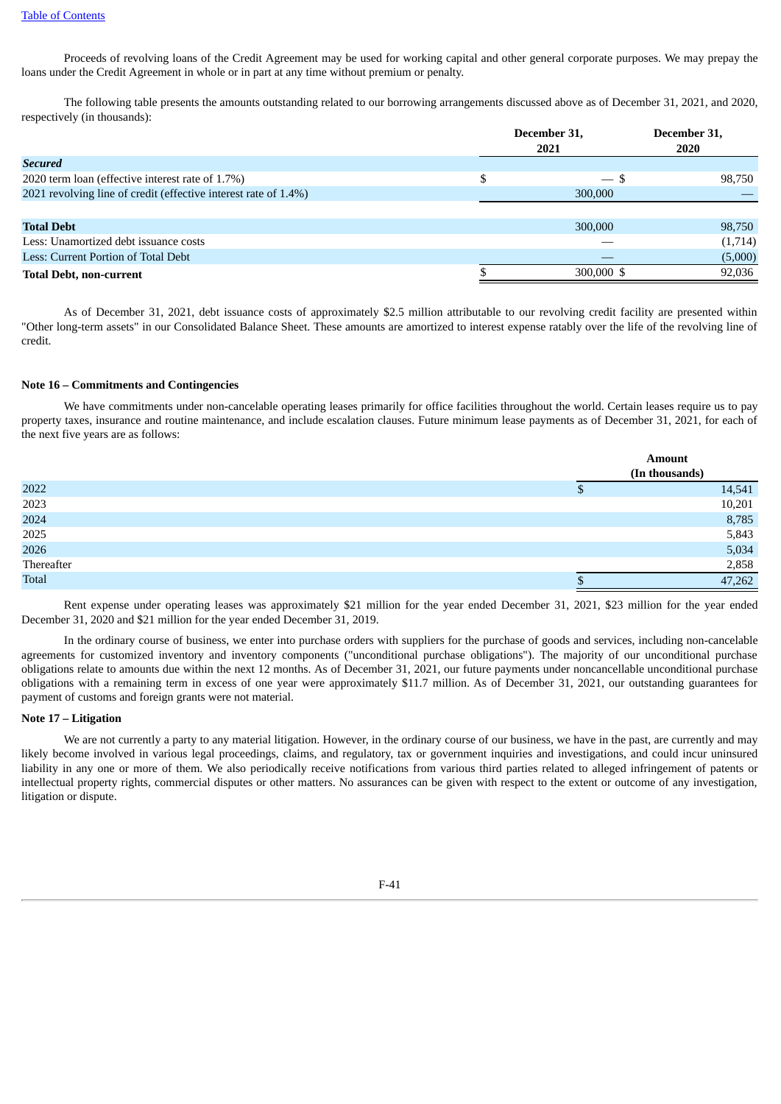Proceeds of revolving loans of the Credit Agreement may be used for working capital and other general corporate purposes. We may prepay the loans under the Credit Agreement in whole or in part at any time without premium or penalty.

The following table presents the amounts outstanding related to our borrowing arrangements discussed above as of December 31, 2021, and 2020, respectively (in thousands):

|                                                                 | December 31, |            | December 31, |
|-----------------------------------------------------------------|--------------|------------|--------------|
|                                                                 |              | 2021       | <b>2020</b>  |
| <b>Secured</b>                                                  |              |            |              |
| 2020 term loan (effective interest rate of 1.7%)                |              | — S        | 98,750       |
| 2021 revolving line of credit (effective interest rate of 1.4%) |              | 300,000    |              |
|                                                                 |              |            |              |
| <b>Total Debt</b>                                               |              | 300,000    | 98,750       |
| Less: Unamortized debt issuance costs                           |              |            | (1,714)      |
| Less: Current Portion of Total Debt                             |              |            | (5,000)      |
| <b>Total Debt, non-current</b>                                  |              | 300,000 \$ | 92,036       |

As of December 31, 2021, debt issuance costs of approximately \$2.5 million attributable to our revolving credit facility are presented within "Other long-term assets" in our Consolidated Balance Sheet. These amounts are amortized to interest expense ratably over the life of the revolving line of credit.

#### **Note 16 – Commitments and Contingencies**

We have commitments under non-cancelable operating leases primarily for office facilities throughout the world. Certain leases require us to pay property taxes, insurance and routine maintenance, and include escalation clauses. Future minimum lease payments as of December 31, 2021, for each of the next five years are as follows:

|              |   | <b>Amount</b>  |
|--------------|---|----------------|
|              |   | (In thousands) |
| 2022         | D | 14,541         |
| 2023         |   | 10,201         |
| 2024         |   | 8,785          |
| 2025         |   | 5,843          |
| 2026         |   | 5,034          |
| Thereafter   |   | 2,858          |
| <b>Total</b> | Φ | 47,262         |

Rent expense under operating leases was approximately \$21 million for the year ended December 31, 2021, \$23 million for the year ended December 31, 2020 and \$21 million for the year ended December 31, 2019.

In the ordinary course of business, we enter into purchase orders with suppliers for the purchase of goods and services, including non-cancelable agreements for customized inventory and inventory components ("unconditional purchase obligations"). The majority of our unconditional purchase obligations relate to amounts due within the next 12 months. As of December 31, 2021, our future payments under noncancellable unconditional purchase obligations with a remaining term in excess of one year were approximately \$11.7 million. As of December 31, 2021, our outstanding guarantees for payment of customs and foreign grants were not material.

### **Note 17 – Litigation**

We are not currently a party to any material litigation. However, in the ordinary course of our business, we have in the past, are currently and may likely become involved in various legal proceedings, claims, and regulatory, tax or government inquiries and investigations, and could incur uninsured liability in any one or more of them. We also periodically receive notifications from various third parties related to alleged infringement of patents or intellectual property rights, commercial disputes or other matters. No assurances can be given with respect to the extent or outcome of any investigation, litigation or dispute.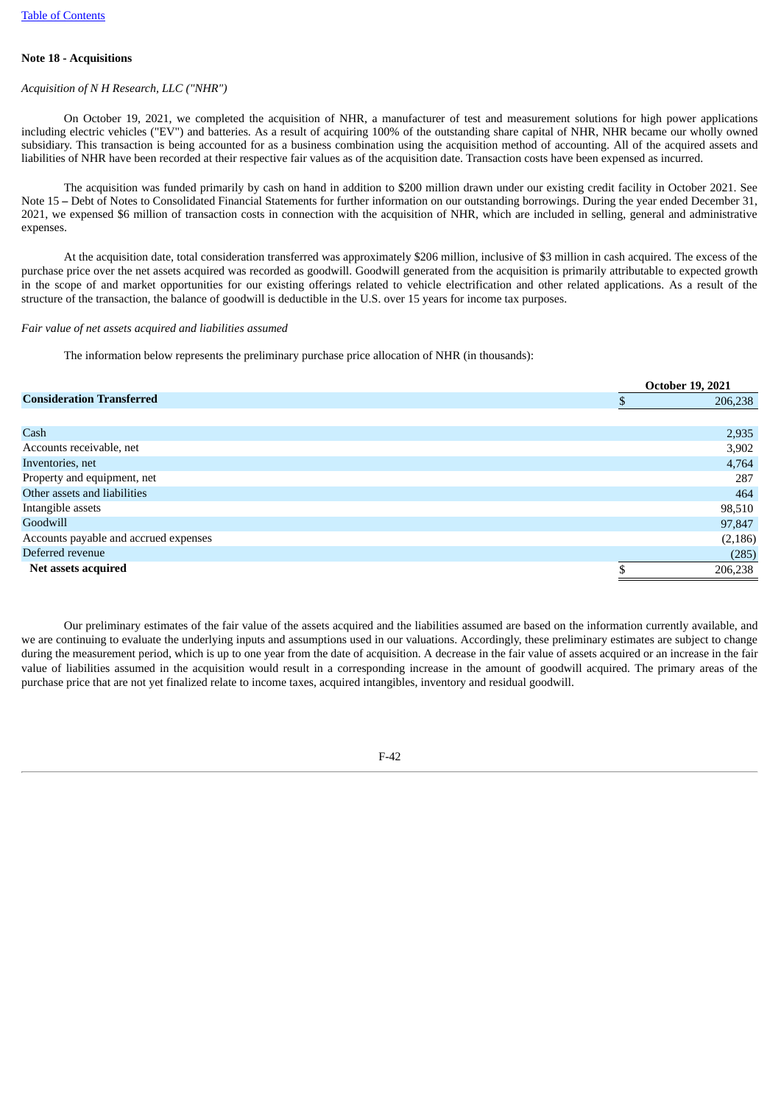## **Note 18 - Acquisitions**

#### *Acquisition of N H Research, LLC ("NHR")*

On October 19, 2021, we completed the acquisition of NHR, a manufacturer of test and measurement solutions for high power applications including electric vehicles ("EV") and batteries. As a result of acquiring 100% of the outstanding share capital of NHR, NHR became our wholly owned subsidiary. This transaction is being accounted for as a business combination using the acquisition method of accounting. All of the acquired assets and liabilities of NHR have been recorded at their respective fair values as of the acquisition date. Transaction costs have been expensed as incurred.

The acquisition was funded primarily by cash on hand in addition to \$200 million drawn under our existing credit facility in October 2021. See Note 15 **–** Debt of Notes to Consolidated Financial Statements for further information on our outstanding borrowings. During the year ended December 31, 2021, we expensed \$6 million of transaction costs in connection with the acquisition of NHR, which are included in selling, general and administrative expenses.

At the acquisition date, total consideration transferred was approximately \$206 million, inclusive of \$3 million in cash acquired. The excess of the purchase price over the net assets acquired was recorded as goodwill. Goodwill generated from the acquisition is primarily attributable to expected growth in the scope of and market opportunities for our existing offerings related to vehicle electrification and other related applications. As a result of the structure of the transaction, the balance of goodwill is deductible in the U.S. over 15 years for income tax purposes.

#### *Fair value of net assets acquired and liabilities assumed*

The information below represents the preliminary purchase price allocation of NHR (in thousands):

|                                       | <b>October 19, 2021</b> |
|---------------------------------------|-------------------------|
| <b>Consideration Transferred</b>      | 206,238                 |
|                                       |                         |
| Cash                                  | 2,935                   |
| Accounts receivable, net              | 3,902                   |
| Inventories, net                      | 4,764                   |
| Property and equipment, net           | 287                     |
| Other assets and liabilities          | 464                     |
| Intangible assets                     | 98,510                  |
| Goodwill                              | 97,847                  |
| Accounts payable and accrued expenses | (2, 186)                |
| Deferred revenue                      | (285)                   |
| Net assets acquired                   | 206,238                 |

Our preliminary estimates of the fair value of the assets acquired and the liabilities assumed are based on the information currently available, and we are continuing to evaluate the underlying inputs and assumptions used in our valuations. Accordingly, these preliminary estimates are subject to change during the measurement period, which is up to one year from the date of acquisition. A decrease in the fair value of assets acquired or an increase in the fair value of liabilities assumed in the acquisition would result in a corresponding increase in the amount of goodwill acquired. The primary areas of the purchase price that are not yet finalized relate to income taxes, acquired intangibles, inventory and residual goodwill.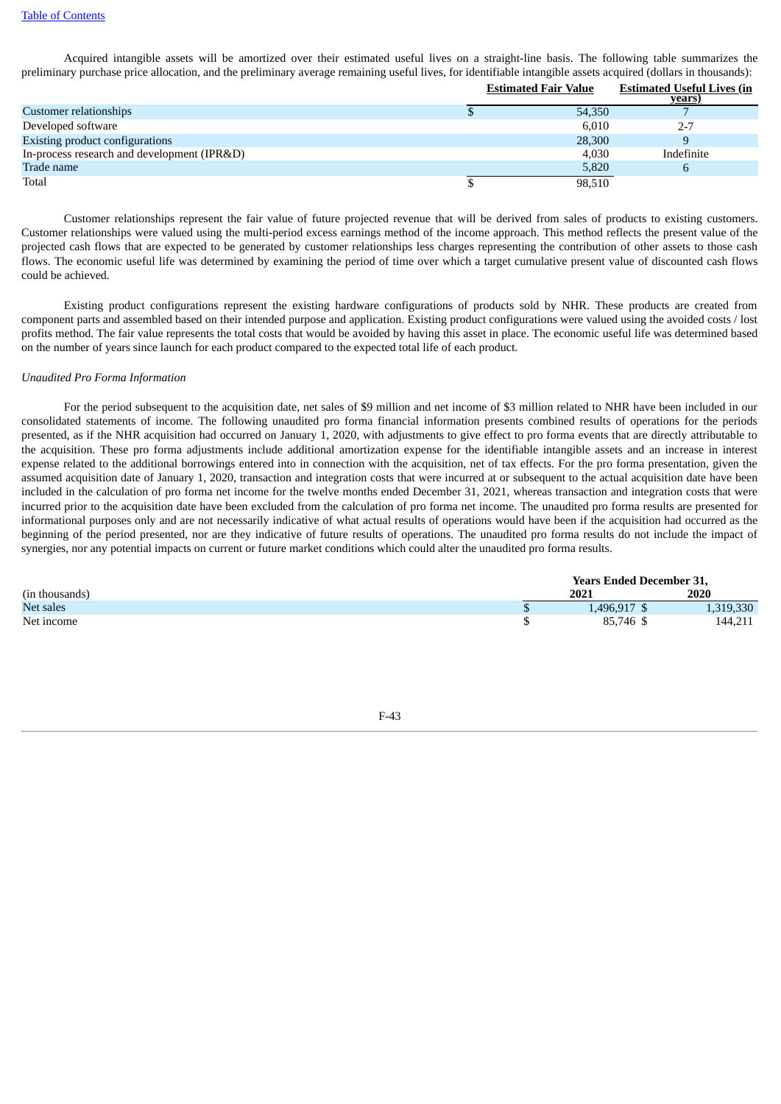Acquired intangible assets will be amortized over their estimated useful lives on a straight-line basis. The following table summarizes the preliminary purchase price allocation, and the preliminary average remaining useful lives, for identifiable intangible assets acquired (dollars in thousands):

|                                             | <b>Estimated Fair Value</b> | <b>Estimated Useful Lives (in</b> |
|---------------------------------------------|-----------------------------|-----------------------------------|
|                                             |                             | <u>vears</u>                      |
| Customer relationships                      | 54,350                      |                                   |
| Developed software                          | 6,010                       | $2 - 7$                           |
| <b>Existing product configurations</b>      | 28,300                      |                                   |
| In-process research and development (IPR&D) | 4.030                       | Indefinite                        |
| Trade name                                  | 5,820                       |                                   |
| Total                                       | 98,510                      |                                   |

Customer relationships represent the fair value of future projected revenue that will be derived from sales of products to existing customers. Customer relationships were valued using the multi-period excess earnings method of the income approach. This method reflects the present value of the projected cash flows that are expected to be generated by customer relationships less charges representing the contribution of other assets to those cash flows. The economic useful life was determined by examining the period of time over which a target cumulative present value of discounted cash flows could be achieved.

Existing product configurations represent the existing hardware configurations of products sold by NHR. These products are created from component parts and assembled based on their intended purpose and application. Existing product configurations were valued using the avoided costs / lost profits method. The fair value represents the total costs that would be avoided by having this asset in place. The economic useful life was determined based on the number of years since launch for each product compared to the expected total life of each product.

#### *Unaudited Pro Forma Information*

For the period subsequent to the acquisition date, net sales of \$9 million and net income of \$3 million related to NHR have been included in our consolidated statements of income. The following unaudited pro forma financial information presents combined results of operations for the periods presented, as if the NHR acquisition had occurred on January 1, 2020, with adjustments to give effect to pro forma events that are directly attributable to the acquisition. These pro forma adjustments include additional amortization expense for the identifiable intangible assets and an increase in interest expense related to the additional borrowings entered into in connection with the acquisition, net of tax effects. For the pro forma presentation, given the assumed acquisition date of January 1, 2020, transaction and integration costs that were incurred at or subsequent to the actual acquisition date have been included in the calculation of pro forma net income for the twelve months ended December 31, 2021, whereas transaction and integration costs that were incurred prior to the acquisition date have been excluded from the calculation of pro forma net income. The unaudited pro forma results are presented for informational purposes only and are not necessarily indicative of what actual results of operations would have been if the acquisition had occurred as the beginning of the period presented, nor are they indicative of future results of operations. The unaudited pro forma results do not include the impact of synergies, nor any potential impacts on current or future market conditions which could alter the unaudited pro forma results.

|                | <b>Years Ended December 31,</b> |           |  |
|----------------|---------------------------------|-----------|--|
| (in thousands) | 2021                            | 2020      |  |
| Net sales      | 1,496,917 \$                    | 1,319,330 |  |
| Net income     | 85,746 \$                       | 144,211   |  |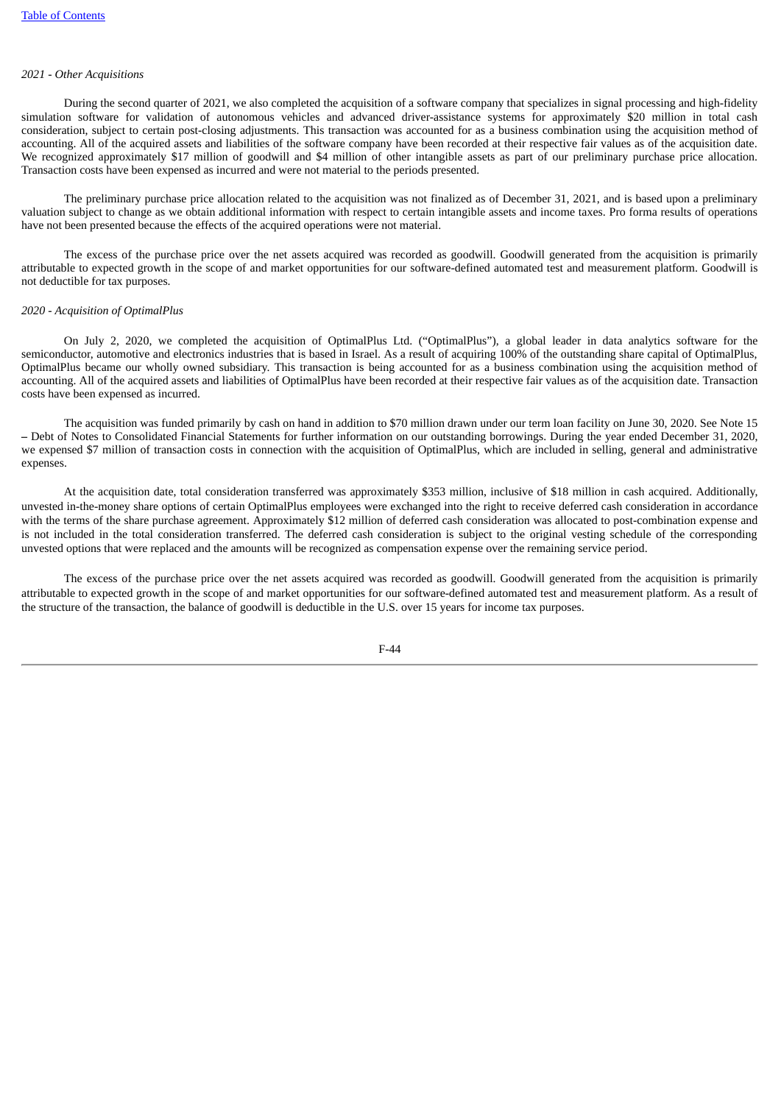#### *2021 - Other Acquisitions*

During the second quarter of 2021, we also completed the acquisition of a software company that specializes in signal processing and high-fidelity simulation software for validation of autonomous vehicles and advanced driver-assistance systems for approximately \$20 million in total cash consideration, subject to certain post-closing adjustments. This transaction was accounted for as a business combination using the acquisition method of accounting. All of the acquired assets and liabilities of the software company have been recorded at their respective fair values as of the acquisition date. We recognized approximately \$17 million of goodwill and \$4 million of other intangible assets as part of our preliminary purchase price allocation. Transaction costs have been expensed as incurred and were not material to the periods presented.

The preliminary purchase price allocation related to the acquisition was not finalized as of December 31, 2021, and is based upon a preliminary valuation subject to change as we obtain additional information with respect to certain intangible assets and income taxes. Pro forma results of operations have not been presented because the effects of the acquired operations were not material.

The excess of the purchase price over the net assets acquired was recorded as goodwill. Goodwill generated from the acquisition is primarily attributable to expected growth in the scope of and market opportunities for our software-defined automated test and measurement platform. Goodwill is not deductible for tax purposes.

#### *2020 - Acquisition of OptimalPlus*

On July 2, 2020, we completed the acquisition of OptimalPlus Ltd. ("OptimalPlus"), a global leader in data analytics software for the semiconductor, automotive and electronics industries that is based in Israel. As a result of acquiring 100% of the outstanding share capital of OptimalPlus, OptimalPlus became our wholly owned subsidiary. This transaction is being accounted for as a business combination using the acquisition method of accounting. All of the acquired assets and liabilities of OptimalPlus have been recorded at their respective fair values as of the acquisition date. Transaction costs have been expensed as incurred.

The acquisition was funded primarily by cash on hand in addition to \$70 million drawn under our term loan facility on June 30, 2020. See Note 15 **–** Debt of Notes to Consolidated Financial Statements for further information on our outstanding borrowings. During the year ended December 31, 2020, we expensed \$7 million of transaction costs in connection with the acquisition of OptimalPlus, which are included in selling, general and administrative expenses.

At the acquisition date, total consideration transferred was approximately \$353 million, inclusive of \$18 million in cash acquired. Additionally, unvested in-the-money share options of certain OptimalPlus employees were exchanged into the right to receive deferred cash consideration in accordance with the terms of the share purchase agreement. Approximately \$12 million of deferred cash consideration was allocated to post-combination expense and is not included in the total consideration transferred. The deferred cash consideration is subject to the original vesting schedule of the corresponding unvested options that were replaced and the amounts will be recognized as compensation expense over the remaining service period.

The excess of the purchase price over the net assets acquired was recorded as goodwill. Goodwill generated from the acquisition is primarily attributable to expected growth in the scope of and market opportunities for our software-defined automated test and measurement platform. As a result of the structure of the transaction, the balance of goodwill is deductible in the U.S. over 15 years for income tax purposes.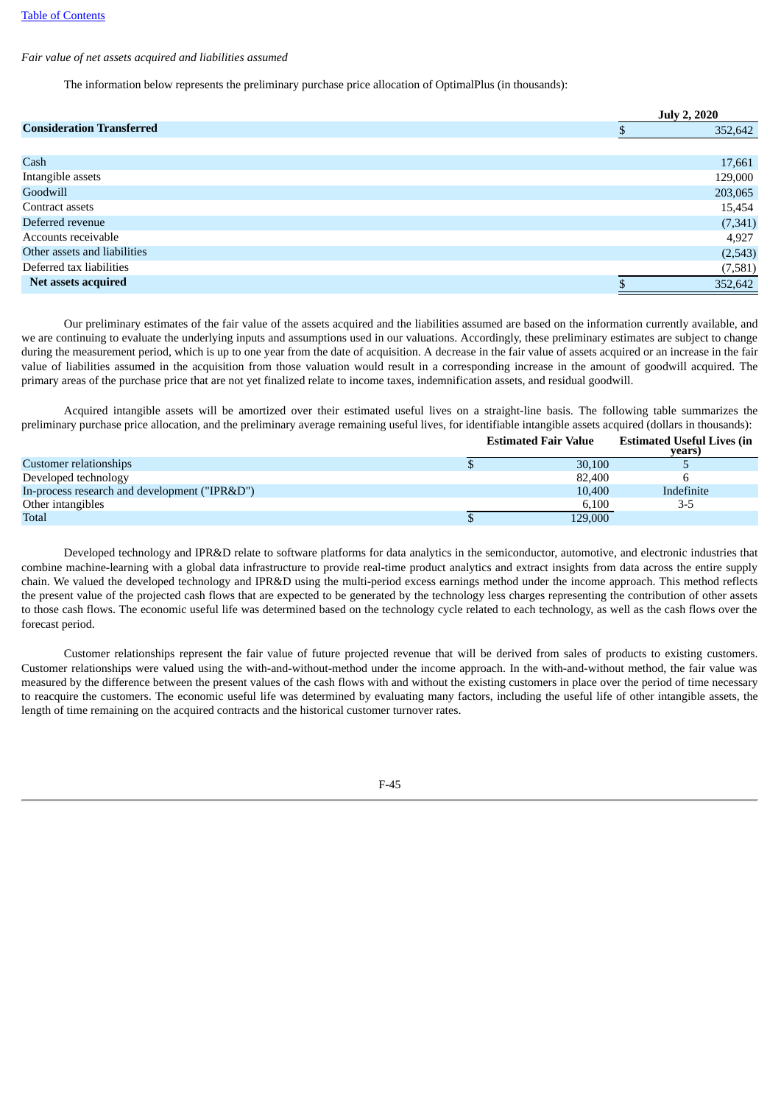*Fair value of net assets acquired and liabilities assumed*

The information below represents the preliminary purchase price allocation of OptimalPlus (in thousands):

|                                  | <b>July 2, 2020</b> |          |
|----------------------------------|---------------------|----------|
| <b>Consideration Transferred</b> |                     | 352,642  |
|                                  |                     |          |
| Cash                             |                     | 17,661   |
| Intangible assets                |                     | 129,000  |
| Goodwill                         |                     | 203,065  |
| Contract assets                  |                     | 15,454   |
| Deferred revenue                 |                     | (7, 341) |
| Accounts receivable              |                     | 4,927    |
| Other assets and liabilities     |                     | (2,543)  |
| Deferred tax liabilities         |                     | (7,581)  |
| Net assets acquired              |                     | 352,642  |

Our preliminary estimates of the fair value of the assets acquired and the liabilities assumed are based on the information currently available, and we are continuing to evaluate the underlying inputs and assumptions used in our valuations. Accordingly, these preliminary estimates are subject to change during the measurement period, which is up to one year from the date of acquisition. A decrease in the fair value of assets acquired or an increase in the fair value of liabilities assumed in the acquisition from those valuation would result in a corresponding increase in the amount of goodwill acquired. The primary areas of the purchase price that are not yet finalized relate to income taxes, indemnification assets, and residual goodwill.

Acquired intangible assets will be amortized over their estimated useful lives on a straight-line basis. The following table summarizes the preliminary purchase price allocation, and the preliminary average remaining useful lives, for identifiable intangible assets acquired (dollars in thousands):

|                                               | <b>Estimated Fair Value</b> | <b>Estimated Useful Lives (in</b><br>vears |
|-----------------------------------------------|-----------------------------|--------------------------------------------|
| Customer relationships                        | 30,100                      |                                            |
| Developed technology                          | 82,400                      |                                            |
| In-process research and development ("IPR&D") | 10.400                      | Indefinite                                 |
| Other intangibles                             | 6,100                       | 3-5                                        |
| <b>Total</b>                                  | 129,000                     |                                            |

Developed technology and IPR&D relate to software platforms for data analytics in the semiconductor, automotive, and electronic industries that combine machine-learning with a global data infrastructure to provide real-time product analytics and extract insights from data across the entire supply chain. We valued the developed technology and IPR&D using the multi-period excess earnings method under the income approach. This method reflects the present value of the projected cash flows that are expected to be generated by the technology less charges representing the contribution of other assets to those cash flows. The economic useful life was determined based on the technology cycle related to each technology, as well as the cash flows over the forecast period.

Customer relationships represent the fair value of future projected revenue that will be derived from sales of products to existing customers. Customer relationships were valued using the with-and-without-method under the income approach. In the with-and-without method, the fair value was measured by the difference between the present values of the cash flows with and without the existing customers in place over the period of time necessary to reacquire the customers. The economic useful life was determined by evaluating many factors, including the useful life of other intangible assets, the length of time remaining on the acquired contracts and the historical customer turnover rates.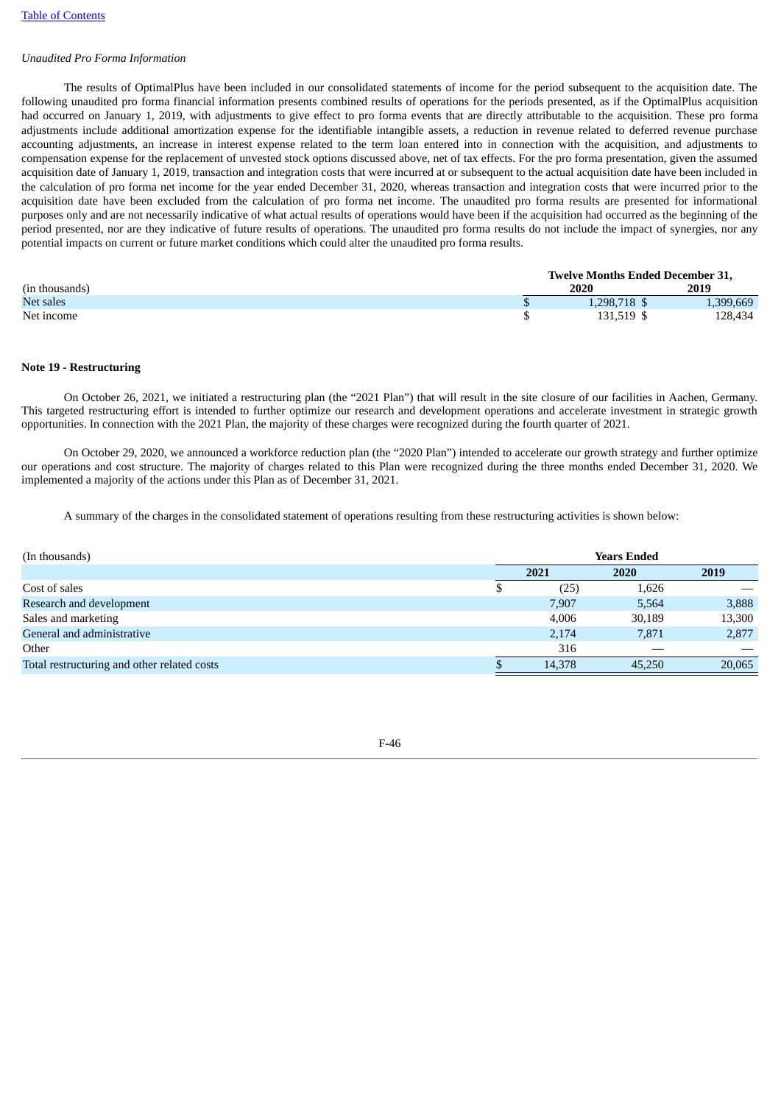# *Unaudited Pro Forma Information*

The results of OptimalPlus have been included in our consolidated statements of income for the period subsequent to the acquisition date. The following unaudited pro forma financial information presents combined results of operations for the periods presented, as if the OptimalPlus acquisition had occurred on January 1, 2019, with adjustments to give effect to pro forma events that are directly attributable to the acquisition. These pro forma adjustments include additional amortization expense for the identifiable intangible assets, a reduction in revenue related to deferred revenue purchase accounting adjustments, an increase in interest expense related to the term loan entered into in connection with the acquisition, and adjustments to compensation expense for the replacement of unvested stock options discussed above, net of tax effects. For the pro forma presentation, given the assumed acquisition date of January 1, 2019, transaction and integration costs that were incurred at or subsequent to the actual acquisition date have been included in the calculation of pro forma net income for the year ended December 31, 2020, whereas transaction and integration costs that were incurred prior to the acquisition date have been excluded from the calculation of pro forma net income. The unaudited pro forma results are presented for informational purposes only and are not necessarily indicative of what actual results of operations would have been if the acquisition had occurred as the beginning of the period presented, nor are they indicative of future results of operations. The unaudited pro forma results do not include the impact of synergies, nor any potential impacts on current or future market conditions which could alter the unaudited pro forma results.

|                | <b>Twelve Months Ended December 31,</b> |           |  |
|----------------|-----------------------------------------|-----------|--|
| (in thousands) | 2020                                    | 2019      |  |
| Net sales      | 1,298,718 \$                            | 1,399,669 |  |
| Net income     | 131.519 \$                              | 128.434   |  |

### **Note 19 - Restructuring**

On October 26, 2021, we initiated a restructuring plan (the "2021 Plan") that will result in the site closure of our facilities in Aachen, Germany. This targeted restructuring effort is intended to further optimize our research and development operations and accelerate investment in strategic growth opportunities. In connection with the 2021 Plan, the majority of these charges were recognized during the fourth quarter of 2021.

On October 29, 2020, we announced a workforce reduction plan (the "2020 Plan") intended to accelerate our growth strategy and further optimize our operations and cost structure. The majority of charges related to this Plan were recognized during the three months ended December 31, 2020. We implemented a majority of the actions under this Plan as of December 31, 2021.

A summary of the charges in the consolidated statement of operations resulting from these restructuring activities is shown below:

| (In thousands)                              | <b>Years Ended</b> |        |        |        |
|---------------------------------------------|--------------------|--------|--------|--------|
|                                             |                    | 2021   | 2020   | 2019   |
| Cost of sales                               | ۵D                 | (25)   | 1,626  |        |
| Research and development                    |                    | 7,907  | 5,564  | 3,888  |
| Sales and marketing                         |                    | 4,006  | 30,189 | 13,300 |
| General and administrative                  |                    | 2,174  | 7,871  | 2,877  |
| Other                                       |                    | 316    |        |        |
| Total restructuring and other related costs |                    | 14,378 | 45,250 | 20,065 |

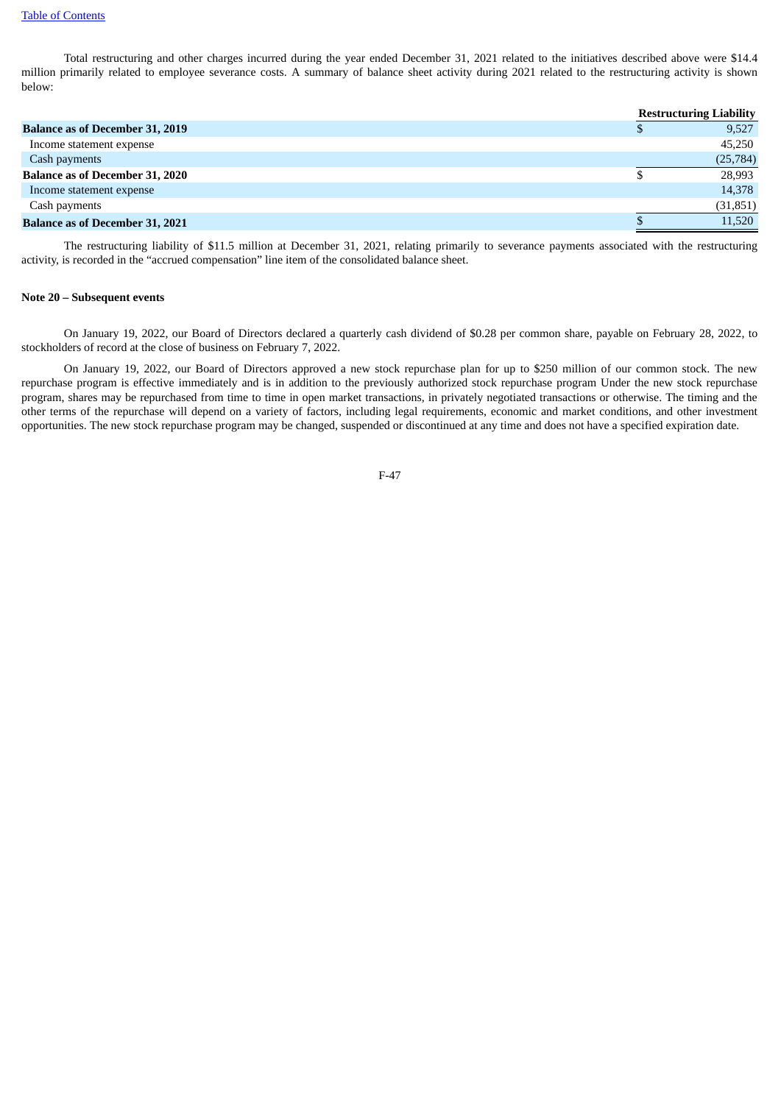#### Table of [Contents](#page-0-0)

Total restructuring and other charges incurred during the year ended December 31, 2021 related to the initiatives described above were \$14.4 million primarily related to employee severance costs. A summary of balance sheet activity during 2021 related to the restructuring activity is shown below:

|                                        | <b>Restructuring Liability</b> |           |  |
|----------------------------------------|--------------------------------|-----------|--|
| <b>Balance as of December 31, 2019</b> |                                | 9,527     |  |
| Income statement expense               |                                | 45,250    |  |
| Cash payments                          |                                | (25,784)  |  |
| <b>Balance as of December 31, 2020</b> |                                | 28.993    |  |
| Income statement expense               |                                | 14,378    |  |
| Cash payments                          |                                | (31, 851) |  |
| <b>Balance as of December 31, 2021</b> |                                | 11,520    |  |

The restructuring liability of \$11.5 million at December 31, 2021, relating primarily to severance payments associated with the restructuring activity, is recorded in the "accrued compensation" line item of the consolidated balance sheet.

### **Note 20 – Subsequent events**

On January 19, 2022, our Board of Directors declared a quarterly cash dividend of \$0.28 per common share, payable on February 28, 2022, to stockholders of record at the close of business on February 7, 2022.

On January 19, 2022, our Board of Directors approved a new stock repurchase plan for up to \$250 million of our common stock. The new repurchase program is effective immediately and is in addition to the previously authorized stock repurchase program Under the new stock repurchase program, shares may be repurchased from time to time in open market transactions, in privately negotiated transactions or otherwise. The timing and the other terms of the repurchase will depend on a variety of factors, including legal requirements, economic and market conditions, and other investment opportunities. The new stock repurchase program may be changed, suspended or discontinued at any time and does not have a specified expiration date.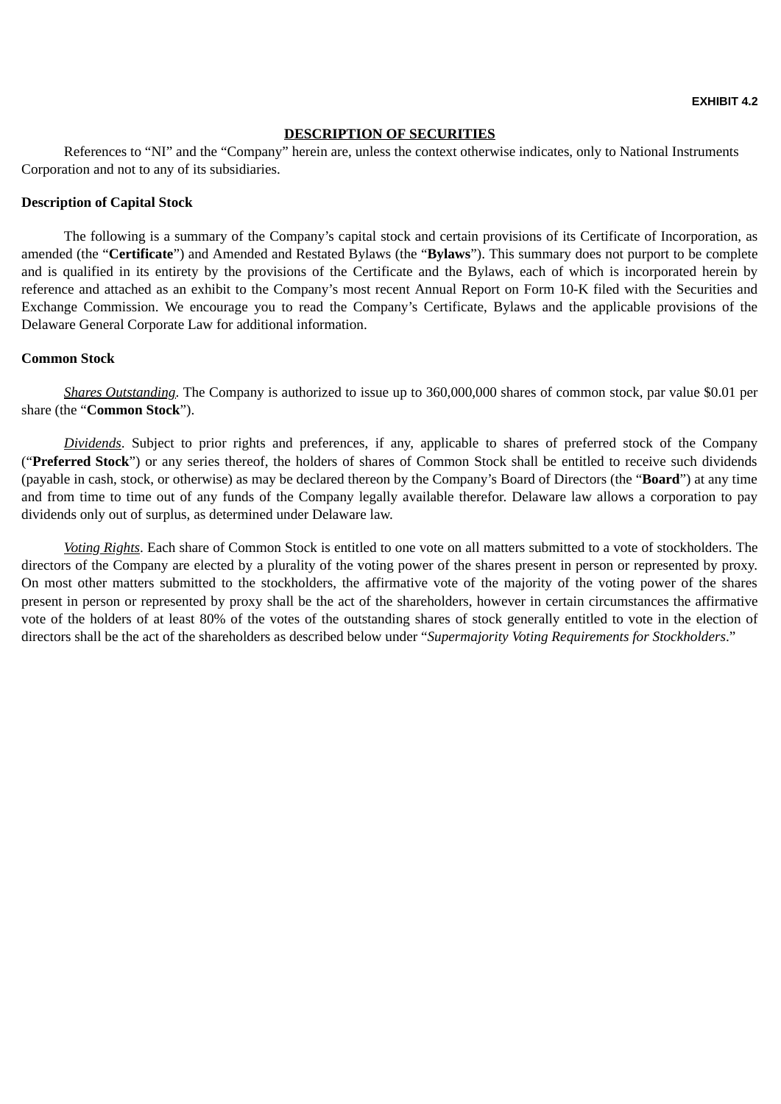# **DESCRIPTION OF SECURITIES**

References to "NI" and the "Company" herein are, unless the context otherwise indicates, only to National Instruments Corporation and not to any of its subsidiaries.

# **Description of Capital Stock**

The following is a summary of the Company's capital stock and certain provisions of its Certificate of Incorporation, as amended (the "**Certificate**") and Amended and Restated Bylaws (the "**Bylaws**"). This summary does not purport to be complete and is qualified in its entirety by the provisions of the Certificate and the Bylaws, each of which is incorporated herein by reference and attached as an exhibit to the Company's most recent Annual Report on Form 10-K filed with the Securities and Exchange Commission. We encourage you to read the Company's Certificate, Bylaws and the applicable provisions of the Delaware General Corporate Law for additional information.

# **Common Stock**

*Shares Outstanding*. The Company is authorized to issue up to 360,000,000 shares of common stock, par value \$0.01 per share (the "**Common Stock**").

*Dividends*. Subject to prior rights and preferences, if any, applicable to shares of preferred stock of the Company ("**Preferred Stock**") or any series thereof, the holders of shares of Common Stock shall be entitled to receive such dividends (payable in cash, stock, or otherwise) as may be declared thereon by the Company's Board of Directors (the "**Board**") at any time and from time to time out of any funds of the Company legally available therefor. Delaware law allows a corporation to pay dividends only out of surplus, as determined under Delaware law.

*Voting Rights*. Each share of Common Stock is entitled to one vote on all matters submitted to a vote of stockholders. The directors of the Company are elected by a plurality of the voting power of the shares present in person or represented by proxy. On most other matters submitted to the stockholders, the affirmative vote of the majority of the voting power of the shares present in person or represented by proxy shall be the act of the shareholders, however in certain circumstances the affirmative vote of the holders of at least 80% of the votes of the outstanding shares of stock generally entitled to vote in the election of directors shall be the act of the shareholders as described below under "*Supermajority Voting Requirements for Stockholders*."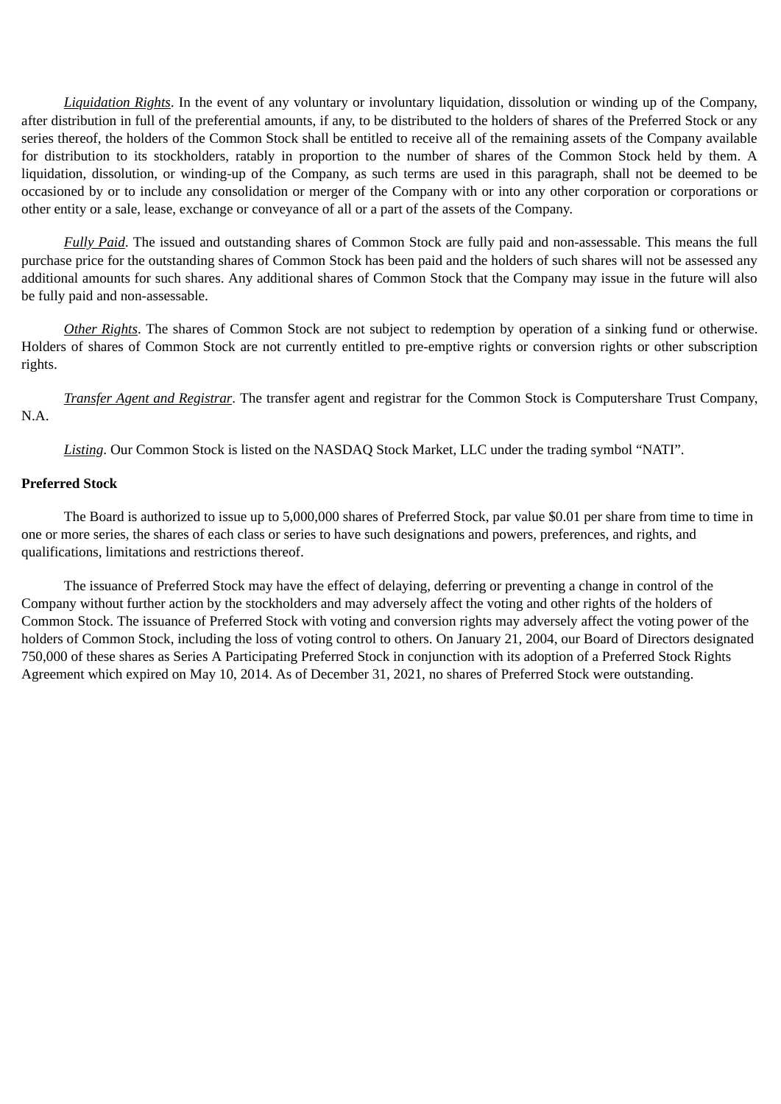*Liquidation Rights*. In the event of any voluntary or involuntary liquidation, dissolution or winding up of the Company, after distribution in full of the preferential amounts, if any, to be distributed to the holders of shares of the Preferred Stock or any series thereof, the holders of the Common Stock shall be entitled to receive all of the remaining assets of the Company available for distribution to its stockholders, ratably in proportion to the number of shares of the Common Stock held by them. A liquidation, dissolution, or winding-up of the Company, as such terms are used in this paragraph, shall not be deemed to be occasioned by or to include any consolidation or merger of the Company with or into any other corporation or corporations or other entity or a sale, lease, exchange or conveyance of all or a part of the assets of the Company.

*Fully Paid*. The issued and outstanding shares of Common Stock are fully paid and non-assessable. This means the full purchase price for the outstanding shares of Common Stock has been paid and the holders of such shares will not be assessed any additional amounts for such shares. Any additional shares of Common Stock that the Company may issue in the future will also be fully paid and non-assessable.

*Other Rights*. The shares of Common Stock are not subject to redemption by operation of a sinking fund or otherwise. Holders of shares of Common Stock are not currently entitled to pre-emptive rights or conversion rights or other subscription rights.

*Transfer Agent and Registrar*. The transfer agent and registrar for the Common Stock is Computershare Trust Company, N.A.

*Listing*. Our Common Stock is listed on the NASDAQ Stock Market, LLC under the trading symbol "NATI".

# **Preferred Stock**

The Board is authorized to issue up to 5,000,000 shares of Preferred Stock, par value \$0.01 per share from time to time in one or more series, the shares of each class or series to have such designations and powers, preferences, and rights, and qualifications, limitations and restrictions thereof.

The issuance of Preferred Stock may have the effect of delaying, deferring or preventing a change in control of the Company without further action by the stockholders and may adversely affect the voting and other rights of the holders of Common Stock. The issuance of Preferred Stock with voting and conversion rights may adversely affect the voting power of the holders of Common Stock, including the loss of voting control to others. On January 21, 2004, our Board of Directors designated 750,000 of these shares as Series A Participating Preferred Stock in conjunction with its adoption of a Preferred Stock Rights Agreement which expired on May 10, 2014. As of December 31, 2021, no shares of Preferred Stock were outstanding.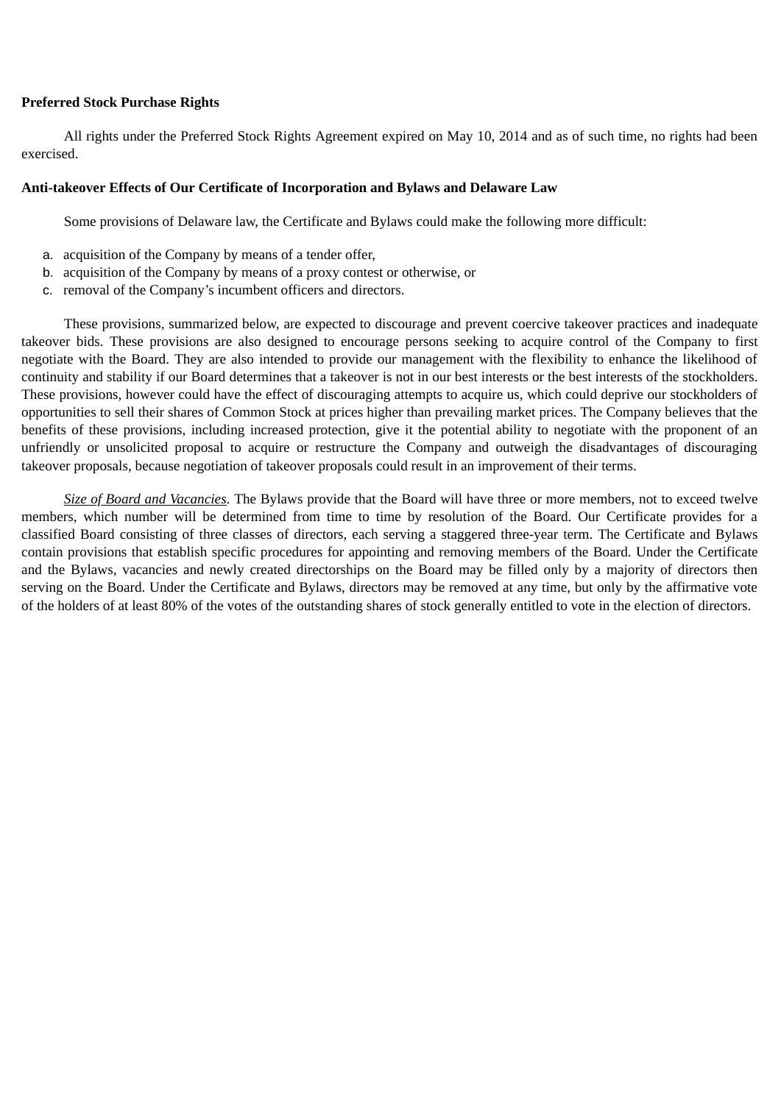# **Preferred Stock Purchase Rights**

All rights under the Preferred Stock Rights Agreement expired on May 10, 2014 and as of such time, no rights had been exercised.

# **Anti-takeover Effects of Our Certificate of Incorporation and Bylaws and Delaware Law**

Some provisions of Delaware law, the Certificate and Bylaws could make the following more difficult:

- a. acquisition of the Company by means of a tender offer,
- b. acquisition of the Company by means of a proxy contest or otherwise, or
- c. removal of the Company's incumbent officers and directors.

These provisions, summarized below, are expected to discourage and prevent coercive takeover practices and inadequate takeover bids. These provisions are also designed to encourage persons seeking to acquire control of the Company to first negotiate with the Board. They are also intended to provide our management with the flexibility to enhance the likelihood of continuity and stability if our Board determines that a takeover is not in our best interests or the best interests of the stockholders. These provisions, however could have the effect of discouraging attempts to acquire us, which could deprive our stockholders of opportunities to sell their shares of Common Stock at prices higher than prevailing market prices. The Company believes that the benefits of these provisions, including increased protection, give it the potential ability to negotiate with the proponent of an unfriendly or unsolicited proposal to acquire or restructure the Company and outweigh the disadvantages of discouraging takeover proposals, because negotiation of takeover proposals could result in an improvement of their terms.

*Size of Board and Vacancies*. The Bylaws provide that the Board will have three or more members, not to exceed twelve members, which number will be determined from time to time by resolution of the Board. Our Certificate provides for a classified Board consisting of three classes of directors, each serving a staggered three-year term. The Certificate and Bylaws contain provisions that establish specific procedures for appointing and removing members of the Board. Under the Certificate and the Bylaws, vacancies and newly created directorships on the Board may be filled only by a majority of directors then serving on the Board. Under the Certificate and Bylaws, directors may be removed at any time, but only by the affirmative vote of the holders of at least 80% of the votes of the outstanding shares of stock generally entitled to vote in the election of directors.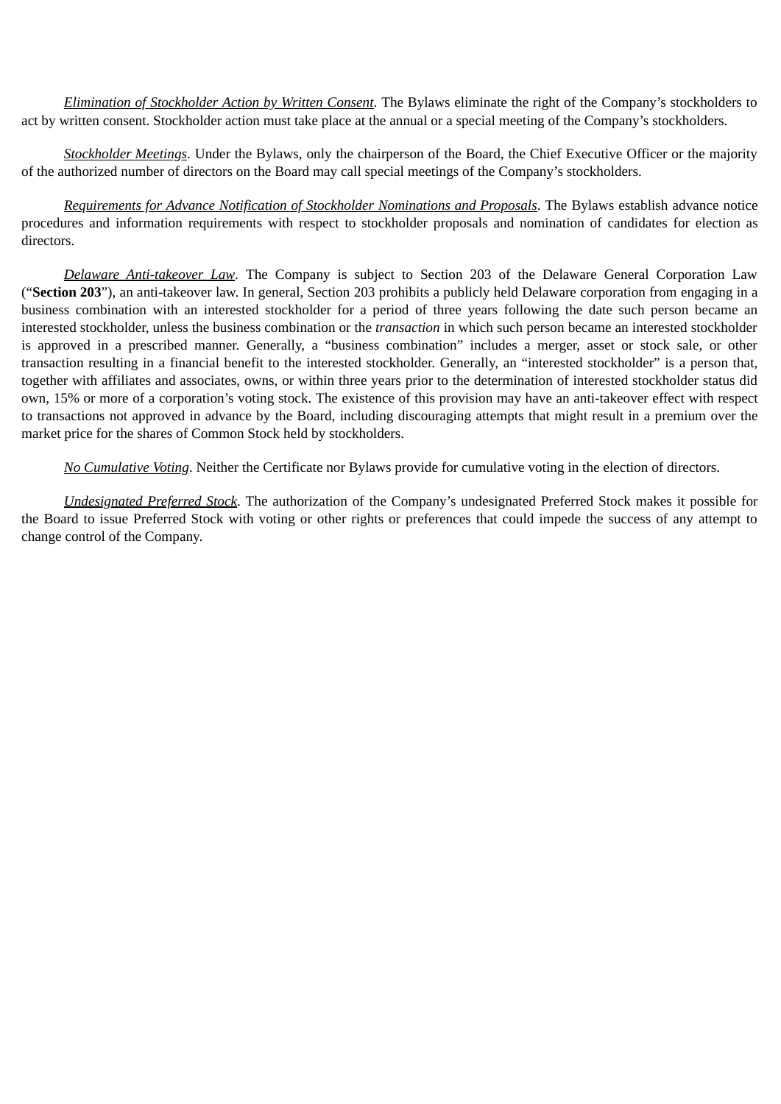*Elimination of Stockholder Action by Written Consent*. The Bylaws eliminate the right of the Company's stockholders to act by written consent. Stockholder action must take place at the annual or a special meeting of the Company's stockholders.

*Stockholder Meetings*. Under the Bylaws, only the chairperson of the Board, the Chief Executive Officer or the majority of the authorized number of directors on the Board may call special meetings of the Company's stockholders.

*Requirements for Advance Notification of Stockholder Nominations and Proposals*. The Bylaws establish advance notice procedures and information requirements with respect to stockholder proposals and nomination of candidates for election as directors.

*Delaware Anti-takeover Law*. The Company is subject to Section 203 of the Delaware General Corporation Law ("**Section 203**"), an anti-takeover law. In general, Section 203 prohibits a publicly held Delaware corporation from engaging in a business combination with an interested stockholder for a period of three years following the date such person became an interested stockholder, unless the business combination or the *transaction* in which such person became an interested stockholder is approved in a prescribed manner. Generally, a "business combination" includes a merger, asset or stock sale, or other transaction resulting in a financial benefit to the interested stockholder. Generally, an "interested stockholder" is a person that, together with affiliates and associates, owns, or within three years prior to the determination of interested stockholder status did own, 15% or more of a corporation's voting stock. The existence of this provision may have an anti-takeover effect with respect to transactions not approved in advance by the Board, including discouraging attempts that might result in a premium over the market price for the shares of Common Stock held by stockholders.

*No Cumulative Voting*. Neither the Certificate nor Bylaws provide for cumulative voting in the election of directors.

*Undesignated Preferred Stock*. The authorization of the Company's undesignated Preferred Stock makes it possible for the Board to issue Preferred Stock with voting or other rights or preferences that could impede the success of any attempt to change control of the Company.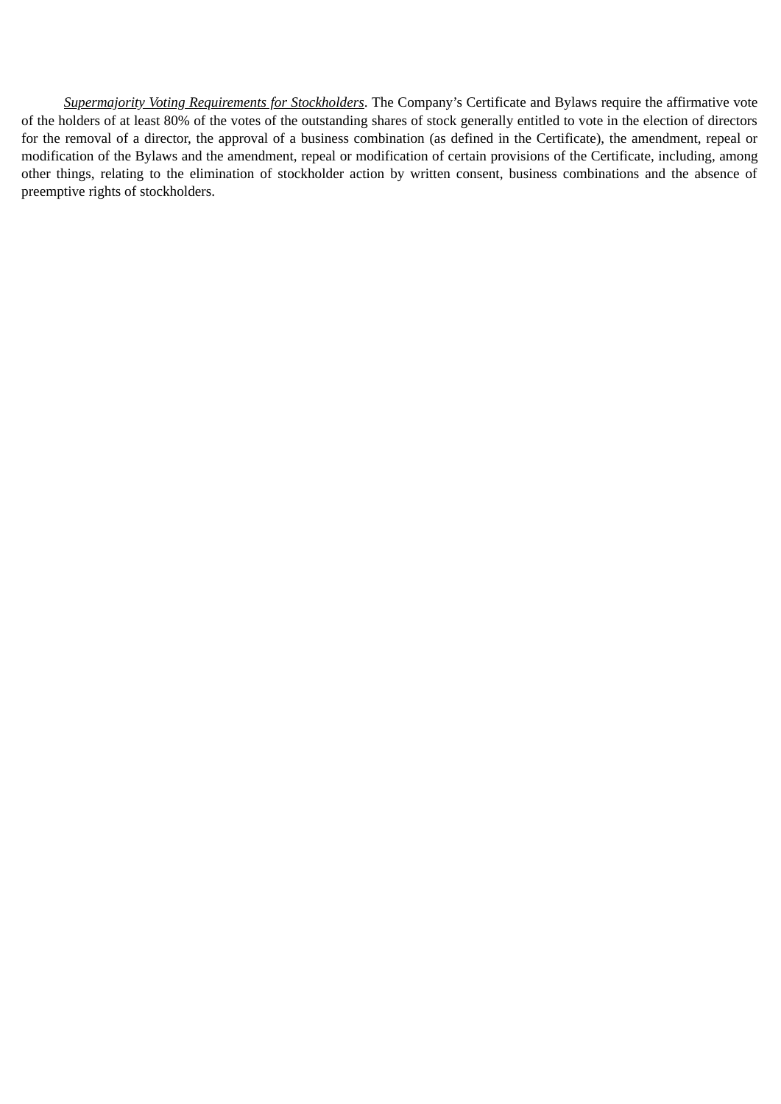*Supermajority Voting Requirements for Stockholders*. The Company's Certificate and Bylaws require the affirmative vote of the holders of at least 80% of the votes of the outstanding shares of stock generally entitled to vote in the election of directors for the removal of a director, the approval of a business combination (as defined in the Certificate), the amendment, repeal or modification of the Bylaws and the amendment, repeal or modification of certain provisions of the Certificate, including, among other things, relating to the elimination of stockholder action by written consent, business combinations and the absence of preemptive rights of stockholders.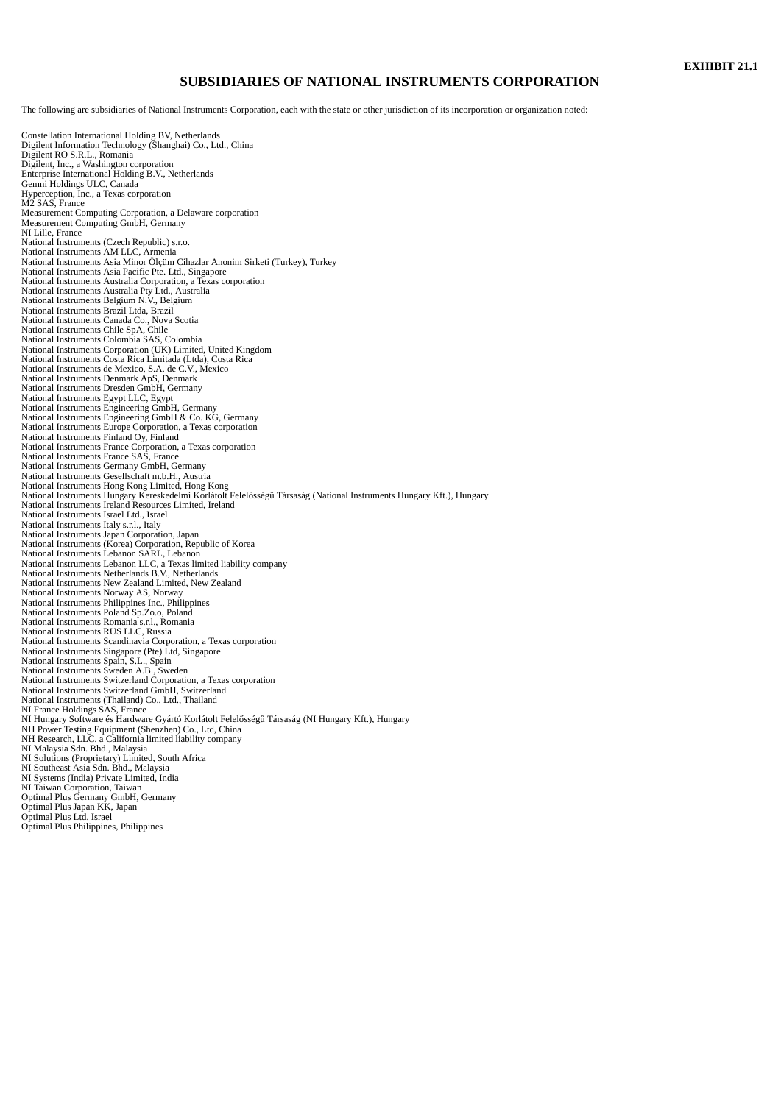# **SUBSIDIARIES OF NATIONAL INSTRUMENTS CORPORATION**

The following are subsidiaries of National Instruments Corporation, each with the state or other jurisdiction of its incorporation or organization noted:

Constellation International Holding BV, Netherlands Digilent Information Technology (Shanghai) Co., Ltd., China Digilent RO S.R.L., Romania Digilent, Inc., a Washington corporation Enterprise International Holding B.V., Netherlands Gemni Holdings ULC, Canada Hyperception, Inc., a Texas corporation M2 SAS, France Measurement Computing Corporation, a Delaware corporation Measurement Computing GmbH, Germany NI Lille, France National Instruments (Czech Republic) s.r.o. National Instruments AM LLC, Armenia National Instruments Asia Minor Ölçüm Cihazlar Anonim Sirketi (Turkey), Turkey National Instruments Asia Pacific Pte. Ltd., Singapore National Instruments Australia Corporation, a Texas corporation National Instruments Australia Pty Ltd., Australia National Instruments Belgium N.V., Belgium National Instruments Brazil Ltda, Brazil National Instruments Canada Co., Nova Scotia National Instruments Chile SpA, Chile National Instruments Colombia SAS, Colombia National Instruments Corporation (UK) Limited, United Kingdom National Instruments Costa Rica Limitada (Ltda), Costa Rica National Instruments de Mexico, S.A. de C.V., Mexico National Instruments Denmark ApS, Denmark National Instruments Dresden GmbH, Germany National Instruments Egypt LLC, Egypt National Instruments Engineering GmbH, Germany National Instruments Engineering GmbH & Co. KG, Germany National Instruments Europe Corporation, a Texas corporation National Instruments Finland Oy, Finland National Instruments France Corporation, a Texas corporation National Instruments France SAS, France National Instruments Germany GmbH, Germany National Instruments Gesellschaft m.b.H., Austria National Instruments Hong Kong Limited, Hong Kong National Instruments Hungary Kereskedelmi Korlátolt Felelősségű Társaság (National Instruments Hungary Kft.), Hungary National Instruments Ireland Resources Limited, Ireland National Instruments Israel Ltd., Israel National Instruments Italy s.r.l., Italy National Instruments Japan Corporation, Japan National Instruments (Korea) Corporation, Republic of Korea National Instruments Lebanon SARL, Lebanon National Instruments Lebanon LLC, a Texas limited liability company National Instruments Netherlands B.V., Netherlands National Instruments New Zealand Limited, New Zealand National Instruments Norway AS, Norway National Instruments Philippines Inc., Philippines National Instruments Poland Sp.Zo.o, Poland National Instruments Romania s.r.l., Romania National Instruments RUS LLC, Russia National Instruments Scandinavia Corporation, a Texas corporation National Instruments Singapore (Pte) Ltd, Singapore National Instruments Spain, S.L., Spain National Instruments Sweden A.B., Sweden National Instruments Switzerland Corporation, a Texas corporation National Instruments Switzerland GmbH, Switzerland National Instruments (Thailand) Co., Ltd., Thailand NI France Holdings SAS, France NI Hungary Software és Hardware Gyártó Korlátolt Felelősségű Társaság (NI Hungary Kft.), Hungary NH Power Testing Equipment (Shenzhen) Co., Ltd, China NH Research, LLC, a California limited liability company NI Malaysia Sdn. Bhd., Malaysia NI Solutions (Proprietary) Limited, South Africa NI Southeast Asia Sdn. Bhd., Malaysia NI Systems (India) Private Limited, India NI Taiwan Corporation, Taiwan Optimal Plus Germany GmbH, Germany Optimal Plus Japan KK, Japan Optimal Plus Ltd, Israel Optimal Plus Philippines, Philippines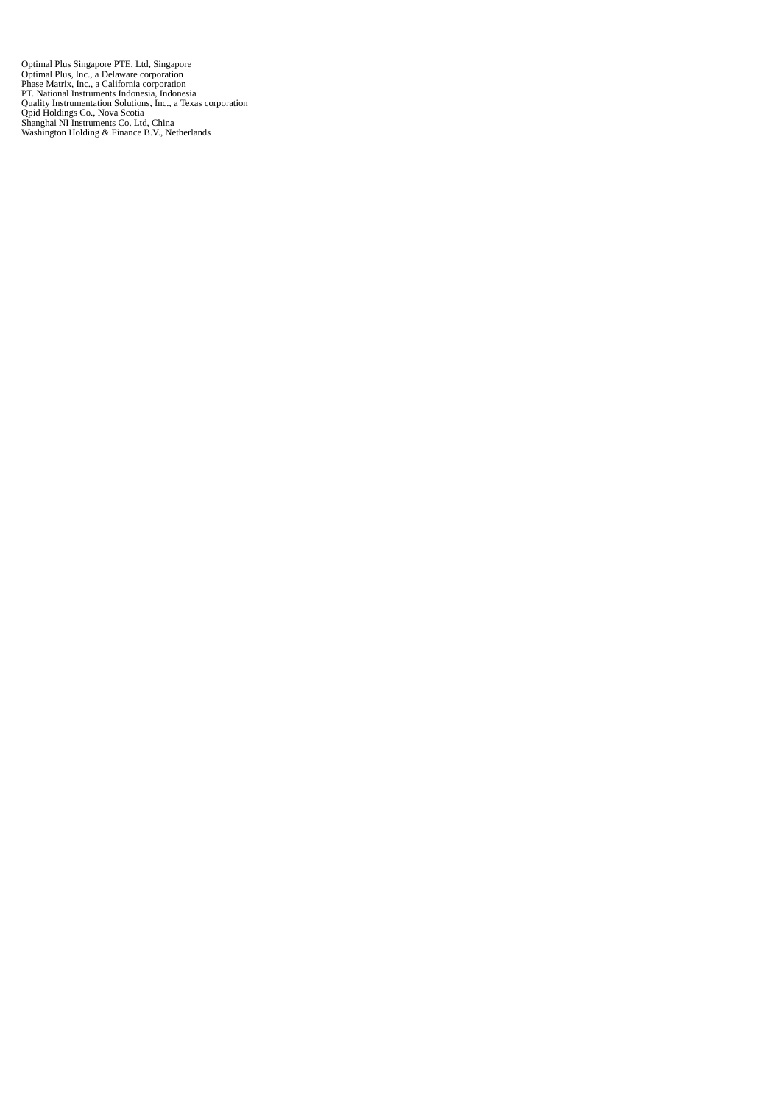Optimal Plus Singapore PTE. Ltd, Singapore<br>Optimal Plus, Inc., a Delaware corporation<br>Phase Matrix, Inc., a California corporation<br>PT. National Instruments Indonesia, Indonesia<br>Quality Instrumentation Solutions, Inc., a Te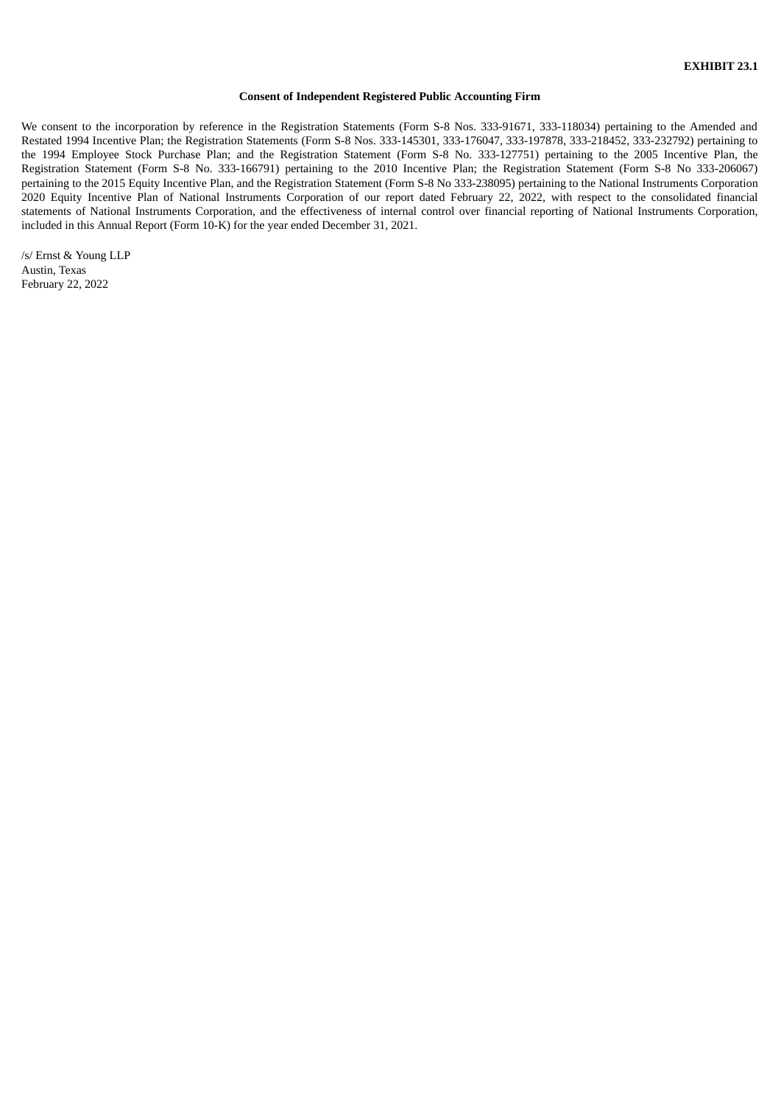## **Consent of Independent Registered Public Accounting Firm**

We consent to the incorporation by reference in the Registration Statements (Form S-8 Nos. 333-91671, 333-118034) pertaining to the Amended and Restated 1994 Incentive Plan; the Registration Statements (Form S-8 Nos. 333-145301, 333-176047, 333-197878, 333-218452, 333-232792) pertaining to the 1994 Employee Stock Purchase Plan; and the Registration Statement (Form S-8 No. 333-127751) pertaining to the 2005 Incentive Plan, the Registration Statement (Form S-8 No. 333-166791) pertaining to the 2010 Incentive Plan; the Registration Statement (Form S-8 No 333-206067) pertaining to the 2015 Equity Incentive Plan, and the Registration Statement (Form S-8 No 333-238095) pertaining to the National Instruments Corporation 2020 Equity Incentive Plan of National Instruments Corporation of our report dated February 22, 2022, with respect to the consolidated financial statements of National Instruments Corporation, and the effectiveness of internal control over financial reporting of National Instruments Corporation, included in this Annual Report (Form 10-K) for the year ended December 31, 2021.

/s/ Ernst & Young LLP Austin, Texas February 22, 2022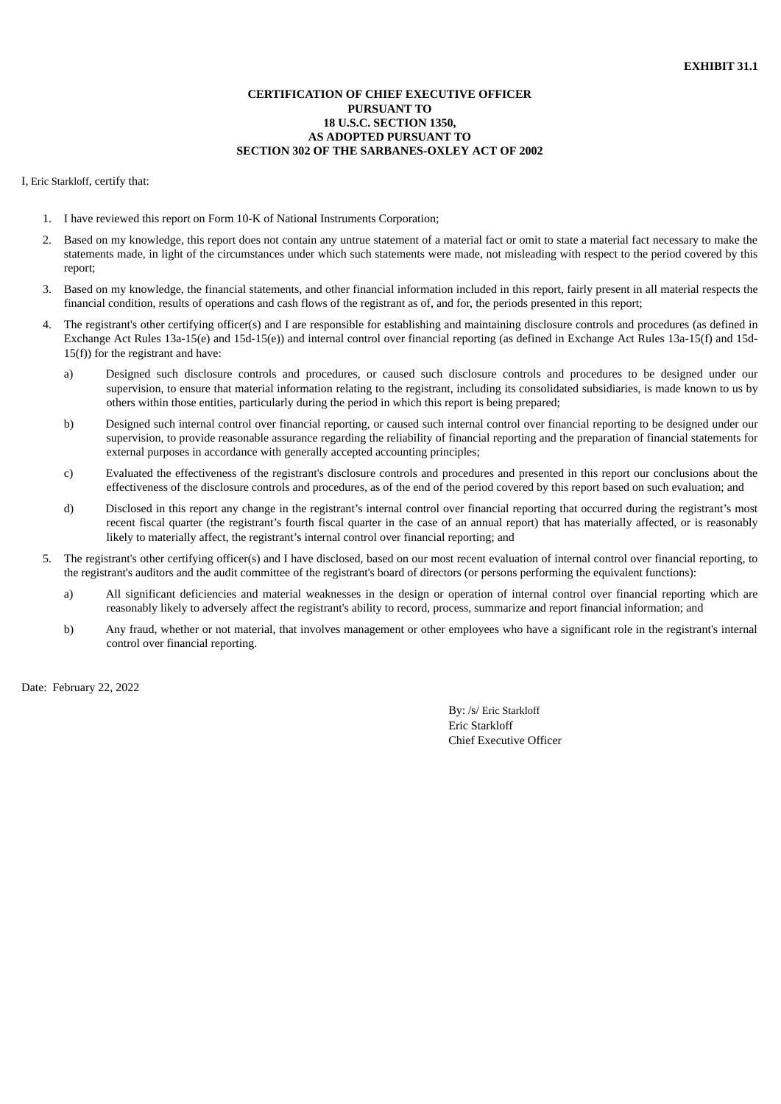## **CERTIFICATION OF CHIEF EXECUTIVE OFFICER PURSUANT TO 18 U.S.C. SECTION 1350, AS ADOPTED PURSUANT TO SECTION 302 OF THE SARBANES-OXLEY ACT OF 2002**

I, Eric Starkloff, certify that:

- 1. I have reviewed this report on Form 10-K of National Instruments Corporation;
- 2. Based on my knowledge, this report does not contain any untrue statement of a material fact or omit to state a material fact necessary to make the statements made, in light of the circumstances under which such statements were made, not misleading with respect to the period covered by this report;
- 3. Based on my knowledge, the financial statements, and other financial information included in this report, fairly present in all material respects the financial condition, results of operations and cash flows of the registrant as of, and for, the periods presented in this report;
- 4. The registrant's other certifying officer(s) and I are responsible for establishing and maintaining disclosure controls and procedures (as defined in Exchange Act Rules 13a-15(e) and 15d-15(e)) and internal control over financial reporting (as defined in Exchange Act Rules 13a-15(f) and 15d-15(f)) for the registrant and have:
	- a) Designed such disclosure controls and procedures, or caused such disclosure controls and procedures to be designed under our supervision, to ensure that material information relating to the registrant, including its consolidated subsidiaries, is made known to us by others within those entities, particularly during the period in which this report is being prepared;
	- b) Designed such internal control over financial reporting, or caused such internal control over financial reporting to be designed under our supervision, to provide reasonable assurance regarding the reliability of financial reporting and the preparation of financial statements for external purposes in accordance with generally accepted accounting principles;
	- c) Evaluated the effectiveness of the registrant's disclosure controls and procedures and presented in this report our conclusions about the effectiveness of the disclosure controls and procedures, as of the end of the period covered by this report based on such evaluation; and
	- d) Disclosed in this report any change in the registrant's internal control over financial reporting that occurred during the registrant's most recent fiscal quarter (the registrant's fourth fiscal quarter in the case of an annual report) that has materially affected, or is reasonably likely to materially affect, the registrant's internal control over financial reporting; and
- 5. The registrant's other certifying officer(s) and I have disclosed, based on our most recent evaluation of internal control over financial reporting, to the registrant's auditors and the audit committee of the registrant's board of directors (or persons performing the equivalent functions):
	- a) All significant deficiencies and material weaknesses in the design or operation of internal control over financial reporting which are reasonably likely to adversely affect the registrant's ability to record, process, summarize and report financial information; and
	- b) Any fraud, whether or not material, that involves management or other employees who have a significant role in the registrant's internal control over financial reporting.

Date: February 22, 2022

By: /s/ Eric Starkloff Eric Starkloff Chief Executive Officer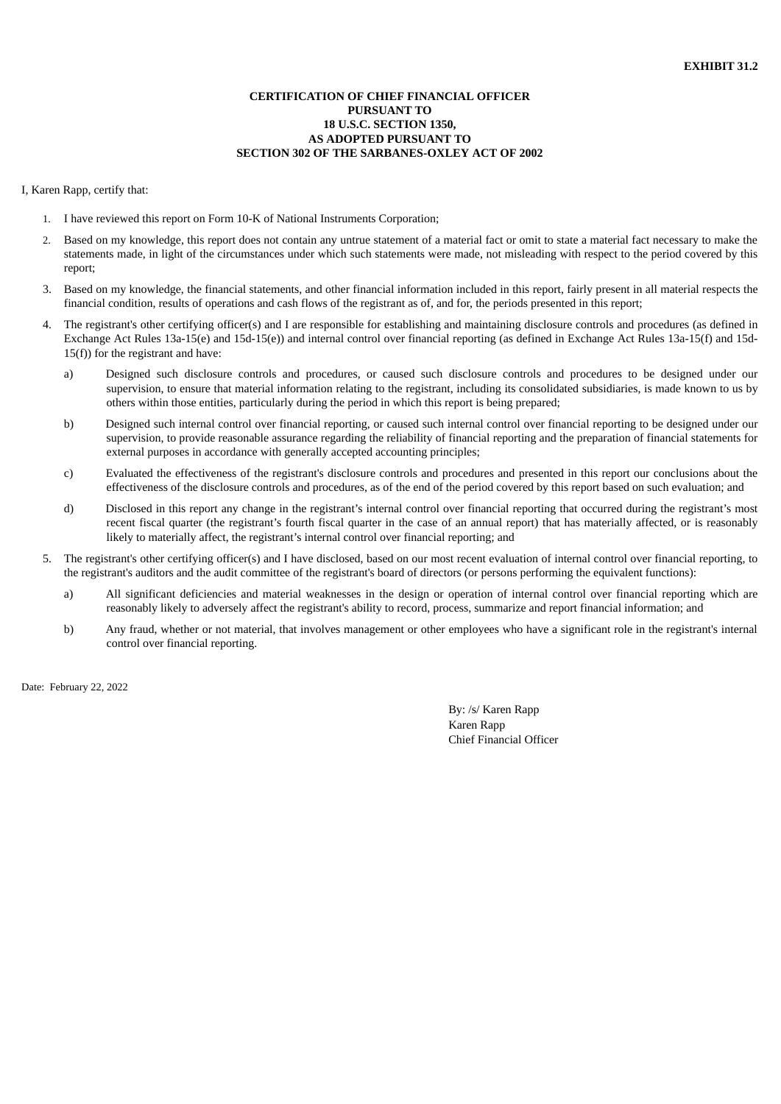## **CERTIFICATION OF CHIEF FINANCIAL OFFICER PURSUANT TO 18 U.S.C. SECTION 1350, AS ADOPTED PURSUANT TO SECTION 302 OF THE SARBANES-OXLEY ACT OF 2002**

I, Karen Rapp, certify that:

- 1. I have reviewed this report on Form 10-K of National Instruments Corporation;
- 2. Based on my knowledge, this report does not contain any untrue statement of a material fact or omit to state a material fact necessary to make the statements made, in light of the circumstances under which such statements were made, not misleading with respect to the period covered by this report;
- 3. Based on my knowledge, the financial statements, and other financial information included in this report, fairly present in all material respects the financial condition, results of operations and cash flows of the registrant as of, and for, the periods presented in this report;
- 4. The registrant's other certifying officer(s) and I are responsible for establishing and maintaining disclosure controls and procedures (as defined in Exchange Act Rules 13a-15(e) and 15d-15(e)) and internal control over financial reporting (as defined in Exchange Act Rules 13a-15(f) and 15d-15(f)) for the registrant and have:
	- a) Designed such disclosure controls and procedures, or caused such disclosure controls and procedures to be designed under our supervision, to ensure that material information relating to the registrant, including its consolidated subsidiaries, is made known to us by others within those entities, particularly during the period in which this report is being prepared;
	- b) Designed such internal control over financial reporting, or caused such internal control over financial reporting to be designed under our supervision, to provide reasonable assurance regarding the reliability of financial reporting and the preparation of financial statements for external purposes in accordance with generally accepted accounting principles;
	- c) Evaluated the effectiveness of the registrant's disclosure controls and procedures and presented in this report our conclusions about the effectiveness of the disclosure controls and procedures, as of the end of the period covered by this report based on such evaluation; and
	- d) Disclosed in this report any change in the registrant's internal control over financial reporting that occurred during the registrant's most recent fiscal quarter (the registrant's fourth fiscal quarter in the case of an annual report) that has materially affected, or is reasonably likely to materially affect, the registrant's internal control over financial reporting; and
- 5. The registrant's other certifying officer(s) and I have disclosed, based on our most recent evaluation of internal control over financial reporting, to the registrant's auditors and the audit committee of the registrant's board of directors (or persons performing the equivalent functions):
	- a) All significant deficiencies and material weaknesses in the design or operation of internal control over financial reporting which are reasonably likely to adversely affect the registrant's ability to record, process, summarize and report financial information; and
	- b) Any fraud, whether or not material, that involves management or other employees who have a significant role in the registrant's internal control over financial reporting.

Date: February 22, 2022

By: /s/ Karen Rapp Karen Rapp Chief Financial Officer